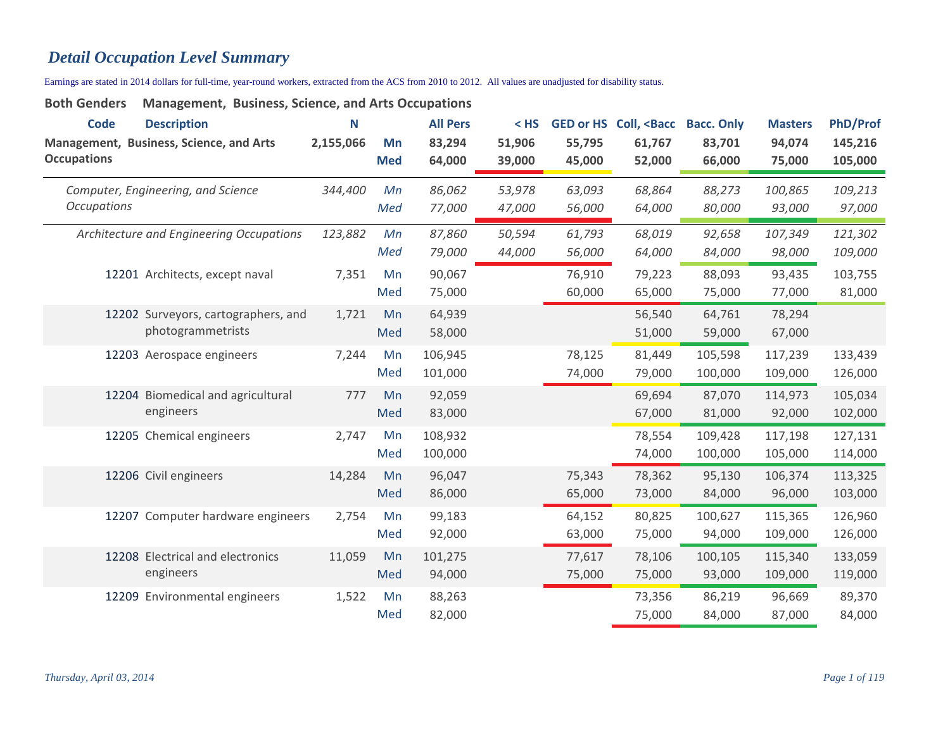# *Detail Occupation Level Summary*

Earnings are stated in 2014 dollars for full-time, year-round workers, extracted from the ACS from 2010 to 2012. All values are unadjusted for disability status.

| <b>Code</b><br><b>Occupations</b> | <b>Description</b><br>Management, Business, Science, and Arts | N<br>2,155,066 | Mn<br><b>Med</b> | <b>All Pers</b><br>83,294<br>64,000 | $<$ HS<br>51,906<br>39,000 | 55,795<br>45,000 | GED or HS Coll, <bacc<br>61,767<br/>52,000</bacc<br> | <b>Bacc. Only</b><br>83,701<br>66,000 | <b>Masters</b><br>94,074<br>75,000 | <b>PhD/Prof</b><br>145,216<br>105,000 |
|-----------------------------------|---------------------------------------------------------------|----------------|------------------|-------------------------------------|----------------------------|------------------|------------------------------------------------------|---------------------------------------|------------------------------------|---------------------------------------|
| <b>Occupations</b>                | Computer, Engineering, and Science                            | 344,400        | Mn<br>Med        | 86,062<br>77,000                    | 53,978<br>47,000           | 63,093<br>56,000 | 68,864<br>64,000                                     | 88,273<br>80,000                      | 100,865<br>93,000                  | 109,213<br>97,000                     |
|                                   | Architecture and Engineering Occupations                      | 123,882        | Mn<br>Med        | 87,860<br>79,000                    | 50,594<br>44,000           | 61,793<br>56,000 | 68,019<br>64,000                                     | 92,658<br>84,000                      | 107,349<br>98,000                  | 121,302<br>109,000                    |
|                                   | 12201 Architects, except naval                                | 7,351          | Mn<br>Med        | 90,067<br>75,000                    |                            | 76,910<br>60,000 | 79,223<br>65,000                                     | 88,093<br>75,000                      | 93,435<br>77,000                   | 103,755<br>81,000                     |
|                                   | 12202 Surveyors, cartographers, and<br>photogrammetrists      | 1,721          | Mn<br>Med        | 64,939<br>58,000                    |                            |                  | 56,540<br>51,000                                     | 64,761<br>59,000                      | 78,294<br>67,000                   |                                       |
|                                   | 12203 Aerospace engineers                                     | 7,244          | Mn<br>Med        | 106,945<br>101,000                  |                            | 78,125<br>74,000 | 81,449<br>79,000                                     | 105,598<br>100,000                    | 117,239<br>109,000                 | 133,439<br>126,000                    |
|                                   | 12204 Biomedical and agricultural<br>engineers                | 777            | Mn<br>Med        | 92,059<br>83,000                    |                            |                  | 69,694<br>67,000                                     | 87,070<br>81,000                      | 114,973<br>92,000                  | 105,034<br>102,000                    |
|                                   | 12205 Chemical engineers                                      | 2,747          | Mn<br>Med        | 108,932<br>100,000                  |                            |                  | 78,554<br>74,000                                     | 109,428<br>100,000                    | 117,198<br>105,000                 | 127,131<br>114,000                    |
|                                   | 12206 Civil engineers                                         | 14,284         | Mn<br>Med        | 96,047<br>86,000                    |                            | 75,343<br>65,000 | 78,362<br>73,000                                     | 95,130<br>84,000                      | 106,374<br>96,000                  | 113,325<br>103,000                    |
|                                   | 12207 Computer hardware engineers                             | 2,754          | Mn<br>Med        | 99,183<br>92,000                    |                            | 64,152<br>63,000 | 80,825<br>75,000                                     | 100,627<br>94,000                     | 115,365<br>109,000                 | 126,960<br>126,000                    |
|                                   | 12208 Electrical and electronics<br>engineers                 | 11,059         | Mn<br>Med        | 101,275<br>94,000                   |                            | 77,617<br>75,000 | 78,106<br>75,000                                     | 100,105<br>93,000                     | 115,340<br>109,000                 | 133,059<br>119,000                    |
|                                   | 12209 Environmental engineers                                 | 1,522          | Mn<br>Med        | 88,263<br>82,000                    |                            |                  | 73,356<br>75,000                                     | 86,219<br>84,000                      | 96,669<br>87,000                   | 89,370<br>84,000                      |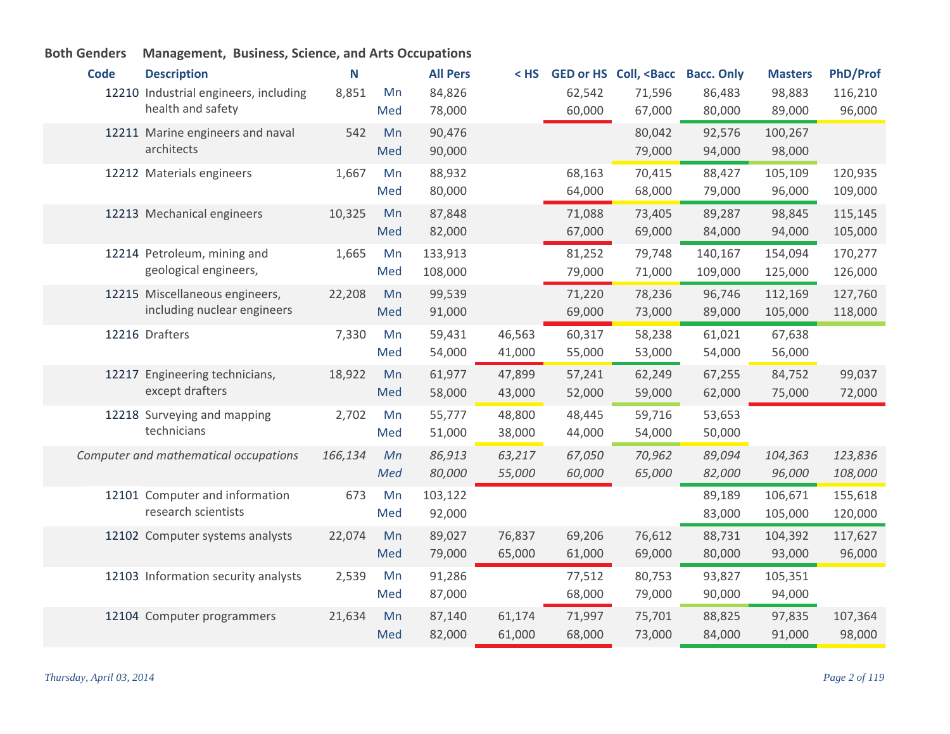| <b>Code</b> | <b>Description</b>                    | N       |     | <b>All Pers</b> | < HS   |        | <b>GED or HS Coll, <bacc< b=""></bacc<></b> | <b>Bacc. Only</b> | <b>Masters</b> | <b>PhD/Prof</b> |
|-------------|---------------------------------------|---------|-----|-----------------|--------|--------|---------------------------------------------|-------------------|----------------|-----------------|
|             | 12210 Industrial engineers, including | 8,851   | Mn  | 84,826          |        | 62,542 | 71,596                                      | 86,483            | 98,883         | 116,210         |
|             | health and safety                     |         | Med | 78,000          |        | 60,000 | 67,000                                      | 80,000            | 89,000         | 96,000          |
|             | 12211 Marine engineers and naval      | 542     | Mn  | 90,476          |        |        | 80,042                                      | 92,576            | 100,267        |                 |
|             | architects                            |         | Med | 90,000          |        |        | 79,000                                      | 94,000            | 98,000         |                 |
|             | 12212 Materials engineers             | 1,667   | Mn  | 88,932          |        | 68,163 | 70,415                                      | 88,427            | 105,109        | 120,935         |
|             |                                       |         | Med | 80,000          |        | 64,000 | 68,000                                      | 79,000            | 96,000         | 109,000         |
|             | 12213 Mechanical engineers            | 10,325  | Mn  | 87,848          |        | 71,088 | 73,405                                      | 89,287            | 98,845         | 115,145         |
|             |                                       |         | Med | 82,000          |        | 67,000 | 69,000                                      | 84,000            | 94,000         | 105,000         |
|             | 12214 Petroleum, mining and           | 1,665   | Mn  | 133,913         |        | 81,252 | 79,748                                      | 140,167           | 154,094        | 170,277         |
|             | geological engineers,                 |         | Med | 108,000         |        | 79,000 | 71,000                                      | 109,000           | 125,000        | 126,000         |
|             | 12215 Miscellaneous engineers,        | 22,208  | Mn  | 99,539          |        | 71,220 | 78,236                                      | 96,746            | 112,169        | 127,760         |
|             | including nuclear engineers           |         | Med | 91,000          |        | 69,000 | 73,000                                      | 89,000            | 105,000        | 118,000         |
|             | 12216 Drafters                        | 7,330   | Mn  | 59,431          | 46,563 | 60,317 | 58,238                                      | 61,021            | 67,638         |                 |
|             |                                       |         | Med | 54,000          | 41,000 | 55,000 | 53,000                                      | 54,000            | 56,000         |                 |
|             | 12217 Engineering technicians,        | 18,922  | Mn  | 61,977          | 47,899 | 57,241 | 62,249                                      | 67,255            | 84,752         | 99,037          |
|             | except drafters                       |         | Med | 58,000          | 43,000 | 52,000 | 59,000                                      | 62,000            | 75,000         | 72,000          |
|             | 12218 Surveying and mapping           | 2,702   | Mn  | 55,777          | 48,800 | 48,445 | 59,716                                      | 53,653            |                |                 |
|             | technicians                           |         | Med | 51,000          | 38,000 | 44,000 | 54,000                                      | 50,000            |                |                 |
|             | Computer and mathematical occupations | 166,134 | Mn  | 86,913          | 63,217 | 67,050 | 70,962                                      | 89,094            | 104,363        | 123,836         |
|             |                                       |         | Med | 80,000          | 55,000 | 60,000 | 65,000                                      | 82,000            | 96,000         | 108,000         |
|             | 12101 Computer and information        | 673     | Mn  | 103,122         |        |        |                                             | 89,189            | 106,671        | 155,618         |
|             | research scientists                   |         | Med | 92,000          |        |        |                                             | 83,000            | 105,000        | 120,000         |
|             | 12102 Computer systems analysts       | 22,074  | Mn  | 89,027          | 76,837 | 69,206 | 76,612                                      | 88,731            | 104,392        | 117,627         |
|             |                                       |         | Med | 79,000          | 65,000 | 61,000 | 69,000                                      | 80,000            | 93,000         | 96,000          |
|             | 12103 Information security analysts   | 2,539   | Mn  | 91,286          |        | 77,512 | 80,753                                      | 93,827            | 105,351        |                 |
|             |                                       |         | Med | 87,000          |        | 68,000 | 79,000                                      | 90,000            | 94,000         |                 |
|             | 12104 Computer programmers            | 21,634  | Mn  | 87,140          | 61,174 | 71,997 | 75,701                                      | 88,825            | 97,835         | 107,364         |
|             |                                       |         | Med | 82,000          | 61,000 | 68,000 | 73,000                                      | 84,000            | 91,000         | 98,000          |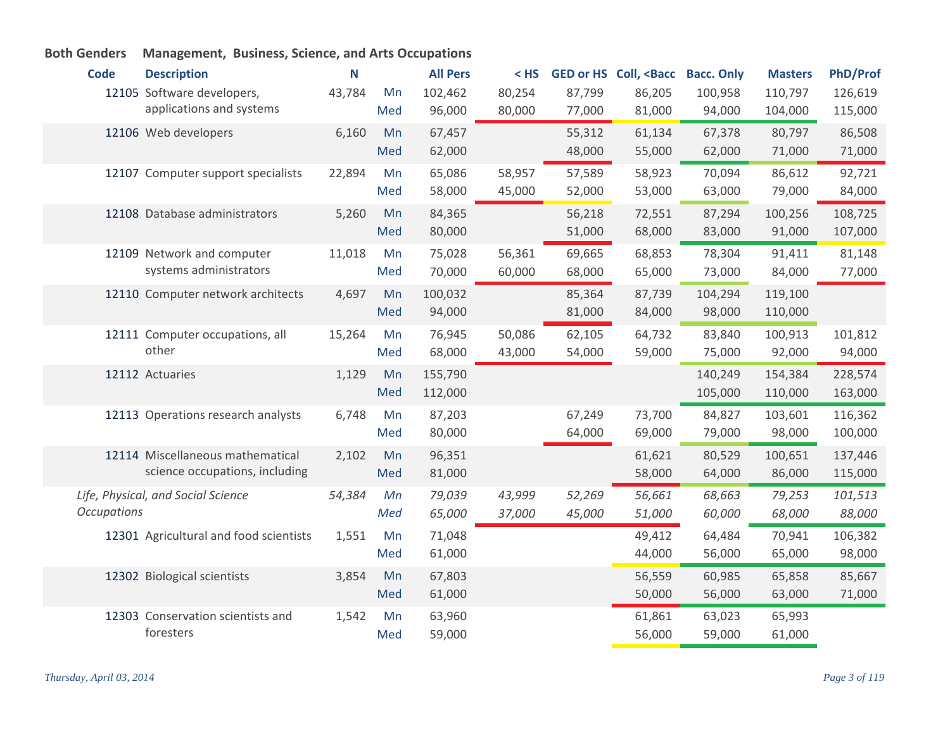#### **Code Description N All Pers < HS GED or HS Coll, <Bacc Bacc. Only Masters PhD/Prof** 12105 Software developers, and the 43,784 Mn applications and systems 43,784 102,462 80,254 87,799 86,205 100,958 110,797 126,619 96,000 80,000 77,000 81,000 94,000 104,000 115,000 Med Web developers 6,160 67,457 55,312 61,134 67,378 80,797 86,508 62,000 48,000 55,000 62,000 71,000 71,000 12106 Web developers 6,160 Mn Med 12107 Computer support specialists 22,894 Mn 65,086 58,957 57,589 58,923 70,094 86,612 92,721 58,000 45,000 52,000 53,000 63,000 79,000 84,000 Med Database administrators 5,260 84,365 56,218 72,551 87,294 100,256 108,725 12108 Mn 80,000 51,000 68,000 83,000 91,000 107,000 Med 12109 Network and computer 11,018 Mn systems administrators 11,018 75,028 56,361 69,665 68,853 78,304 91,411 81,148 70,000 60,000 68,000 65,000 73,000 84,000 77,000 Med 12110 Computer network architects 4,697 Mn 100,032 85,364 87,739 104,294 119,100 94,000 81,000 84,000 98,000 110,000 Med Computer occupations, all 12111 Mn other 15,264 76,945 50,086 62,105 64,732 83,840 100,913 101,812 68,000 43,000 54,000 59,000 75,000 92,000 94,000 Med Actuaries 1,129 Mn 155,790 140,249 154,384 228,574 112,000 105,000 110,000 163,000 12112 Actuaries 1.129 Mn Med 12113 Operations research analysts 6,748 Mn 87,203 67,249 73,700 84,827 103,601 116,362 80,000 64,000 69,000 79,000 98,000 100,000 Med 12114 Miscellaneous mathematical 2,102 Mn science occupations, including 2,102 Mn 96,351 61,621 80,529 100,651 137,446 81,000 58,000 64,000 86,000 115,000 Med *Life, Physical, and Social Science Occupations 54,384 79,039 43,999 52,269 56,661 68,663 79,253 101,513 65,000 37,000 45,000 51,000 60,000 68,000 88,000 Mn Med* 12301 Agricultural and food scientists 1,551 Mn 71,048 106,382 49,412 64,484 70,941 106,382 61,000 44,000 56,000 65,000 98,000 Med 12302 Biological scientists 3,854 Mn 67,803 56,559 60,985 65,858 85,667 61,000 50,000 56,000 63,000 71,000 Med 12303 Conservation scientists and 1,542 Mn foresters 1,542 63,960 61,861 63,023 65,993 59,000 56,000 59,000 61,000 Med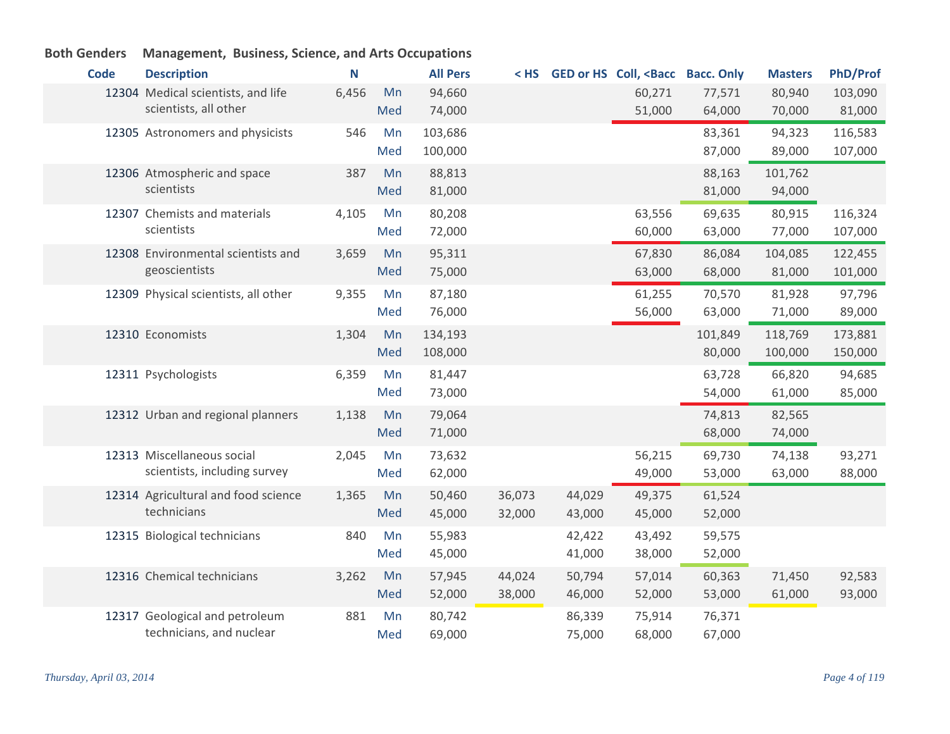| <b>Code</b> | <b>Description</b>                   | N     |     | <b>All Pers</b> |        |        | < HS GED or HS Coll, <bacc bacc.="" only<="" th=""><th></th><th><b>Masters</b></th><th><b>PhD/Prof</b></th></bacc> |         | <b>Masters</b> | <b>PhD/Prof</b> |
|-------------|--------------------------------------|-------|-----|-----------------|--------|--------|--------------------------------------------------------------------------------------------------------------------|---------|----------------|-----------------|
|             | 12304 Medical scientists, and life   | 6,456 | Mn  | 94,660          |        |        | 60,271                                                                                                             | 77,571  | 80,940         | 103,090         |
|             | scientists, all other                |       | Med | 74,000          |        |        | 51,000                                                                                                             | 64,000  | 70,000         | 81,000          |
|             | 12305 Astronomers and physicists     | 546   | Mn  | 103,686         |        |        |                                                                                                                    | 83,361  | 94,323         | 116,583         |
|             |                                      |       | Med | 100,000         |        |        |                                                                                                                    | 87,000  | 89,000         | 107,000         |
|             | 12306 Atmospheric and space          | 387   | Mn  | 88,813          |        |        |                                                                                                                    | 88,163  | 101,762        |                 |
|             | scientists                           |       | Med | 81,000          |        |        |                                                                                                                    | 81,000  | 94,000         |                 |
|             | 12307 Chemists and materials         | 4,105 | Mn  | 80,208          |        |        | 63,556                                                                                                             | 69,635  | 80,915         | 116,324         |
|             | scientists                           |       | Med | 72,000          |        |        | 60,000                                                                                                             | 63,000  | 77,000         | 107,000         |
|             | 12308 Environmental scientists and   | 3,659 | Mn  | 95,311          |        |        | 67,830                                                                                                             | 86,084  | 104,085        | 122,455         |
|             | geoscientists                        |       | Med | 75,000          |        |        | 63,000                                                                                                             | 68,000  | 81,000         | 101,000         |
|             | 12309 Physical scientists, all other | 9,355 | Mn  | 87,180          |        |        | 61,255                                                                                                             | 70,570  | 81,928         | 97,796          |
|             |                                      |       | Med | 76,000          |        |        | 56,000                                                                                                             | 63,000  | 71,000         | 89,000          |
|             | 12310 Economists                     | 1,304 | Mn  | 134,193         |        |        |                                                                                                                    | 101,849 | 118,769        | 173,881         |
|             |                                      |       | Med | 108,000         |        |        |                                                                                                                    | 80,000  | 100,000        | 150,000         |
|             | 12311 Psychologists                  | 6,359 | Mn  | 81,447          |        |        |                                                                                                                    | 63,728  | 66,820         | 94,685          |
|             |                                      |       | Med | 73,000          |        |        |                                                                                                                    | 54,000  | 61,000         | 85,000          |
|             | 12312 Urban and regional planners    | 1,138 | Mn  | 79,064          |        |        |                                                                                                                    | 74,813  | 82,565         |                 |
|             |                                      |       | Med | 71,000          |        |        |                                                                                                                    | 68,000  | 74,000         |                 |
|             | 12313 Miscellaneous social           | 2,045 | Mn  | 73,632          |        |        | 56,215                                                                                                             | 69,730  | 74,138         | 93,271          |
|             | scientists, including survey         |       | Med | 62,000          |        |        | 49,000                                                                                                             | 53,000  | 63,000         | 88,000          |
|             | 12314 Agricultural and food science  | 1,365 | Mn  | 50,460          | 36,073 | 44,029 | 49,375                                                                                                             | 61,524  |                |                 |
|             | technicians                          |       | Med | 45,000          | 32,000 | 43,000 | 45,000                                                                                                             | 52,000  |                |                 |
|             | 12315 Biological technicians         | 840   | Mn  | 55,983          |        | 42,422 | 43,492                                                                                                             | 59,575  |                |                 |
|             |                                      |       | Med | 45,000          |        | 41,000 | 38,000                                                                                                             | 52,000  |                |                 |
|             | 12316 Chemical technicians           | 3,262 | Mn  | 57,945          | 44,024 | 50,794 | 57,014                                                                                                             | 60,363  | 71,450         | 92,583          |
|             |                                      |       | Med | 52,000          | 38,000 | 46,000 | 52,000                                                                                                             | 53,000  | 61,000         | 93,000          |
|             | 12317 Geological and petroleum       | 881   | Mn  | 80,742          |        | 86,339 | 75,914                                                                                                             | 76,371  |                |                 |
|             | technicians, and nuclear             |       | Med | 69,000          |        | 75,000 | 68,000                                                                                                             | 67,000  |                |                 |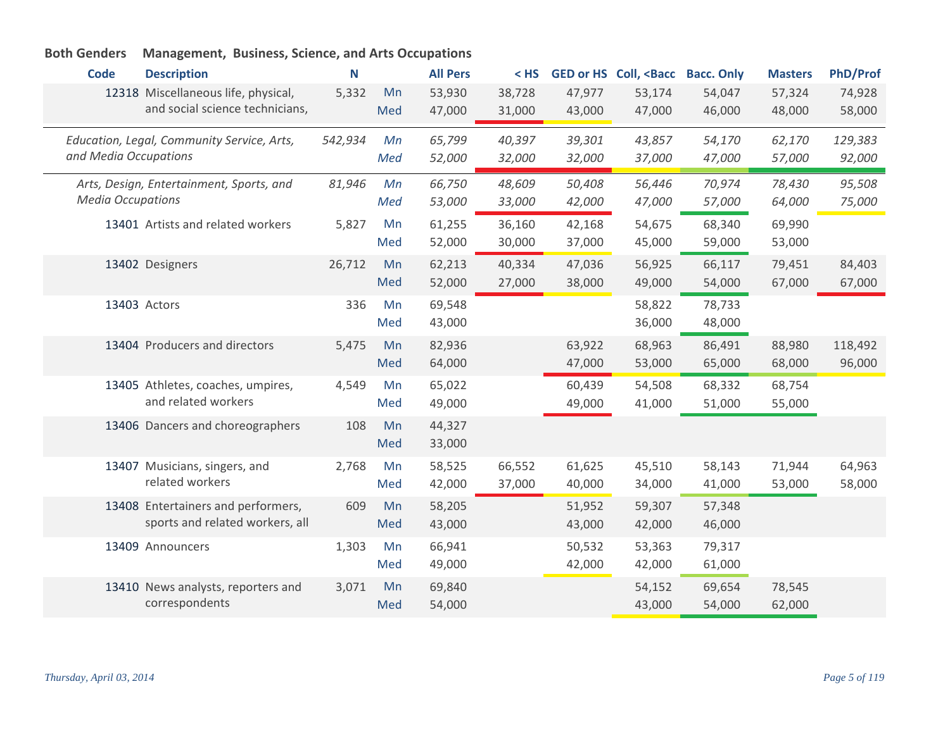|  |  | Both Genders Management, Business, Science, and Arts Occupations |  |  |
|--|--|------------------------------------------------------------------|--|--|
|--|--|------------------------------------------------------------------|--|--|

| <b>Code</b><br><b>Description</b>          |                                    | Ν       |     | <b>All Pers</b> | $<$ HS |        | GED or HS Coll, <bacc bacc.="" only<="" th=""><th></th><th><b>Masters</b></th><th><b>PhD/Prof</b></th></bacc> |        | <b>Masters</b> | <b>PhD/Prof</b> |
|--------------------------------------------|------------------------------------|---------|-----|-----------------|--------|--------|---------------------------------------------------------------------------------------------------------------|--------|----------------|-----------------|
| 12318 Miscellaneous life, physical,        |                                    | 5,332   | Mn  | 53,930          | 38,728 | 47,977 | 53,174                                                                                                        | 54,047 | 57,324         | 74,928          |
|                                            | and social science technicians,    |         | Med | 47,000          | 31,000 | 43,000 | 47,000                                                                                                        | 46,000 | 48,000         | 58,000          |
|                                            |                                    |         |     |                 |        |        |                                                                                                               |        |                |                 |
| Education, Legal, Community Service, Arts, |                                    | 542,934 | Mn  | 65,799          | 40,397 | 39,301 | 43,857                                                                                                        | 54,170 | 62,170         | 129,383         |
| and Media Occupations                      |                                    |         | Med | 52,000          | 32,000 | 32,000 | 37,000                                                                                                        | 47,000 | 57,000         | 92,000          |
| Arts, Design, Entertainment, Sports, and   |                                    | 81,946  | Mn  | 66,750          | 48,609 | 50,408 | 56,446                                                                                                        | 70,974 | 78,430         | 95,508          |
| <b>Media Occupations</b>                   |                                    |         | Med | 53,000          | 33,000 | 42,000 | 47,000                                                                                                        | 57,000 | 64,000         | 75,000          |
| 13401 Artists and related workers          |                                    | 5,827   | Mn  | 61,255          | 36,160 | 42,168 | 54,675                                                                                                        | 68,340 | 69,990         |                 |
|                                            |                                    |         | Med | 52,000          | 30,000 | 37,000 | 45,000                                                                                                        | 59,000 | 53,000         |                 |
| 13402 Designers                            |                                    | 26,712  | Mn  | 62,213          | 40,334 | 47,036 | 56,925                                                                                                        | 66,117 | 79,451         | 84,403          |
|                                            |                                    |         | Med | 52,000          | 27,000 | 38,000 | 49,000                                                                                                        | 54,000 | 67,000         | 67,000          |
| 13403 Actors                               |                                    | 336     | Mn  | 69,548          |        |        | 58,822                                                                                                        | 78,733 |                |                 |
|                                            |                                    |         | Med | 43,000          |        |        | 36,000                                                                                                        | 48,000 |                |                 |
| 13404 Producers and directors              |                                    | 5,475   | Mn  | 82,936          |        | 63,922 | 68,963                                                                                                        | 86,491 | 88,980         | 118,492         |
|                                            |                                    |         | Med | 64,000          |        | 47,000 | 53,000                                                                                                        | 65,000 | 68,000         | 96,000          |
| 13405 Athletes, coaches, umpires,          |                                    | 4,549   | Mn  | 65,022          |        | 60,439 | 54,508                                                                                                        | 68,332 | 68,754         |                 |
|                                            | and related workers                |         | Med | 49,000          |        | 49,000 | 41,000                                                                                                        | 51,000 | 55,000         |                 |
|                                            | 13406 Dancers and choreographers   | 108     | Mn  | 44,327          |        |        |                                                                                                               |        |                |                 |
|                                            |                                    |         | Med | 33,000          |        |        |                                                                                                               |        |                |                 |
| 13407 Musicians, singers, and              |                                    | 2,768   | Mn  | 58,525          | 66,552 | 61,625 | 45,510                                                                                                        | 58,143 | 71,944         | 64,963          |
| related workers                            |                                    |         | Med | 42,000          | 37,000 | 40,000 | 34,000                                                                                                        | 41,000 | 53,000         | 58,000          |
|                                            | 13408 Entertainers and performers, | 609     | Mn  | 58,205          |        | 51,952 | 59,307                                                                                                        | 57,348 |                |                 |
|                                            | sports and related workers, all    |         | Med | 43,000          |        | 43,000 | 42,000                                                                                                        | 46,000 |                |                 |
| 13409 Announcers                           |                                    | 1,303   | Mn  | 66,941          |        | 50,532 | 53,363                                                                                                        | 79,317 |                |                 |
|                                            |                                    |         | Med | 49,000          |        | 42,000 | 42,000                                                                                                        | 61,000 |                |                 |
|                                            |                                    |         |     |                 |        |        |                                                                                                               |        |                |                 |
| correspondents                             | 13410 News analysts, reporters and | 3,071   | Mn  | 69,840          |        |        | 54,152                                                                                                        | 69,654 | 78,545         |                 |
|                                            |                                    |         | Med | 54,000          |        |        | 43,000                                                                                                        | 54,000 | 62,000         |                 |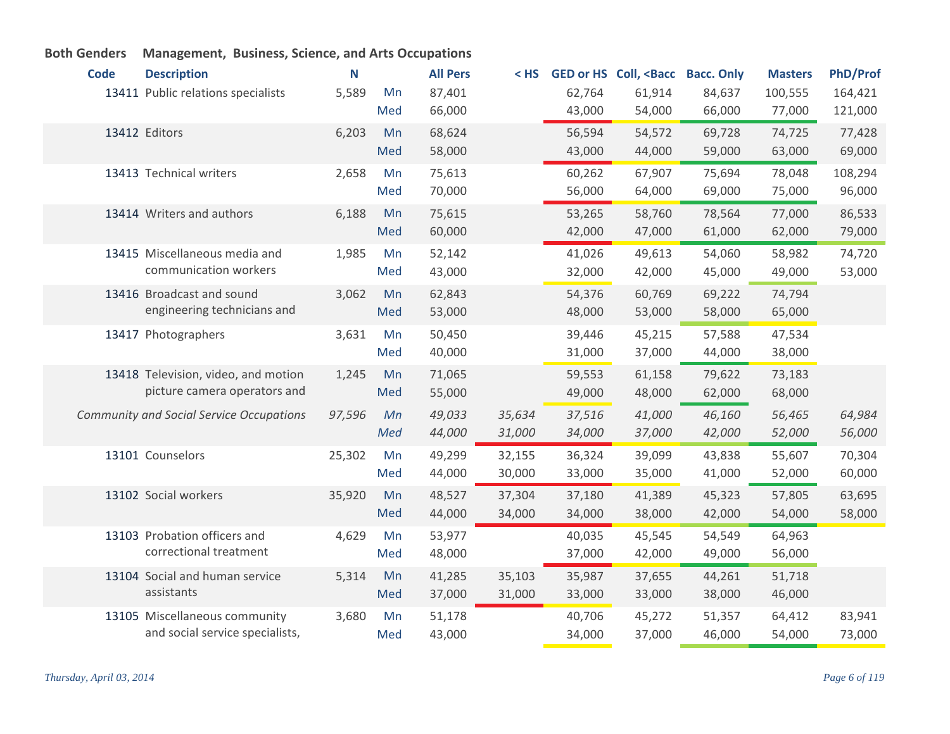| <b>Code</b> | <b>Description</b>                              | N      |     | <b>All Pers</b> | < HS   |        | GED or HS Coll, <bacc bacc.="" only<="" th=""><th></th><th><b>Masters</b></th><th><b>PhD/Prof</b></th></bacc> |        | <b>Masters</b> | <b>PhD/Prof</b> |
|-------------|-------------------------------------------------|--------|-----|-----------------|--------|--------|---------------------------------------------------------------------------------------------------------------|--------|----------------|-----------------|
|             | 13411 Public relations specialists              | 5,589  | Mn  | 87,401          |        | 62,764 | 61,914                                                                                                        | 84,637 | 100,555        | 164,421         |
|             |                                                 |        | Med | 66,000          |        | 43,000 | 54,000                                                                                                        | 66,000 | 77,000         | 121,000         |
|             | 13412 Editors                                   | 6,203  | Mn  | 68,624          |        | 56,594 | 54,572                                                                                                        | 69,728 | 74,725         | 77,428          |
|             |                                                 |        | Med | 58,000          |        | 43,000 | 44,000                                                                                                        | 59,000 | 63,000         | 69,000          |
|             | 13413 Technical writers                         | 2,658  | Mn  | 75,613          |        | 60,262 | 67,907                                                                                                        | 75,694 | 78,048         | 108,294         |
|             |                                                 |        | Med | 70,000          |        | 56,000 | 64,000                                                                                                        | 69,000 | 75,000         | 96,000          |
|             | 13414 Writers and authors                       | 6,188  | Mn  | 75,615          |        | 53,265 | 58,760                                                                                                        | 78,564 | 77,000         | 86,533          |
|             |                                                 |        | Med | 60,000          |        | 42,000 | 47,000                                                                                                        | 61,000 | 62,000         | 79,000          |
|             | 13415 Miscellaneous media and                   | 1,985  | Mn  | 52,142          |        | 41,026 | 49,613                                                                                                        | 54,060 | 58,982         | 74,720          |
|             | communication workers                           |        | Med | 43,000          |        | 32,000 | 42,000                                                                                                        | 45,000 | 49,000         | 53,000          |
|             | 13416 Broadcast and sound                       | 3,062  | Mn  | 62,843          |        | 54,376 | 60,769                                                                                                        | 69,222 | 74,794         |                 |
|             | engineering technicians and                     |        | Med | 53,000          |        | 48,000 | 53,000                                                                                                        | 58,000 | 65,000         |                 |
|             | 13417 Photographers                             | 3,631  | Mn  | 50,450          |        | 39,446 | 45,215                                                                                                        | 57,588 | 47,534         |                 |
|             |                                                 |        | Med | 40,000          |        | 31,000 | 37,000                                                                                                        | 44,000 | 38,000         |                 |
|             | 13418 Television, video, and motion             | 1,245  | Mn  | 71,065          |        | 59,553 | 61,158                                                                                                        | 79,622 | 73,183         |                 |
|             | picture camera operators and                    |        | Med | 55,000          |        | 49,000 | 48,000                                                                                                        | 62,000 | 68,000         |                 |
|             | <b>Community and Social Service Occupations</b> | 97,596 | Mn  | 49,033          | 35,634 | 37,516 | 41,000                                                                                                        | 46,160 | 56,465         | 64,984          |
|             |                                                 |        | Med | 44,000          | 31,000 | 34,000 | 37,000                                                                                                        | 42,000 | 52,000         | 56,000          |
|             | 13101 Counselors                                | 25,302 | Mn  | 49,299          | 32,155 | 36,324 | 39,099                                                                                                        | 43,838 | 55,607         | 70,304          |
|             |                                                 |        | Med | 44,000          | 30,000 | 33,000 | 35,000                                                                                                        | 41,000 | 52,000         | 60,000          |
|             | 13102 Social workers                            | 35,920 | Mn  | 48,527          | 37,304 | 37,180 | 41,389                                                                                                        | 45,323 | 57,805         | 63,695          |
|             |                                                 |        | Med | 44,000          | 34,000 | 34,000 | 38,000                                                                                                        | 42,000 | 54,000         | 58,000          |
|             | 13103 Probation officers and                    | 4,629  | Mn  | 53,977          |        | 40,035 | 45,545                                                                                                        | 54,549 | 64,963         |                 |
|             | correctional treatment                          |        | Med | 48,000          |        | 37,000 | 42,000                                                                                                        | 49,000 | 56,000         |                 |
|             | 13104 Social and human service                  | 5,314  | Mn  | 41,285          | 35,103 | 35,987 | 37,655                                                                                                        | 44,261 | 51,718         |                 |
|             | assistants                                      |        | Med | 37,000          | 31,000 | 33,000 | 33,000                                                                                                        | 38,000 | 46,000         |                 |
|             | 13105 Miscellaneous community                   | 3,680  | Mn  | 51,178          |        | 40,706 | 45,272                                                                                                        | 51,357 | 64,412         | 83,941          |
|             | and social service specialists,                 |        | Med | 43,000          |        | 34,000 | 37,000                                                                                                        | 46,000 | 54,000         | 73,000          |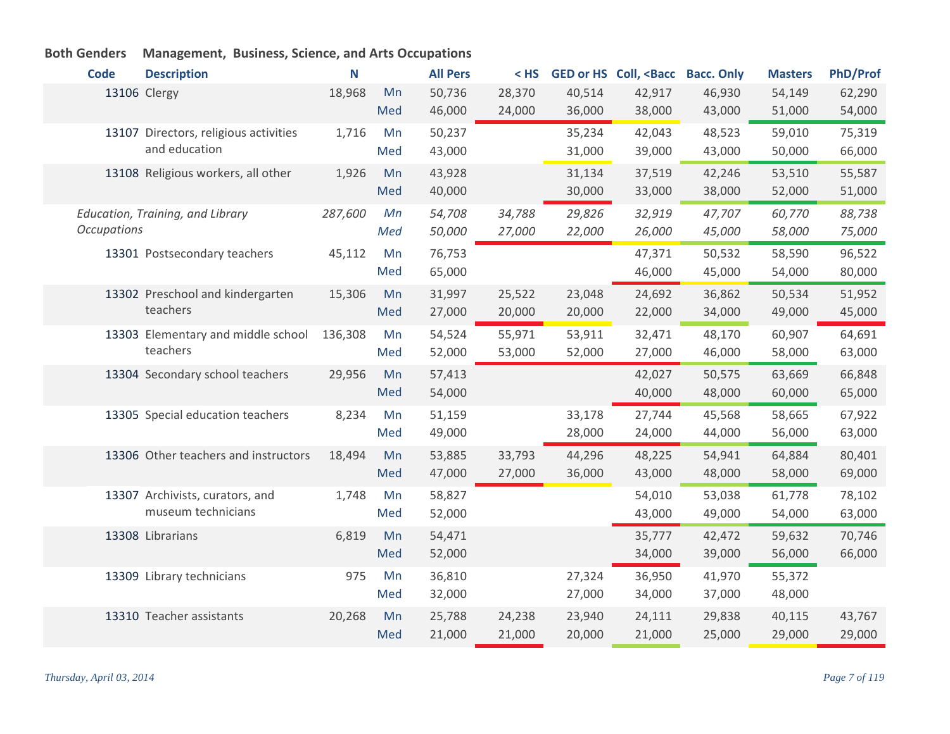| <b>Code</b>        | <b>Description</b>                    | N       |     | <b>All Pers</b> | $<$ HS |        | GED or HS Coll, <bacc< th=""><th><b>Bacc. Only</b></th><th><b>Masters</b></th><th><b>PhD/Prof</b></th></bacc<> | <b>Bacc. Only</b> | <b>Masters</b> | <b>PhD/Prof</b> |
|--------------------|---------------------------------------|---------|-----|-----------------|--------|--------|----------------------------------------------------------------------------------------------------------------|-------------------|----------------|-----------------|
|                    | 13106 Clergy                          | 18,968  | Mn  | 50,736          | 28,370 | 40,514 | 42,917                                                                                                         | 46,930            | 54,149         | 62,290          |
|                    |                                       |         | Med | 46,000          | 24,000 | 36,000 | 38,000                                                                                                         | 43,000            | 51,000         | 54,000          |
|                    | 13107 Directors, religious activities | 1,716   | Mn  | 50,237          |        | 35,234 | 42,043                                                                                                         | 48,523            | 59,010         | 75,319          |
|                    | and education                         |         | Med | 43,000          |        | 31,000 | 39,000                                                                                                         | 43,000            | 50,000         | 66,000          |
|                    | 13108 Religious workers, all other    | 1,926   | Mn  | 43,928          |        | 31,134 | 37,519                                                                                                         | 42,246            | 53,510         | 55,587          |
|                    |                                       |         | Med | 40,000          |        | 30,000 | 33,000                                                                                                         | 38,000            | 52,000         | 51,000          |
|                    | Education, Training, and Library      | 287,600 | Mn  | 54,708          | 34,788 | 29,826 | 32,919                                                                                                         | 47,707            | 60,770         | 88,738          |
| <b>Occupations</b> |                                       |         | Med | 50,000          | 27,000 | 22,000 | 26,000                                                                                                         | 45,000            | 58,000         | 75,000          |
|                    | 13301 Postsecondary teachers          | 45,112  | Mn  | 76,753          |        |        | 47,371                                                                                                         | 50,532            | 58,590         | 96,522          |
|                    |                                       |         | Med | 65,000          |        |        | 46,000                                                                                                         | 45,000            | 54,000         | 80,000          |
|                    | 13302 Preschool and kindergarten      | 15,306  | Mn  | 31,997          | 25,522 | 23,048 | 24,692                                                                                                         | 36,862            | 50,534         | 51,952          |
|                    | teachers                              |         | Med | 27,000          | 20,000 | 20,000 | 22,000                                                                                                         | 34,000            | 49,000         | 45,000          |
|                    | 13303 Elementary and middle school    | 136,308 | Mn  | 54,524          | 55,971 | 53,911 | 32,471                                                                                                         | 48,170            | 60,907         | 64,691          |
|                    | teachers                              |         | Med | 52,000          | 53,000 | 52,000 | 27,000                                                                                                         | 46,000            | 58,000         | 63,000          |
|                    | 13304 Secondary school teachers       | 29,956  | Mn  | 57,413          |        |        | 42,027                                                                                                         | 50,575            | 63,669         | 66,848          |
|                    |                                       |         | Med | 54,000          |        |        | 40,000                                                                                                         | 48,000            | 60,000         | 65,000          |
|                    | 13305 Special education teachers      | 8,234   | Mn  | 51,159          |        | 33,178 | 27,744                                                                                                         | 45,568            | 58,665         | 67,922          |
|                    |                                       |         | Med | 49,000          |        | 28,000 | 24,000                                                                                                         | 44,000            | 56,000         | 63,000          |
|                    | 13306 Other teachers and instructors  | 18,494  | Mn  | 53,885          | 33,793 | 44,296 | 48,225                                                                                                         | 54,941            | 64,884         | 80,401          |
|                    |                                       |         | Med | 47,000          | 27,000 | 36,000 | 43,000                                                                                                         | 48,000            | 58,000         | 69,000          |
|                    | 13307 Archivists, curators, and       | 1,748   | Mn  | 58,827          |        |        | 54,010                                                                                                         | 53,038            | 61,778         | 78,102          |
|                    | museum technicians                    |         | Med | 52,000          |        |        | 43,000                                                                                                         | 49,000            | 54,000         | 63,000          |
|                    | 13308 Librarians                      | 6,819   | Mn  | 54,471          |        |        | 35,777                                                                                                         | 42,472            | 59,632         | 70,746          |
|                    |                                       |         | Med | 52,000          |        |        | 34,000                                                                                                         | 39,000            | 56,000         | 66,000          |
|                    | 13309 Library technicians             | 975     | Mn  | 36,810          |        | 27,324 | 36,950                                                                                                         | 41,970            | 55,372         |                 |
|                    |                                       |         | Med | 32,000          |        | 27,000 | 34,000                                                                                                         | 37,000            | 48,000         |                 |
|                    | 13310 Teacher assistants              | 20,268  | Mn  | 25,788          | 24,238 | 23,940 | 24,111                                                                                                         | 29,838            | 40,115         | 43,767          |
|                    |                                       |         | Med | 21,000          | 21,000 | 20,000 | 21,000                                                                                                         | 25,000            | 29,000         | 29,000          |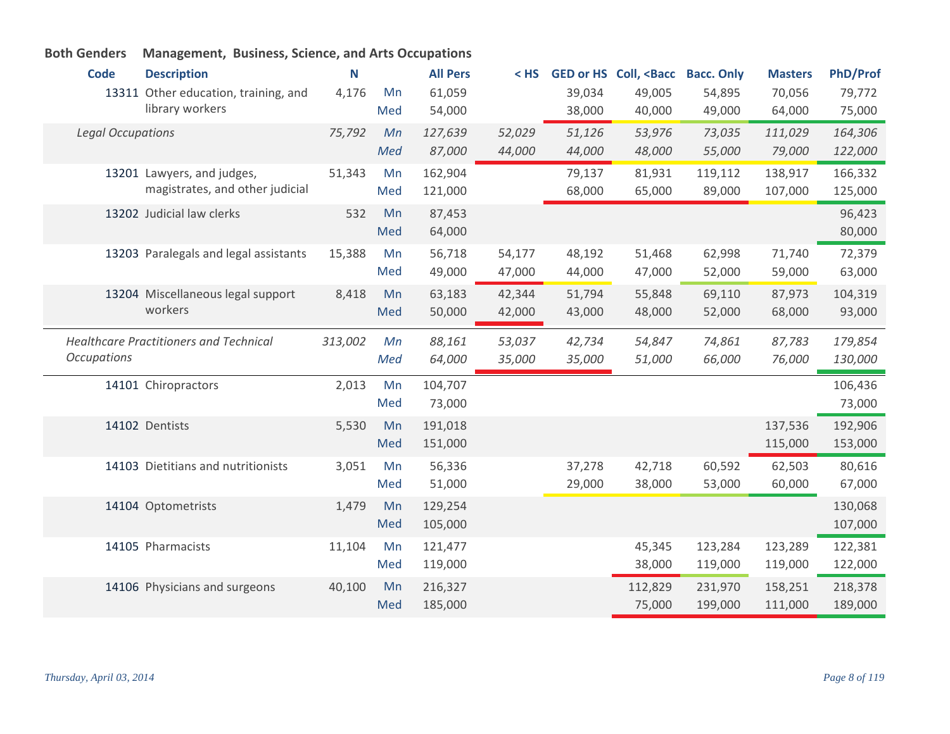| <b>Code</b>              | <b>Description</b>                            | N       |     | <b>All Pers</b> | $<$ HS |        | GED or HS Coll, <bacc< th=""><th><b>Bacc. Only</b></th><th><b>Masters</b></th><th><b>PhD/Prof</b></th></bacc<> | <b>Bacc. Only</b> | <b>Masters</b> | <b>PhD/Prof</b> |
|--------------------------|-----------------------------------------------|---------|-----|-----------------|--------|--------|----------------------------------------------------------------------------------------------------------------|-------------------|----------------|-----------------|
|                          | 13311 Other education, training, and          | 4,176   | Mn  | 61,059          |        | 39,034 | 49,005                                                                                                         | 54,895            | 70,056         | 79,772          |
|                          | library workers                               |         | Med | 54,000          |        | 38,000 | 40,000                                                                                                         | 49,000            | 64,000         | 75,000          |
| <b>Legal Occupations</b> |                                               | 75,792  | Mn  | 127,639         | 52,029 | 51,126 | 53,976                                                                                                         | 73,035            | 111,029        | 164,306         |
|                          |                                               |         | Med | 87,000          | 44,000 | 44,000 | 48,000                                                                                                         | 55,000            | 79,000         | 122,000         |
|                          | 13201 Lawyers, and judges,                    | 51,343  | Mn  | 162,904         |        | 79,137 | 81,931                                                                                                         | 119,112           | 138,917        | 166,332         |
|                          | magistrates, and other judicial               |         | Med | 121,000         |        | 68,000 | 65,000                                                                                                         | 89,000            | 107,000        | 125,000         |
|                          | 13202 Judicial law clerks                     | 532     | Mn  | 87,453          |        |        |                                                                                                                |                   |                | 96,423          |
|                          |                                               |         | Med | 64,000          |        |        |                                                                                                                |                   |                | 80,000          |
|                          | 13203 Paralegals and legal assistants         | 15,388  | Mn  | 56,718          | 54,177 | 48,192 | 51,468                                                                                                         | 62,998            | 71,740         | 72,379          |
|                          |                                               |         | Med | 49,000          | 47,000 | 44,000 | 47,000                                                                                                         | 52,000            | 59,000         | 63,000          |
|                          | 13204 Miscellaneous legal support             | 8,418   | Mn  | 63,183          | 42,344 | 51,794 | 55,848                                                                                                         | 69,110            | 87,973         | 104,319         |
|                          | workers                                       |         | Med | 50,000          | 42,000 | 43,000 | 48,000                                                                                                         | 52,000            | 68,000         | 93,000          |
|                          | <b>Healthcare Practitioners and Technical</b> | 313,002 | Mn  | 88,161          | 53,037 | 42,734 | 54,847                                                                                                         | 74,861            | 87,783         | 179,854         |
| <b>Occupations</b>       |                                               |         | Med | 64,000          | 35,000 | 35,000 | 51,000                                                                                                         | 66,000            | 76,000         | 130,000         |
|                          |                                               |         |     |                 |        |        |                                                                                                                |                   |                |                 |
|                          | 14101 Chiropractors                           | 2,013   | Mn  | 104,707         |        |        |                                                                                                                |                   |                | 106,436         |
|                          |                                               |         | Med | 73,000          |        |        |                                                                                                                |                   |                | 73,000          |
|                          | 14102 Dentists                                | 5,530   | Mn  | 191,018         |        |        |                                                                                                                |                   | 137,536        | 192,906         |
|                          |                                               |         | Med | 151,000         |        |        |                                                                                                                |                   | 115,000        | 153,000         |
|                          | 14103 Dietitians and nutritionists            | 3,051   | Mn  | 56,336          |        | 37,278 | 42,718                                                                                                         | 60,592            | 62,503         | 80,616          |
|                          |                                               |         | Med | 51,000          |        | 29,000 | 38,000                                                                                                         | 53,000            | 60,000         | 67,000          |
|                          | 14104 Optometrists                            | 1,479   | Mn  | 129,254         |        |        |                                                                                                                |                   |                | 130,068         |
|                          |                                               |         | Med | 105,000         |        |        |                                                                                                                |                   |                | 107,000         |
|                          | 14105 Pharmacists                             | 11,104  | Mn  | 121,477         |        |        | 45,345                                                                                                         | 123,284           | 123,289        | 122,381         |
|                          |                                               |         | Med | 119,000         |        |        | 38,000                                                                                                         | 119,000           | 119,000        | 122,000         |
|                          | 14106 Physicians and surgeons                 | 40,100  | Mn  | 216,327         |        |        | 112,829                                                                                                        | 231,970           | 158,251        | 218,378         |
|                          |                                               |         | Med | 185,000         |        |        | 75,000                                                                                                         | 199,000           | 111,000        | 189,000         |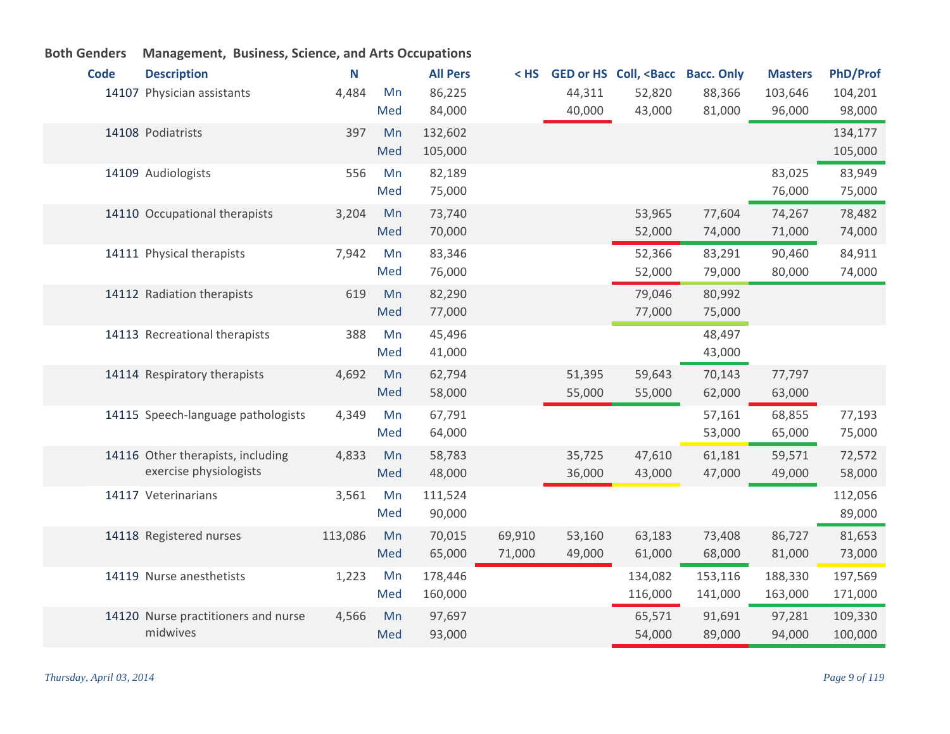| <b>Code</b> | <b>Description</b>                  | N       |     | <b>All Pers</b> | $<$ HS |        | GED or HS Coll, <bacc bacc.="" only<="" th=""><th></th><th><b>Masters</b></th><th><b>PhD/Prof</b></th></bacc> |         | <b>Masters</b> | <b>PhD/Prof</b> |
|-------------|-------------------------------------|---------|-----|-----------------|--------|--------|---------------------------------------------------------------------------------------------------------------|---------|----------------|-----------------|
|             | 14107 Physician assistants          | 4,484   | Mn  | 86,225          |        | 44,311 | 52,820                                                                                                        | 88,366  | 103,646        | 104,201         |
|             |                                     |         | Med | 84,000          |        | 40,000 | 43,000                                                                                                        | 81,000  | 96,000         | 98,000          |
|             | 14108 Podiatrists                   | 397     | Mn  | 132,602         |        |        |                                                                                                               |         |                | 134,177         |
|             |                                     |         | Med | 105,000         |        |        |                                                                                                               |         |                | 105,000         |
|             | 14109 Audiologists                  | 556     | Mn  | 82,189          |        |        |                                                                                                               |         | 83,025         | 83,949          |
|             |                                     |         | Med | 75,000          |        |        |                                                                                                               |         | 76,000         | 75,000          |
|             | 14110 Occupational therapists       | 3,204   | Mn  | 73,740          |        |        | 53,965                                                                                                        | 77,604  | 74,267         | 78,482          |
|             |                                     |         | Med | 70,000          |        |        | 52,000                                                                                                        | 74,000  | 71,000         | 74,000          |
|             | 14111 Physical therapists           | 7,942   | Mn  | 83,346          |        |        | 52,366                                                                                                        | 83,291  | 90,460         | 84,911          |
|             |                                     |         | Med | 76,000          |        |        | 52,000                                                                                                        | 79,000  | 80,000         | 74,000          |
|             | 14112 Radiation therapists          | 619     | Mn  | 82,290          |        |        | 79,046                                                                                                        | 80,992  |                |                 |
|             |                                     |         | Med | 77,000          |        |        | 77,000                                                                                                        | 75,000  |                |                 |
|             | 14113 Recreational therapists       | 388     | Mn  | 45,496          |        |        |                                                                                                               | 48,497  |                |                 |
|             |                                     |         | Med | 41,000          |        |        |                                                                                                               | 43,000  |                |                 |
|             | 14114 Respiratory therapists        | 4,692   | Mn  | 62,794          |        | 51,395 | 59,643                                                                                                        | 70,143  | 77,797         |                 |
|             |                                     |         | Med | 58,000          |        | 55,000 | 55,000                                                                                                        | 62,000  | 63,000         |                 |
|             | 14115 Speech-language pathologists  | 4,349   | Mn  | 67,791          |        |        |                                                                                                               | 57,161  | 68,855         | 77,193          |
|             |                                     |         | Med | 64,000          |        |        |                                                                                                               | 53,000  | 65,000         | 75,000          |
|             | 14116 Other therapists, including   | 4,833   | Mn  | 58,783          |        | 35,725 | 47,610                                                                                                        | 61,181  | 59,571         | 72,572          |
|             | exercise physiologists              |         | Med | 48,000          |        | 36,000 | 43,000                                                                                                        | 47,000  | 49,000         | 58,000          |
|             | 14117 Veterinarians                 | 3,561   | Mn  | 111,524         |        |        |                                                                                                               |         |                | 112,056         |
|             |                                     |         | Med | 90,000          |        |        |                                                                                                               |         |                | 89,000          |
|             | 14118 Registered nurses             | 113,086 | Mn  | 70,015          | 69,910 | 53,160 | 63,183                                                                                                        | 73,408  | 86,727         | 81,653          |
|             |                                     |         | Med | 65,000          | 71,000 | 49,000 | 61,000                                                                                                        | 68,000  | 81,000         | 73,000          |
|             | 14119 Nurse anesthetists            | 1,223   | Mn  | 178,446         |        |        | 134,082                                                                                                       | 153,116 | 188,330        | 197,569         |
|             |                                     |         | Med | 160,000         |        |        | 116,000                                                                                                       | 141,000 | 163,000        | 171,000         |
|             | 14120 Nurse practitioners and nurse | 4,566   | Mn  | 97,697          |        |        | 65,571                                                                                                        | 91,691  | 97,281         | 109,330         |
|             | midwives                            |         | Med | 93,000          |        |        | 54,000                                                                                                        | 89,000  | 94,000         | 100,000         |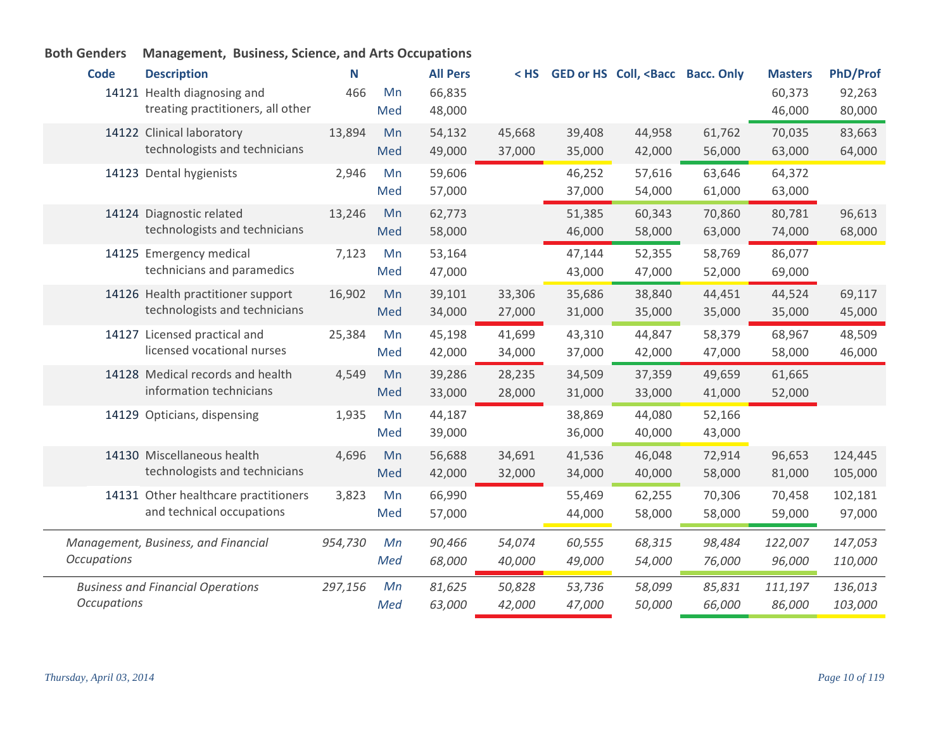#### **Code Description N All Pers < HS GED or HS Coll, <Bacc Bacc. Only Masters PhD/Prof** 14121 Health diagnosing and  $14121$  Health diagnosing and treating practitioners, all other 466 Mn 66,835 60,373 92,263 48,000 46,000 80,000 Med 14122 Clinical laboratory 13,894 Mn technologists and technicians 13,894 54,132 45,668 39,408 44,958 61,762 70,035 83,663 49,000 37,000 35,000 42,000 56,000 63,000 64,000 Med Dental hygienists 2,946 59,606 46,252 57,616 63,646 64,372 14123 Mn 57,000 37,000 54,000 61,000 63,000 Med 14124 Diagnostic related 13,246 Mn technologists and technicians 13,246 62,773 51,385 60,343 70,860 80,781 96,613 58,000 46,000 58,000 63,000 74,000 68,000 Med 14125 Emergency medical and a mort contact 7,123 Mn technicians and paramedics 7,123 53,164 47,144 52,355 58,769 86,077 47,000 43,000 47,000 52,000 69,000 Med 14126 Health practitioner support 16,902 Mn technologists and technicians 16,902 39,101 33,306 35,686 38,840 44,451 44,524 69,117 34,000 27,000 31,000 35,000 35,000 35,000 45,000 Med 14127 Licensed practical and **25,384** Mn licensed vocational nurses 25,384 Mn 45,198 41,699 43,310 44,847 58,379 68,967 48,509 42,000 34,000 37,000 42,000 47,000 58,000 46,000 Med 14128 Medical records and health and 4,549 Mn information technicians 4,549 39,286 28,235 34,509 37,359 49,659 61,665 33,000 28,000 31,000 33,000 41,000 52,000 Med Opticians, dispensing 1,935 44,187 38,869 44,080 52,166 14129 Mn 39,000 36,000 40,000 43,000 Med 14130 Miscellaneous health 4,696 Mn technologists and technicians 4,696 56,688 34,691 41,536 46,048 72,914 96,653 124,445 42,000 32,000 34,000 40,000 58,000 81,000 105,000 Med 14131 Other healthcare practitioners 3,823 Mn and technical occupations 3,823 66,990 55,469 62,255 70,306 70,458 102,181 57,000 44,000 58,000 58,000 59,000 97,000 Med *Management, Business, and Financial Occupations 954,730 90,466 54,074 60,555 68,315 98,484 122,007 147,053 68,000 40,000 49,000 54,000 76,000 96,000 110,000 Mn Med*

*Mn Med*

*297,156 81,625 50,828 53,736 58,099 85,831 111,197 136,013*

*63,000 42,000 47,000 50,000 66,000 86,000 103,000*

#### **Both Genders Management, Business, Science, and Arts Occupations**

*Occupations*

*Business and Financial Operations*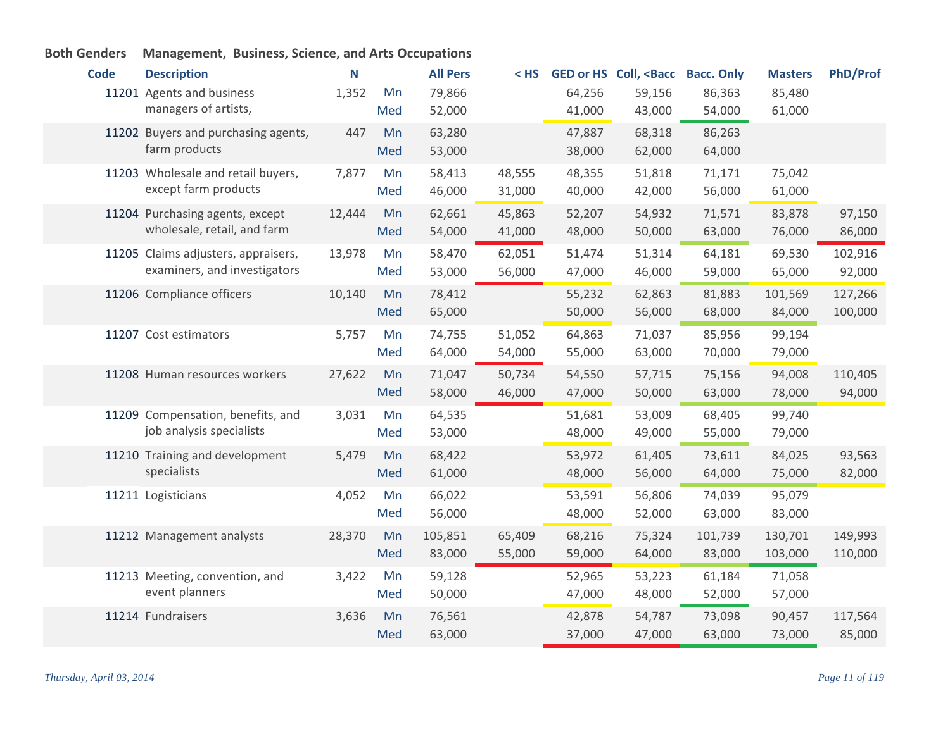| <b>Code</b> | <b>Description</b>                  | N      |     | <b>All Pers</b> | < HS   |        | <b>GED or HS Coll, <bacc< b=""></bacc<></b> | <b>Bacc. Only</b> | <b>Masters</b> | <b>PhD/Prof</b> |
|-------------|-------------------------------------|--------|-----|-----------------|--------|--------|---------------------------------------------|-------------------|----------------|-----------------|
|             | 11201 Agents and business           | 1,352  | Mn  | 79,866          |        | 64,256 | 59,156                                      | 86,363            | 85,480         |                 |
|             | managers of artists,                |        | Med | 52,000          |        | 41,000 | 43,000                                      | 54,000            | 61,000         |                 |
|             | 11202 Buyers and purchasing agents, | 447    | Mn  | 63,280          |        | 47,887 | 68,318                                      | 86,263            |                |                 |
|             | farm products                       |        | Med | 53,000          |        | 38,000 | 62,000                                      | 64,000            |                |                 |
|             | 11203 Wholesale and retail buyers,  | 7,877  | Mn  | 58,413          | 48,555 | 48,355 | 51,818                                      | 71,171            | 75,042         |                 |
|             | except farm products                |        | Med | 46,000          | 31,000 | 40,000 | 42,000                                      | 56,000            | 61,000         |                 |
|             | 11204 Purchasing agents, except     | 12,444 | Mn  | 62,661          | 45,863 | 52,207 | 54,932                                      | 71,571            | 83,878         | 97,150          |
|             | wholesale, retail, and farm         |        | Med | 54,000          | 41,000 | 48,000 | 50,000                                      | 63,000            | 76,000         | 86,000          |
|             | 11205 Claims adjusters, appraisers, | 13,978 | Mn  | 58,470          | 62,051 | 51,474 | 51,314                                      | 64,181            | 69,530         | 102,916         |
|             | examiners, and investigators        |        | Med | 53,000          | 56,000 | 47,000 | 46,000                                      | 59,000            | 65,000         | 92,000          |
|             | 11206 Compliance officers           | 10,140 | Mn  | 78,412          |        | 55,232 | 62,863                                      | 81,883            | 101,569        | 127,266         |
|             |                                     |        | Med | 65,000          |        | 50,000 | 56,000                                      | 68,000            | 84,000         | 100,000         |
|             | 11207 Cost estimators               | 5,757  | Mn  | 74,755          | 51,052 | 64,863 | 71,037                                      | 85,956            | 99,194         |                 |
|             |                                     |        | Med | 64,000          | 54,000 | 55,000 | 63,000                                      | 70,000            | 79,000         |                 |
|             | 11208 Human resources workers       | 27,622 | Mn  | 71,047          | 50,734 | 54,550 | 57,715                                      | 75,156            | 94,008         | 110,405         |
|             |                                     |        | Med | 58,000          | 46,000 | 47,000 | 50,000                                      | 63,000            | 78,000         | 94,000          |
|             | 11209 Compensation, benefits, and   | 3,031  | Mn  | 64,535          |        | 51,681 | 53,009                                      | 68,405            | 99,740         |                 |
|             | job analysis specialists            |        | Med | 53,000          |        | 48,000 | 49,000                                      | 55,000            | 79,000         |                 |
|             | 11210 Training and development      | 5,479  | Mn  | 68,422          |        | 53,972 | 61,405                                      | 73,611            | 84,025         | 93,563          |
|             | specialists                         |        | Med | 61,000          |        | 48,000 | 56,000                                      | 64,000            | 75,000         | 82,000          |
|             | 11211 Logisticians                  | 4,052  | Mn  | 66,022          |        | 53,591 | 56,806                                      | 74,039            | 95,079         |                 |
|             |                                     |        | Med | 56,000          |        | 48,000 | 52,000                                      | 63,000            | 83,000         |                 |
|             | 11212 Management analysts           | 28,370 | Mn  | 105,851         | 65,409 | 68,216 | 75,324                                      | 101,739           | 130,701        | 149,993         |
|             |                                     |        | Med | 83,000          | 55,000 | 59,000 | 64,000                                      | 83,000            | 103,000        | 110,000         |
|             | 11213 Meeting, convention, and      | 3,422  | Mn  | 59,128          |        | 52,965 | 53,223                                      | 61,184            | 71,058         |                 |
|             | event planners                      |        | Med | 50,000          |        | 47,000 | 48,000                                      | 52,000            | 57,000         |                 |
|             | 11214 Fundraisers                   | 3,636  | Mn  | 76,561          |        | 42,878 | 54,787                                      | 73,098            | 90,457         | 117,564         |
|             |                                     |        | Med | 63,000          |        | 37,000 | 47,000                                      | 63,000            | 73,000         | 85,000          |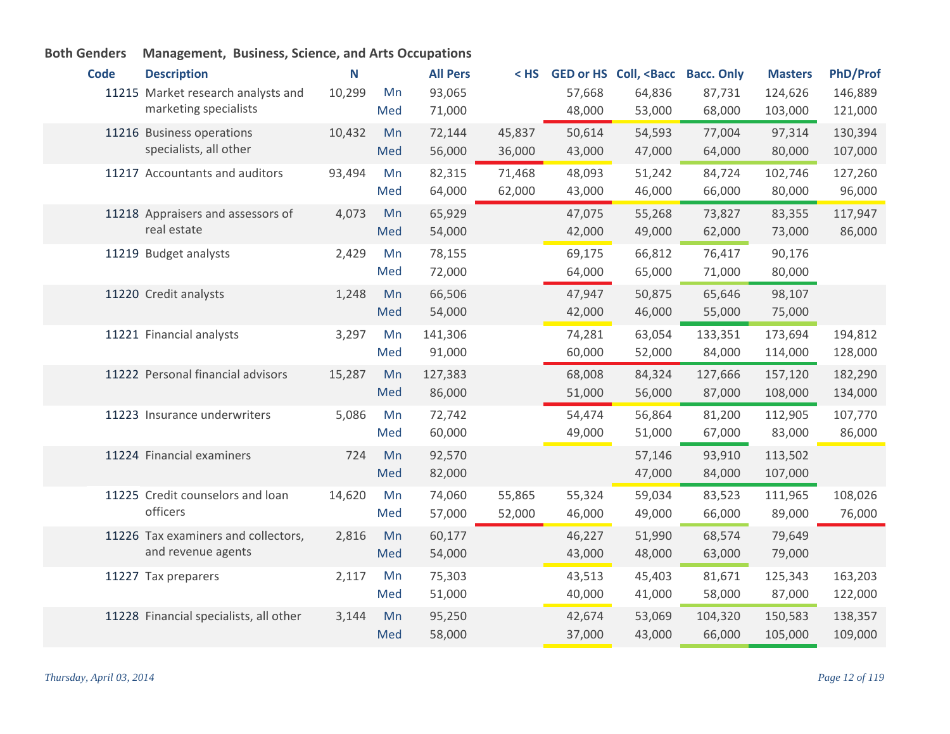| <b>Code</b> | <b>Description</b>                           | N      |     | <b>All Pers</b> | $<$ HS |        | GED or HS Coll, <bacc bacc.="" only<="" th=""><th></th><th><b>Masters</b></th><th><b>PhD/Prof</b></th></bacc> |         | <b>Masters</b> | <b>PhD/Prof</b> |
|-------------|----------------------------------------------|--------|-----|-----------------|--------|--------|---------------------------------------------------------------------------------------------------------------|---------|----------------|-----------------|
|             | 11215 Market research analysts and           | 10,299 | Mn  | 93,065          |        | 57,668 | 64,836                                                                                                        | 87,731  | 124,626        | 146,889         |
|             | marketing specialists                        |        | Med | 71,000          |        | 48,000 | 53,000                                                                                                        | 68,000  | 103,000        | 121,000         |
|             | 11216 Business operations                    | 10,432 | Mn  | 72,144          | 45,837 | 50,614 | 54,593                                                                                                        | 77,004  | 97,314         | 130,394         |
|             | specialists, all other                       |        | Med | 56,000          | 36,000 | 43,000 | 47,000                                                                                                        | 64,000  | 80,000         | 107,000         |
|             | 11217 Accountants and auditors               | 93,494 | Mn  | 82,315          | 71,468 | 48,093 | 51,242                                                                                                        | 84,724  | 102,746        | 127,260         |
|             |                                              |        | Med | 64,000          | 62,000 | 43,000 | 46,000                                                                                                        | 66,000  | 80,000         | 96,000          |
|             | 11218 Appraisers and assessors of            | 4,073  | Mn  | 65,929          |        | 47,075 | 55,268                                                                                                        | 73,827  | 83,355         | 117,947         |
|             | real estate                                  |        | Med | 54,000          |        | 42,000 | 49,000                                                                                                        | 62,000  | 73,000         | 86,000          |
|             | 11219 Budget analysts                        | 2,429  | Mn  | 78,155          |        | 69,175 | 66,812                                                                                                        | 76,417  | 90,176         |                 |
|             |                                              |        | Med | 72,000          |        | 64,000 | 65,000                                                                                                        | 71,000  | 80,000         |                 |
|             | 11220 Credit analysts                        | 1,248  | Mn  | 66,506          |        | 47,947 | 50,875                                                                                                        | 65,646  | 98,107         |                 |
|             |                                              |        | Med | 54,000          |        | 42,000 | 46,000                                                                                                        | 55,000  | 75,000         |                 |
|             | 11221 Financial analysts                     | 3,297  | Mn  | 141,306         |        | 74,281 | 63,054                                                                                                        | 133,351 | 173,694        | 194,812         |
|             |                                              |        | Med | 91,000          |        | 60,000 | 52,000                                                                                                        | 84,000  | 114,000        | 128,000         |
|             | 11222 Personal financial advisors            | 15,287 | Mn  | 127,383         |        | 68,008 | 84,324                                                                                                        | 127,666 | 157,120        | 182,290         |
|             |                                              |        | Med | 86,000          |        | 51,000 | 56,000                                                                                                        | 87,000  | 108,000        | 134,000         |
|             | 11223 Insurance underwriters                 | 5,086  | Mn  | 72,742          |        | 54,474 | 56,864                                                                                                        | 81,200  | 112,905        | 107,770         |
|             |                                              |        | Med | 60,000          |        | 49,000 | 51,000                                                                                                        | 67,000  | 83,000         | 86,000          |
|             | 11224 Financial examiners                    | 724    | Mn  | 92,570          |        |        | 57,146                                                                                                        | 93,910  | 113,502        |                 |
|             |                                              |        | Med | 82,000          |        |        | 47,000                                                                                                        | 84,000  | 107,000        |                 |
|             | 11225 Credit counselors and loan<br>officers | 14,620 | Mn  | 74,060          | 55,865 | 55,324 | 59,034                                                                                                        | 83,523  | 111,965        | 108,026         |
|             |                                              |        | Med | 57,000          | 52,000 | 46,000 | 49,000                                                                                                        | 66,000  | 89,000         | 76,000          |
|             | 11226 Tax examiners and collectors,          | 2,816  | Mn  | 60,177          |        | 46,227 | 51,990                                                                                                        | 68,574  | 79,649         |                 |
|             | and revenue agents                           |        | Med | 54,000          |        | 43,000 | 48,000                                                                                                        | 63,000  | 79,000         |                 |
|             | 11227 Tax preparers                          | 2,117  | Mn  | 75,303          |        | 43,513 | 45,403                                                                                                        | 81,671  | 125,343        | 163,203         |
|             |                                              |        | Med | 51,000          |        | 40,000 | 41,000                                                                                                        | 58,000  | 87,000         | 122,000         |
|             | 11228 Financial specialists, all other       | 3,144  | Mn  | 95,250          |        | 42,674 | 53,069                                                                                                        | 104,320 | 150,583        | 138,357         |
|             |                                              |        | Med | 58,000          |        | 37,000 | 43,000                                                                                                        | 66,000  | 105,000        | 109,000         |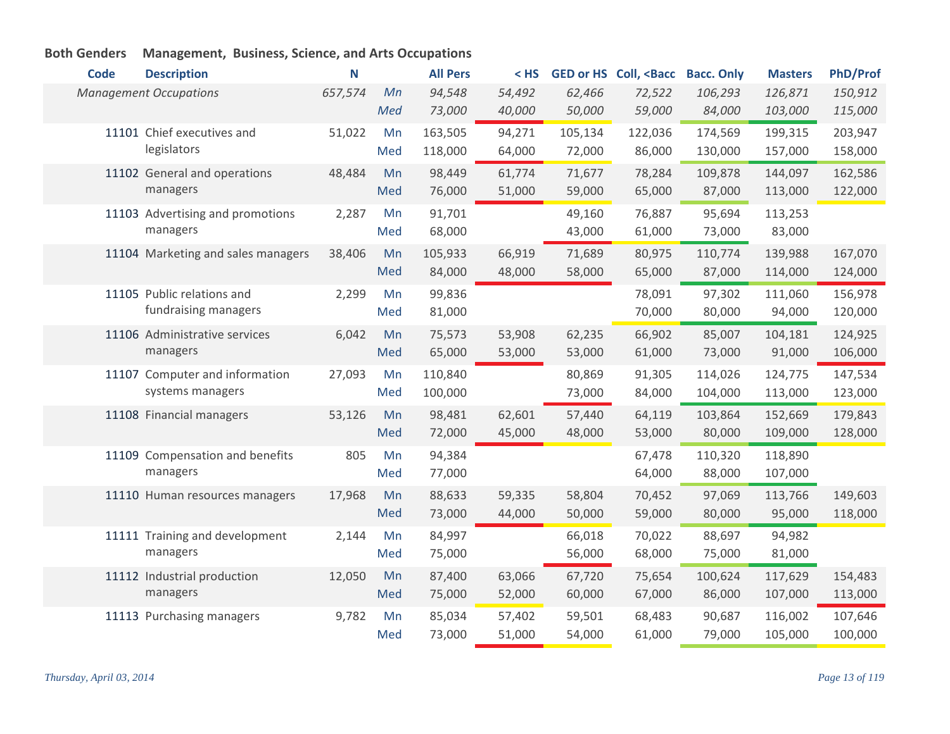| <b>Code</b> | <b>Description</b>                 | N       |     | <b>All Pers</b> | $<$ HS |         | <b>GED or HS Coll, <bacc< b=""></bacc<></b> | <b>Bacc. Only</b> | <b>Masters</b> | <b>PhD/Prof</b> |
|-------------|------------------------------------|---------|-----|-----------------|--------|---------|---------------------------------------------|-------------------|----------------|-----------------|
|             | <b>Management Occupations</b>      | 657,574 | Mn  | 94,548          | 54,492 | 62,466  | 72,522                                      | 106,293           | 126,871        | 150,912         |
|             |                                    |         | Med | 73,000          | 40,000 | 50,000  | 59,000                                      | 84,000            | 103,000        | 115,000         |
|             | 11101 Chief executives and         | 51,022  | Mn  | 163,505         | 94,271 | 105,134 | 122,036                                     | 174,569           | 199,315        | 203,947         |
|             | legislators                        |         | Med | 118,000         | 64,000 | 72,000  | 86,000                                      | 130,000           | 157,000        | 158,000         |
|             | 11102 General and operations       | 48,484  | Mn  | 98,449          | 61,774 | 71,677  | 78,284                                      | 109,878           | 144,097        | 162,586         |
|             | managers                           |         | Med | 76,000          | 51,000 | 59,000  | 65,000                                      | 87,000            | 113,000        | 122,000         |
|             | 11103 Advertising and promotions   | 2,287   | Mn  | 91,701          |        | 49,160  | 76,887                                      | 95,694            | 113,253        |                 |
|             | managers                           |         | Med | 68,000          |        | 43,000  | 61,000                                      | 73,000            | 83,000         |                 |
|             | 11104 Marketing and sales managers | 38,406  | Mn  | 105,933         | 66,919 | 71,689  | 80,975                                      | 110,774           | 139,988        | 167,070         |
|             |                                    |         | Med | 84,000          | 48,000 | 58,000  | 65,000                                      | 87,000            | 114,000        | 124,000         |
|             | 11105 Public relations and         | 2,299   | Mn  | 99,836          |        |         | 78,091                                      | 97,302            | 111,060        | 156,978         |
|             | fundraising managers               |         | Med | 81,000          |        |         | 70,000                                      | 80,000            | 94,000         | 120,000         |
|             | 11106 Administrative services      | 6,042   | Mn  | 75,573          | 53,908 | 62,235  | 66,902                                      | 85,007            | 104,181        | 124,925         |
|             | managers                           |         | Med | 65,000          | 53,000 | 53,000  | 61,000                                      | 73,000            | 91,000         | 106,000         |
|             | 11107 Computer and information     | 27,093  | Mn  | 110,840         |        | 80,869  | 91,305                                      | 114,026           | 124,775        | 147,534         |
|             | systems managers                   |         | Med | 100,000         |        | 73,000  | 84,000                                      | 104,000           | 113,000        | 123,000         |
|             | 11108 Financial managers           | 53,126  | Mn  | 98,481          | 62,601 | 57,440  | 64,119                                      | 103,864           | 152,669        | 179,843         |
|             |                                    |         | Med | 72,000          | 45,000 | 48,000  | 53,000                                      | 80,000            | 109,000        | 128,000         |
|             | 11109 Compensation and benefits    | 805     | Mn  | 94,384          |        |         | 67,478                                      | 110,320           | 118,890        |                 |
|             | managers                           |         | Med | 77,000          |        |         | 64,000                                      | 88,000            | 107,000        |                 |
|             | 11110 Human resources managers     | 17,968  | Mn  | 88,633          | 59,335 | 58,804  | 70,452                                      | 97,069            | 113,766        | 149,603         |
|             |                                    |         | Med | 73,000          | 44,000 | 50,000  | 59,000                                      | 80,000            | 95,000         | 118,000         |
|             | 11111 Training and development     | 2,144   | Mn  | 84,997          |        | 66,018  | 70,022                                      | 88,697            | 94,982         |                 |
|             | managers                           |         | Med | 75,000          |        | 56,000  | 68,000                                      | 75,000            | 81,000         |                 |
|             | 11112 Industrial production        | 12,050  | Mn  | 87,400          | 63,066 | 67,720  | 75,654                                      | 100,624           | 117,629        | 154,483         |
|             | managers                           |         | Med | 75,000          | 52,000 | 60,000  | 67,000                                      | 86,000            | 107,000        | 113,000         |
|             | 11113 Purchasing managers          | 9,782   | Mn  | 85,034          | 57,402 | 59,501  | 68,483                                      | 90,687            | 116,002        | 107,646         |
|             |                                    |         | Med | 73,000          | 51,000 | 54,000  | 61,000                                      | 79,000            | 105,000        | 100,000         |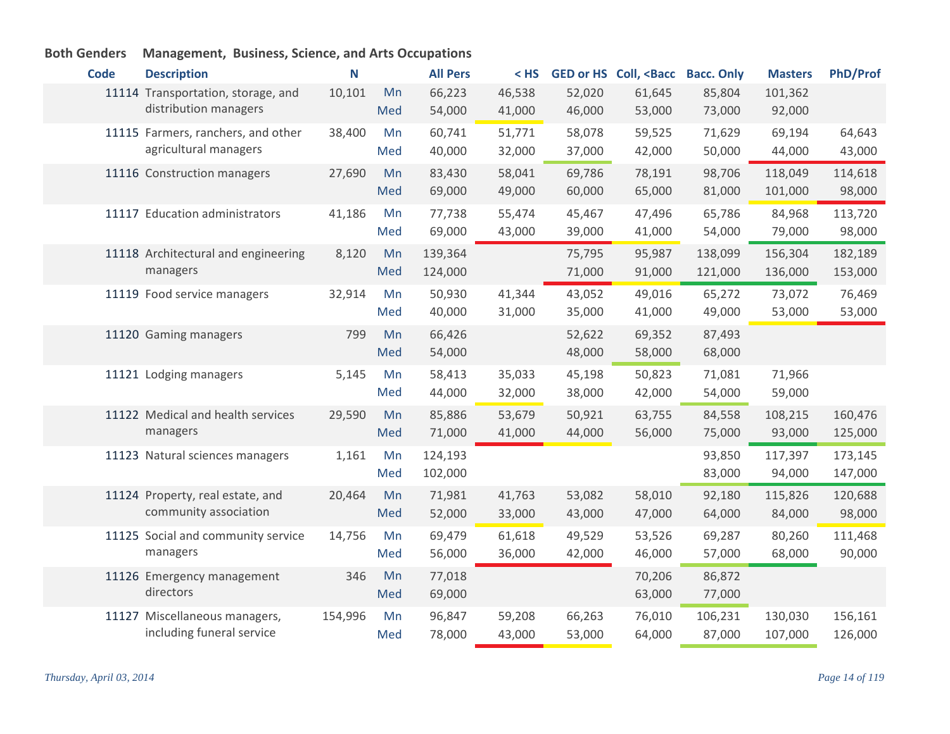| <b>Code</b> | <b>Description</b>                                          | N       |           | <b>All Pers</b>    | $<$ HS           |                  | GED or HS Coll, <bacc< th=""><th><b>Bacc. Only</b></th><th><b>Masters</b></th><th><b>PhD/Prof</b></th></bacc<> | <b>Bacc. Only</b>  | <b>Masters</b>     | <b>PhD/Prof</b>    |
|-------------|-------------------------------------------------------------|---------|-----------|--------------------|------------------|------------------|----------------------------------------------------------------------------------------------------------------|--------------------|--------------------|--------------------|
|             | 11114 Transportation, storage, and<br>distribution managers | 10,101  | Mn<br>Med | 66,223<br>54,000   | 46,538<br>41,000 | 52,020<br>46,000 | 61,645<br>53,000                                                                                               | 85,804<br>73,000   | 101,362<br>92,000  |                    |
|             | 11115 Farmers, ranchers, and other<br>agricultural managers | 38,400  | Mn<br>Med | 60,741<br>40,000   | 51,771<br>32,000 | 58,078<br>37,000 | 59,525<br>42,000                                                                                               | 71,629<br>50,000   | 69,194<br>44,000   | 64,643<br>43,000   |
|             | 11116 Construction managers                                 | 27,690  | Mn<br>Med | 83,430<br>69,000   | 58,041<br>49,000 | 69,786<br>60,000 | 78,191<br>65,000                                                                                               | 98,706<br>81,000   | 118,049<br>101,000 | 114,618<br>98,000  |
|             | 11117 Education administrators                              | 41,186  | Mn<br>Med | 77,738<br>69,000   | 55,474<br>43,000 | 45,467<br>39,000 | 47,496<br>41,000                                                                                               | 65,786<br>54,000   | 84,968<br>79,000   | 113,720<br>98,000  |
|             | 11118 Architectural and engineering<br>managers             | 8,120   | Mn<br>Med | 139,364<br>124,000 |                  | 75,795<br>71,000 | 95,987<br>91,000                                                                                               | 138,099<br>121,000 | 156,304<br>136,000 | 182,189<br>153,000 |
|             | 11119 Food service managers                                 | 32,914  | Mn<br>Med | 50,930<br>40,000   | 41,344<br>31,000 | 43,052<br>35,000 | 49,016<br>41,000                                                                                               | 65,272<br>49,000   | 73,072<br>53,000   | 76,469<br>53,000   |
|             | 11120 Gaming managers                                       | 799     | Mn<br>Med | 66,426<br>54,000   |                  | 52,622<br>48,000 | 69,352<br>58,000                                                                                               | 87,493<br>68,000   |                    |                    |
|             | 11121 Lodging managers                                      | 5,145   | Mn<br>Med | 58,413<br>44,000   | 35,033<br>32,000 | 45,198<br>38,000 | 50,823<br>42,000                                                                                               | 71,081<br>54,000   | 71,966<br>59,000   |                    |
|             | 11122 Medical and health services<br>managers               | 29,590  | Mn<br>Med | 85,886<br>71,000   | 53,679<br>41,000 | 50,921<br>44,000 | 63,755<br>56,000                                                                                               | 84,558<br>75,000   | 108,215<br>93,000  | 160,476<br>125,000 |
|             | 11123 Natural sciences managers                             | 1,161   | Mn<br>Med | 124,193<br>102,000 |                  |                  |                                                                                                                | 93,850<br>83,000   | 117,397<br>94,000  | 173,145<br>147,000 |
|             | 11124 Property, real estate, and<br>community association   | 20,464  | Mn<br>Med | 71,981<br>52,000   | 41,763<br>33,000 | 53,082<br>43,000 | 58,010<br>47,000                                                                                               | 92,180<br>64,000   | 115,826<br>84,000  | 120,688<br>98,000  |
|             | 11125 Social and community service<br>managers              | 14,756  | Mn<br>Med | 69,479<br>56,000   | 61,618<br>36,000 | 49,529<br>42,000 | 53,526<br>46,000                                                                                               | 69,287<br>57,000   | 80,260<br>68,000   | 111,468<br>90,000  |
|             | 11126 Emergency management<br>directors                     | 346     | Mn<br>Med | 77,018<br>69,000   |                  |                  | 70,206<br>63,000                                                                                               | 86,872<br>77,000   |                    |                    |
|             | 11127 Miscellaneous managers,<br>including funeral service  | 154,996 | Mn<br>Med | 96,847<br>78,000   | 59,208<br>43,000 | 66,263<br>53,000 | 76,010<br>64,000                                                                                               | 106,231<br>87,000  | 130,030<br>107,000 | 156,161<br>126,000 |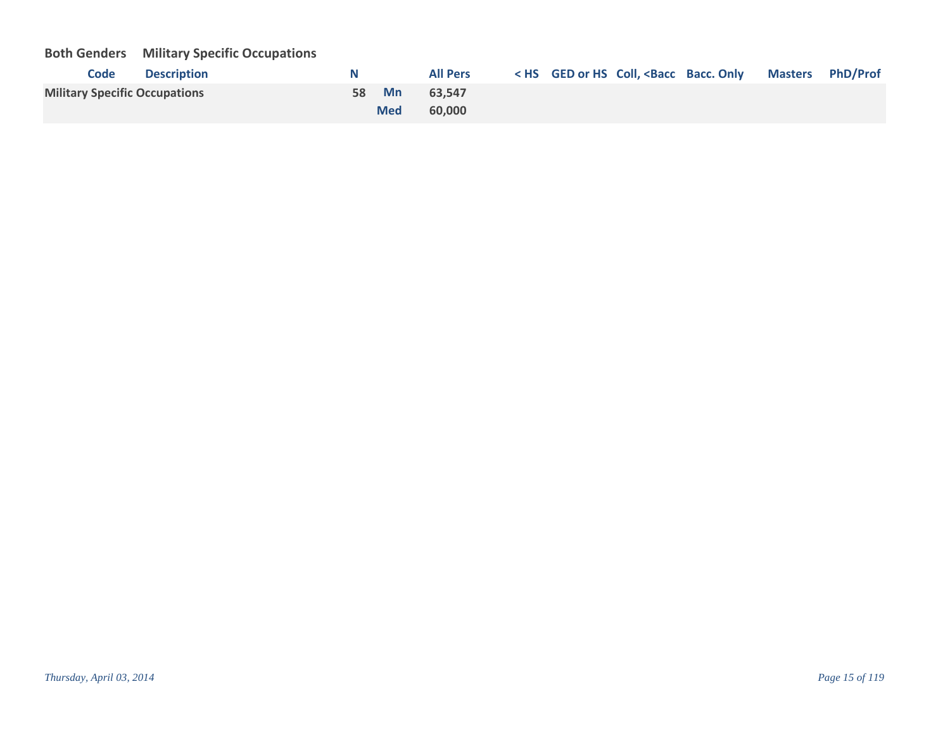# **Both Genders Military Specific Occupations**

| <b>Code</b><br><b>Description</b>    | N     |            | <b>All Pers</b> |  | < HS GED or HS Coll, <bacc bacc.="" masters="" only="" phd="" prof<="" th=""><th></th></bacc> |  |
|--------------------------------------|-------|------------|-----------------|--|-----------------------------------------------------------------------------------------------|--|
| <b>Military Specific Occupations</b> | 58 Mn |            | 63.547          |  |                                                                                               |  |
|                                      |       | <b>Med</b> | 60,000          |  |                                                                                               |  |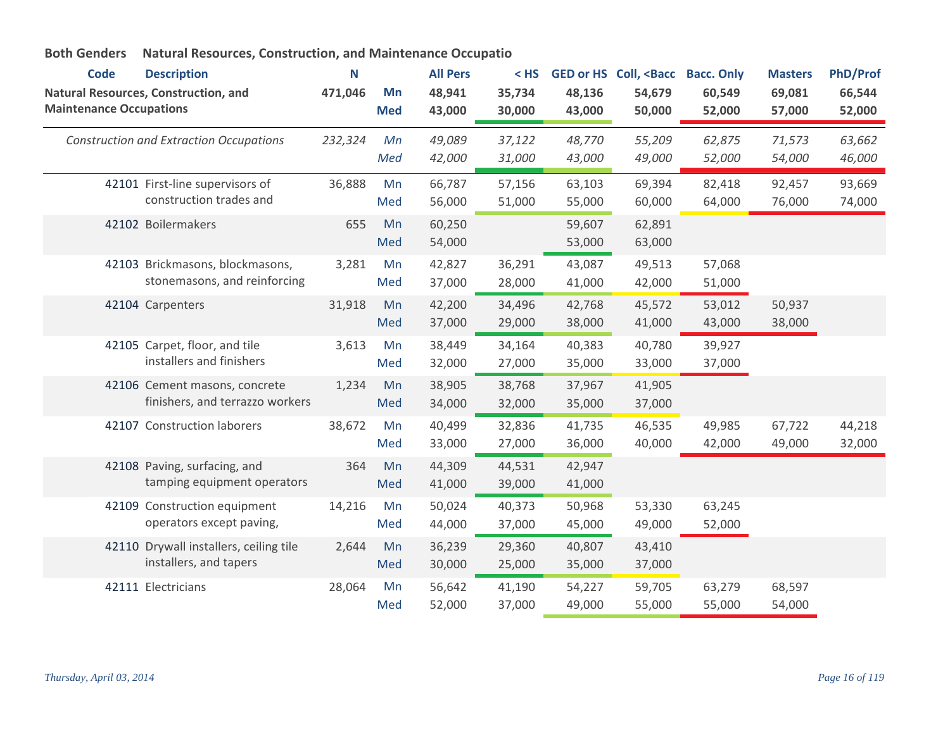| <b>Code</b>                    | <b>Description</b>                                               | N       |                  | <b>All Pers</b>  | $<$ HS           | <b>GED or HS</b> | Coll, <bacc< th=""><th><b>Bacc. Only</b></th><th><b>Masters</b></th><th><b>PhD/Prof</b></th></bacc<> | <b>Bacc. Only</b> | <b>Masters</b>   | <b>PhD/Prof</b>  |
|--------------------------------|------------------------------------------------------------------|---------|------------------|------------------|------------------|------------------|------------------------------------------------------------------------------------------------------|-------------------|------------------|------------------|
| <b>Maintenance Occupations</b> | Natural Resources, Construction, and                             | 471,046 | Mn<br><b>Med</b> | 48,941<br>43,000 | 35,734<br>30,000 | 48,136<br>43,000 | 54,679<br>50,000                                                                                     | 60,549<br>52,000  | 69,081<br>57,000 | 66,544<br>52,000 |
|                                | <b>Construction and Extraction Occupations</b>                   | 232,324 | Mn<br>Med        | 49,089<br>42,000 | 37,122<br>31,000 | 48,770<br>43,000 | 55,209<br>49,000                                                                                     | 62,875<br>52,000  | 71,573<br>54,000 | 63,662<br>46,000 |
|                                | 42101 First-line supervisors of<br>construction trades and       | 36,888  | Mn<br>Med        | 66,787<br>56,000 | 57,156<br>51,000 | 63,103<br>55,000 | 69,394<br>60,000                                                                                     | 82,418<br>64,000  | 92,457<br>76,000 | 93,669<br>74,000 |
|                                | 42102 Boilermakers                                               | 655     | Mn<br>Med        | 60,250<br>54,000 |                  | 59,607<br>53,000 | 62,891<br>63,000                                                                                     |                   |                  |                  |
|                                | 42103 Brickmasons, blockmasons,<br>stonemasons, and reinforcing  | 3,281   | Mn<br>Med        | 42,827<br>37,000 | 36,291<br>28,000 | 43,087<br>41,000 | 49,513<br>42,000                                                                                     | 57,068<br>51,000  |                  |                  |
|                                | 42104 Carpenters                                                 | 31,918  | Mn<br>Med        | 42,200<br>37,000 | 34,496<br>29,000 | 42,768<br>38,000 | 45,572<br>41,000                                                                                     | 53,012<br>43,000  | 50,937<br>38,000 |                  |
|                                | 42105 Carpet, floor, and tile<br>installers and finishers        | 3,613   | Mn<br>Med        | 38,449<br>32,000 | 34,164<br>27,000 | 40,383<br>35,000 | 40,780<br>33,000                                                                                     | 39,927<br>37,000  |                  |                  |
|                                | 42106 Cement masons, concrete<br>finishers, and terrazzo workers | 1,234   | Mn<br>Med        | 38,905<br>34,000 | 38,768<br>32,000 | 37,967<br>35,000 | 41,905<br>37,000                                                                                     |                   |                  |                  |
|                                | 42107 Construction laborers                                      | 38,672  | Mn<br>Med        | 40,499<br>33,000 | 32,836<br>27,000 | 41,735<br>36,000 | 46,535<br>40,000                                                                                     | 49,985<br>42,000  | 67,722<br>49,000 | 44,218<br>32,000 |
|                                | 42108 Paving, surfacing, and<br>tamping equipment operators      | 364     | Mn<br>Med        | 44,309<br>41,000 | 44,531<br>39,000 | 42,947<br>41,000 |                                                                                                      |                   |                  |                  |
|                                | 42109 Construction equipment<br>operators except paving,         | 14,216  | Mn<br>Med        | 50,024<br>44,000 | 40,373<br>37,000 | 50,968<br>45,000 | 53,330<br>49,000                                                                                     | 63,245<br>52,000  |                  |                  |
|                                | 42110 Drywall installers, ceiling tile<br>installers, and tapers | 2,644   | Mn<br>Med        | 36,239<br>30,000 | 29,360<br>25,000 | 40,807<br>35,000 | 43,410<br>37,000                                                                                     |                   |                  |                  |
|                                | 42111 Electricians                                               | 28,064  | Mn<br>Med        | 56,642<br>52,000 | 41,190<br>37,000 | 54,227<br>49,000 | 59,705<br>55,000                                                                                     | 63,279<br>55,000  | 68,597<br>54,000 |                  |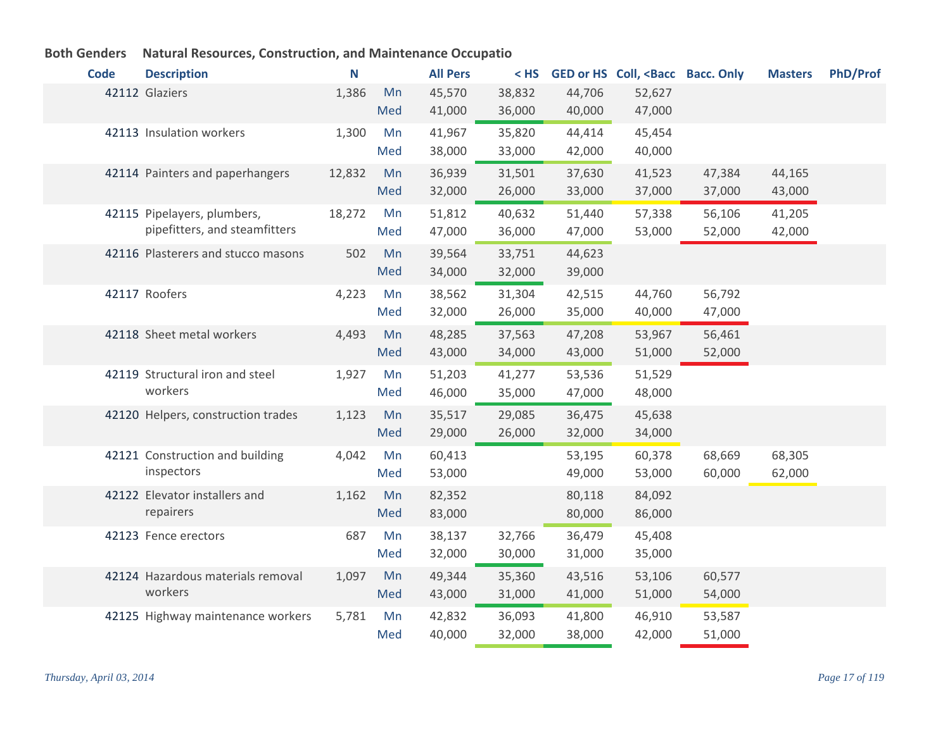| <b>Code</b> | <b>Description</b>                                           | N      |           | <b>All Pers</b>  | $<$ HS           |                  | GED or HS Coll, <bacc bacc.="" only<="" th=""><th></th><th><b>Masters</b></th><th><b>PhD/Prof</b></th></bacc> |                  | <b>Masters</b>   | <b>PhD/Prof</b> |
|-------------|--------------------------------------------------------------|--------|-----------|------------------|------------------|------------------|---------------------------------------------------------------------------------------------------------------|------------------|------------------|-----------------|
|             | 42112 Glaziers                                               | 1,386  | Mn<br>Med | 45,570<br>41,000 | 38,832<br>36,000 | 44,706<br>40,000 | 52,627<br>47,000                                                                                              |                  |                  |                 |
|             | 42113 Insulation workers                                     | 1,300  | Mn<br>Med | 41,967<br>38,000 | 35,820<br>33,000 | 44,414<br>42,000 | 45,454<br>40,000                                                                                              |                  |                  |                 |
|             | 42114 Painters and paperhangers                              | 12,832 | Mn<br>Med | 36,939<br>32,000 | 31,501<br>26,000 | 37,630<br>33,000 | 41,523<br>37,000                                                                                              | 47,384<br>37,000 | 44,165<br>43,000 |                 |
|             | 42115 Pipelayers, plumbers,<br>pipefitters, and steamfitters | 18,272 | Mn<br>Med | 51,812<br>47,000 | 40,632<br>36,000 | 51,440<br>47,000 | 57,338<br>53,000                                                                                              | 56,106<br>52,000 | 41,205<br>42,000 |                 |
|             | 42116 Plasterers and stucco masons                           | 502    | Mn<br>Med | 39,564<br>34,000 | 33,751<br>32,000 | 44,623<br>39,000 |                                                                                                               |                  |                  |                 |
|             | 42117 Roofers                                                | 4,223  | Mn<br>Med | 38,562<br>32,000 | 31,304<br>26,000 | 42,515<br>35,000 | 44,760<br>40,000                                                                                              | 56,792<br>47,000 |                  |                 |
|             | 42118 Sheet metal workers                                    | 4,493  | Mn<br>Med | 48,285<br>43,000 | 37,563<br>34,000 | 47,208<br>43,000 | 53,967<br>51,000                                                                                              | 56,461<br>52,000 |                  |                 |
|             | 42119 Structural iron and steel<br>workers                   | 1,927  | Mn<br>Med | 51,203<br>46,000 | 41,277<br>35,000 | 53,536<br>47,000 | 51,529<br>48,000                                                                                              |                  |                  |                 |
|             | 42120 Helpers, construction trades                           | 1,123  | Mn<br>Med | 35,517<br>29,000 | 29,085<br>26,000 | 36,475<br>32,000 | 45,638<br>34,000                                                                                              |                  |                  |                 |
|             | 42121 Construction and building<br>inspectors                | 4,042  | Mn<br>Med | 60,413<br>53,000 |                  | 53,195<br>49,000 | 60,378<br>53,000                                                                                              | 68,669<br>60,000 | 68,305<br>62,000 |                 |
|             | 42122 Elevator installers and<br>repairers                   | 1,162  | Mn<br>Med | 82,352<br>83,000 |                  | 80,118<br>80,000 | 84,092<br>86,000                                                                                              |                  |                  |                 |
|             | 42123 Fence erectors                                         | 687    | Mn<br>Med | 38,137<br>32,000 | 32,766<br>30,000 | 36,479<br>31,000 | 45,408<br>35,000                                                                                              |                  |                  |                 |
|             | 42124 Hazardous materials removal<br>workers                 | 1,097  | Mn<br>Med | 49,344<br>43,000 | 35,360<br>31,000 | 43,516<br>41,000 | 53,106<br>51,000                                                                                              | 60,577<br>54,000 |                  |                 |
|             | 42125 Highway maintenance workers                            | 5,781  | Mn<br>Med | 42,832<br>40,000 | 36,093<br>32,000 | 41,800<br>38,000 | 46,910<br>42,000                                                                                              | 53,587<br>51,000 |                  |                 |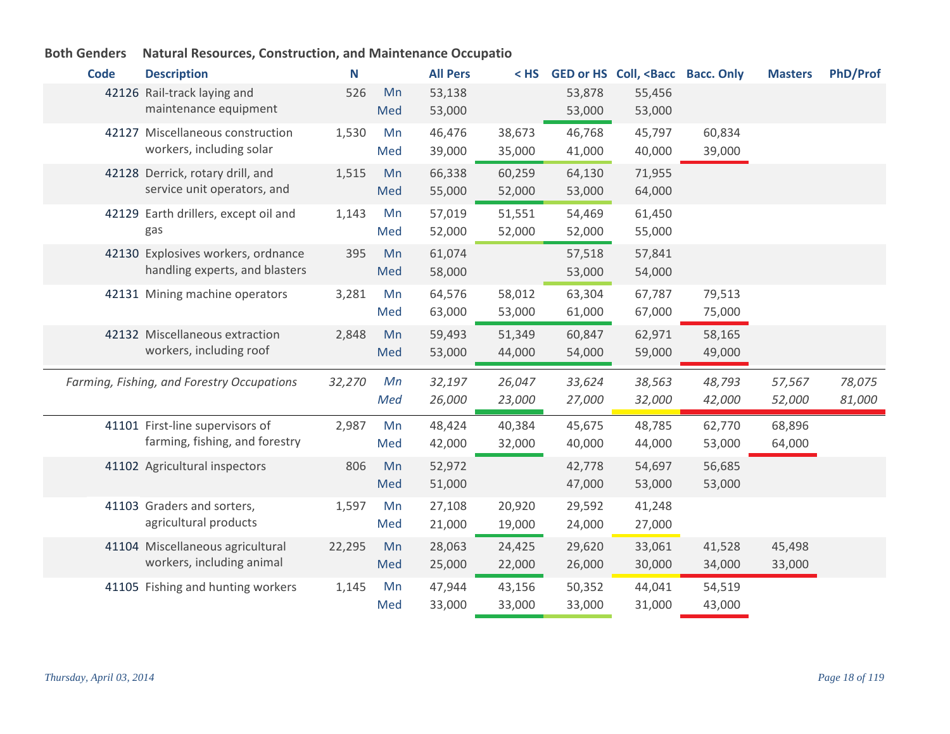| <b>Code</b> | <b>Description</b>                                                | N      |     | <b>All Pers</b>  | $<$ HS |                  | GED or HS Coll, <bacc bacc.="" only<="" th=""><th></th><th><b>Masters</b></th><th><b>PhD/Prof</b></th></bacc> |        | <b>Masters</b> | <b>PhD/Prof</b> |
|-------------|-------------------------------------------------------------------|--------|-----|------------------|--------|------------------|---------------------------------------------------------------------------------------------------------------|--------|----------------|-----------------|
|             | 42126 Rail-track laying and                                       | 526    | Mn  | 53,138           |        | 53,878           | 55,456                                                                                                        |        |                |                 |
|             | maintenance equipment                                             |        | Med | 53,000           |        | 53,000           | 53,000                                                                                                        |        |                |                 |
|             | 42127 Miscellaneous construction                                  | 1,530  | Mn  | 46,476           | 38,673 | 46,768           | 45,797                                                                                                        | 60,834 |                |                 |
|             | workers, including solar                                          |        | Med | 39,000           | 35,000 | 41,000           | 40,000                                                                                                        | 39,000 |                |                 |
|             | 42128 Derrick, rotary drill, and                                  | 1,515  | Mn  | 66,338           | 60,259 | 64,130           | 71,955                                                                                                        |        |                |                 |
|             | service unit operators, and                                       |        | Med | 55,000           | 52,000 | 53,000           | 64,000                                                                                                        |        |                |                 |
|             | 42129 Earth drillers, except oil and                              | 1,143  | Mn  | 57,019           | 51,551 | 54,469           | 61,450                                                                                                        |        |                |                 |
|             | gas                                                               |        | Med | 52,000           | 52,000 | 52,000           | 55,000                                                                                                        |        |                |                 |
|             | 42130 Explosives workers, ordnance                                | 395    | Mn  | 61,074           |        | 57,518           | 57,841                                                                                                        |        |                |                 |
|             | handling experts, and blasters                                    |        | Med | 58,000           |        | 53,000           | 54,000                                                                                                        |        |                |                 |
|             | 42131 Mining machine operators                                    | 3,281  | Mn  | 64,576           | 58,012 | 63,304           | 67,787                                                                                                        | 79,513 |                |                 |
|             |                                                                   |        | Med | 63,000           | 53,000 | 61,000           | 67,000                                                                                                        | 75,000 |                |                 |
|             | 42132 Miscellaneous extraction                                    | 2,848  | Mn  | 59,493           | 51,349 | 60,847           | 62,971                                                                                                        | 58,165 |                |                 |
|             | workers, including roof                                           |        | Med | 53,000           | 44,000 | 54,000           | 59,000                                                                                                        | 49,000 |                |                 |
|             | Farming, Fishing, and Forestry Occupations                        | 32,270 | Mn  | 32,197           | 26,047 | 33,624           | 38,563                                                                                                        | 48,793 | 57,567         | 78,075          |
|             |                                                                   |        | Med | 26,000           | 23,000 | 27,000           | 32,000                                                                                                        | 42,000 | 52,000         | 81,000          |
|             |                                                                   |        |     |                  |        |                  |                                                                                                               |        |                |                 |
|             | 41101 First-line supervisors of<br>farming, fishing, and forestry | 2,987  | Mn  | 48,424<br>42,000 | 40,384 | 45,675<br>40,000 | 48,785<br>44,000                                                                                              | 62,770 | 68,896         |                 |
|             |                                                                   |        | Med |                  | 32,000 |                  |                                                                                                               | 53,000 | 64,000         |                 |
|             | 41102 Agricultural inspectors                                     | 806    | Mn  | 52,972           |        | 42,778           | 54,697                                                                                                        | 56,685 |                |                 |
|             |                                                                   |        | Med | 51,000           |        | 47,000           | 53,000                                                                                                        | 53,000 |                |                 |
|             | 41103 Graders and sorters,<br>agricultural products               | 1,597  | Mn  | 27,108           | 20,920 | 29,592           | 41,248                                                                                                        |        |                |                 |
|             |                                                                   |        | Med | 21,000           | 19,000 | 24,000           | 27,000                                                                                                        |        |                |                 |
|             | 41104 Miscellaneous agricultural                                  | 22,295 | Mn  | 28,063           | 24,425 | 29,620           | 33,061                                                                                                        | 41,528 | 45,498         |                 |
|             | workers, including animal                                         |        | Med | 25,000           | 22,000 | 26,000           | 30,000                                                                                                        | 34,000 | 33,000         |                 |
|             | 41105 Fishing and hunting workers                                 | 1,145  | Mn  | 47,944           | 43,156 | 50,352           | 44,041                                                                                                        | 54,519 |                |                 |
|             |                                                                   |        | Med | 33,000           | 33,000 | 33,000           | 31,000                                                                                                        | 43,000 |                |                 |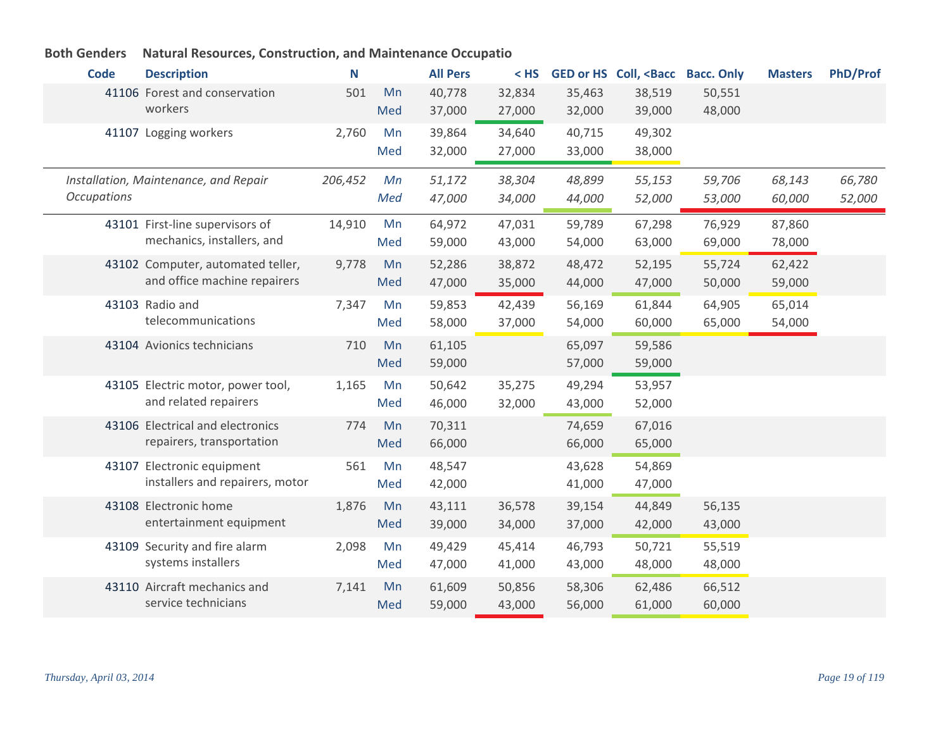| <b>Code</b>        | <b>Description</b>                                            | N       |           | <b>All Pers</b>  | $<$ HS | <b>GED or HS</b> | Coll, <bacc< th=""><th><b>Bacc. Only</b></th><th><b>Masters</b></th><th><b>PhD/Prof</b></th></bacc<> | <b>Bacc. Only</b> | <b>Masters</b> | <b>PhD/Prof</b> |
|--------------------|---------------------------------------------------------------|---------|-----------|------------------|--------|------------------|------------------------------------------------------------------------------------------------------|-------------------|----------------|-----------------|
|                    | 41106 Forest and conservation                                 | 501     | Mn        | 40,778           | 32,834 | 35,463           | 38,519                                                                                               | 50,551            |                |                 |
|                    | workers                                                       |         | Med       | 37,000           | 27,000 | 32,000           | 39,000                                                                                               | 48,000            |                |                 |
|                    | 41107 Logging workers                                         | 2,760   | Mn        | 39,864           | 34,640 | 40,715           | 49,302                                                                                               |                   |                |                 |
|                    |                                                               |         | Med       | 32,000           | 27,000 | 33,000           | 38,000                                                                                               |                   |                |                 |
|                    | Installation, Maintenance, and Repair                         | 206,452 | Mn        | 51,172           | 38,304 | 48,899           | 55,153                                                                                               | 59,706            | 68,143         | 66,780          |
| <b>Occupations</b> |                                                               |         | Med       | 47,000           | 34,000 | 44,000           | 52,000                                                                                               | 53,000            | 60,000         | 52,000          |
|                    |                                                               |         |           |                  |        |                  |                                                                                                      |                   |                |                 |
|                    | 43101 First-line supervisors of                               | 14,910  | Mn        | 64,972           | 47,031 | 59,789           | 67,298                                                                                               | 76,929            | 87,860         |                 |
|                    | mechanics, installers, and                                    |         | Med       | 59,000           | 43,000 | 54,000           | 63,000                                                                                               | 69,000            | 78,000         |                 |
|                    | 43102 Computer, automated teller,                             | 9,778   | Mn        | 52,286           | 38,872 | 48,472           | 52,195                                                                                               | 55,724            | 62,422         |                 |
|                    | and office machine repairers                                  |         | Med       | 47,000           | 35,000 | 44,000           | 47,000                                                                                               | 50,000            | 59,000         |                 |
|                    | 43103 Radio and                                               | 7,347   | Mn        | 59,853           | 42,439 | 56,169           | 61,844                                                                                               | 64,905            | 65,014         |                 |
|                    | telecommunications                                            |         | Med       | 58,000           | 37,000 | 54,000           | 60,000                                                                                               | 65,000            | 54,000         |                 |
|                    | 43104 Avionics technicians                                    | 710     | Mn        | 61,105           |        | 65,097           | 59,586                                                                                               |                   |                |                 |
|                    |                                                               |         | Med       | 59,000           |        | 57,000           | 59,000                                                                                               |                   |                |                 |
|                    | 43105 Electric motor, power tool,                             | 1,165   | Mn        | 50,642           | 35,275 | 49,294           | 53,957                                                                                               |                   |                |                 |
|                    | and related repairers                                         |         | Med       | 46,000           | 32,000 | 43,000           | 52,000                                                                                               |                   |                |                 |
|                    | 43106 Electrical and electronics                              | 774     | Mn        | 70,311           |        | 74,659           | 67,016                                                                                               |                   |                |                 |
|                    | repairers, transportation                                     |         | Med       | 66,000           |        | 66,000           | 65,000                                                                                               |                   |                |                 |
|                    |                                                               |         |           |                  |        |                  |                                                                                                      |                   |                |                 |
|                    | 43107 Electronic equipment<br>installers and repairers, motor | 561     | Mn<br>Med | 48,547<br>42,000 |        | 43,628<br>41,000 | 54,869<br>47,000                                                                                     |                   |                |                 |
|                    |                                                               |         |           |                  |        |                  |                                                                                                      |                   |                |                 |
|                    | 43108 Electronic home                                         | 1,876   | Mn        | 43,111           | 36,578 | 39,154           | 44,849                                                                                               | 56,135            |                |                 |
|                    | entertainment equipment                                       |         | Med       | 39,000           | 34,000 | 37,000           | 42,000                                                                                               | 43,000            |                |                 |
|                    | 43109 Security and fire alarm                                 | 2,098   | Mn        | 49,429           | 45,414 | 46,793           | 50,721                                                                                               | 55,519            |                |                 |
|                    | systems installers                                            |         | Med       | 47,000           | 41,000 | 43,000           | 48,000                                                                                               | 48,000            |                |                 |
|                    | 43110 Aircraft mechanics and                                  | 7,141   | Mn        | 61,609           | 50,856 | 58,306           | 62,486                                                                                               | 66,512            |                |                 |
|                    | service technicians                                           |         | Med       | 59,000           | 43,000 | 56,000           | 61,000                                                                                               | 60,000            |                |                 |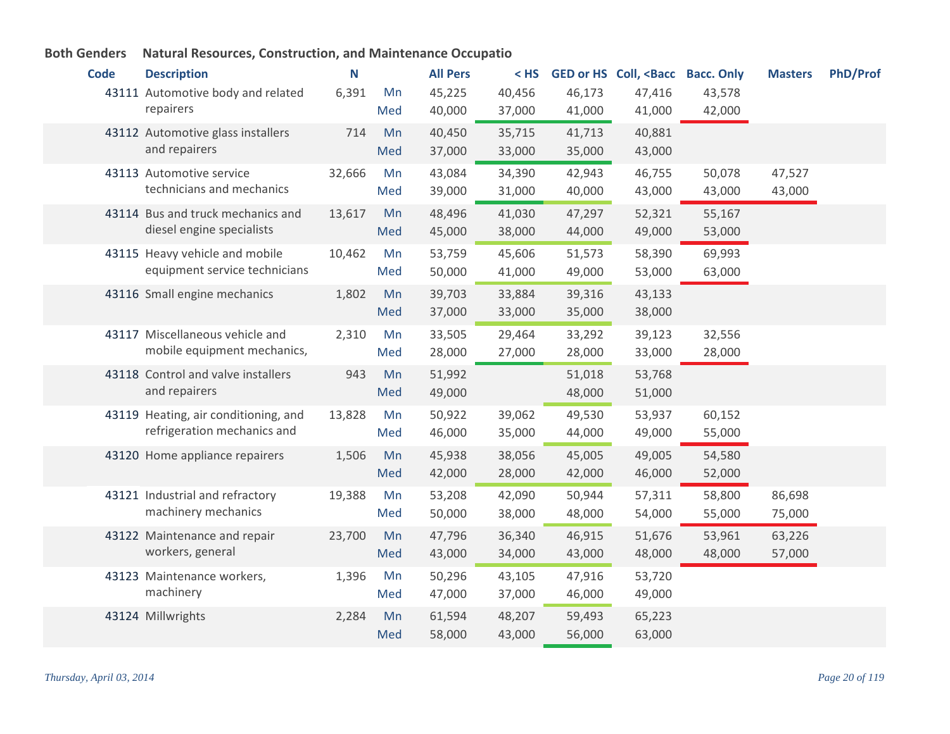| <b>Code</b> | <b>Description</b>                   | N      |     | <b>All Pers</b> | $<$ HS |        | GED or HS Coll, <bacc< th=""><th><b>Bacc. Only</b></th><th><b>Masters</b></th><th><b>PhD/Prof</b></th></bacc<> | <b>Bacc. Only</b> | <b>Masters</b> | <b>PhD/Prof</b> |
|-------------|--------------------------------------|--------|-----|-----------------|--------|--------|----------------------------------------------------------------------------------------------------------------|-------------------|----------------|-----------------|
|             | 43111 Automotive body and related    | 6,391  | Mn  | 45,225          | 40,456 | 46,173 | 47,416                                                                                                         | 43,578            |                |                 |
|             | repairers                            |        | Med | 40,000          | 37,000 | 41,000 | 41,000                                                                                                         | 42,000            |                |                 |
|             | 43112 Automotive glass installers    | 714    | Mn  | 40,450          | 35,715 | 41,713 | 40,881                                                                                                         |                   |                |                 |
|             | and repairers                        |        | Med | 37,000          | 33,000 | 35,000 | 43,000                                                                                                         |                   |                |                 |
|             | 43113 Automotive service             | 32,666 | Mn  | 43,084          | 34,390 | 42,943 | 46,755                                                                                                         | 50,078            | 47,527         |                 |
|             | technicians and mechanics            |        | Med | 39,000          | 31,000 | 40,000 | 43,000                                                                                                         | 43,000            | 43,000         |                 |
|             | 43114 Bus and truck mechanics and    | 13,617 | Mn  | 48,496          | 41,030 | 47,297 | 52,321                                                                                                         | 55,167            |                |                 |
|             | diesel engine specialists            |        | Med | 45,000          | 38,000 | 44,000 | 49,000                                                                                                         | 53,000            |                |                 |
|             | 43115 Heavy vehicle and mobile       | 10,462 | Mn  | 53,759          | 45,606 | 51,573 | 58,390                                                                                                         | 69,993            |                |                 |
|             | equipment service technicians        |        | Med | 50,000          | 41,000 | 49,000 | 53,000                                                                                                         | 63,000            |                |                 |
|             | 43116 Small engine mechanics         | 1,802  | Mn  | 39,703          | 33,884 | 39,316 | 43,133                                                                                                         |                   |                |                 |
|             |                                      |        | Med | 37,000          | 33,000 | 35,000 | 38,000                                                                                                         |                   |                |                 |
|             | 43117 Miscellaneous vehicle and      | 2,310  | Mn  | 33,505          | 29,464 | 33,292 | 39,123                                                                                                         | 32,556            |                |                 |
|             | mobile equipment mechanics,          |        | Med | 28,000          | 27,000 | 28,000 | 33,000                                                                                                         | 28,000            |                |                 |
|             | 43118 Control and valve installers   | 943    | Mn  | 51,992          |        | 51,018 | 53,768                                                                                                         |                   |                |                 |
|             | and repairers                        |        | Med | 49,000          |        | 48,000 | 51,000                                                                                                         |                   |                |                 |
|             | 43119 Heating, air conditioning, and | 13,828 | Mn  | 50,922          | 39,062 | 49,530 | 53,937                                                                                                         | 60,152            |                |                 |
|             | refrigeration mechanics and          |        | Med | 46,000          | 35,000 | 44,000 | 49,000                                                                                                         | 55,000            |                |                 |
|             | 43120 Home appliance repairers       | 1,506  | Mn  | 45,938          | 38,056 | 45,005 | 49,005                                                                                                         | 54,580            |                |                 |
|             |                                      |        | Med | 42,000          | 28,000 | 42,000 | 46,000                                                                                                         | 52,000            |                |                 |
|             | 43121 Industrial and refractory      | 19,388 | Mn  | 53,208          | 42,090 | 50,944 | 57,311                                                                                                         | 58,800            | 86,698         |                 |
|             | machinery mechanics                  |        | Med | 50,000          | 38,000 | 48,000 | 54,000                                                                                                         | 55,000            | 75,000         |                 |
|             | 43122 Maintenance and repair         | 23,700 | Mn  | 47,796          | 36,340 | 46,915 | 51,676                                                                                                         | 53,961            | 63,226         |                 |
|             | workers, general                     |        | Med | 43,000          | 34,000 | 43,000 | 48,000                                                                                                         | 48,000            | 57,000         |                 |
|             | 43123 Maintenance workers,           | 1,396  | Mn  | 50,296          | 43,105 | 47,916 | 53,720                                                                                                         |                   |                |                 |
|             | machinery                            |        | Med | 47,000          | 37,000 | 46,000 | 49,000                                                                                                         |                   |                |                 |
|             | 43124 Millwrights                    | 2,284  | Mn  | 61,594          | 48,207 | 59,493 | 65,223                                                                                                         |                   |                |                 |
|             |                                      |        | Med | 58,000          | 43,000 | 56,000 | 63,000                                                                                                         |                   |                |                 |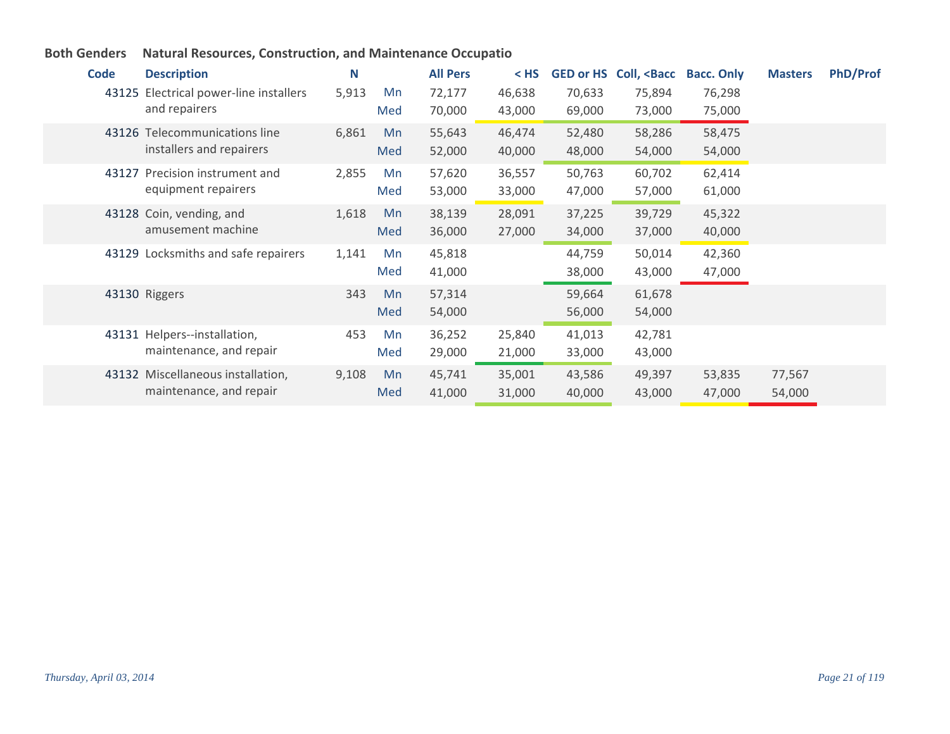| Code  | <b>Description</b>                                           | N     |           | <b>All Pers</b>  | $<$ HS           | <b>GED or HS</b> | Coll, <bacc< th=""><th><b>Bacc. Only</b></th><th><b>Masters</b></th><th><b>PhD/Prof</b></th></bacc<> | <b>Bacc. Only</b> | <b>Masters</b>   | <b>PhD/Prof</b> |
|-------|--------------------------------------------------------------|-------|-----------|------------------|------------------|------------------|------------------------------------------------------------------------------------------------------|-------------------|------------------|-----------------|
|       | 43125 Electrical power-line installers<br>and repairers      | 5,913 | Mn<br>Med | 72,177<br>70,000 | 46,638<br>43,000 | 70,633<br>69,000 | 75,894<br>73,000                                                                                     | 76,298<br>75,000  |                  |                 |
|       | 43126 Telecommunications line<br>installers and repairers    | 6,861 | Mn<br>Med | 55,643<br>52,000 | 46,474<br>40,000 | 52,480<br>48,000 | 58,286<br>54,000                                                                                     | 58,475<br>54,000  |                  |                 |
| 43127 | Precision instrument and<br>equipment repairers              | 2,855 | Mn<br>Med | 57,620<br>53,000 | 36,557<br>33,000 | 50,763<br>47,000 | 60,702<br>57,000                                                                                     | 62,414<br>61,000  |                  |                 |
|       | 43128 Coin, vending, and<br>amusement machine                | 1,618 | Mn<br>Med | 38,139<br>36,000 | 28,091<br>27,000 | 37,225<br>34,000 | 39,729<br>37,000                                                                                     | 45,322<br>40,000  |                  |                 |
|       | 43129 Locksmiths and safe repairers                          | 1,141 | Mn<br>Med | 45,818<br>41,000 |                  | 44,759<br>38,000 | 50,014<br>43,000                                                                                     | 42,360<br>47,000  |                  |                 |
|       | 43130 Riggers                                                | 343   | Mn<br>Med | 57,314<br>54,000 |                  | 59,664<br>56,000 | 61,678<br>54,000                                                                                     |                   |                  |                 |
|       | 43131 Helpers--installation,<br>maintenance, and repair      | 453   | Mn<br>Med | 36,252<br>29,000 | 25,840<br>21,000 | 41,013<br>33,000 | 42,781<br>43,000                                                                                     |                   |                  |                 |
|       | 43132 Miscellaneous installation,<br>maintenance, and repair | 9,108 | Mn<br>Med | 45,741<br>41,000 | 35,001<br>31,000 | 43,586<br>40,000 | 49,397<br>43,000                                                                                     | 53,835<br>47,000  | 77,567<br>54,000 |                 |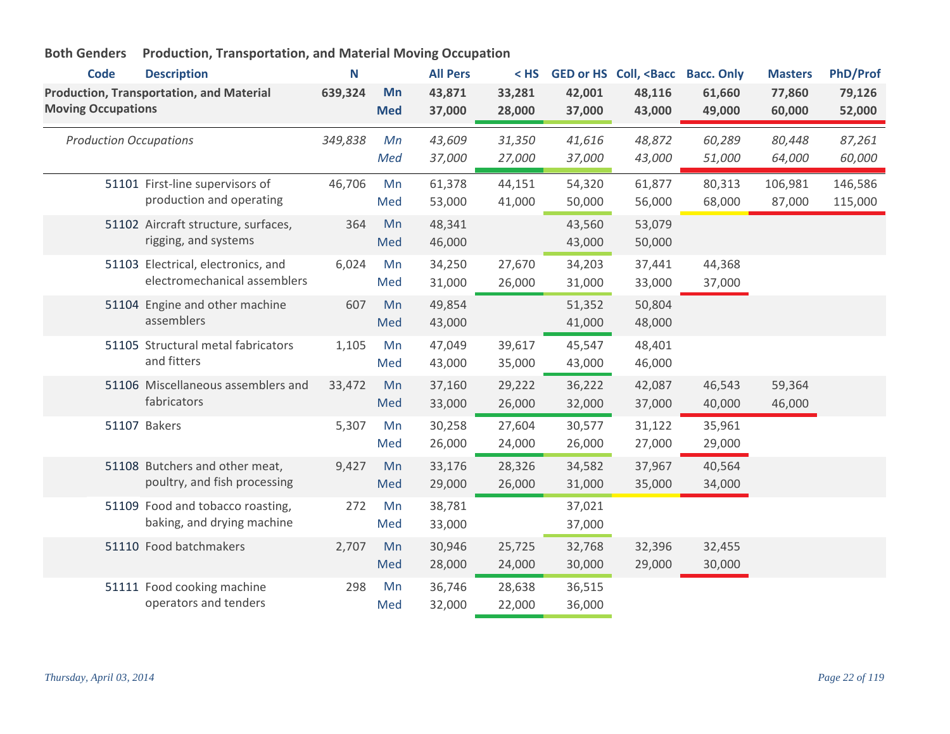| <b>Code</b>                   | <b>Description</b>                                                 | N       |                  | <b>All Pers</b>  | $<$ HS           |                  | GED or HS Coll, <bacc< th=""><th><b>Bacc. Only</b></th><th><b>Masters</b></th><th><b>PhD/Prof</b></th></bacc<> | <b>Bacc. Only</b> | <b>Masters</b>    | <b>PhD/Prof</b>    |
|-------------------------------|--------------------------------------------------------------------|---------|------------------|------------------|------------------|------------------|----------------------------------------------------------------------------------------------------------------|-------------------|-------------------|--------------------|
| <b>Moving Occupations</b>     | <b>Production, Transportation, and Material</b>                    | 639,324 | Mn<br><b>Med</b> | 43,871<br>37,000 | 33,281<br>28,000 | 42,001<br>37,000 | 48,116<br>43,000                                                                                               | 61,660<br>49,000  | 77,860<br>60,000  | 79,126<br>52,000   |
| <b>Production Occupations</b> |                                                                    | 349,838 | Mn<br>Med        | 43,609<br>37,000 | 31,350<br>27,000 | 41,616<br>37,000 | 48,872<br>43,000                                                                                               | 60,289<br>51,000  | 80,448<br>64,000  | 87,261<br>60,000   |
|                               | 51101 First-line supervisors of<br>production and operating        | 46,706  | Mn<br>Med        | 61,378<br>53,000 | 44,151<br>41,000 | 54,320<br>50,000 | 61,877<br>56,000                                                                                               | 80,313<br>68,000  | 106,981<br>87,000 | 146,586<br>115,000 |
|                               | 51102 Aircraft structure, surfaces,<br>rigging, and systems        | 364     | Mn<br>Med        | 48,341<br>46,000 |                  | 43,560<br>43,000 | 53,079<br>50,000                                                                                               |                   |                   |                    |
|                               | 51103 Electrical, electronics, and<br>electromechanical assemblers | 6,024   | Mn<br>Med        | 34,250<br>31,000 | 27,670<br>26,000 | 34,203<br>31,000 | 37,441<br>33,000                                                                                               | 44,368<br>37,000  |                   |                    |
|                               | 51104 Engine and other machine<br>assemblers                       | 607     | Mn<br>Med        | 49,854<br>43,000 |                  | 51,352<br>41,000 | 50,804<br>48,000                                                                                               |                   |                   |                    |
|                               | 51105 Structural metal fabricators<br>and fitters                  | 1,105   | Mn<br>Med        | 47,049<br>43,000 | 39,617<br>35,000 | 45,547<br>43,000 | 48,401<br>46,000                                                                                               |                   |                   |                    |
|                               | 51106 Miscellaneous assemblers and<br>fabricators                  | 33,472  | Mn<br>Med        | 37,160<br>33,000 | 29,222<br>26,000 | 36,222<br>32,000 | 42,087<br>37,000                                                                                               | 46,543<br>40,000  | 59,364<br>46,000  |                    |
|                               | 51107 Bakers                                                       | 5,307   | Mn<br>Med        | 30,258<br>26,000 | 27,604<br>24,000 | 30,577<br>26,000 | 31,122<br>27,000                                                                                               | 35,961<br>29,000  |                   |                    |
|                               | 51108 Butchers and other meat,<br>poultry, and fish processing     | 9,427   | Mn<br>Med        | 33,176<br>29,000 | 28,326<br>26,000 | 34,582<br>31,000 | 37,967<br>35,000                                                                                               | 40,564<br>34,000  |                   |                    |
|                               | 51109 Food and tobacco roasting,<br>baking, and drying machine     | 272     | Mn<br>Med        | 38,781<br>33,000 |                  | 37,021<br>37,000 |                                                                                                                |                   |                   |                    |
|                               | 51110 Food batchmakers                                             | 2,707   | Mn<br>Med        | 30,946<br>28,000 | 25,725<br>24,000 | 32,768<br>30,000 | 32,396<br>29,000                                                                                               | 32,455<br>30,000  |                   |                    |
|                               | 51111 Food cooking machine<br>operators and tenders                | 298     | Mn<br>Med        | 36,746<br>32,000 | 28,638<br>22,000 | 36,515<br>36,000 |                                                                                                                |                   |                   |                    |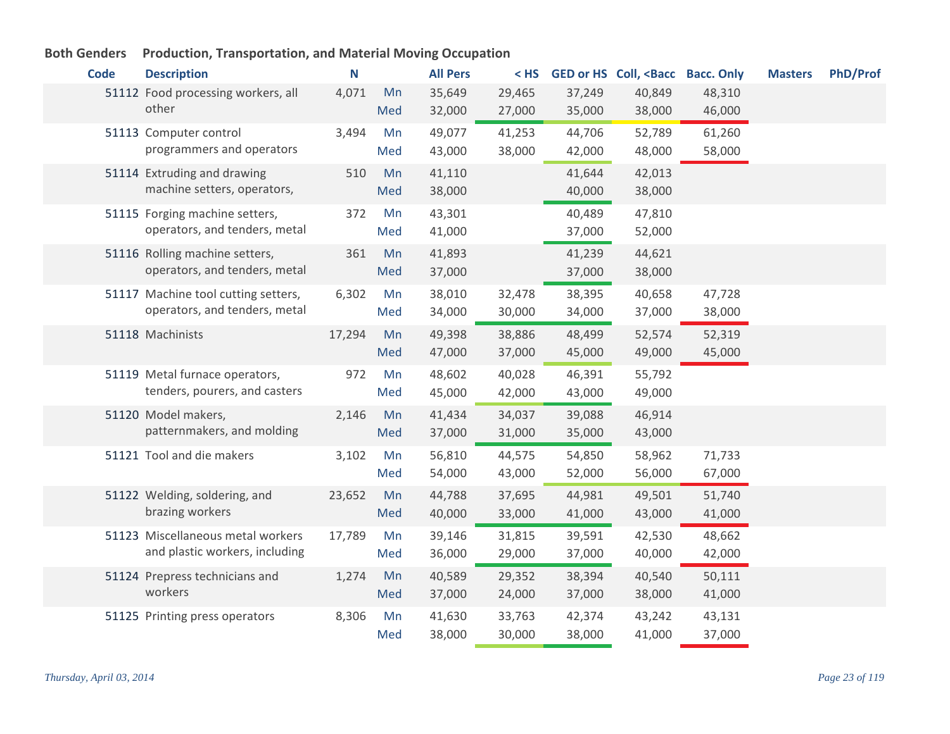| <b>Code</b> | <b>Description</b>                                                   | N      |           | <b>All Pers</b>  | $<$ HS           |                  | GED or HS Coll, <bacc bacc.="" only<="" th=""><th></th><th><b>Masters</b></th><th>PhD/Prof</th></bacc> |                  | <b>Masters</b> | PhD/Prof |
|-------------|----------------------------------------------------------------------|--------|-----------|------------------|------------------|------------------|--------------------------------------------------------------------------------------------------------|------------------|----------------|----------|
|             | 51112 Food processing workers, all<br>other                          | 4,071  | Mn<br>Med | 35,649<br>32,000 | 29,465<br>27,000 | 37,249<br>35,000 | 40,849<br>38,000                                                                                       | 48,310<br>46,000 |                |          |
|             | 51113 Computer control<br>programmers and operators                  | 3,494  | Mn<br>Med | 49,077<br>43,000 | 41,253<br>38,000 | 44,706<br>42,000 | 52,789<br>48,000                                                                                       | 61,260<br>58,000 |                |          |
|             | 51114 Extruding and drawing<br>machine setters, operators,           | 510    | Mn<br>Med | 41,110<br>38,000 |                  | 41,644<br>40,000 | 42,013<br>38,000                                                                                       |                  |                |          |
|             | 51115 Forging machine setters,<br>operators, and tenders, metal      | 372    | Mn<br>Med | 43,301<br>41,000 |                  | 40,489<br>37,000 | 47,810<br>52,000                                                                                       |                  |                |          |
|             | 51116 Rolling machine setters,<br>operators, and tenders, metal      | 361    | Mn<br>Med | 41,893<br>37,000 |                  | 41,239<br>37,000 | 44,621<br>38,000                                                                                       |                  |                |          |
|             | 51117 Machine tool cutting setters,<br>operators, and tenders, metal | 6,302  | Mn<br>Med | 38,010<br>34,000 | 32,478<br>30,000 | 38,395<br>34,000 | 40,658<br>37,000                                                                                       | 47,728<br>38,000 |                |          |
|             | 51118 Machinists                                                     | 17,294 | Mn<br>Med | 49,398<br>47,000 | 38,886<br>37,000 | 48,499<br>45,000 | 52,574<br>49,000                                                                                       | 52,319<br>45,000 |                |          |
|             | 51119 Metal furnace operators,<br>tenders, pourers, and casters      | 972    | Mn<br>Med | 48,602<br>45,000 | 40,028<br>42,000 | 46,391<br>43,000 | 55,792<br>49,000                                                                                       |                  |                |          |
|             | 51120 Model makers,<br>patternmakers, and molding                    | 2,146  | Mn<br>Med | 41,434<br>37,000 | 34,037<br>31,000 | 39,088<br>35,000 | 46,914<br>43,000                                                                                       |                  |                |          |
|             | 51121 Tool and die makers                                            | 3,102  | Mn<br>Med | 56,810<br>54,000 | 44,575<br>43,000 | 54,850<br>52,000 | 58,962<br>56,000                                                                                       | 71,733<br>67,000 |                |          |
|             | 51122 Welding, soldering, and<br>brazing workers                     | 23,652 | Mn<br>Med | 44,788<br>40,000 | 37,695<br>33,000 | 44,981<br>41,000 | 49,501<br>43,000                                                                                       | 51,740<br>41,000 |                |          |
|             | 51123 Miscellaneous metal workers<br>and plastic workers, including  | 17,789 | Mn<br>Med | 39,146<br>36,000 | 31,815<br>29,000 | 39,591<br>37,000 | 42,530<br>40,000                                                                                       | 48,662<br>42,000 |                |          |
|             | 51124 Prepress technicians and<br>workers                            | 1,274  | Mn<br>Med | 40,589<br>37,000 | 29,352<br>24,000 | 38,394<br>37,000 | 40,540<br>38,000                                                                                       | 50,111<br>41,000 |                |          |
|             | 51125 Printing press operators                                       | 8,306  | Mn<br>Med | 41,630<br>38,000 | 33,763<br>30,000 | 42,374<br>38,000 | 43,242<br>41,000                                                                                       | 43,131<br>37,000 |                |          |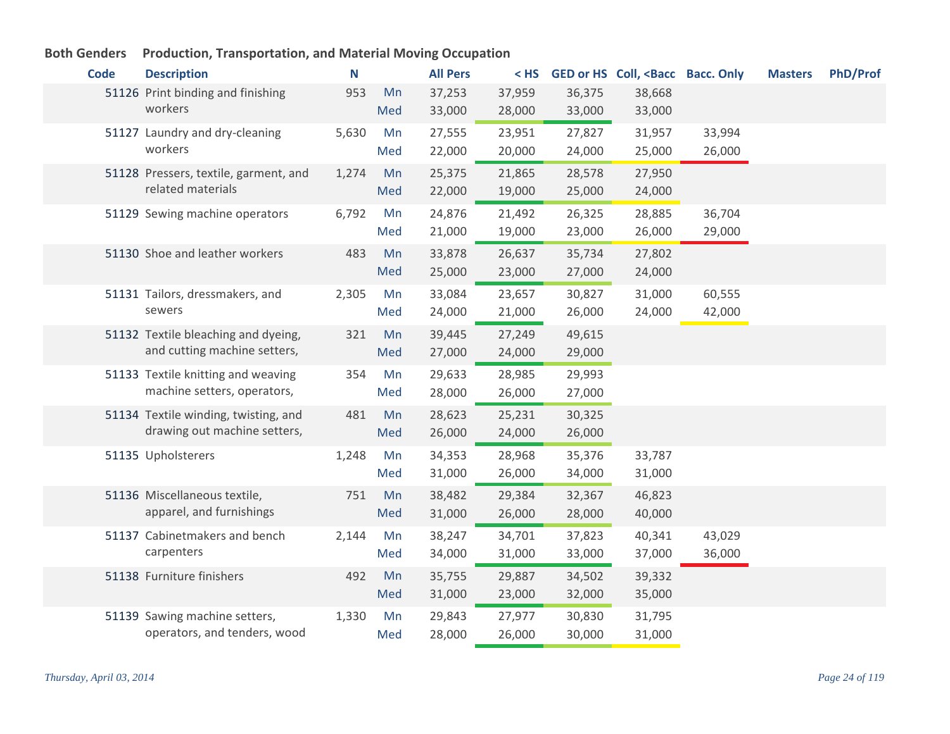#### **Code Description N All Pers < HS GED or HS Coll, <Bacc Bacc. Only Masters PhD/Prof** 51126 Print binding and finishing 553 Mn workers 953 37,253 37,959 36,375 38,668 33,000 28,000 33,000 33,000 Med 51127 Laundry and dry-cleaning 5,630 Mn workers 5,630 27,555 23,951 27,827 31,957 33,994 22,000 20,000 24,000 25,000 26,000 Med 51128 Pressers, textile, garment, and 1,274 Mn related materials 1,274 25,375 21,865 28,578 27,950 22,000 19,000 25,000 24,000 Med Sewing machine operators 6,792 24,876 21,492 26,325 28,885 36,704 51129 Mn 21,000 19,000 23,000 26,000 29,000 Med 51130 Shoe and leather workers 483 Mn 33,878 26,637 35,734 27,802 25,000 23,000 27,000 24,000 Med 51131 Tailors, dressmakers, and  $2,305$  Mn sewers 2,305 33,084 23,657 30,827 31,000 60,555 24,000 21,000 26,000 24,000 42,000 Med 51132 Textile bleaching and dyeing, 321 Mn and cutting machine setters, 321 Mn 39,445 27,249 49,615 27,000 24,000 29,000 Med 51133 Textile knitting and weaving 354 Mn machine setters, operators, 354 29,633 28,985 29,993 28,000 26,000 27,000 Med 51134 Textile winding, twisting, and a 481 Mn drawing out machine setters, 481 28,623 25,231 30,325 26,000 24,000 26,000 Med 51135 Upholsterers 1,248 Mn 34,353 28,968 35,376 33,787 31,000 26,000 34,000 31,000 Med 51136 Miscellaneous textile, and the 751 Mn apparel, and furnishings 751 38,482 29,384 32,367 46,823 31,000 26,000 28,000 40,000 Med 51137 Cabinetmakers and bench and 2,144 Mn carpenters 2,144 38,247 34,701 37,823 40,341 43,029 34,000 31,000 33,000 37,000 36,000 Med Furniture finishers 492 35,755 29,887 34,502 39,332 51138 Mn 31,000 23,000 32,000 35,000 Med 51139 Sawing machine setters, a mand 1,330 Mn operators, and tenders, wood 1,330 29,843 27,977 30,830 31,795 28,000 26,000 30,000 31,000 Med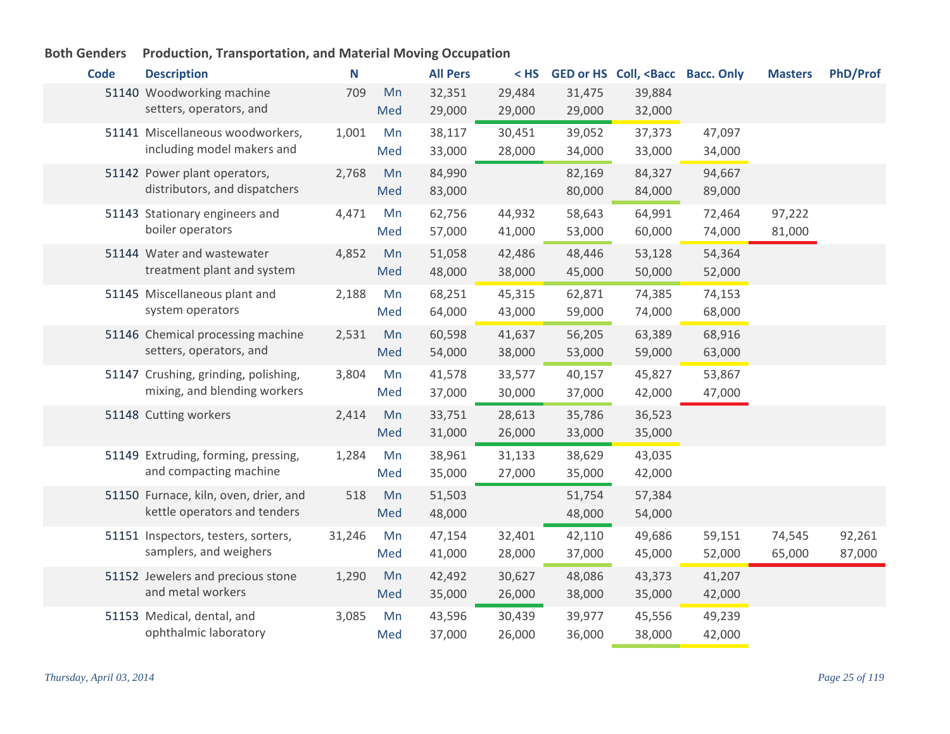| <b>Code</b> | <b>Description</b>                                                    | N      |           | <b>All Pers</b>  | $<$ HS           |                  | GED or HS Coll, <bacc bacc.="" only<="" th=""><th></th><th><b>Masters</b></th><th>PhD/Prof</th></bacc> |                  | <b>Masters</b>   | PhD/Prof         |
|-------------|-----------------------------------------------------------------------|--------|-----------|------------------|------------------|------------------|--------------------------------------------------------------------------------------------------------|------------------|------------------|------------------|
|             | 51140 Woodworking machine<br>setters, operators, and                  | 709    | Mn<br>Med | 32,351<br>29,000 | 29,484<br>29,000 | 31,475<br>29,000 | 39,884<br>32,000                                                                                       |                  |                  |                  |
|             | 51141 Miscellaneous woodworkers,<br>including model makers and        | 1,001  | Mn<br>Med | 38,117<br>33,000 | 30,451<br>28,000 | 39,052<br>34,000 | 37,373<br>33,000                                                                                       | 47,097<br>34,000 |                  |                  |
|             | 51142 Power plant operators,<br>distributors, and dispatchers         | 2,768  | Mn<br>Med | 84,990<br>83,000 |                  | 82,169<br>80,000 | 84,327<br>84,000                                                                                       | 94,667<br>89,000 |                  |                  |
|             | 51143 Stationary engineers and<br>boiler operators                    | 4,471  | Mn<br>Med | 62,756<br>57,000 | 44,932<br>41,000 | 58,643<br>53,000 | 64,991<br>60,000                                                                                       | 72,464<br>74,000 | 97,222<br>81,000 |                  |
|             | 51144 Water and wastewater<br>treatment plant and system              | 4,852  | Mn<br>Med | 51,058<br>48,000 | 42,486<br>38,000 | 48,446<br>45,000 | 53,128<br>50,000                                                                                       | 54,364<br>52,000 |                  |                  |
|             | 51145 Miscellaneous plant and<br>system operators                     | 2,188  | Mn<br>Med | 68,251<br>64,000 | 45,315<br>43,000 | 62,871<br>59,000 | 74,385<br>74,000                                                                                       | 74,153<br>68,000 |                  |                  |
|             | 51146 Chemical processing machine<br>setters, operators, and          | 2,531  | Mn<br>Med | 60,598<br>54,000 | 41,637<br>38,000 | 56,205<br>53,000 | 63,389<br>59,000                                                                                       | 68,916<br>63,000 |                  |                  |
|             | 51147 Crushing, grinding, polishing,<br>mixing, and blending workers  | 3,804  | Mn<br>Med | 41,578<br>37,000 | 33,577<br>30,000 | 40,157<br>37,000 | 45,827<br>42,000                                                                                       | 53,867<br>47,000 |                  |                  |
|             | 51148 Cutting workers                                                 | 2,414  | Mn<br>Med | 33,751<br>31,000 | 28,613<br>26,000 | 35,786<br>33,000 | 36,523<br>35,000                                                                                       |                  |                  |                  |
|             | 51149 Extruding, forming, pressing,<br>and compacting machine         | 1,284  | Mn<br>Med | 38,961<br>35,000 | 31,133<br>27,000 | 38,629<br>35,000 | 43,035<br>42,000                                                                                       |                  |                  |                  |
|             | 51150 Furnace, kiln, oven, drier, and<br>kettle operators and tenders | 518    | Mn<br>Med | 51,503<br>48,000 |                  | 51,754<br>48,000 | 57,384<br>54,000                                                                                       |                  |                  |                  |
|             | 51151 Inspectors, testers, sorters,<br>samplers, and weighers         | 31,246 | Mn<br>Med | 47,154<br>41,000 | 32,401<br>28,000 | 42,110<br>37,000 | 49,686<br>45,000                                                                                       | 59,151<br>52,000 | 74,545<br>65,000 | 92,261<br>87,000 |
|             | 51152 Jewelers and precious stone<br>and metal workers                | 1,290  | Mn<br>Med | 42,492<br>35,000 | 30,627<br>26,000 | 48,086<br>38,000 | 43,373<br>35,000                                                                                       | 41,207<br>42,000 |                  |                  |
|             | 51153 Medical, dental, and<br>ophthalmic laboratory                   | 3,085  | Mn<br>Med | 43,596<br>37,000 | 30,439<br>26,000 | 39,977<br>36,000 | 45,556<br>38,000                                                                                       | 49,239<br>42,000 |                  |                  |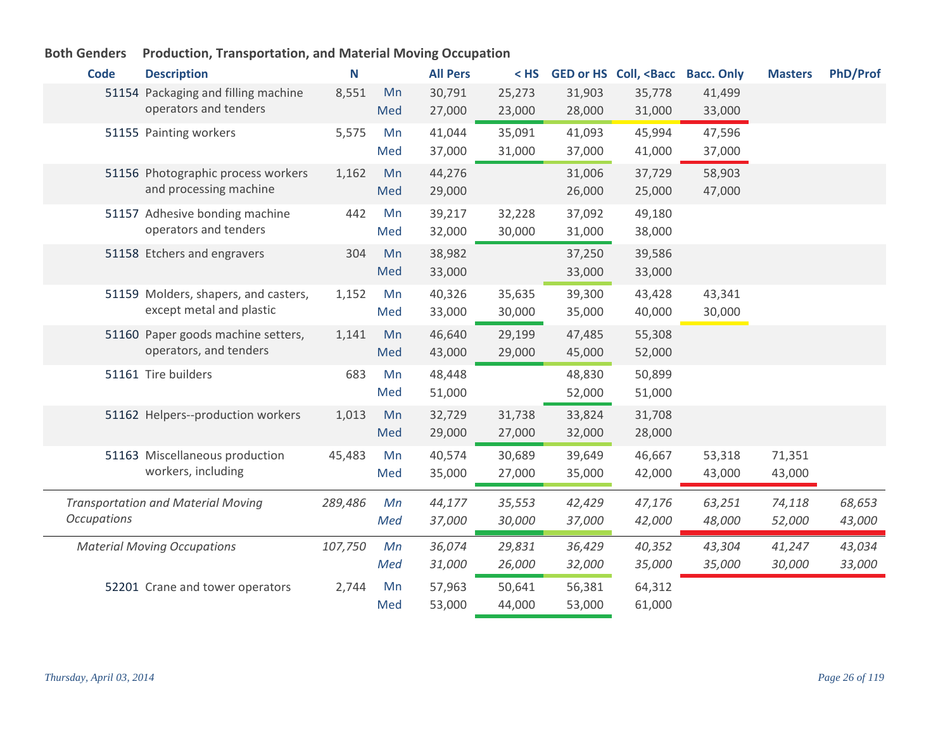| <b>Code</b>        | <b>Description</b>                        | N       |     | <b>All Pers</b> | $<$ HS |        | <b>GED or HS Coll, <bacc< b=""></bacc<></b> | <b>Bacc. Only</b> | <b>Masters</b> | <b>PhD/Prof</b> |
|--------------------|-------------------------------------------|---------|-----|-----------------|--------|--------|---------------------------------------------|-------------------|----------------|-----------------|
|                    | 51154 Packaging and filling machine       | 8,551   | Mn  | 30,791          | 25,273 | 31,903 | 35,778                                      | 41,499            |                |                 |
|                    | operators and tenders                     |         | Med | 27,000          | 23,000 | 28,000 | 31,000                                      | 33,000            |                |                 |
|                    | 51155 Painting workers                    | 5,575   | Mn  | 41,044          | 35,091 | 41,093 | 45,994                                      | 47,596            |                |                 |
|                    |                                           |         | Med | 37,000          | 31,000 | 37,000 | 41,000                                      | 37,000            |                |                 |
|                    | 51156 Photographic process workers        | 1,162   | Mn  | 44,276          |        | 31,006 | 37,729                                      | 58,903            |                |                 |
|                    | and processing machine                    |         | Med | 29,000          |        | 26,000 | 25,000                                      | 47,000            |                |                 |
|                    | 51157 Adhesive bonding machine            | 442     | Mn  | 39,217          | 32,228 | 37,092 | 49,180                                      |                   |                |                 |
|                    | operators and tenders                     |         | Med | 32,000          | 30,000 | 31,000 | 38,000                                      |                   |                |                 |
|                    | 51158 Etchers and engravers               | 304     | Mn  | 38,982          |        | 37,250 | 39,586                                      |                   |                |                 |
|                    |                                           |         | Med | 33,000          |        | 33,000 | 33,000                                      |                   |                |                 |
|                    | 51159 Molders, shapers, and casters,      | 1,152   | Mn  | 40,326          | 35,635 | 39,300 | 43,428                                      | 43,341            |                |                 |
|                    | except metal and plastic                  |         | Med | 33,000          | 30,000 | 35,000 | 40,000                                      | 30,000            |                |                 |
|                    | 51160 Paper goods machine setters,        | 1,141   | Mn  | 46,640          | 29,199 | 47,485 | 55,308                                      |                   |                |                 |
|                    | operators, and tenders                    |         | Med | 43,000          | 29,000 | 45,000 | 52,000                                      |                   |                |                 |
|                    | 51161 Tire builders                       | 683     | Mn  | 48,448          |        | 48,830 | 50,899                                      |                   |                |                 |
|                    |                                           |         | Med | 51,000          |        | 52,000 | 51,000                                      |                   |                |                 |
|                    | 51162 Helpers--production workers         | 1,013   | Mn  | 32,729          | 31,738 | 33,824 | 31,708                                      |                   |                |                 |
|                    |                                           |         | Med | 29,000          | 27,000 | 32,000 | 28,000                                      |                   |                |                 |
|                    | 51163 Miscellaneous production            | 45,483  | Mn  | 40,574          | 30,689 | 39,649 | 46,667                                      | 53,318            | 71,351         |                 |
|                    | workers, including                        |         | Med | 35,000          | 27,000 | 35,000 | 42,000                                      | 43,000            | 43,000         |                 |
|                    |                                           |         |     |                 |        |        |                                             |                   |                |                 |
| <b>Occupations</b> | <b>Transportation and Material Moving</b> | 289,486 | Мn  | 44,177          | 35,553 | 42,429 | 47,176                                      | 63,251            | 74,118         | 68,653          |
|                    |                                           |         | Med | 37,000          | 30,000 | 37,000 | 42,000                                      | 48,000            | 52,000         | 43,000          |
|                    | <b>Material Moving Occupations</b>        | 107,750 | Mn  | 36,074          | 29,831 | 36,429 | 40,352                                      | 43,304            | 41,247         | 43,034          |
|                    |                                           |         | Med | 31,000          | 26,000 | 32,000 | 35,000                                      | 35,000            | 30,000         | 33,000          |
|                    | 52201 Crane and tower operators           | 2,744   | Mn  | 57,963          | 50,641 | 56,381 | 64,312                                      |                   |                |                 |
|                    |                                           |         | Med | 53,000          | 44,000 | 53,000 | 61,000                                      |                   |                |                 |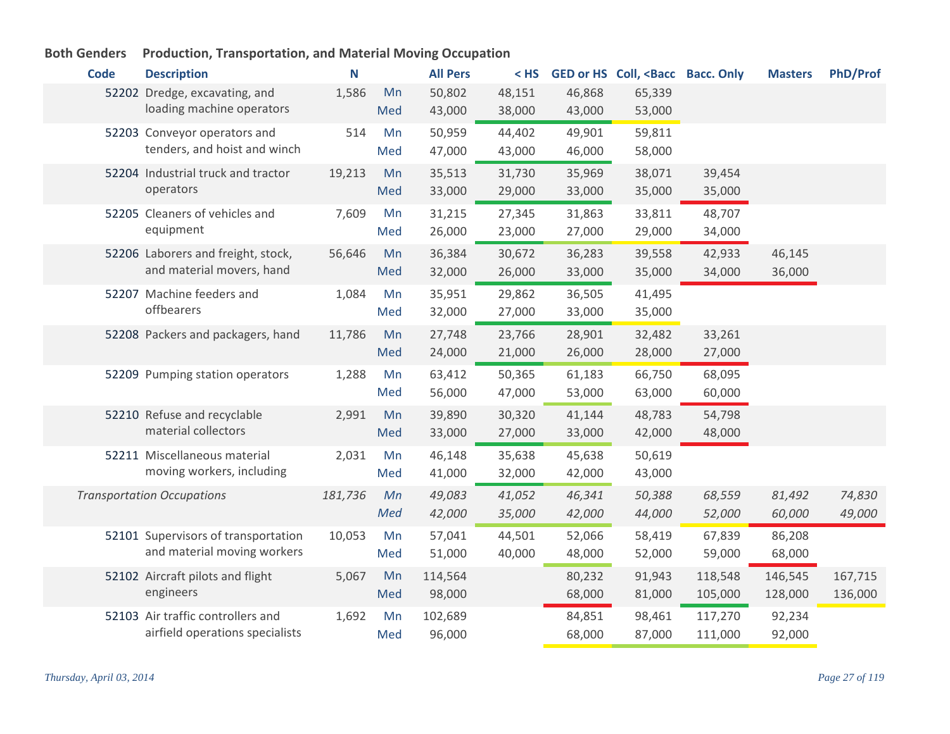| <b>Code</b> | <b>Description</b>                                                   | N       |           | <b>All Pers</b>   | $<$ HS           |                  | GED or HS Coll, <bacc bacc.="" only<="" th=""><th></th><th><b>Masters</b></th><th><b>PhD/Prof</b></th></bacc> |                    | <b>Masters</b>     | <b>PhD/Prof</b>    |
|-------------|----------------------------------------------------------------------|---------|-----------|-------------------|------------------|------------------|---------------------------------------------------------------------------------------------------------------|--------------------|--------------------|--------------------|
|             | 52202 Dredge, excavating, and<br>loading machine operators           | 1,586   | Mn<br>Med | 50,802<br>43,000  | 48,151<br>38,000 | 46,868<br>43,000 | 65,339<br>53,000                                                                                              |                    |                    |                    |
|             | 52203 Conveyor operators and<br>tenders, and hoist and winch         | 514     | Mn<br>Med | 50,959<br>47,000  | 44,402<br>43,000 | 49,901<br>46,000 | 59,811<br>58,000                                                                                              |                    |                    |                    |
|             | 52204 Industrial truck and tractor<br>operators                      | 19,213  | Mn<br>Med | 35,513<br>33,000  | 31,730<br>29,000 | 35,969<br>33,000 | 38,071<br>35,000                                                                                              | 39,454<br>35,000   |                    |                    |
|             | 52205 Cleaners of vehicles and<br>equipment                          | 7,609   | Mn<br>Med | 31,215<br>26,000  | 27,345<br>23,000 | 31,863<br>27,000 | 33,811<br>29,000                                                                                              | 48,707<br>34,000   |                    |                    |
|             | 52206 Laborers and freight, stock,<br>and material movers, hand      | 56,646  | Mn<br>Med | 36,384<br>32,000  | 30,672<br>26,000 | 36,283<br>33,000 | 39,558<br>35,000                                                                                              | 42,933<br>34,000   | 46,145<br>36,000   |                    |
|             | 52207 Machine feeders and<br>offbearers                              | 1,084   | Mn<br>Med | 35,951<br>32,000  | 29,862<br>27,000 | 36,505<br>33,000 | 41,495<br>35,000                                                                                              |                    |                    |                    |
|             | 52208 Packers and packagers, hand                                    | 11,786  | Mn<br>Med | 27,748<br>24,000  | 23,766<br>21,000 | 28,901<br>26,000 | 32,482<br>28,000                                                                                              | 33,261<br>27,000   |                    |                    |
|             | 52209 Pumping station operators                                      | 1,288   | Mn<br>Med | 63,412<br>56,000  | 50,365<br>47,000 | 61,183<br>53,000 | 66,750<br>63,000                                                                                              | 68,095<br>60,000   |                    |                    |
|             | 52210 Refuse and recyclable<br>material collectors                   | 2,991   | Mn<br>Med | 39,890<br>33,000  | 30,320<br>27,000 | 41,144<br>33,000 | 48,783<br>42,000                                                                                              | 54,798<br>48,000   |                    |                    |
|             | 52211 Miscellaneous material<br>moving workers, including            | 2,031   | Mn<br>Med | 46,148<br>41,000  | 35,638<br>32,000 | 45,638<br>42,000 | 50,619<br>43,000                                                                                              |                    |                    |                    |
|             | <b>Transportation Occupations</b>                                    | 181,736 | Mn<br>Med | 49,083<br>42,000  | 41,052<br>35,000 | 46,341<br>42,000 | 50,388<br>44,000                                                                                              | 68,559<br>52,000   | 81,492<br>60,000   | 74,830<br>49,000   |
|             | 52101 Supervisors of transportation<br>and material moving workers   | 10,053  | Mn<br>Med | 57,041<br>51,000  | 44,501<br>40,000 | 52,066<br>48,000 | 58,419<br>52,000                                                                                              | 67,839<br>59,000   | 86,208<br>68,000   |                    |
|             | 52102 Aircraft pilots and flight<br>engineers                        | 5,067   | Mn<br>Med | 114,564<br>98,000 |                  | 80,232<br>68,000 | 91,943<br>81,000                                                                                              | 118,548<br>105,000 | 146,545<br>128,000 | 167,715<br>136,000 |
|             | 52103 Air traffic controllers and<br>airfield operations specialists | 1,692   | Mn<br>Med | 102,689<br>96,000 |                  | 84,851<br>68,000 | 98,461<br>87,000                                                                                              | 117,270<br>111,000 | 92,234<br>92,000   |                    |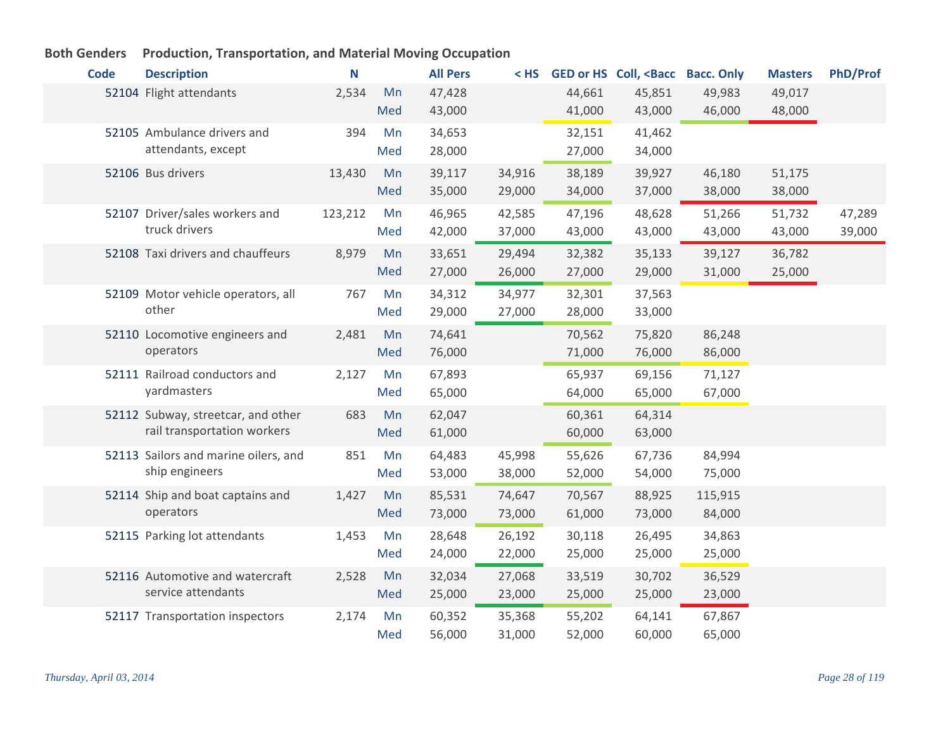| <b>Code</b> | <b>Description</b>                   | N       |     | <b>All Pers</b> | $<$ HS |        | GED or HS Coll, <bacc bacc.="" only<="" th=""><th></th><th><b>Masters</b></th><th><b>PhD/Prof</b></th></bacc> |         | <b>Masters</b> | <b>PhD/Prof</b> |
|-------------|--------------------------------------|---------|-----|-----------------|--------|--------|---------------------------------------------------------------------------------------------------------------|---------|----------------|-----------------|
|             | 52104 Flight attendants              | 2,534   | Mn  | 47,428          |        | 44,661 | 45,851                                                                                                        | 49,983  | 49,017         |                 |
|             |                                      |         | Med | 43,000          |        | 41,000 | 43,000                                                                                                        | 46,000  | 48,000         |                 |
|             | 52105 Ambulance drivers and          | 394     | Mn  | 34,653          |        | 32,151 | 41,462                                                                                                        |         |                |                 |
|             | attendants, except                   |         | Med | 28,000          |        | 27,000 | 34,000                                                                                                        |         |                |                 |
|             | 52106 Bus drivers                    | 13,430  | Mn  | 39,117          | 34,916 | 38,189 | 39,927                                                                                                        | 46,180  | 51,175         |                 |
|             |                                      |         | Med | 35,000          | 29,000 | 34,000 | 37,000                                                                                                        | 38,000  | 38,000         |                 |
|             | 52107 Driver/sales workers and       | 123,212 | Mn  | 46,965          | 42,585 | 47,196 | 48,628                                                                                                        | 51,266  | 51,732         | 47,289          |
|             | truck drivers                        |         | Med | 42,000          | 37,000 | 43,000 | 43,000                                                                                                        | 43,000  | 43,000         | 39,000          |
|             | 52108 Taxi drivers and chauffeurs    | 8,979   | Mn  | 33,651          | 29,494 | 32,382 | 35,133                                                                                                        | 39,127  | 36,782         |                 |
|             |                                      |         | Med | 27,000          | 26,000 | 27,000 | 29,000                                                                                                        | 31,000  | 25,000         |                 |
|             | 52109 Motor vehicle operators, all   | 767     | Mn  | 34,312          | 34,977 | 32,301 | 37,563                                                                                                        |         |                |                 |
|             | other                                |         | Med | 29,000          | 27,000 | 28,000 | 33,000                                                                                                        |         |                |                 |
|             | 52110 Locomotive engineers and       | 2,481   | Mn  | 74,641          |        | 70,562 | 75,820                                                                                                        | 86,248  |                |                 |
|             | operators                            |         | Med | 76,000          |        | 71,000 | 76,000                                                                                                        | 86,000  |                |                 |
|             | 52111 Railroad conductors and        | 2,127   | Mn  | 67,893          |        | 65,937 | 69,156                                                                                                        | 71,127  |                |                 |
|             | yardmasters                          |         | Med | 65,000          |        | 64,000 | 65,000                                                                                                        | 67,000  |                |                 |
|             | 52112 Subway, streetcar, and other   | 683     | Mn  | 62,047          |        | 60,361 | 64,314                                                                                                        |         |                |                 |
|             | rail transportation workers          |         | Med | 61,000          |        | 60,000 | 63,000                                                                                                        |         |                |                 |
|             | 52113 Sailors and marine oilers, and | 851     | Mn  | 64,483          | 45,998 | 55,626 | 67,736                                                                                                        | 84,994  |                |                 |
|             | ship engineers                       |         | Med | 53,000          | 38,000 | 52,000 | 54,000                                                                                                        | 75,000  |                |                 |
|             | 52114 Ship and boat captains and     | 1,427   | Mn  | 85,531          | 74,647 | 70,567 | 88,925                                                                                                        | 115,915 |                |                 |
|             | operators                            |         | Med | 73,000          | 73,000 | 61,000 | 73,000                                                                                                        | 84,000  |                |                 |
|             | 52115 Parking lot attendants         | 1,453   | Mn  | 28,648          | 26,192 | 30,118 | 26,495                                                                                                        | 34,863  |                |                 |
|             |                                      |         | Med | 24,000          | 22,000 | 25,000 | 25,000                                                                                                        | 25,000  |                |                 |
|             | 52116 Automotive and watercraft      | 2,528   | Mn  | 32,034          | 27,068 | 33,519 | 30,702                                                                                                        | 36,529  |                |                 |
|             | service attendants                   |         | Med | 25,000          | 23,000 | 25,000 | 25,000                                                                                                        | 23,000  |                |                 |
|             | 52117 Transportation inspectors      | 2,174   | Mn  | 60,352          | 35,368 | 55,202 | 64,141                                                                                                        | 67,867  |                |                 |
|             |                                      |         | Med | 56,000          | 31,000 | 52,000 | 60,000                                                                                                        | 65,000  |                |                 |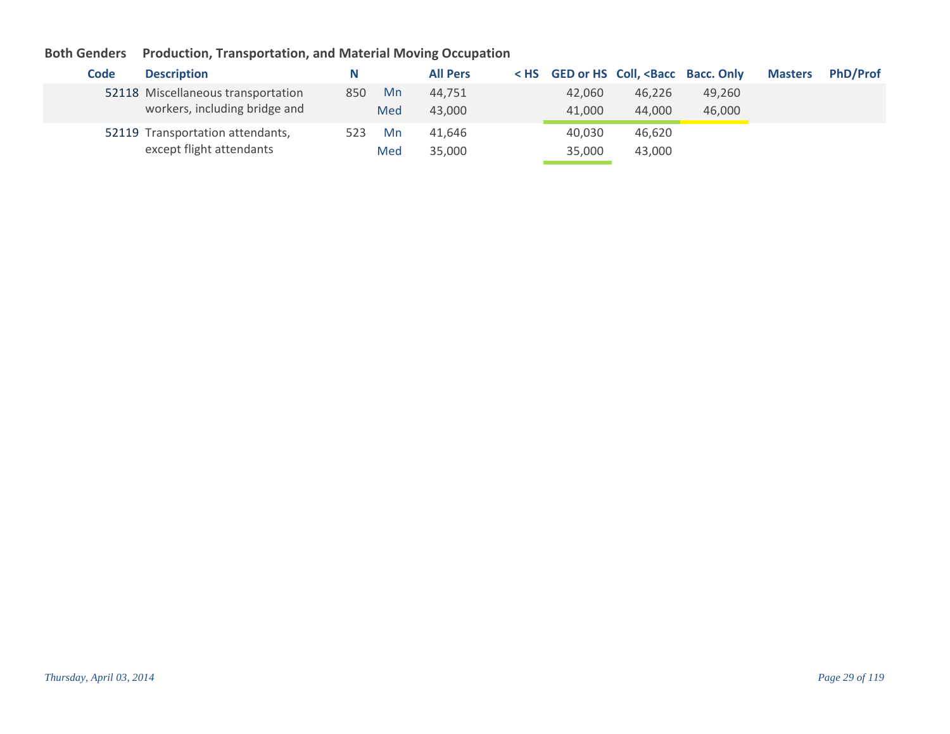| Code | <b>Description</b>                                                  | N   |           | <b>All Pers</b>  |                  | < HS GED or HS Coll, <bacc bacc.="" only<="" th=""><th></th><th><b>Masters</b></th><th><b>PhD/Prof</b></th></bacc> |                  | <b>Masters</b> | <b>PhD/Prof</b> |
|------|---------------------------------------------------------------------|-----|-----------|------------------|------------------|--------------------------------------------------------------------------------------------------------------------|------------------|----------------|-----------------|
|      | 52118 Miscellaneous transportation<br>workers, including bridge and | 850 | Mn<br>Med | 44,751<br>43,000 | 42,060<br>41,000 | 46,226<br>44,000                                                                                                   | 49,260<br>46,000 |                |                 |
|      | 52119 Transportation attendants,<br>except flight attendants        | 523 | Mn<br>Med | 41,646<br>35,000 | 40,030<br>35,000 | 46,620<br>43,000                                                                                                   |                  |                |                 |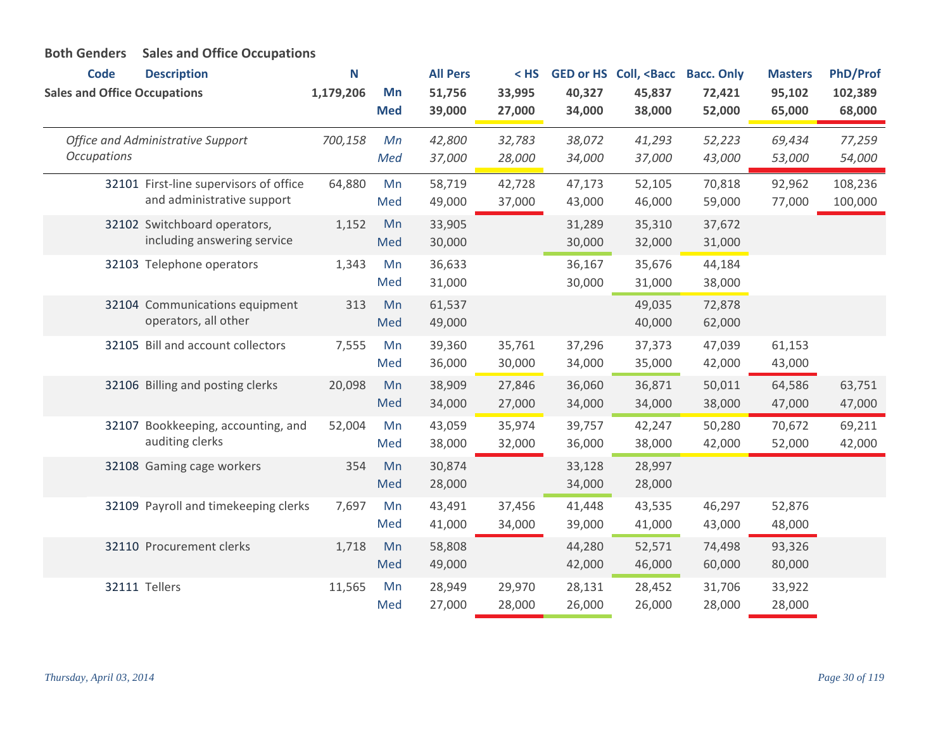| <b>Code</b><br><b>Sales and Office Occupations</b> | <b>Description</b>                                                   | N<br>1,179,206 | Mn<br><b>Med</b> | <b>All Pers</b><br>51,756<br>39,000 | $<$ HS<br>33,995<br>27,000 | 40,327<br>34,000 | GED or HS Coll, <bacc<br>45,837<br/>38,000</bacc<br> | <b>Bacc. Only</b><br>72,421<br>52,000 | <b>Masters</b><br>95,102<br>65,000 | <b>PhD/Prof</b><br>102,389<br>68,000 |
|----------------------------------------------------|----------------------------------------------------------------------|----------------|------------------|-------------------------------------|----------------------------|------------------|------------------------------------------------------|---------------------------------------|------------------------------------|--------------------------------------|
| <b>Occupations</b>                                 | Office and Administrative Support                                    | 700,158        | Mn<br>Med        | 42,800<br>37,000                    | 32,783<br>28,000           | 38,072<br>34,000 | 41,293<br>37,000                                     | 52,223<br>43,000                      | 69,434<br>53,000                   | 77,259<br>54,000                     |
|                                                    | 32101 First-line supervisors of office<br>and administrative support | 64,880         | Mn<br>Med        | 58,719<br>49,000                    | 42,728<br>37,000           | 47,173<br>43,000 | 52,105<br>46,000                                     | 70,818<br>59,000                      | 92,962<br>77,000                   | 108,236<br>100,000                   |
|                                                    | 32102 Switchboard operators,<br>including answering service          | 1,152          | Mn<br>Med        | 33,905<br>30,000                    |                            | 31,289<br>30,000 | 35,310<br>32,000                                     | 37,672<br>31,000                      |                                    |                                      |
|                                                    | 32103 Telephone operators                                            | 1,343          | Mn<br>Med        | 36,633<br>31,000                    |                            | 36,167<br>30,000 | 35,676<br>31,000                                     | 44,184<br>38,000                      |                                    |                                      |
|                                                    | 32104 Communications equipment<br>operators, all other               | 313            | Mn<br>Med        | 61,537<br>49,000                    |                            |                  | 49,035<br>40,000                                     | 72,878<br>62,000                      |                                    |                                      |
|                                                    | 32105 Bill and account collectors                                    | 7,555          | Mn<br>Med        | 39,360<br>36,000                    | 35,761<br>30,000           | 37,296<br>34,000 | 37,373<br>35,000                                     | 47,039<br>42,000                      | 61,153<br>43,000                   |                                      |
|                                                    | 32106 Billing and posting clerks                                     | 20,098         | Mn<br>Med        | 38,909<br>34,000                    | 27,846<br>27,000           | 36,060<br>34,000 | 36,871<br>34,000                                     | 50,011<br>38,000                      | 64,586<br>47,000                   | 63,751<br>47,000                     |
|                                                    | 32107 Bookkeeping, accounting, and<br>auditing clerks                | 52,004         | Mn<br>Med        | 43,059<br>38,000                    | 35,974<br>32,000           | 39,757<br>36,000 | 42,247<br>38,000                                     | 50,280<br>42,000                      | 70,672<br>52,000                   | 69,211<br>42,000                     |
|                                                    | 32108 Gaming cage workers                                            | 354            | Mn<br>Med        | 30,874<br>28,000                    |                            | 33,128<br>34,000 | 28,997<br>28,000                                     |                                       |                                    |                                      |
|                                                    | 32109 Payroll and timekeeping clerks                                 | 7,697          | Mn<br>Med        | 43,491<br>41,000                    | 37,456<br>34,000           | 41,448<br>39,000 | 43,535<br>41,000                                     | 46,297<br>43,000                      | 52,876<br>48,000                   |                                      |
|                                                    | 32110 Procurement clerks                                             | 1,718          | Mn<br>Med        | 58,808<br>49,000                    |                            | 44,280<br>42,000 | 52,571<br>46,000                                     | 74,498<br>60,000                      | 93,326<br>80,000                   |                                      |
|                                                    | 32111 Tellers                                                        | 11,565         | Mn<br>Med        | 28,949<br>27,000                    | 29,970<br>28,000           | 28,131<br>26,000 | 28,452<br>26,000                                     | 31,706<br>28,000                      | 33,922<br>28,000                   |                                      |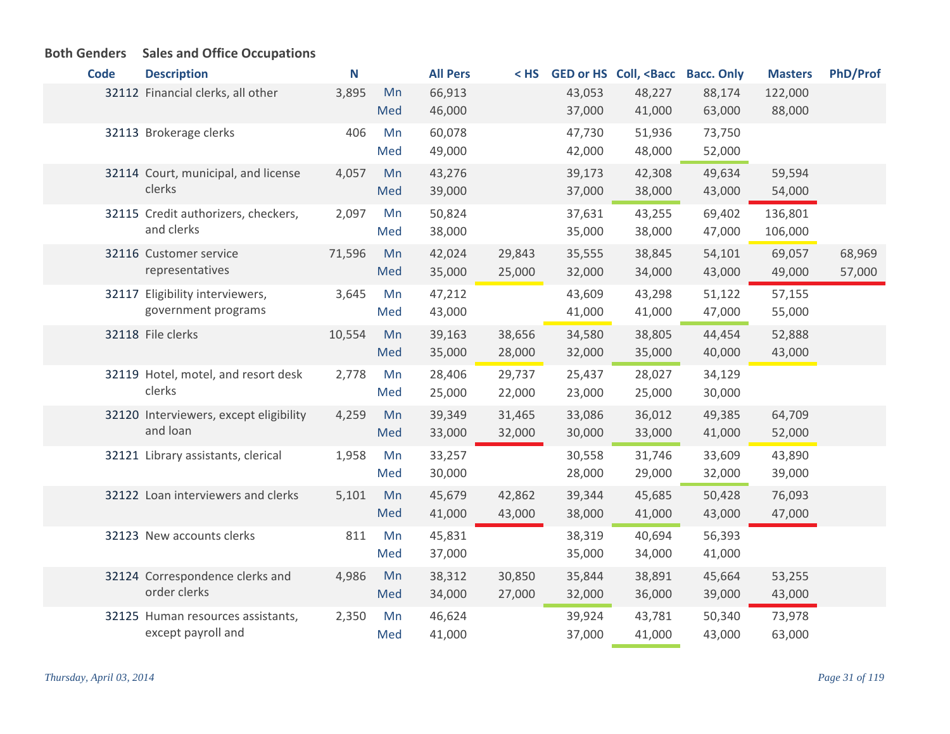| <b>Code</b> | <b>Description</b>                                      | N      |           | <b>All Pers</b>  |                  |                  | <hs <bacc="" bacc.="" coll,="" ged="" hs="" only<="" or="" th=""><th></th><th><b>Masters</b></th><th><b>PhD/Prof</b></th></hs> |                  | <b>Masters</b>     | <b>PhD/Prof</b>  |
|-------------|---------------------------------------------------------|--------|-----------|------------------|------------------|------------------|--------------------------------------------------------------------------------------------------------------------------------|------------------|--------------------|------------------|
|             | 32112 Financial clerks, all other                       | 3,895  | Mn<br>Med | 66,913<br>46,000 |                  | 43,053<br>37,000 | 48,227<br>41,000                                                                                                               | 88,174<br>63,000 | 122,000<br>88,000  |                  |
|             | 32113 Brokerage clerks                                  | 406    | Mn<br>Med | 60,078<br>49,000 |                  | 47,730<br>42,000 | 51,936<br>48,000                                                                                                               | 73,750<br>52,000 |                    |                  |
|             | 32114 Court, municipal, and license<br>clerks           | 4,057  | Mn<br>Med | 43,276<br>39,000 |                  | 39,173<br>37,000 | 42,308<br>38,000                                                                                                               | 49,634<br>43,000 | 59,594<br>54,000   |                  |
|             | 32115 Credit authorizers, checkers,<br>and clerks       | 2,097  | Mn<br>Med | 50,824<br>38,000 |                  | 37,631<br>35,000 | 43,255<br>38,000                                                                                                               | 69,402<br>47,000 | 136,801<br>106,000 |                  |
|             | 32116 Customer service<br>representatives               | 71,596 | Mn<br>Med | 42,024<br>35,000 | 29,843<br>25,000 | 35,555<br>32,000 | 38,845<br>34,000                                                                                                               | 54,101<br>43,000 | 69,057<br>49,000   | 68,969<br>57,000 |
|             | 32117 Eligibility interviewers,<br>government programs  | 3,645  | Mn<br>Med | 47,212<br>43,000 |                  | 43,609<br>41,000 | 43,298<br>41,000                                                                                                               | 51,122<br>47,000 | 57,155<br>55,000   |                  |
|             | 32118 File clerks                                       | 10,554 | Mn<br>Med | 39,163<br>35,000 | 38,656<br>28,000 | 34,580<br>32,000 | 38,805<br>35,000                                                                                                               | 44,454<br>40,000 | 52,888<br>43,000   |                  |
|             | 32119 Hotel, motel, and resort desk<br>clerks           | 2,778  | Mn<br>Med | 28,406<br>25,000 | 29,737<br>22,000 | 25,437<br>23,000 | 28,027<br>25,000                                                                                                               | 34,129<br>30,000 |                    |                  |
|             | 32120 Interviewers, except eligibility<br>and loan      | 4,259  | Mn<br>Med | 39,349<br>33,000 | 31,465<br>32,000 | 33,086<br>30,000 | 36,012<br>33,000                                                                                                               | 49,385<br>41,000 | 64,709<br>52,000   |                  |
|             | 32121 Library assistants, clerical                      | 1,958  | Mn<br>Med | 33,257<br>30,000 |                  | 30,558<br>28,000 | 31,746<br>29,000                                                                                                               | 33,609<br>32,000 | 43,890<br>39,000   |                  |
|             | 32122 Loan interviewers and clerks                      | 5,101  | Mn<br>Med | 45,679<br>41,000 | 42,862<br>43,000 | 39,344<br>38,000 | 45,685<br>41,000                                                                                                               | 50,428<br>43,000 | 76,093<br>47,000   |                  |
|             | 32123 New accounts clerks                               | 811    | Mn<br>Med | 45,831<br>37,000 |                  | 38,319<br>35,000 | 40,694<br>34,000                                                                                                               | 56,393<br>41,000 |                    |                  |
|             | 32124 Correspondence clerks and<br>order clerks         | 4,986  | Mn<br>Med | 38,312<br>34,000 | 30,850<br>27,000 | 35,844<br>32,000 | 38,891<br>36,000                                                                                                               | 45,664<br>39,000 | 53,255<br>43,000   |                  |
|             | 32125 Human resources assistants,<br>except payroll and | 2,350  | Mn<br>Med | 46,624<br>41,000 |                  | 39,924<br>37,000 | 43,781<br>41,000                                                                                                               | 50,340<br>43,000 | 73,978<br>63,000   |                  |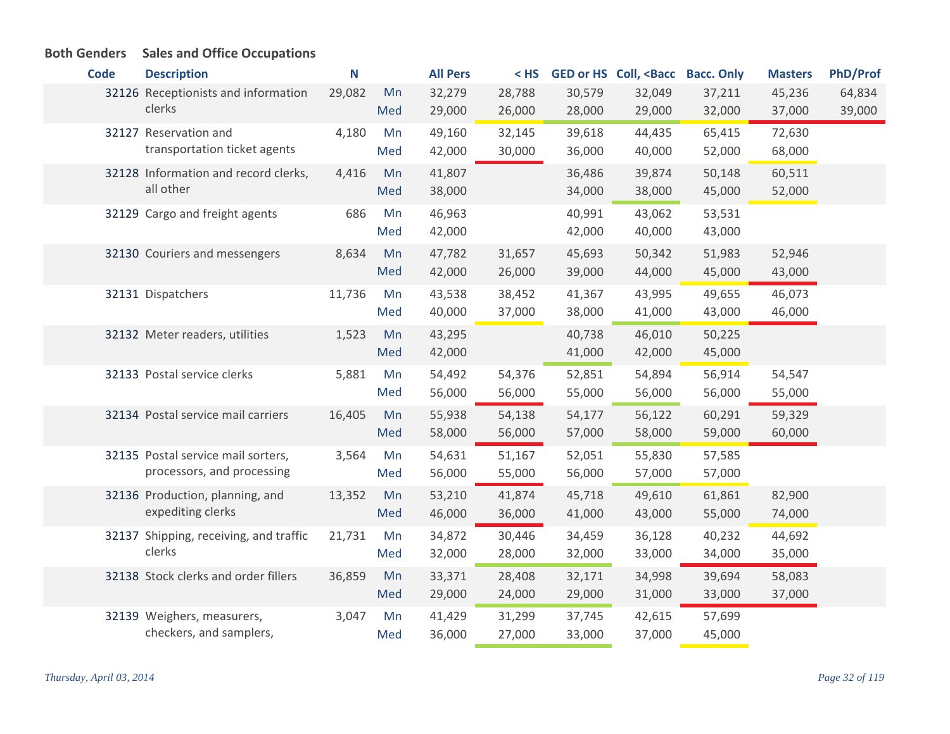#### **Code Description N All Pers < HS GED or HS Coll, <Bacc Bacc. Only Masters PhD/Prof** 32126 Receptionists and information 29,082 Mn clerks 29,082 32,279 28,788 30,579 32,049 37,211 45,236 64,834 29,000 26,000 28,000 29,000 32,000 37,000 39,000 Med 32127 Reservation and  $4,180$  Mn transportation ticket agents 4,180 49,160 32,145 39,618 44,435 65,415 72,630 42,000 30,000 36,000 40,000 52,000 68,000 Med 32128 Information and record clerks, 4,416 Mn all other 4,416 41,807 36,486 39,874 50,148 60,511 38,000 34,000 38,000 45,000 52,000 Med 32129 Cargo and freight agents 686 Mn 46,963 40,991 43,062 53,531 42,000 42,000 40,000 43,000 Med 32130 Couriers and messengers  $\begin{array}{cccc} 8,634 \quad Mn \quad 47,782 \quad 31,657 \quad 45,693 \quad 50,342 \quad 51,983 \quad 52,946 \end{array}$ 42,000 26,000 39,000 44,000 45,000 43,000 Med Dispatchers 11,736 43,538 38,452 41,367 43,995 49,655 46,073 40,000 37,000 38,000 41,000 43,000 46,000 32131 Dispatchers 11,736 Mn Med Meter readers, utilities 1,523 43,295 40,738 46,010 50,225 32132 Mn 42,000 41,000 42,000 45,000 Med Postal service clerks 5,881 54,492 54,376 52,851 54,894 56,914 54,547 32133 Mn 56,000 56,000 55,000 56,000 56,000 55,000 Med 32134 Postal service mail carriers  $16,405$  Mn  $55,938$   $54,138$   $54,177$   $56,122$  60,291 59,329 58,000 56,000 57,000 58,000 59,000 60,000 Med 32135 Postal service mail sorters, a 3,564 Mn processors, and processing 3,564 54,631 51,167 52,051 55,830 57,585 56,000 55,000 56,000 57,000 57,000 Med 32136 Production, planning, and 13,352 Mn expediting clerks 13,352 Mn 53,210 41,874 45,718 49,610 61,861 82,900 46,000 36,000 41,000 43,000 55,000 74,000 Med 32137 Shipping, receiving, and traffic 21,731 Mn clerks 21,731 34,872 30,446 34,459 36,128 40,232 44,692 32,000 28,000 32,000 33,000 34,000 35,000 Med Stock clerks and order fillers 36,859 33,371 28,408 32,171 34,998 39,694 58,083 32138 Mn 29,000 24,000 29,000 31,000 33,000 37,000 Med Weighers, measurers, 32139 Mn checkers, and samplers, 3,047 41,429 31,299 37,745 42,615 57,699 36,000 27,000 33,000 37,000 45,000 Med

#### *Thursday, April 03, 2014 Page 32 of 119*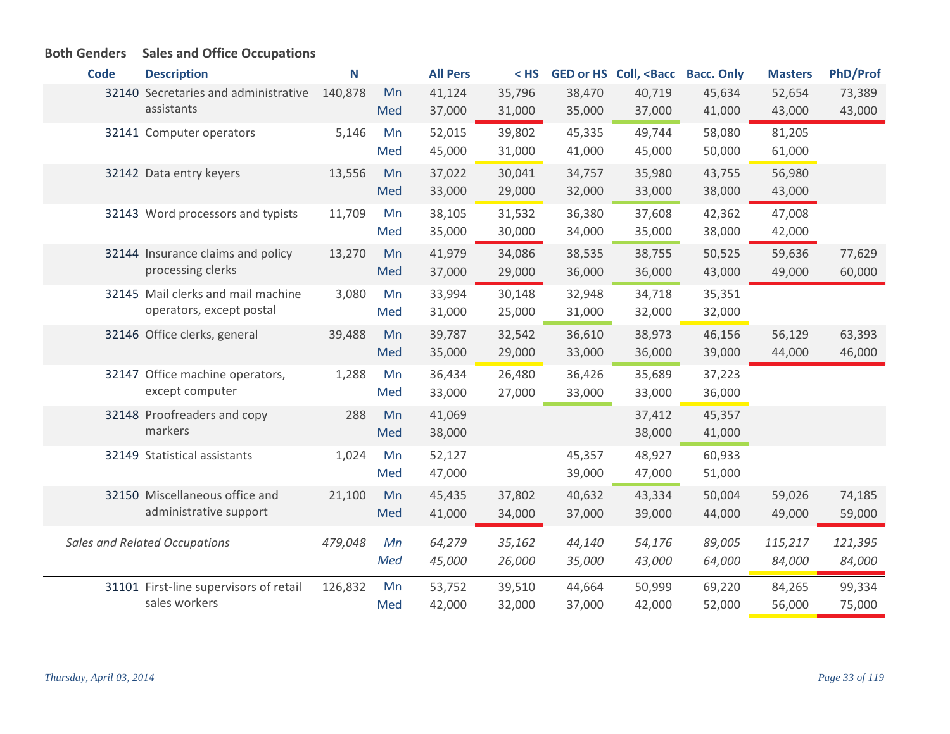| <b>Code</b> | <b>Description</b>                     | N       |     | <b>All Pers</b> | $<$ HS |        | GED or HS Coll, <bacc< th=""><th><b>Bacc. Only</b></th><th><b>Masters</b></th><th><b>PhD/Prof</b></th></bacc<> | <b>Bacc. Only</b> | <b>Masters</b> | <b>PhD/Prof</b> |
|-------------|----------------------------------------|---------|-----|-----------------|--------|--------|----------------------------------------------------------------------------------------------------------------|-------------------|----------------|-----------------|
|             | 32140 Secretaries and administrative   | 140,878 | Mn  | 41,124          | 35,796 | 38,470 | 40,719                                                                                                         | 45,634            | 52,654         | 73,389          |
|             | assistants                             |         | Med | 37,000          | 31,000 | 35,000 | 37,000                                                                                                         | 41,000            | 43,000         | 43,000          |
|             | 32141 Computer operators               | 5,146   | Mn  | 52,015          | 39,802 | 45,335 | 49,744                                                                                                         | 58,080            | 81,205         |                 |
|             |                                        |         | Med | 45,000          | 31,000 | 41,000 | 45,000                                                                                                         | 50,000            | 61,000         |                 |
|             | 32142 Data entry keyers                | 13,556  | Mn  | 37,022          | 30,041 | 34,757 | 35,980                                                                                                         | 43,755            | 56,980         |                 |
|             |                                        |         | Med | 33,000          | 29,000 | 32,000 | 33,000                                                                                                         | 38,000            | 43,000         |                 |
|             | 32143 Word processors and typists      | 11,709  | Mn  | 38,105          | 31,532 | 36,380 | 37,608                                                                                                         | 42,362            | 47,008         |                 |
|             |                                        |         | Med | 35,000          | 30,000 | 34,000 | 35,000                                                                                                         | 38,000            | 42,000         |                 |
|             | 32144 Insurance claims and policy      | 13,270  | Mn  | 41,979          | 34,086 | 38,535 | 38,755                                                                                                         | 50,525            | 59,636         | 77,629          |
|             | processing clerks                      |         | Med | 37,000          | 29,000 | 36,000 | 36,000                                                                                                         | 43,000            | 49,000         | 60,000          |
|             | 32145 Mail clerks and mail machine     | 3,080   | Mn  | 33,994          | 30,148 | 32,948 | 34,718                                                                                                         | 35,351            |                |                 |
|             | operators, except postal               |         | Med | 31,000          | 25,000 | 31,000 | 32,000                                                                                                         | 32,000            |                |                 |
|             | 32146 Office clerks, general           | 39,488  | Mn  | 39,787          | 32,542 | 36,610 | 38,973                                                                                                         | 46,156            | 56,129         | 63,393          |
|             |                                        |         | Med | 35,000          | 29,000 | 33,000 | 36,000                                                                                                         | 39,000            | 44,000         | 46,000          |
|             | 32147 Office machine operators,        | 1,288   | Mn  | 36,434          | 26,480 | 36,426 | 35,689                                                                                                         | 37,223            |                |                 |
|             | except computer                        |         | Med | 33,000          | 27,000 | 33,000 | 33,000                                                                                                         | 36,000            |                |                 |
|             | 32148 Proofreaders and copy            | 288     | Mn  | 41,069          |        |        | 37,412                                                                                                         | 45,357            |                |                 |
|             | markers                                |         | Med | 38,000          |        |        | 38,000                                                                                                         | 41,000            |                |                 |
|             | 32149 Statistical assistants           | 1,024   | Mn  | 52,127          |        | 45,357 | 48,927                                                                                                         | 60,933            |                |                 |
|             |                                        |         | Med | 47,000          |        | 39,000 | 47,000                                                                                                         | 51,000            |                |                 |
|             | 32150 Miscellaneous office and         | 21,100  | Mn  | 45,435          | 37,802 | 40,632 | 43,334                                                                                                         | 50,004            | 59,026         | 74,185          |
|             | administrative support                 |         | Med | 41,000          | 34,000 | 37,000 | 39,000                                                                                                         | 44,000            | 49,000         | 59,000          |
|             |                                        |         |     |                 |        |        |                                                                                                                |                   |                |                 |
|             | <b>Sales and Related Occupations</b>   | 479,048 | Mn  | 64,279          | 35,162 | 44,140 | 54,176                                                                                                         | 89,005            | 115,217        | 121,395         |
|             |                                        |         | Med | 45,000          | 26,000 | 35,000 | 43,000                                                                                                         | 64,000            | 84,000         | 84,000          |
|             | 31101 First-line supervisors of retail | 126,832 | Mn  | 53,752          | 39,510 | 44,664 | 50,999                                                                                                         | 69,220            | 84,265         | 99,334          |
|             | sales workers                          |         | Med | 42,000          | 32,000 | 37,000 | 42,000                                                                                                         | 52,000            | 56,000         | 75,000          |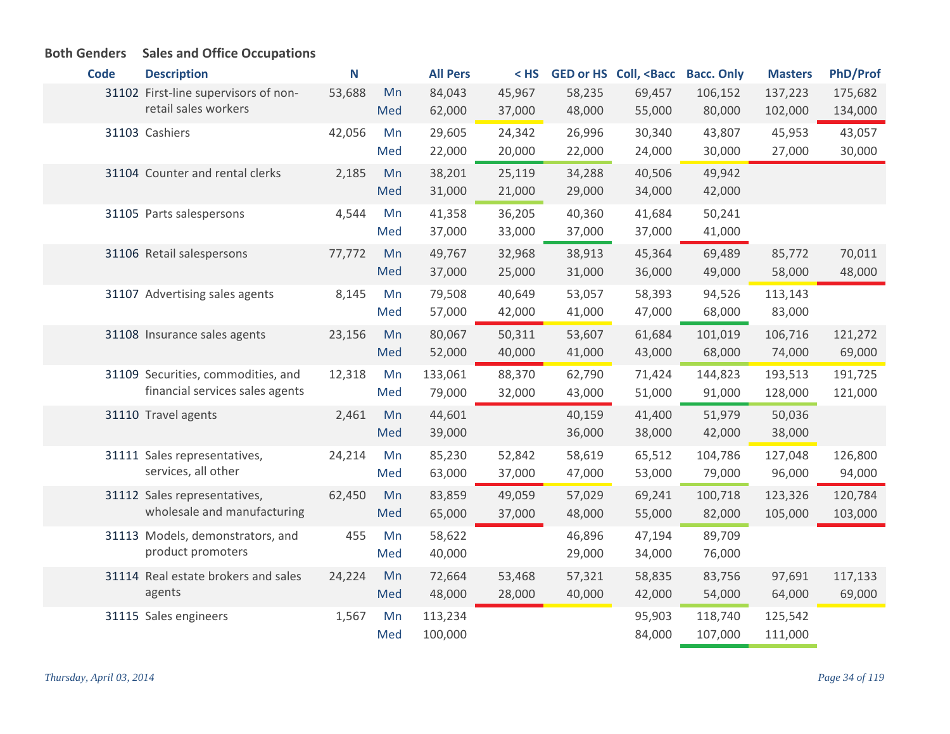| <b>Code</b> | <b>Description</b>                                                    | N      |           | <b>All Pers</b>    | $<$ HS           |                  | <b>GED or HS Coll, <bacc< b=""></bacc<></b> | <b>Bacc. Only</b>  | <b>Masters</b>     | <b>PhD/Prof</b>    |
|-------------|-----------------------------------------------------------------------|--------|-----------|--------------------|------------------|------------------|---------------------------------------------|--------------------|--------------------|--------------------|
|             | 31102 First-line supervisors of non-<br>retail sales workers          | 53,688 | Mn<br>Med | 84,043<br>62,000   | 45,967<br>37,000 | 58,235<br>48,000 | 69,457<br>55,000                            | 106,152<br>80,000  | 137,223<br>102,000 | 175,682<br>134,000 |
|             | 31103 Cashiers                                                        | 42,056 | Mn<br>Med | 29,605<br>22,000   | 24,342<br>20,000 | 26,996<br>22,000 | 30,340<br>24,000                            | 43,807<br>30,000   | 45,953<br>27,000   | 43,057<br>30,000   |
|             | 31104 Counter and rental clerks                                       | 2,185  | Mn<br>Med | 38,201<br>31,000   | 25,119<br>21,000 | 34,288<br>29,000 | 40,506<br>34,000                            | 49,942<br>42,000   |                    |                    |
|             | 31105 Parts salespersons                                              | 4,544  | Mn<br>Med | 41,358<br>37,000   | 36,205<br>33,000 | 40,360<br>37,000 | 41,684<br>37,000                            | 50,241<br>41,000   |                    |                    |
|             | 31106 Retail salespersons                                             | 77,772 | Mn<br>Med | 49,767<br>37,000   | 32,968<br>25,000 | 38,913<br>31,000 | 45,364<br>36,000                            | 69,489<br>49,000   | 85,772<br>58,000   | 70,011<br>48,000   |
|             | 31107 Advertising sales agents                                        | 8,145  | Mn<br>Med | 79,508<br>57,000   | 40,649<br>42,000 | 53,057<br>41,000 | 58,393<br>47,000                            | 94,526<br>68,000   | 113,143<br>83,000  |                    |
|             | 31108 Insurance sales agents                                          | 23,156 | Mn<br>Med | 80,067<br>52,000   | 50,311<br>40,000 | 53,607<br>41,000 | 61,684<br>43,000                            | 101,019<br>68,000  | 106,716<br>74,000  | 121,272<br>69,000  |
|             | 31109 Securities, commodities, and<br>financial services sales agents | 12,318 | Mn<br>Med | 133,061<br>79,000  | 88,370<br>32,000 | 62,790<br>43,000 | 71,424<br>51,000                            | 144,823<br>91,000  | 193,513<br>128,000 | 191,725<br>121,000 |
|             | 31110 Travel agents                                                   | 2,461  | Mn<br>Med | 44,601<br>39,000   |                  | 40,159<br>36,000 | 41,400<br>38,000                            | 51,979<br>42,000   | 50,036<br>38,000   |                    |
|             | 31111 Sales representatives,<br>services, all other                   | 24,214 | Mn<br>Med | 85,230<br>63,000   | 52,842<br>37,000 | 58,619<br>47,000 | 65,512<br>53,000                            | 104,786<br>79,000  | 127,048<br>96,000  | 126,800<br>94,000  |
|             | 31112 Sales representatives,<br>wholesale and manufacturing           | 62,450 | Mn<br>Med | 83,859<br>65,000   | 49,059<br>37,000 | 57,029<br>48,000 | 69,241<br>55,000                            | 100,718<br>82,000  | 123,326<br>105,000 | 120,784<br>103,000 |
|             | 31113 Models, demonstrators, and<br>product promoters                 | 455    | Mn<br>Med | 58,622<br>40,000   |                  | 46,896<br>29,000 | 47,194<br>34,000                            | 89,709<br>76,000   |                    |                    |
|             | 31114 Real estate brokers and sales<br>agents                         | 24,224 | Mn<br>Med | 72,664<br>48,000   | 53,468<br>28,000 | 57,321<br>40,000 | 58,835<br>42,000                            | 83,756<br>54,000   | 97,691<br>64,000   | 117,133<br>69,000  |
|             | 31115 Sales engineers                                                 | 1,567  | Mn<br>Med | 113,234<br>100,000 |                  |                  | 95,903<br>84,000                            | 118,740<br>107,000 | 125,542<br>111,000 |                    |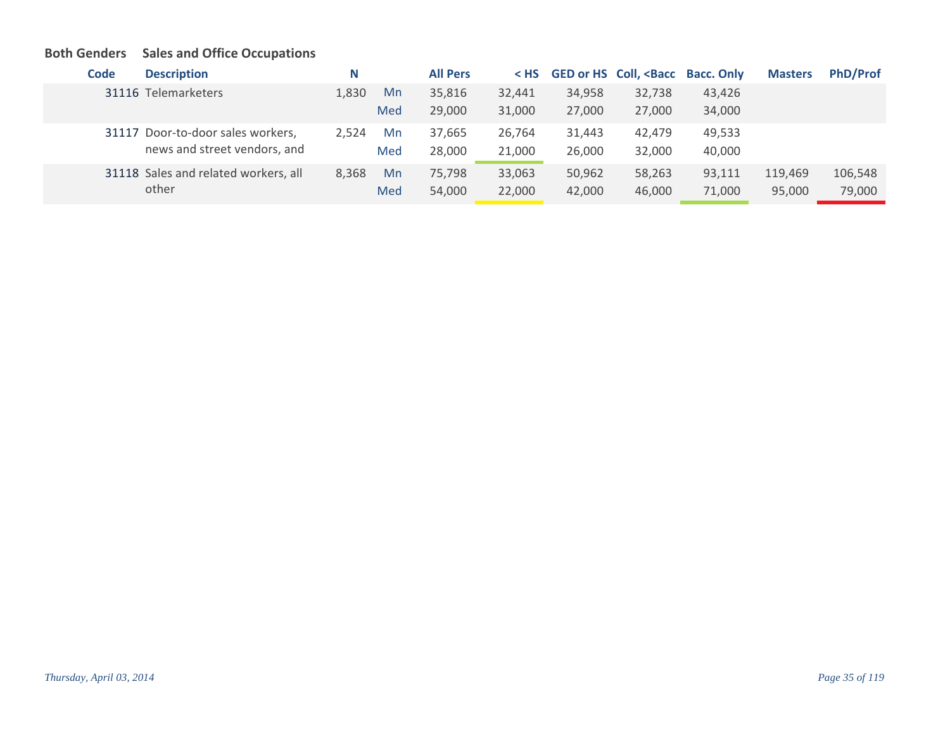| Code | <b>Description</b>                   | N     |     | <b>All Pers</b> |        |        | < HS GED or HS Coll, <bacc bacc.="" only<="" th=""><th></th><th><b>Masters</b></th><th><b>PhD/Prof</b></th></bacc> |        | <b>Masters</b> | <b>PhD/Prof</b> |
|------|--------------------------------------|-------|-----|-----------------|--------|--------|--------------------------------------------------------------------------------------------------------------------|--------|----------------|-----------------|
|      | 31116 Telemarketers                  | 1,830 | Mn  | 35,816          | 32,441 | 34,958 | 32,738                                                                                                             | 43,426 |                |                 |
|      |                                      |       | Med | 29,000          | 31,000 | 27,000 | 27,000                                                                                                             | 34,000 |                |                 |
|      | 31117 Door-to-door sales workers,    | 2.524 | Mn  | 37,665          | 26,764 | 31,443 | 42.479                                                                                                             | 49,533 |                |                 |
|      | news and street vendors, and         |       | Med | 28,000          | 21,000 | 26,000 | 32,000                                                                                                             | 40,000 |                |                 |
|      | 31118 Sales and related workers, all | 8,368 | Mn  | 75.798          | 33,063 | 50,962 | 58,263                                                                                                             | 93,111 | 119,469        | 106,548         |
|      | other                                |       | Med | 54,000          | 22,000 | 42,000 | 46,000                                                                                                             | 71,000 | 95,000         | 79,000          |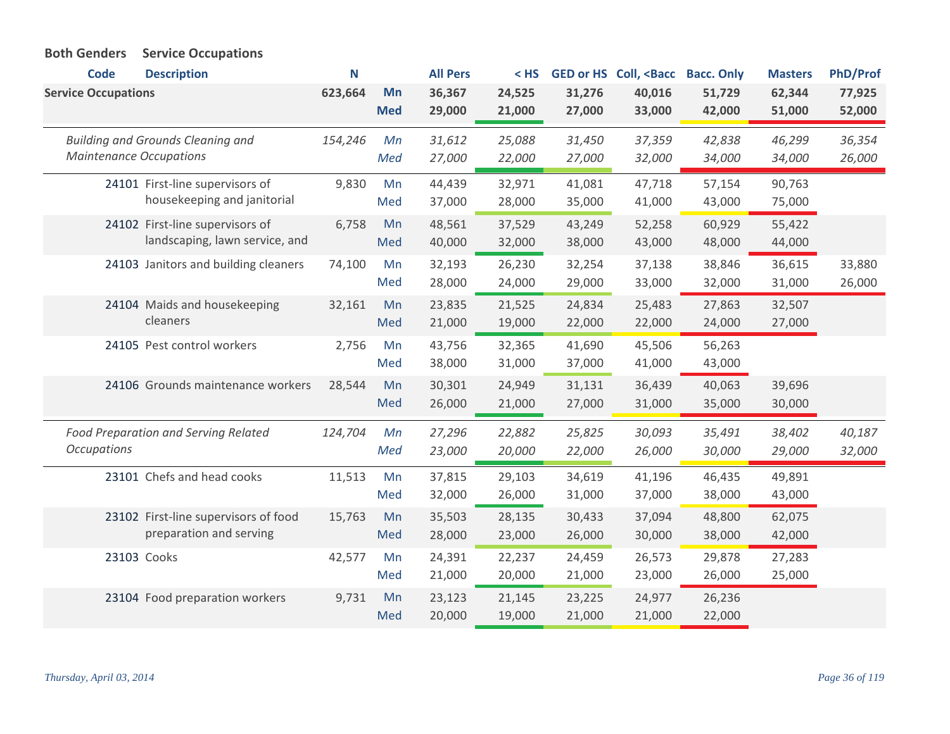| <b>Code</b><br><b>Service Occupations</b> | <b>Description</b>                                                | N<br>623,664 | Mn         | <b>All Pers</b><br>36,367 | $<$ HS<br>24,525 | 31,276           | <b>GED or HS Coll, <bacc< b=""><br/>40,016</bacc<></b> | <b>Bacc. Only</b><br>51,729 | <b>Masters</b><br>62,344 | <b>PhD/Prof</b><br>77,925 |
|-------------------------------------------|-------------------------------------------------------------------|--------------|------------|---------------------------|------------------|------------------|--------------------------------------------------------|-----------------------------|--------------------------|---------------------------|
|                                           |                                                                   |              | <b>Med</b> | 29,000                    | 21,000           | 27,000           | 33,000                                                 | 42,000                      | 51,000                   | 52,000                    |
| <b>Maintenance Occupations</b>            | <b>Building and Grounds Cleaning and</b>                          | 154,246      | Mn<br>Med  | 31,612<br>27,000          | 25,088<br>22,000 | 31,450<br>27,000 | 37,359<br>32,000                                       | 42,838<br>34,000            | 46,299<br>34,000         | 36,354<br>26,000          |
|                                           | 24101 First-line supervisors of<br>housekeeping and janitorial    | 9,830        | Mn<br>Med  | 44,439<br>37,000          | 32,971<br>28,000 | 41,081<br>35,000 | 47,718<br>41,000                                       | 57,154<br>43,000            | 90,763<br>75,000         |                           |
|                                           | 24102 First-line supervisors of<br>landscaping, lawn service, and | 6,758        | Mn<br>Med  | 48,561<br>40,000          | 37,529<br>32,000 | 43,249<br>38,000 | 52,258<br>43,000                                       | 60,929<br>48,000            | 55,422<br>44,000         |                           |
|                                           | 24103 Janitors and building cleaners                              | 74,100       | Mn<br>Med  | 32,193<br>28,000          | 26,230<br>24,000 | 32,254<br>29,000 | 37,138<br>33,000                                       | 38,846<br>32,000            | 36,615<br>31,000         | 33,880<br>26,000          |
|                                           | 24104 Maids and housekeeping<br>cleaners                          | 32,161       | Mn<br>Med  | 23,835<br>21,000          | 21,525<br>19,000 | 24,834<br>22,000 | 25,483<br>22,000                                       | 27,863<br>24,000            | 32,507<br>27,000         |                           |
|                                           | 24105 Pest control workers                                        | 2,756        | Mn<br>Med  | 43,756<br>38,000          | 32,365<br>31,000 | 41,690<br>37,000 | 45,506<br>41,000                                       | 56,263<br>43,000            |                          |                           |
|                                           | 24106 Grounds maintenance workers                                 | 28,544       | Mn<br>Med  | 30,301<br>26,000          | 24,949<br>21,000 | 31,131<br>27,000 | 36,439<br>31,000                                       | 40,063<br>35,000            | 39,696<br>30,000         |                           |
| <b>Occupations</b>                        | <b>Food Preparation and Serving Related</b>                       | 124,704      | Mn<br>Med  | 27,296<br>23,000          | 22,882<br>20,000 | 25,825<br>22,000 | 30,093<br>26,000                                       | 35,491<br>30,000            | 38,402<br>29,000         | 40,187<br>32,000          |
|                                           | 23101 Chefs and head cooks                                        | 11,513       | Mn<br>Med  | 37,815<br>32,000          | 29,103<br>26,000 | 34,619<br>31,000 | 41,196<br>37,000                                       | 46,435<br>38,000            | 49,891<br>43,000         |                           |
|                                           | 23102 First-line supervisors of food<br>preparation and serving   | 15,763       | Mn<br>Med  | 35,503<br>28,000          | 28,135<br>23,000 | 30,433<br>26,000 | 37,094<br>30,000                                       | 48,800<br>38,000            | 62,075<br>42,000         |                           |
|                                           | 23103 Cooks                                                       | 42,577       | Mn<br>Med  | 24,391<br>21,000          | 22,237<br>20,000 | 24,459<br>21,000 | 26,573<br>23,000                                       | 29,878<br>26,000            | 27,283<br>25,000         |                           |
|                                           | 23104 Food preparation workers                                    | 9,731        | Mn<br>Med  | 23,123<br>20,000          | 21,145<br>19,000 | 23,225<br>21,000 | 24,977<br>21,000                                       | 26,236<br>22,000            |                          |                           |

# **Both Genders Service Occupations**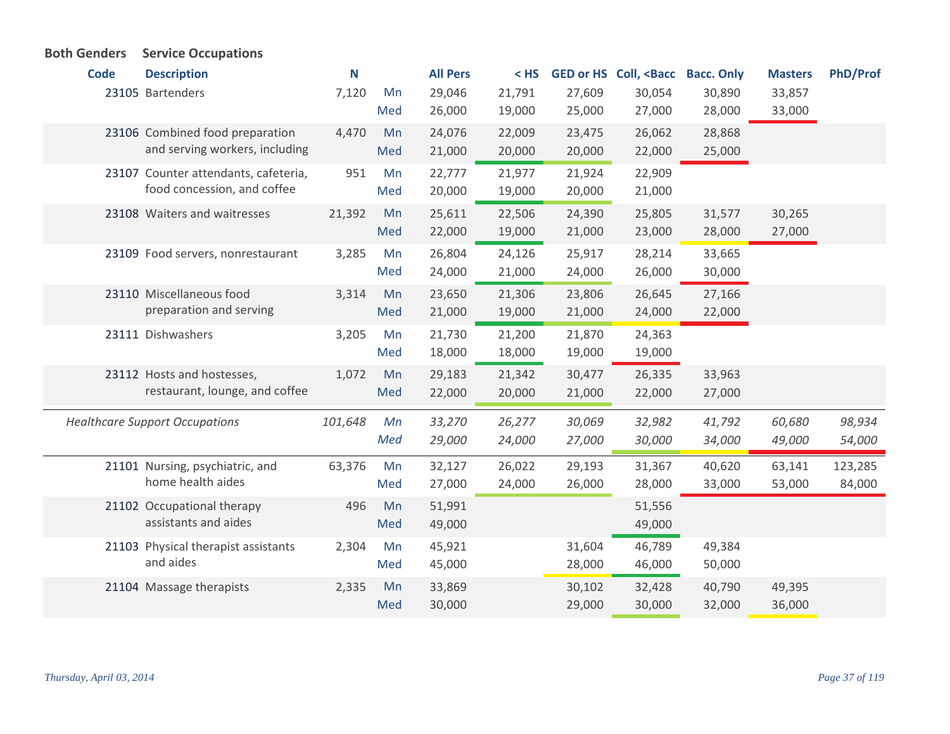| <b>Both Genders</b> | <b>Service Occupations</b>                           |         |     |                 |        |        |                                                                                                                |                   |                |                 |
|---------------------|------------------------------------------------------|---------|-----|-----------------|--------|--------|----------------------------------------------------------------------------------------------------------------|-------------------|----------------|-----------------|
| <b>Code</b>         | <b>Description</b>                                   | N       |     | <b>All Pers</b> | $<$ HS |        | GED or HS Coll, <bacc< th=""><th><b>Bacc. Only</b></th><th><b>Masters</b></th><th><b>PhD/Prof</b></th></bacc<> | <b>Bacc. Only</b> | <b>Masters</b> | <b>PhD/Prof</b> |
|                     | 23105 Bartenders                                     | 7,120   | Mn  | 29,046          | 21,791 | 27,609 | 30,054                                                                                                         | 30,890            | 33,857         |                 |
|                     |                                                      |         | Med | 26,000          | 19,000 | 25,000 | 27,000                                                                                                         | 28,000            | 33,000         |                 |
|                     | 23106 Combined food preparation                      | 4,470   | Mn  | 24,076          | 22,009 | 23,475 | 26,062                                                                                                         | 28,868            |                |                 |
|                     | and serving workers, including                       |         | Med | 21,000          | 20,000 | 20,000 | 22,000                                                                                                         | 25,000            |                |                 |
|                     | 23107 Counter attendants, cafeteria,                 | 951     | Mn  | 22,777          | 21,977 | 21,924 | 22,909                                                                                                         |                   |                |                 |
|                     | food concession, and coffee                          |         | Med | 20,000          | 19,000 | 20,000 | 21,000                                                                                                         |                   |                |                 |
|                     | 23108 Waiters and waitresses                         | 21,392  | Mn  | 25,611          | 22,506 | 24,390 | 25,805                                                                                                         | 31,577            | 30,265         |                 |
|                     |                                                      |         | Med | 22,000          | 19,000 | 21,000 | 23,000                                                                                                         | 28,000            | 27,000         |                 |
|                     | 23109 Food servers, nonrestaurant                    | 3,285   | Mn  | 26,804          | 24,126 | 25,917 | 28,214                                                                                                         | 33,665            |                |                 |
|                     |                                                      |         | Med | 24,000          | 21,000 | 24,000 | 26,000                                                                                                         | 30,000            |                |                 |
|                     | 23110 Miscellaneous food                             | 3,314   | Mn  | 23,650          | 21,306 | 23,806 | 26,645                                                                                                         | 27,166            |                |                 |
|                     | preparation and serving                              |         | Med | 21,000          | 19,000 | 21,000 | 24,000                                                                                                         | 22,000            |                |                 |
|                     | 23111 Dishwashers                                    | 3,205   | Mn  | 21,730          | 21,200 | 21,870 | 24,363                                                                                                         |                   |                |                 |
|                     |                                                      |         | Med | 18,000          | 18,000 | 19,000 | 19,000                                                                                                         |                   |                |                 |
|                     | 23112 Hosts and hostesses,                           | 1,072   | Mn  | 29,183          | 21,342 | 30,477 | 26,335                                                                                                         | 33,963            |                |                 |
|                     | restaurant, lounge, and coffee                       |         | Med | 22,000          | 20,000 | 21,000 | 22,000                                                                                                         | 27,000            |                |                 |
|                     | <b>Healthcare Support Occupations</b>                | 101,648 | Mn  | 33,270          | 26,277 | 30,069 | 32,982                                                                                                         | 41,792            | 60,680         | 98,934          |
|                     |                                                      |         | Med | 29,000          | 24,000 | 27,000 | 30,000                                                                                                         | 34,000            | 49,000         | 54,000          |
|                     |                                                      |         |     |                 |        |        |                                                                                                                |                   |                |                 |
|                     | 21101 Nursing, psychiatric, and<br>home health aides | 63,376  | Mn  | 32,127          | 26,022 | 29,193 | 31,367                                                                                                         | 40,620            | 63,141         | 123,285         |
|                     |                                                      |         | Med | 27,000          | 24,000 | 26,000 | 28,000                                                                                                         | 33,000            | 53,000         | 84,000          |
|                     | 21102 Occupational therapy                           | 496     | Mn  | 51,991          |        |        | 51,556                                                                                                         |                   |                |                 |
|                     | assistants and aides                                 |         | Med | 49,000          |        |        | 49,000                                                                                                         |                   |                |                 |
|                     | 21103 Physical therapist assistants                  | 2,304   | Mn  | 45,921          |        | 31,604 | 46,789                                                                                                         | 49,384            |                |                 |
|                     | and aides                                            |         | Med | 45,000          |        | 28,000 | 46,000                                                                                                         | 50,000            |                |                 |
|                     | 21104 Massage therapists                             | 2,335   | Mn  | 33,869          |        | 30,102 | 32,428                                                                                                         | 40,790            | 49,395         |                 |
|                     |                                                      |         | Med | 30,000          |        | 29,000 | 30,000                                                                                                         | 32,000            | 36,000         |                 |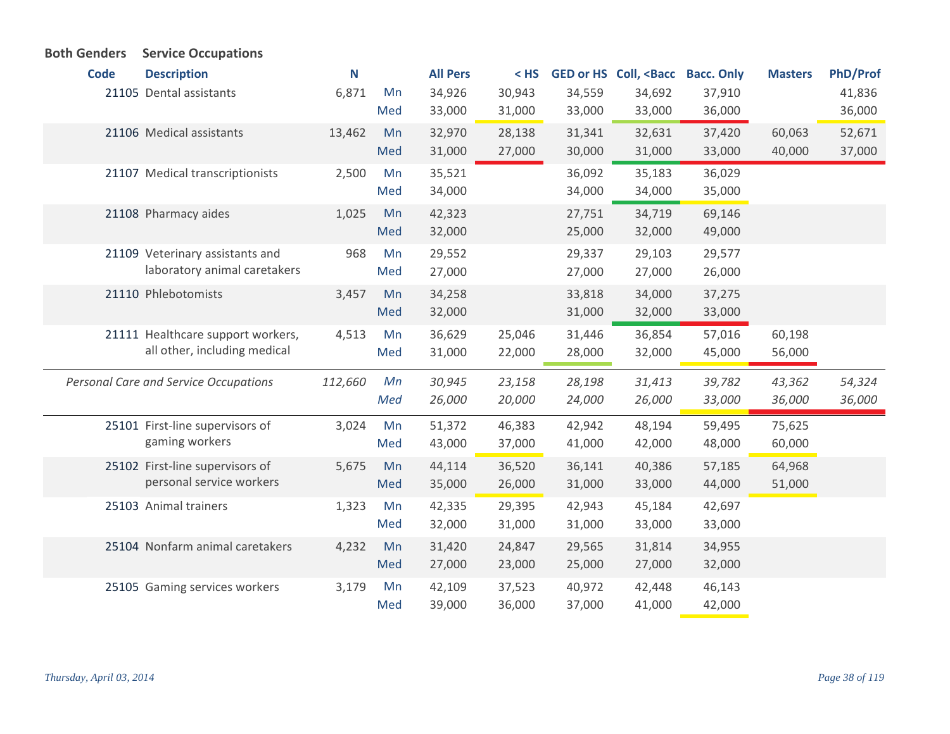| <b>Both Genders</b> |             | <b>Service Occupations</b>            |         |           |                  |                  |                  |                                                                                                               |                  |                |                 |
|---------------------|-------------|---------------------------------------|---------|-----------|------------------|------------------|------------------|---------------------------------------------------------------------------------------------------------------|------------------|----------------|-----------------|
|                     | <b>Code</b> | <b>Description</b>                    | N       |           | <b>All Pers</b>  | $<$ HS           |                  | GED or HS Coll, <bacc bacc.="" only<="" th=""><th></th><th><b>Masters</b></th><th><b>PhD/Prof</b></th></bacc> |                  | <b>Masters</b> | <b>PhD/Prof</b> |
|                     |             | 21105 Dental assistants               | 6,871   | Mn        | 34,926           | 30,943           | 34,559           | 34,692                                                                                                        | 37,910           |                | 41,836          |
|                     |             |                                       |         | Med       | 33,000           | 31,000           | 33,000           | 33,000                                                                                                        | 36,000           |                | 36,000          |
|                     |             | 21106 Medical assistants              | 13,462  | Mn        | 32,970           | 28,138           | 31,341           | 32,631                                                                                                        | 37,420           | 60,063         | 52,671          |
|                     |             |                                       |         | Med       | 31,000           | 27,000           | 30,000           | 31,000                                                                                                        | 33,000           | 40,000         | 37,000          |
|                     |             | 21107 Medical transcriptionists       | 2,500   | Mn        | 35,521           |                  | 36,092           | 35,183                                                                                                        | 36,029           |                |                 |
|                     |             |                                       |         | Med       | 34,000           |                  | 34,000           | 34,000                                                                                                        | 35,000           |                |                 |
|                     |             | 21108 Pharmacy aides                  | 1,025   | Mn        | 42,323           |                  | 27,751           | 34,719                                                                                                        | 69,146           |                |                 |
|                     |             |                                       |         | Med       | 32,000           |                  | 25,000           | 32,000                                                                                                        | 49,000           |                |                 |
|                     |             | 21109 Veterinary assistants and       | 968     | Mn        | 29,552           |                  | 29,337           | 29,103                                                                                                        | 29,577           |                |                 |
|                     |             | laboratory animal caretakers          |         | Med       | 27,000           |                  | 27,000           | 27,000                                                                                                        | 26,000           |                |                 |
|                     |             | 21110 Phlebotomists                   | 3,457   | Mn        | 34,258           |                  | 33,818           | 34,000                                                                                                        | 37,275           |                |                 |
|                     |             |                                       |         | Med       | 32,000           |                  | 31,000           | 32,000                                                                                                        | 33,000           |                |                 |
|                     |             | 21111 Healthcare support workers,     | 4,513   | Mn        | 36,629           | 25,046           | 31,446           | 36,854                                                                                                        | 57,016           | 60,198         |                 |
|                     |             | all other, including medical          |         | Med       | 31,000           | 22,000           | 28,000           | 32,000                                                                                                        | 45,000           | 56,000         |                 |
|                     |             | Personal Care and Service Occupations | 112,660 | Mn        | 30,945           | 23,158           | 28,198           | 31,413                                                                                                        | 39,782           | 43,362         | 54,324          |
|                     |             |                                       |         | Med       | 26,000           | 20,000           | 24,000           | 26,000                                                                                                        | 33,000           | 36,000         | 36,000          |
|                     |             | 25101 First-line supervisors of       | 3,024   | Mn        | 51,372           | 46,383           | 42,942           | 48,194                                                                                                        | 59,495           | 75,625         |                 |
|                     |             | gaming workers                        |         | Med       | 43,000           | 37,000           | 41,000           | 42,000                                                                                                        | 48,000           | 60,000         |                 |
|                     |             | 25102 First-line supervisors of       |         | Mn        | 44,114           | 36,520           | 36,141           | 40,386                                                                                                        | 57,185           | 64,968         |                 |
|                     |             | personal service workers              | 5,675   | Med       | 35,000           | 26,000           | 31,000           | 33,000                                                                                                        | 44,000           | 51,000         |                 |
|                     |             |                                       |         |           |                  |                  |                  |                                                                                                               |                  |                |                 |
|                     |             | 25103 Animal trainers                 | 1,323   | Mn<br>Med | 42,335<br>32,000 | 29,395<br>31,000 | 42,943<br>31,000 | 45,184<br>33,000                                                                                              | 42,697<br>33,000 |                |                 |
|                     |             |                                       |         |           |                  |                  |                  |                                                                                                               |                  |                |                 |
|                     |             | 25104 Nonfarm animal caretakers       | 4,232   | Mn<br>Med | 31,420<br>27,000 | 24,847<br>23,000 | 29,565<br>25,000 | 31,814<br>27,000                                                                                              | 34,955<br>32,000 |                |                 |
|                     |             |                                       |         |           |                  |                  |                  |                                                                                                               |                  |                |                 |
|                     |             | 25105 Gaming services workers         | 3,179   | Mn        | 42,109           | 37,523           | 40,972           | 42,448                                                                                                        | 46,143           |                |                 |
|                     |             |                                       |         | Med       | 39,000           | 36,000           | 37,000           | 41,000                                                                                                        | 42,000           |                |                 |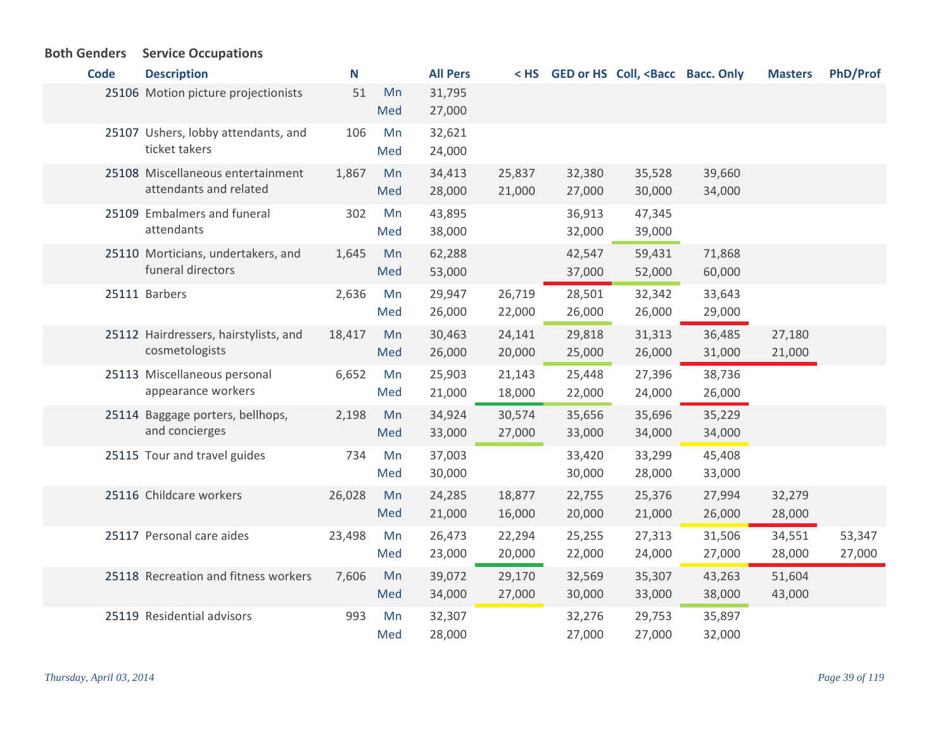## **Both Genders Service Occupations**

| <b>Code</b> | <b>Description</b>                                          | N      |           | <b>All Pers</b>  | < HS             |                  | GED or HS Coll, <bacc bacc.="" only<="" th=""><th></th><th><b>Masters</b></th><th><b>PhD/Prof</b></th></bacc> |                  | <b>Masters</b>   | <b>PhD/Prof</b>  |
|-------------|-------------------------------------------------------------|--------|-----------|------------------|------------------|------------------|---------------------------------------------------------------------------------------------------------------|------------------|------------------|------------------|
|             | 25106 Motion picture projectionists                         | 51     | Mn<br>Med | 31,795<br>27,000 |                  |                  |                                                                                                               |                  |                  |                  |
|             | 25107 Ushers, lobby attendants, and<br>ticket takers        | 106    | Mn<br>Med | 32,621<br>24,000 |                  |                  |                                                                                                               |                  |                  |                  |
|             | 25108 Miscellaneous entertainment<br>attendants and related | 1,867  | Mn<br>Med | 34,413<br>28,000 | 25,837<br>21,000 | 32,380<br>27,000 | 35,528<br>30,000                                                                                              | 39,660<br>34,000 |                  |                  |
|             | 25109 Embalmers and funeral<br>attendants                   | 302    | Mn<br>Med | 43,895<br>38,000 |                  | 36,913<br>32,000 | 47,345<br>39,000                                                                                              |                  |                  |                  |
|             | 25110 Morticians, undertakers, and<br>funeral directors     | 1,645  | Mn<br>Med | 62,288<br>53,000 |                  | 42,547<br>37,000 | 59,431<br>52,000                                                                                              | 71,868<br>60,000 |                  |                  |
|             | 25111 Barbers                                               | 2,636  | Mn<br>Med | 29,947<br>26,000 | 26,719<br>22,000 | 28,501<br>26,000 | 32,342<br>26,000                                                                                              | 33,643<br>29,000 |                  |                  |
|             | 25112 Hairdressers, hairstylists, and<br>cosmetologists     | 18,417 | Mn<br>Med | 30,463<br>26,000 | 24,141<br>20,000 | 29,818<br>25,000 | 31,313<br>26,000                                                                                              | 36,485<br>31,000 | 27,180<br>21,000 |                  |
|             | 25113 Miscellaneous personal<br>appearance workers          | 6,652  | Mn<br>Med | 25,903<br>21,000 | 21,143<br>18,000 | 25,448<br>22,000 | 27,396<br>24,000                                                                                              | 38,736<br>26,000 |                  |                  |
|             | 25114 Baggage porters, bellhops,<br>and concierges          | 2,198  | Mn<br>Med | 34,924<br>33,000 | 30,574<br>27,000 | 35,656<br>33,000 | 35,696<br>34,000                                                                                              | 35,229<br>34,000 |                  |                  |
|             | 25115 Tour and travel guides                                | 734    | Mn<br>Med | 37,003<br>30,000 |                  | 33,420<br>30,000 | 33,299<br>28,000                                                                                              | 45,408<br>33,000 |                  |                  |
|             | 25116 Childcare workers                                     | 26,028 | Mn<br>Med | 24,285<br>21,000 | 18,877<br>16,000 | 22,755<br>20,000 | 25,376<br>21,000                                                                                              | 27,994<br>26,000 | 32,279<br>28,000 |                  |
|             | 25117 Personal care aides                                   | 23,498 | Mn<br>Med | 26,473<br>23,000 | 22,294<br>20,000 | 25,255<br>22,000 | 27,313<br>24,000                                                                                              | 31,506<br>27,000 | 34,551<br>28,000 | 53,347<br>27,000 |
|             | 25118 Recreation and fitness workers                        | 7,606  | Mn<br>Med | 39,072<br>34,000 | 29,170<br>27,000 | 32,569<br>30,000 | 35,307<br>33,000                                                                                              | 43,263<br>38,000 | 51,604<br>43,000 |                  |
|             | 25119 Residential advisors                                  | 993    | Mn<br>Med | 32,307<br>28,000 |                  | 32,276<br>27,000 | 29,753<br>27,000                                                                                              | 35,897<br>32,000 |                  |                  |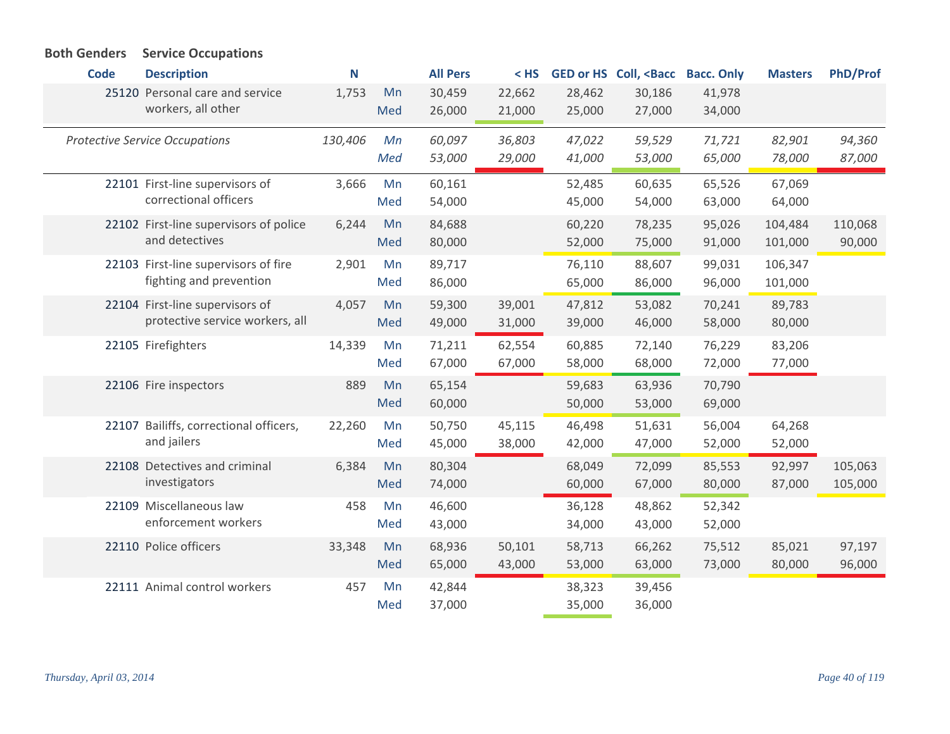| <b>Code</b> | <b>Description</b>                     | N       |     | <b>All Pers</b> | $<$ HS |        | <b>GED or HS Coll, <bacc< b=""></bacc<></b> | <b>Bacc. Only</b> | <b>Masters</b> | <b>PhD/Prof</b> |
|-------------|----------------------------------------|---------|-----|-----------------|--------|--------|---------------------------------------------|-------------------|----------------|-----------------|
|             | 25120 Personal care and service        | 1,753   | Mn  | 30,459          | 22,662 | 28,462 | 30,186                                      | 41,978            |                |                 |
|             | workers, all other                     |         | Med | 26,000          | 21,000 | 25,000 | 27,000                                      | 34,000            |                |                 |
|             | <b>Protective Service Occupations</b>  | 130,406 | Mn  | 60,097          | 36,803 | 47,022 | 59,529                                      | 71,721            | 82,901         | 94,360          |
|             |                                        |         | Med | 53,000          | 29,000 | 41,000 | 53,000                                      | 65,000            | 78,000         | 87,000          |
|             | 22101 First-line supervisors of        | 3,666   | Mn  | 60,161          |        | 52,485 | 60,635                                      | 65,526            | 67,069         |                 |
|             | correctional officers                  |         | Med | 54,000          |        | 45,000 | 54,000                                      | 63,000            | 64,000         |                 |
|             | 22102 First-line supervisors of police | 6,244   | Mn  | 84,688          |        | 60,220 | 78,235                                      | 95,026            | 104,484        | 110,068         |
|             | and detectives                         |         | Med | 80,000          |        | 52,000 | 75,000                                      | 91,000            | 101,000        | 90,000          |
|             | 22103 First-line supervisors of fire   | 2,901   | Mn  | 89,717          |        | 76,110 | 88,607                                      | 99,031            | 106,347        |                 |
|             | fighting and prevention                |         | Med | 86,000          |        | 65,000 | 86,000                                      | 96,000            | 101,000        |                 |
|             | 22104 First-line supervisors of        | 4,057   | Mn  | 59,300          | 39,001 | 47,812 | 53,082                                      | 70,241            | 89,783         |                 |
|             | protective service workers, all        |         | Med | 49,000          | 31,000 | 39,000 | 46,000                                      | 58,000            | 80,000         |                 |
|             | 22105 Firefighters                     | 14,339  | Mn  | 71,211          | 62,554 | 60,885 | 72,140                                      | 76,229            | 83,206         |                 |
|             |                                        |         | Med | 67,000          | 67,000 | 58,000 | 68,000                                      | 72,000            | 77,000         |                 |
|             | 22106 Fire inspectors                  | 889     | Mn  | 65,154          |        | 59,683 | 63,936                                      | 70,790            |                |                 |
|             |                                        |         | Med | 60,000          |        | 50,000 | 53,000                                      | 69,000            |                |                 |
|             | 22107 Bailiffs, correctional officers, | 22,260  | Mn  | 50,750          | 45,115 | 46,498 | 51,631                                      | 56,004            | 64,268         |                 |
|             | and jailers                            |         | Med | 45,000          | 38,000 | 42,000 | 47,000                                      | 52,000            | 52,000         |                 |
|             | 22108 Detectives and criminal          | 6,384   | Mn  | 80,304          |        | 68,049 | 72,099                                      | 85,553            | 92,997         | 105,063         |
|             | investigators                          |         | Med | 74,000          |        | 60,000 | 67,000                                      | 80,000            | 87,000         | 105,000         |
|             | 22109 Miscellaneous law                | 458     | Mn  | 46,600          |        | 36,128 | 48,862                                      | 52,342            |                |                 |
|             | enforcement workers                    |         | Med | 43,000          |        | 34,000 | 43,000                                      | 52,000            |                |                 |
|             | 22110 Police officers                  | 33,348  | Mn  | 68,936          | 50,101 | 58,713 | 66,262                                      | 75,512            | 85,021         | 97,197          |
|             |                                        |         | Med | 65,000          | 43,000 | 53,000 | 63,000                                      | 73,000            | 80,000         | 96,000          |
|             | 22111 Animal control workers           | 457     | Mn  | 42,844          |        | 38,323 | 39,456                                      |                   |                |                 |
|             |                                        |         | Med | 37,000          |        | 35,000 | 36,000                                      |                   |                |                 |

## **Both Genders Service Occupations**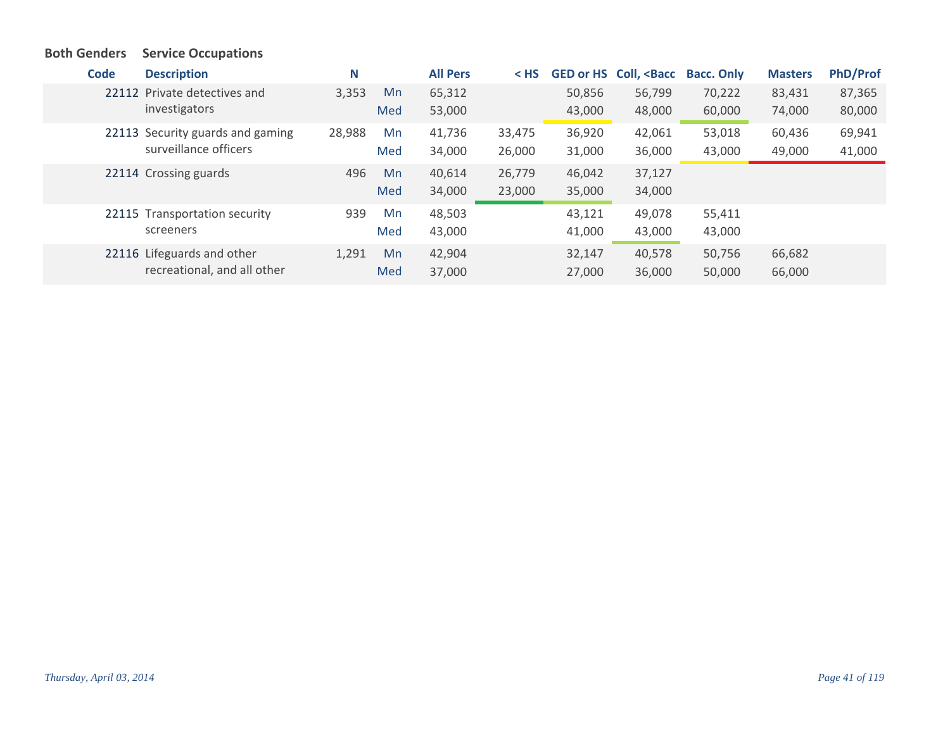## **Both Genders Service Occupations**

| <b>Code</b> | <b>Description</b>               | N      |     | <b>All Pers</b> | $<$ HS |        | GED or HS Coll, <bacc< th=""><th><b>Bacc. Only</b></th><th><b>Masters</b></th><th><b>PhD/Prof</b></th></bacc<> | <b>Bacc. Only</b> | <b>Masters</b> | <b>PhD/Prof</b> |
|-------------|----------------------------------|--------|-----|-----------------|--------|--------|----------------------------------------------------------------------------------------------------------------|-------------------|----------------|-----------------|
|             | 22112 Private detectives and     | 3,353  | Mn  | 65,312          |        | 50,856 | 56,799                                                                                                         | 70,222            | 83,431         | 87,365          |
|             | investigators                    |        | Med | 53,000          |        | 43,000 | 48,000                                                                                                         | 60,000            | 74,000         | 80,000          |
|             | 22113 Security guards and gaming | 28,988 | Mn  | 41,736          | 33,475 | 36,920 | 42,061                                                                                                         | 53,018            | 60,436         | 69,941          |
|             | surveillance officers            |        | Med | 34,000          | 26,000 | 31,000 | 36,000                                                                                                         | 43,000            | 49,000         | 41,000          |
|             | 22114 Crossing guards            | 496    | Mn  | 40,614          | 26,779 | 46,042 | 37,127                                                                                                         |                   |                |                 |
|             |                                  |        | Med | 34,000          | 23,000 | 35,000 | 34,000                                                                                                         |                   |                |                 |
|             | 22115 Transportation security    | 939    | Mn  | 48,503          |        | 43,121 | 49,078                                                                                                         | 55,411            |                |                 |
|             | screeners                        |        | Med | 43,000          |        | 41,000 | 43,000                                                                                                         | 43,000            |                |                 |
|             | 22116 Lifeguards and other       | 1,291  | Mn  | 42,904          |        | 32,147 | 40,578                                                                                                         | 50,756            | 66,682         |                 |
|             | recreational, and all other      |        | Med | 37,000          |        | 27,000 | 36,000                                                                                                         | 50,000            | 66,000         |                 |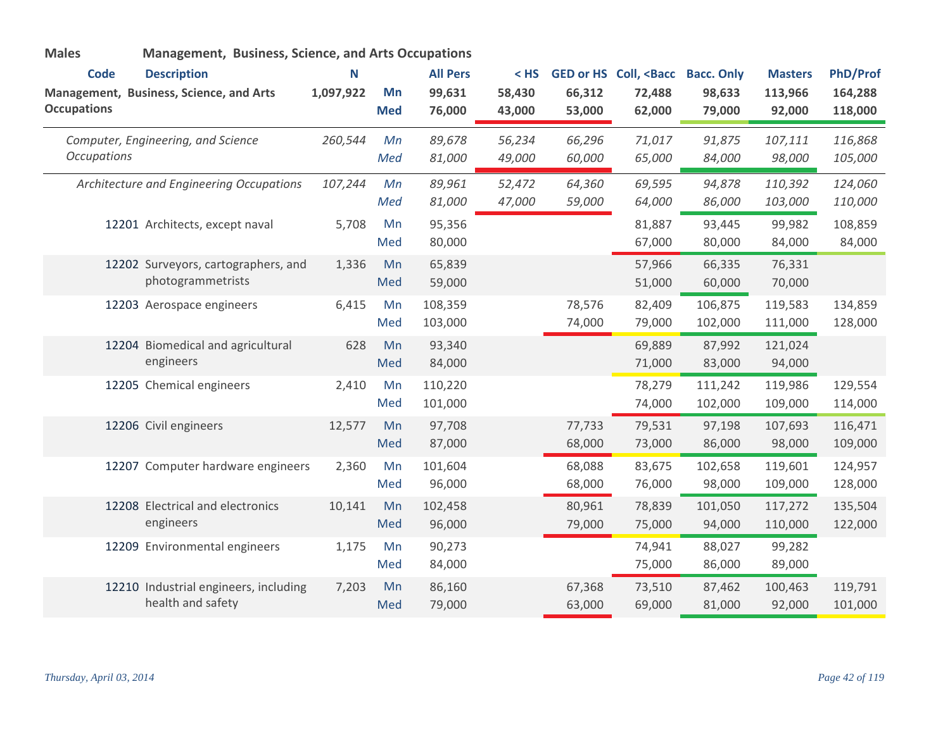| <b>Males</b>                      | Management, Business, Science, and Arts Occupations           |                |                  |                                     |                            |                  |                                                      |                                       |                                     |                                       |
|-----------------------------------|---------------------------------------------------------------|----------------|------------------|-------------------------------------|----------------------------|------------------|------------------------------------------------------|---------------------------------------|-------------------------------------|---------------------------------------|
| <b>Code</b><br><b>Occupations</b> | <b>Description</b><br>Management, Business, Science, and Arts | N<br>1,097,922 | Mn<br><b>Med</b> | <b>All Pers</b><br>99,631<br>76,000 | $<$ HS<br>58,430<br>43,000 | 66,312<br>53,000 | GED or HS Coll, <bacc<br>72,488<br/>62,000</bacc<br> | <b>Bacc. Only</b><br>98,633<br>79,000 | <b>Masters</b><br>113,966<br>92,000 | <b>PhD/Prof</b><br>164,288<br>118,000 |
| <b>Occupations</b>                | Computer, Engineering, and Science                            | 260,544        | Mn<br>Med        | 89,678<br>81,000                    | 56,234<br>49,000           | 66,296<br>60,000 | 71,017<br>65,000                                     | 91,875<br>84,000                      | 107,111<br>98,000                   | 116,868<br>105,000                    |
|                                   | Architecture and Engineering Occupations                      | 107,244        | Mn<br>Med        | 89,961<br>81,000                    | 52,472<br>47,000           | 64,360<br>59,000 | 69,595<br>64,000                                     | 94,878<br>86,000                      | 110,392<br>103,000                  | 124,060<br>110,000                    |
|                                   | 12201 Architects, except naval                                | 5,708          | Mn<br>Med        | 95,356<br>80,000                    |                            |                  | 81,887<br>67,000                                     | 93,445<br>80,000                      | 99,982<br>84,000                    | 108,859<br>84,000                     |
|                                   | 12202 Surveyors, cartographers, and<br>photogrammetrists      | 1,336          | Mn<br>Med        | 65,839<br>59,000                    |                            |                  | 57,966<br>51,000                                     | 66,335<br>60,000                      | 76,331<br>70,000                    |                                       |
|                                   | 12203 Aerospace engineers                                     | 6,415          | Mn<br>Med        | 108,359<br>103,000                  |                            | 78,576<br>74,000 | 82,409<br>79,000                                     | 106,875<br>102,000                    | 119,583<br>111,000                  | 134,859<br>128,000                    |
|                                   | 12204 Biomedical and agricultural<br>engineers                | 628            | Mn<br>Med        | 93,340<br>84,000                    |                            |                  | 69,889<br>71,000                                     | 87,992<br>83,000                      | 121,024<br>94,000                   |                                       |
|                                   | 12205 Chemical engineers                                      | 2,410          | Mn<br>Med        | 110,220<br>101,000                  |                            |                  | 78,279<br>74,000                                     | 111,242<br>102,000                    | 119,986<br>109,000                  | 129,554<br>114,000                    |
|                                   | 12206 Civil engineers                                         | 12,577         | Mn<br>Med        | 97,708<br>87,000                    |                            | 77,733<br>68,000 | 79,531<br>73,000                                     | 97,198<br>86,000                      | 107,693<br>98,000                   | 116,471<br>109,000                    |
|                                   | 12207 Computer hardware engineers                             | 2,360          | Mn<br>Med        | 101,604<br>96,000                   |                            | 68,088<br>68,000 | 83,675<br>76,000                                     | 102,658<br>98,000                     | 119,601<br>109,000                  | 124,957<br>128,000                    |
|                                   | 12208 Electrical and electronics<br>engineers                 | 10,141         | Mn<br>Med        | 102,458<br>96,000                   |                            | 80,961<br>79,000 | 78,839<br>75,000                                     | 101,050<br>94,000                     | 117,272<br>110,000                  | 135,504<br>122,000                    |
|                                   | 12209 Environmental engineers                                 | 1,175          | Mn<br>Med        | 90,273<br>84,000                    |                            |                  | 74,941<br>75,000                                     | 88,027<br>86,000                      | 99,282<br>89,000                    |                                       |
|                                   | 12210 Industrial engineers, including<br>health and safety    | 7,203          | Mn<br>Med        | 86,160<br>79,000                    |                            | 67,368<br>63,000 | 73,510<br>69,000                                     | 87,462<br>81,000                      | 100,463<br>92,000                   | 119,791<br>101,000                    |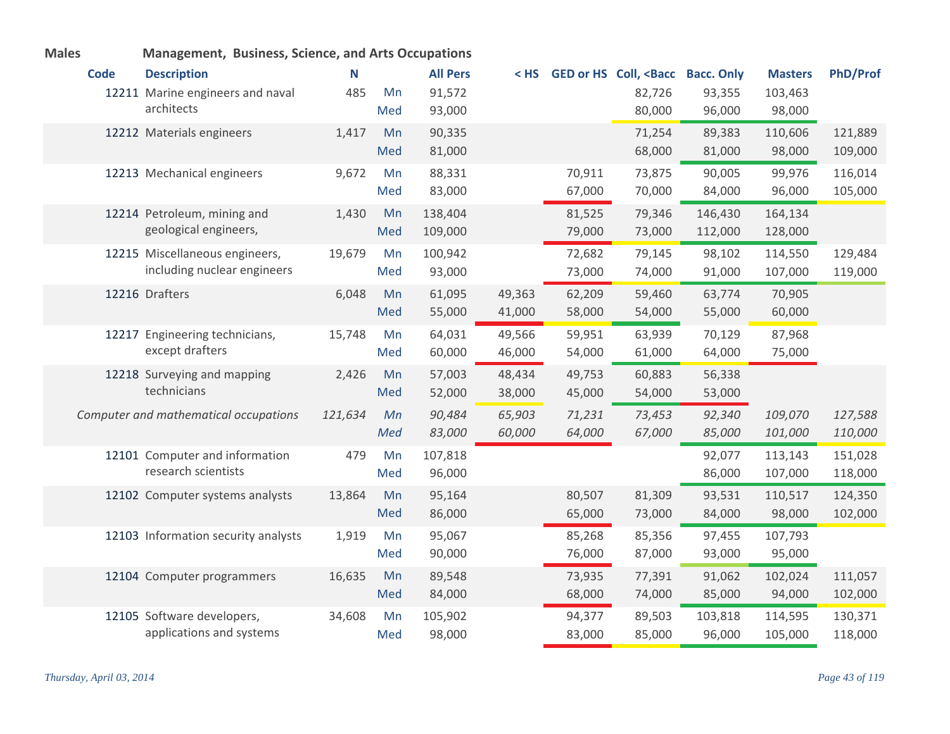| <b>Males</b> |             | Management, Business, Science, and Arts Occupations |         |     |                 |        |        |                                                                                                               |         |                |                 |
|--------------|-------------|-----------------------------------------------------|---------|-----|-----------------|--------|--------|---------------------------------------------------------------------------------------------------------------|---------|----------------|-----------------|
|              | <b>Code</b> | <b>Description</b>                                  | N       |     | <b>All Pers</b> | $<$ HS |        | GED or HS Coll, <bacc bacc.="" only<="" th=""><th></th><th><b>Masters</b></th><th><b>PhD/Prof</b></th></bacc> |         | <b>Masters</b> | <b>PhD/Prof</b> |
|              |             | 12211 Marine engineers and naval                    | 485     | Mn  | 91,572          |        |        | 82,726                                                                                                        | 93,355  | 103,463        |                 |
|              |             | architects                                          |         | Med | 93,000          |        |        | 80,000                                                                                                        | 96,000  | 98,000         |                 |
|              |             | 12212 Materials engineers                           | 1,417   | Mn  | 90,335          |        |        | 71,254                                                                                                        | 89,383  | 110,606        | 121,889         |
|              |             |                                                     |         | Med | 81,000          |        |        | 68,000                                                                                                        | 81,000  | 98,000         | 109,000         |
|              |             | 12213 Mechanical engineers                          | 9,672   | Mn  | 88,331          |        | 70,911 | 73,875                                                                                                        | 90,005  | 99,976         | 116,014         |
|              |             |                                                     |         | Med | 83,000          |        | 67,000 | 70,000                                                                                                        | 84,000  | 96,000         | 105,000         |
|              |             | 12214 Petroleum, mining and                         | 1,430   | Mn  | 138,404         |        | 81,525 | 79,346                                                                                                        | 146,430 | 164,134        |                 |
|              |             | geological engineers,                               |         | Med | 109,000         |        | 79,000 | 73,000                                                                                                        | 112,000 | 128,000        |                 |
|              |             | 12215 Miscellaneous engineers,                      | 19,679  | Mn  | 100,942         |        | 72,682 | 79,145                                                                                                        | 98,102  | 114,550        | 129,484         |
|              |             | including nuclear engineers                         |         | Med | 93,000          |        | 73,000 | 74,000                                                                                                        | 91,000  | 107,000        | 119,000         |
|              |             | 12216 Drafters                                      | 6,048   | Mn  | 61,095          | 49,363 | 62,209 | 59,460                                                                                                        | 63,774  | 70,905         |                 |
|              |             |                                                     |         | Med | 55,000          | 41,000 | 58,000 | 54,000                                                                                                        | 55,000  | 60,000         |                 |
|              |             | 12217 Engineering technicians,                      | 15,748  | Mn  | 64,031          | 49,566 | 59,951 | 63,939                                                                                                        | 70,129  | 87,968         |                 |
|              |             | except drafters                                     |         | Med | 60,000          | 46,000 | 54,000 | 61,000                                                                                                        | 64,000  | 75,000         |                 |
|              |             | 12218 Surveying and mapping                         | 2,426   | Mn  | 57,003          | 48,434 | 49,753 | 60,883                                                                                                        | 56,338  |                |                 |
|              |             | technicians                                         |         | Med | 52,000          | 38,000 | 45,000 | 54,000                                                                                                        | 53,000  |                |                 |
|              |             | Computer and mathematical occupations               | 121,634 | Mn  | 90,484          | 65,903 | 71,231 | 73,453                                                                                                        | 92,340  | 109,070        | 127,588         |
|              |             |                                                     |         | Med | 83,000          | 60,000 | 64,000 | 67,000                                                                                                        | 85,000  | 101,000        | 110,000         |
|              |             | 12101 Computer and information                      | 479     | Mn  | 107,818         |        |        |                                                                                                               | 92,077  | 113,143        | 151,028         |
|              |             | research scientists                                 |         | Med | 96,000          |        |        |                                                                                                               | 86,000  | 107,000        | 118,000         |
|              |             | 12102 Computer systems analysts                     | 13,864  | Mn  | 95,164          |        | 80,507 | 81,309                                                                                                        | 93,531  | 110,517        | 124,350         |
|              |             |                                                     |         | Med | 86,000          |        | 65,000 | 73,000                                                                                                        | 84,000  | 98,000         | 102,000         |
|              |             | 12103 Information security analysts                 | 1,919   | Mn  | 95,067          |        | 85,268 | 85,356                                                                                                        | 97,455  | 107,793        |                 |
|              |             |                                                     |         | Med | 90,000          |        | 76,000 | 87,000                                                                                                        | 93,000  | 95,000         |                 |
|              |             | 12104 Computer programmers                          | 16,635  | Mn  | 89,548          |        | 73,935 | 77,391                                                                                                        | 91,062  | 102,024        | 111,057         |
|              |             |                                                     |         | Med | 84,000          |        | 68,000 | 74,000                                                                                                        | 85,000  | 94,000         | 102,000         |
|              |             | 12105 Software developers,                          | 34,608  | Mn  | 105,902         |        | 94,377 | 89,503                                                                                                        | 103,818 | 114,595        | 130,371         |
|              |             | applications and systems                            |         | Med | 98,000          |        | 83,000 | 85,000                                                                                                        | 96,000  | 105,000        | 118,000         |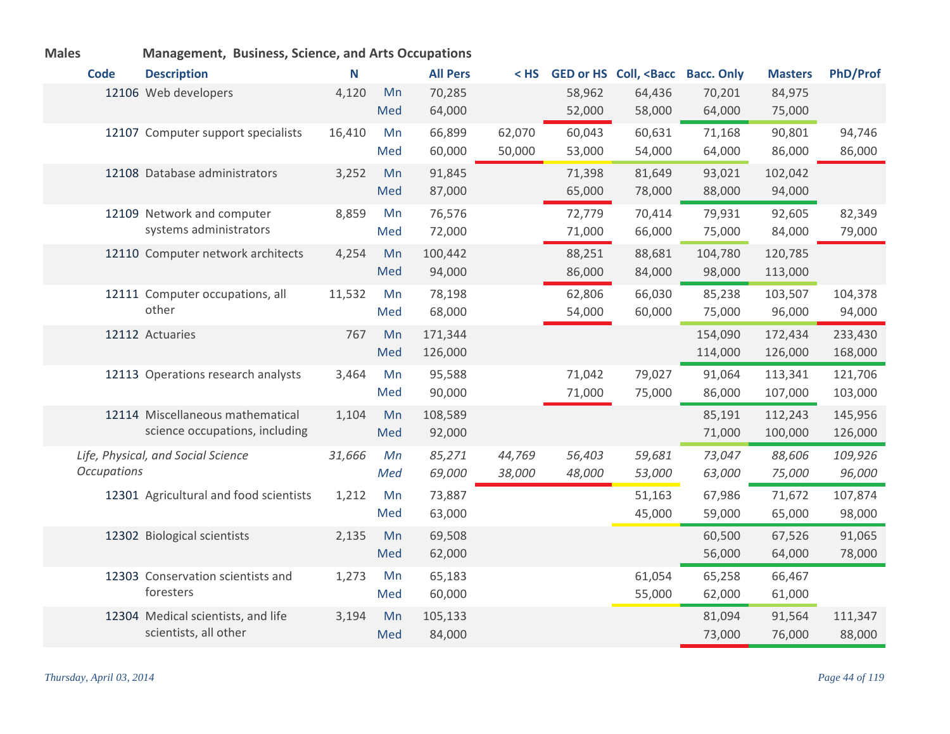| <b>IVIAIES</b> |                    | <b>Management, Business, Science, and Arts Occupations</b>         |        |           |                    |                  |                  |                                             |                    |                    |                    |
|----------------|--------------------|--------------------------------------------------------------------|--------|-----------|--------------------|------------------|------------------|---------------------------------------------|--------------------|--------------------|--------------------|
|                | <b>Code</b>        | <b>Description</b>                                                 | N      |           | <b>All Pers</b>    | < HS             |                  | <b>GED or HS Coll, <bacc< b=""></bacc<></b> | <b>Bacc. Only</b>  | <b>Masters</b>     | <b>PhD/Prof</b>    |
|                |                    | 12106 Web developers                                               | 4,120  | Mn<br>Med | 70,285<br>64,000   |                  | 58,962<br>52,000 | 64,436<br>58,000                            | 70,201<br>64,000   | 84,975<br>75,000   |                    |
|                |                    | 12107 Computer support specialists                                 | 16,410 | Mn<br>Med | 66,899<br>60,000   | 62,070<br>50,000 | 60,043<br>53,000 | 60,631<br>54,000                            | 71,168<br>64,000   | 90,801<br>86,000   | 94,746<br>86,000   |
|                |                    | 12108 Database administrators                                      | 3,252  | Mn<br>Med | 91,845<br>87,000   |                  | 71,398<br>65,000 | 81,649<br>78,000                            | 93,021<br>88,000   | 102,042<br>94,000  |                    |
|                |                    | 12109 Network and computer<br>systems administrators               | 8,859  | Mn<br>Med | 76,576<br>72,000   |                  | 72,779<br>71,000 | 70,414<br>66,000                            | 79,931<br>75,000   | 92,605<br>84,000   | 82,349<br>79,000   |
|                |                    | 12110 Computer network architects                                  | 4,254  | Mn<br>Med | 100,442<br>94,000  |                  | 88,251<br>86,000 | 88,681<br>84,000                            | 104,780<br>98,000  | 120,785<br>113,000 |                    |
|                |                    | 12111 Computer occupations, all<br>other                           | 11,532 | Mn<br>Med | 78,198<br>68,000   |                  | 62,806<br>54,000 | 66,030<br>60,000                            | 85,238<br>75,000   | 103,507<br>96,000  | 104,378<br>94,000  |
|                |                    | 12112 Actuaries                                                    | 767    | Mn<br>Med | 171,344<br>126,000 |                  |                  |                                             | 154,090<br>114,000 | 172,434<br>126,000 | 233,430<br>168,000 |
|                |                    | 12113 Operations research analysts                                 | 3,464  | Mn<br>Med | 95,588<br>90,000   |                  | 71,042<br>71,000 | 79,027<br>75,000                            | 91,064<br>86,000   | 113,341<br>107,000 | 121,706<br>103,000 |
|                |                    | 12114 Miscellaneous mathematical<br>science occupations, including | 1,104  | Mn<br>Med | 108,589<br>92,000  |                  |                  |                                             | 85,191<br>71,000   | 112,243<br>100,000 | 145,956<br>126,000 |
|                | <b>Occupations</b> | Life, Physical, and Social Science                                 | 31,666 | Mn<br>Med | 85,271<br>69,000   | 44,769<br>38,000 | 56,403<br>48,000 | 59,681<br>53,000                            | 73,047<br>63,000   | 88,606<br>75,000   | 109,926<br>96,000  |
|                |                    | 12301 Agricultural and food scientists                             | 1,212  | Mn<br>Med | 73,887<br>63,000   |                  |                  | 51,163<br>45,000                            | 67,986<br>59,000   | 71,672<br>65,000   | 107,874<br>98,000  |
|                |                    | 12302 Biological scientists                                        | 2,135  | Mn<br>Med | 69,508<br>62,000   |                  |                  |                                             | 60,500<br>56,000   | 67,526<br>64,000   | 91,065<br>78,000   |
|                |                    | 12303 Conservation scientists and<br>foresters                     | 1,273  | Mn<br>Med | 65,183<br>60,000   |                  |                  | 61,054<br>55,000                            | 65,258<br>62,000   | 66,467<br>61,000   |                    |
|                |                    | 12304 Medical scientists, and life<br>scientists, all other        | 3,194  | Mn<br>Med | 105,133<br>84,000  |                  |                  |                                             | 81,094<br>73,000   | 91,564<br>76,000   | 111,347<br>88,000  |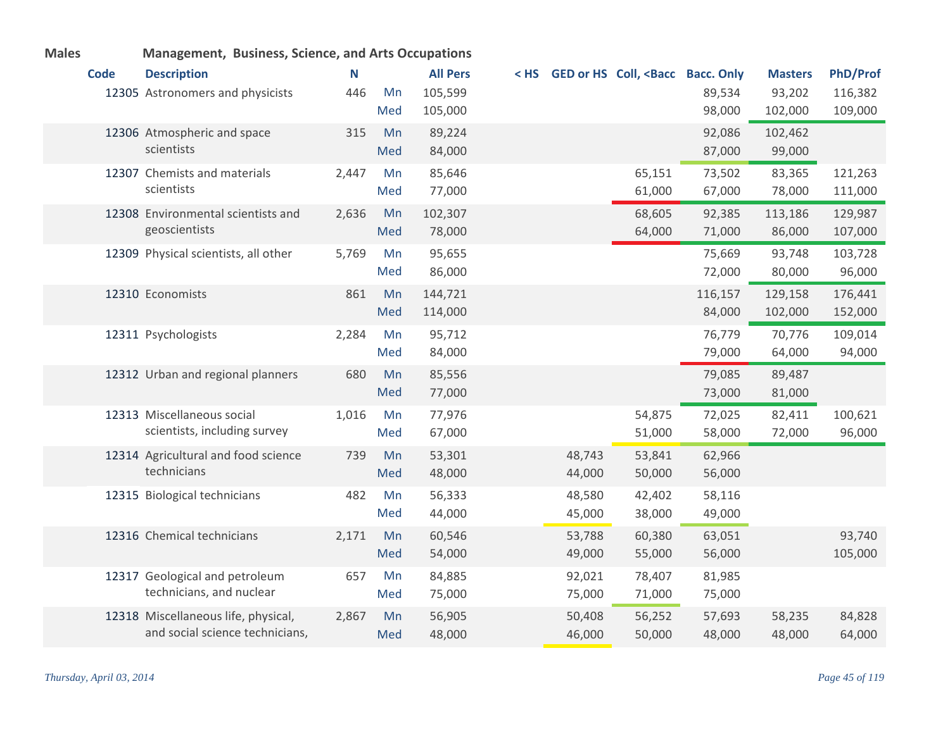| <b>Males</b> |             | <b>Management, Business, Science, and Arts Occupations</b> |       |     |                 |        |                                                                                                                                |         |                |                 |
|--------------|-------------|------------------------------------------------------------|-------|-----|-----------------|--------|--------------------------------------------------------------------------------------------------------------------------------|---------|----------------|-----------------|
|              | <b>Code</b> | <b>Description</b>                                         | N     |     | <b>All Pers</b> |        | <hs <bacc="" bacc.="" coll,="" ged="" hs="" only<="" or="" th=""><th></th><th><b>Masters</b></th><th><b>PhD/Prof</b></th></hs> |         | <b>Masters</b> | <b>PhD/Prof</b> |
|              |             | 12305 Astronomers and physicists                           | 446   | Mn  | 105,599         |        |                                                                                                                                | 89,534  | 93,202         | 116,382         |
|              |             |                                                            |       | Med | 105,000         |        |                                                                                                                                | 98,000  | 102,000        | 109,000         |
|              |             | 12306 Atmospheric and space                                | 315   | Mn  | 89,224          |        |                                                                                                                                | 92,086  | 102,462        |                 |
|              |             | scientists                                                 |       | Med | 84,000          |        |                                                                                                                                | 87,000  | 99,000         |                 |
|              |             | 12307 Chemists and materials                               | 2,447 | Mn  | 85,646          |        | 65,151                                                                                                                         | 73,502  | 83,365         | 121,263         |
|              |             | scientists                                                 |       | Med | 77,000          |        | 61,000                                                                                                                         | 67,000  | 78,000         | 111,000         |
|              |             | 12308 Environmental scientists and                         | 2,636 | Mn  | 102,307         |        | 68,605                                                                                                                         | 92,385  | 113,186        | 129,987         |
|              |             | geoscientists                                              |       | Med | 78,000          |        | 64,000                                                                                                                         | 71,000  | 86,000         | 107,000         |
|              |             | 12309 Physical scientists, all other                       | 5,769 | Mn  | 95,655          |        |                                                                                                                                | 75,669  | 93,748         | 103,728         |
|              |             |                                                            |       | Med | 86,000          |        |                                                                                                                                | 72,000  | 80,000         | 96,000          |
|              |             | 12310 Economists                                           | 861   | Mn  | 144,721         |        |                                                                                                                                | 116,157 | 129,158        | 176,441         |
|              |             |                                                            |       | Med | 114,000         |        |                                                                                                                                | 84,000  | 102,000        | 152,000         |
|              |             | 12311 Psychologists                                        | 2,284 | Mn  | 95,712          |        |                                                                                                                                | 76,779  | 70,776         | 109,014         |
|              |             |                                                            |       | Med | 84,000          |        |                                                                                                                                | 79,000  | 64,000         | 94,000          |
|              |             | 12312 Urban and regional planners                          | 680   | Mn  | 85,556          |        |                                                                                                                                | 79,085  | 89,487         |                 |
|              |             |                                                            |       | Med | 77,000          |        |                                                                                                                                | 73,000  | 81,000         |                 |
|              |             | 12313 Miscellaneous social                                 | 1,016 | Mn  | 77,976          |        | 54,875                                                                                                                         | 72,025  | 82,411         | 100,621         |
|              |             | scientists, including survey                               |       | Med | 67,000          |        | 51,000                                                                                                                         | 58,000  | 72,000         | 96,000          |
|              |             | 12314 Agricultural and food science                        | 739   | Mn  | 53,301          | 48,743 | 53,841                                                                                                                         | 62,966  |                |                 |
|              |             | technicians                                                |       | Med | 48,000          | 44,000 | 50,000                                                                                                                         | 56,000  |                |                 |
|              |             | 12315 Biological technicians                               | 482   | Mn  | 56,333          | 48,580 | 42,402                                                                                                                         | 58,116  |                |                 |
|              |             |                                                            |       | Med | 44,000          | 45,000 | 38,000                                                                                                                         | 49,000  |                |                 |
|              |             | 12316 Chemical technicians                                 | 2,171 | Mn  | 60,546          | 53,788 | 60,380                                                                                                                         | 63,051  |                | 93,740          |
|              |             |                                                            |       | Med | 54,000          | 49,000 | 55,000                                                                                                                         | 56,000  |                | 105,000         |
|              |             | 12317 Geological and petroleum                             | 657   | Mn  | 84,885          | 92,021 | 78,407                                                                                                                         | 81,985  |                |                 |
|              |             | technicians, and nuclear                                   |       | Med | 75,000          | 75,000 | 71,000                                                                                                                         | 75,000  |                |                 |
|              |             | 12318 Miscellaneous life, physical,                        | 2,867 | Mn  | 56,905          | 50,408 | 56,252                                                                                                                         | 57,693  | 58,235         | 84,828          |
|              |             | and social science technicians,                            |       | Med | 48,000          | 46,000 | 50,000                                                                                                                         | 48,000  | 48,000         | 64,000          |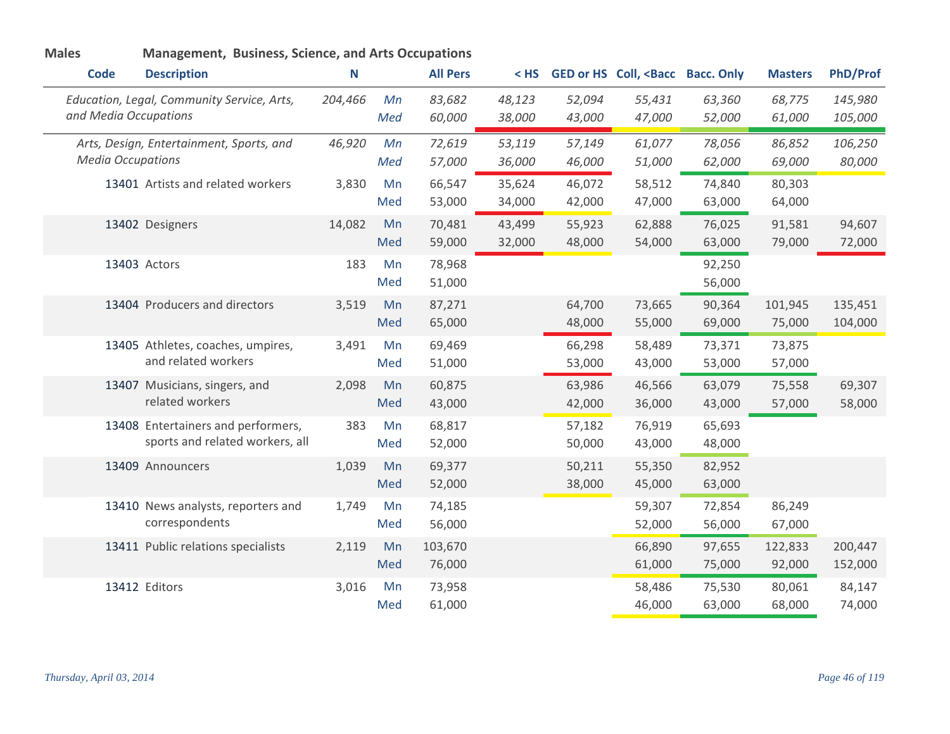| <b>Males</b>             | <b>Management, Business, Science, and Arts Occupations</b>            |         |           |                   |                  |                  |                                                                                                               |                  |                   |                    |
|--------------------------|-----------------------------------------------------------------------|---------|-----------|-------------------|------------------|------------------|---------------------------------------------------------------------------------------------------------------|------------------|-------------------|--------------------|
| <b>Code</b>              | <b>Description</b>                                                    | Ν       |           | <b>All Pers</b>   | $<$ HS           |                  | GED or HS Coll, <bacc bacc.="" only<="" th=""><th></th><th><b>Masters</b></th><th><b>PhD/Prof</b></th></bacc> |                  | <b>Masters</b>    | <b>PhD/Prof</b>    |
| and Media Occupations    | Education, Legal, Community Service, Arts,                            | 204,466 | Mn<br>Med | 83,682<br>60,000  | 48,123<br>38,000 | 52,094<br>43,000 | 55,431<br>47,000                                                                                              | 63,360<br>52,000 | 68,775<br>61,000  | 145,980<br>105,000 |
| <b>Media Occupations</b> | Arts, Design, Entertainment, Sports, and                              | 46,920  | Mn<br>Med | 72,619<br>57,000  | 53,119<br>36,000 | 57,149<br>46,000 | 61,077<br>51,000                                                                                              | 78,056<br>62,000 | 86,852<br>69,000  | 106,250<br>80,000  |
|                          | 13401 Artists and related workers                                     | 3,830   | Mn<br>Med | 66,547<br>53,000  | 35,624<br>34,000 | 46,072<br>42,000 | 58,512<br>47,000                                                                                              | 74,840<br>63,000 | 80,303<br>64,000  |                    |
|                          | 13402 Designers                                                       | 14,082  | Mn<br>Med | 70,481<br>59,000  | 43,499<br>32,000 | 55,923<br>48,000 | 62,888<br>54,000                                                                                              | 76,025<br>63,000 | 91,581<br>79,000  | 94,607<br>72,000   |
|                          | 13403 Actors                                                          | 183     | Mn<br>Med | 78,968<br>51,000  |                  |                  |                                                                                                               | 92,250<br>56,000 |                   |                    |
|                          | 13404 Producers and directors                                         | 3,519   | Mn<br>Med | 87,271<br>65,000  |                  | 64,700<br>48,000 | 73,665<br>55,000                                                                                              | 90,364<br>69,000 | 101,945<br>75,000 | 135,451<br>104,000 |
|                          | 13405 Athletes, coaches, umpires,<br>and related workers              | 3,491   | Mn<br>Med | 69,469<br>51,000  |                  | 66,298<br>53,000 | 58,489<br>43,000                                                                                              | 73,371<br>53,000 | 73,875<br>57,000  |                    |
|                          | 13407 Musicians, singers, and<br>related workers                      | 2,098   | Mn<br>Med | 60,875<br>43,000  |                  | 63,986<br>42,000 | 46,566<br>36,000                                                                                              | 63,079<br>43,000 | 75,558<br>57,000  | 69,307<br>58,000   |
|                          | 13408 Entertainers and performers,<br>sports and related workers, all | 383     | Mn<br>Med | 68,817<br>52,000  |                  | 57,182<br>50,000 | 76,919<br>43,000                                                                                              | 65,693<br>48,000 |                   |                    |
|                          | 13409 Announcers                                                      | 1,039   | Mn<br>Med | 69,377<br>52,000  |                  | 50,211<br>38,000 | 55,350<br>45,000                                                                                              | 82,952<br>63,000 |                   |                    |
|                          | 13410 News analysts, reporters and<br>correspondents                  | 1,749   | Mn<br>Med | 74,185<br>56,000  |                  |                  | 59,307<br>52,000                                                                                              | 72,854<br>56,000 | 86,249<br>67,000  |                    |
|                          | 13411 Public relations specialists                                    | 2,119   | Mn<br>Med | 103,670<br>76,000 |                  |                  | 66,890<br>61,000                                                                                              | 97,655<br>75,000 | 122,833<br>92,000 | 200,447<br>152,000 |
|                          | 13412 Editors                                                         | 3,016   | Mn<br>Med | 73,958<br>61,000  |                  |                  | 58,486<br>46,000                                                                                              | 75,530<br>63,000 | 80,061<br>68,000  | 84,147<br>74,000   |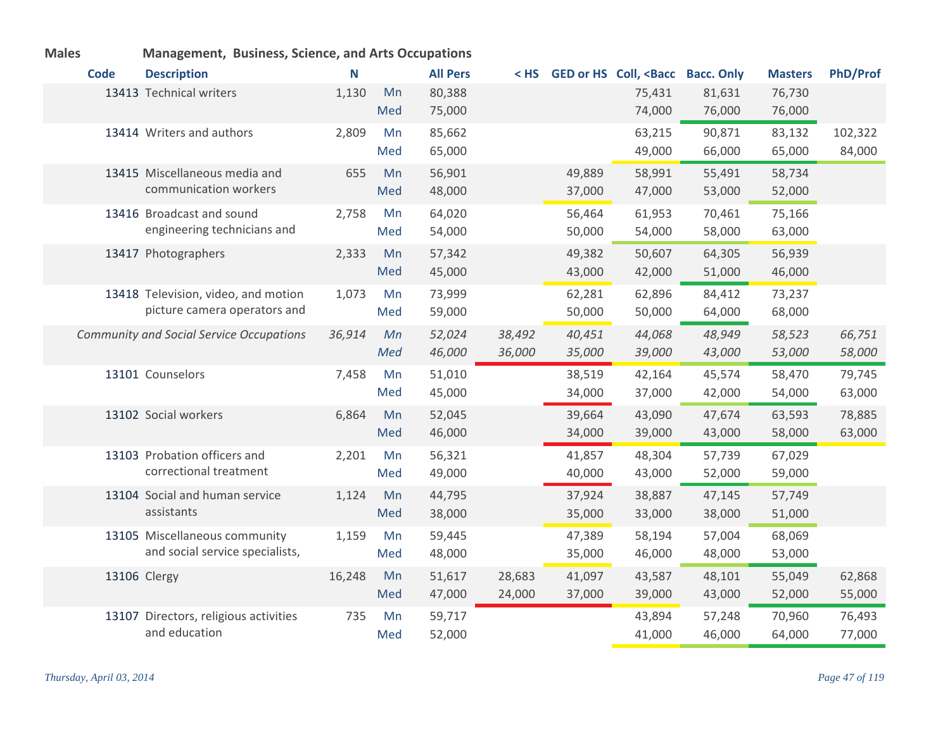| <b>Males</b> |             | <b>Management, Business, Science, and Arts Occupations</b> |        |     |                 |        |        |                                                                                                               |        |                |                 |
|--------------|-------------|------------------------------------------------------------|--------|-----|-----------------|--------|--------|---------------------------------------------------------------------------------------------------------------|--------|----------------|-----------------|
|              | <b>Code</b> | <b>Description</b>                                         | N      |     | <b>All Pers</b> | < HS   |        | GED or HS Coll, <bacc bacc.="" only<="" th=""><th></th><th><b>Masters</b></th><th><b>PhD/Prof</b></th></bacc> |        | <b>Masters</b> | <b>PhD/Prof</b> |
|              |             | 13413 Technical writers                                    | 1,130  | Mn  | 80,388          |        |        | 75,431                                                                                                        | 81,631 | 76,730         |                 |
|              |             |                                                            |        | Med | 75,000          |        |        | 74,000                                                                                                        | 76,000 | 76,000         |                 |
|              |             | 13414 Writers and authors                                  | 2,809  | Mn  | 85,662          |        |        | 63,215                                                                                                        | 90,871 | 83,132         | 102,322         |
|              |             |                                                            |        | Med | 65,000          |        |        | 49,000                                                                                                        | 66,000 | 65,000         | 84,000          |
|              |             | 13415 Miscellaneous media and                              | 655    | Mn  | 56,901          |        | 49,889 | 58,991                                                                                                        | 55,491 | 58,734         |                 |
|              |             | communication workers                                      |        | Med | 48,000          |        | 37,000 | 47,000                                                                                                        | 53,000 | 52,000         |                 |
|              |             | 13416 Broadcast and sound                                  | 2,758  | Mn  | 64,020          |        | 56,464 | 61,953                                                                                                        | 70,461 | 75,166         |                 |
|              |             | engineering technicians and                                |        | Med | 54,000          |        | 50,000 | 54,000                                                                                                        | 58,000 | 63,000         |                 |
|              |             | 13417 Photographers                                        | 2,333  | Mn  | 57,342          |        | 49,382 | 50,607                                                                                                        | 64,305 | 56,939         |                 |
|              |             |                                                            |        | Med | 45,000          |        | 43,000 | 42,000                                                                                                        | 51,000 | 46,000         |                 |
|              |             | 13418 Television, video, and motion                        | 1,073  | Mn  | 73,999          |        | 62,281 | 62,896                                                                                                        | 84,412 | 73,237         |                 |
|              |             | picture camera operators and                               |        | Med | 59,000          |        | 50,000 | 50,000                                                                                                        | 64,000 | 68,000         |                 |
|              |             | <b>Community and Social Service Occupations</b>            | 36,914 | Mn  | 52,024          | 38,492 | 40,451 | 44,068                                                                                                        | 48,949 | 58,523         | 66,751          |
|              |             |                                                            |        | Med | 46,000          | 36,000 | 35,000 | 39,000                                                                                                        | 43,000 | 53,000         | 58,000          |
|              |             | 13101 Counselors                                           | 7,458  | Mn  | 51,010          |        | 38,519 | 42,164                                                                                                        | 45,574 | 58,470         | 79,745          |
|              |             |                                                            |        | Med | 45,000          |        | 34,000 | 37,000                                                                                                        | 42,000 | 54,000         | 63,000          |
|              |             | 13102 Social workers                                       | 6,864  | Mn  | 52,045          |        | 39,664 | 43,090                                                                                                        | 47,674 | 63,593         | 78,885          |
|              |             |                                                            |        | Med | 46,000          |        | 34,000 | 39,000                                                                                                        | 43,000 | 58,000         | 63,000          |
|              |             | 13103 Probation officers and                               | 2,201  | Mn  | 56,321          |        | 41,857 | 48,304                                                                                                        | 57,739 | 67,029         |                 |
|              |             | correctional treatment                                     |        | Med | 49,000          |        | 40,000 | 43,000                                                                                                        | 52,000 | 59,000         |                 |
|              |             | 13104 Social and human service                             | 1,124  | Mn  | 44,795          |        | 37,924 | 38,887                                                                                                        | 47,145 | 57,749         |                 |
|              |             | assistants                                                 |        | Med | 38,000          |        | 35,000 | 33,000                                                                                                        | 38,000 | 51,000         |                 |
|              |             | 13105 Miscellaneous community                              | 1,159  | Mn  | 59,445          |        | 47,389 | 58,194                                                                                                        | 57,004 | 68,069         |                 |
|              |             | and social service specialists,                            |        | Med | 48,000          |        | 35,000 | 46,000                                                                                                        | 48,000 | 53,000         |                 |
|              |             | 13106 Clergy                                               | 16,248 | Mn  | 51,617          | 28,683 | 41,097 | 43,587                                                                                                        | 48,101 | 55,049         | 62,868          |
|              |             |                                                            |        | Med | 47,000          | 24,000 | 37,000 | 39,000                                                                                                        | 43,000 | 52,000         | 55,000          |
|              |             | 13107 Directors, religious activities                      | 735    | Mn  | 59,717          |        |        | 43,894                                                                                                        | 57,248 | 70,960         | 76,493          |
|              |             | and education                                              |        | Med | 52,000          |        |        | 41,000                                                                                                        | 46,000 | 64,000         | 77,000          |

*Thursday, April 03, 2014 Page 47 of 119*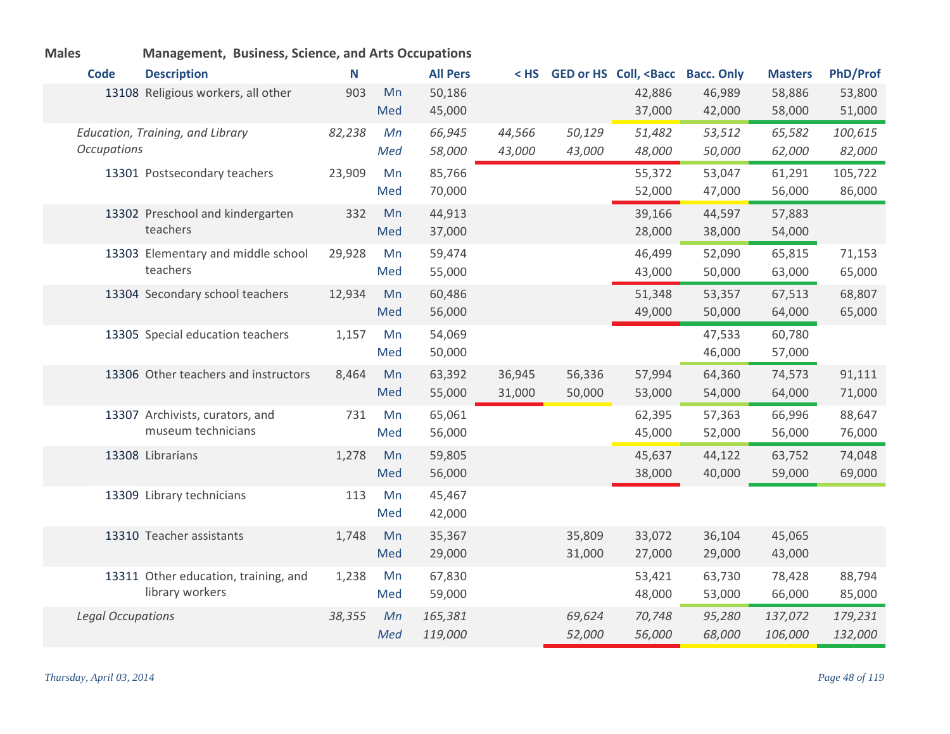| <b>Code</b>              | <b>Description</b>                   | N      |     | <b>All Pers</b> | $<$ HS $<$ |        | GED or HS Coll, <bacc bacc.="" only<="" th=""><th></th><th><b>Masters</b></th><th><b>PhD/Prof</b></th></bacc> |        | <b>Masters</b> | <b>PhD/Prof</b> |
|--------------------------|--------------------------------------|--------|-----|-----------------|------------|--------|---------------------------------------------------------------------------------------------------------------|--------|----------------|-----------------|
|                          | 13108 Religious workers, all other   | 903    | Mn  | 50,186          |            |        | 42,886                                                                                                        | 46,989 | 58,886         | 53,800          |
|                          |                                      |        | Med | 45,000          |            |        | 37,000                                                                                                        | 42,000 | 58,000         | 51,000          |
|                          | Education, Training, and Library     | 82,238 | Mn  | 66,945          | 44,566     | 50,129 | 51,482                                                                                                        | 53,512 | 65,582         | 100,615         |
| <b>Occupations</b>       |                                      |        | Med | 58,000          | 43,000     | 43,000 | 48,000                                                                                                        | 50,000 | 62,000         | 82,000          |
|                          | 13301 Postsecondary teachers         | 23,909 | Mn  | 85,766          |            |        | 55,372                                                                                                        | 53,047 | 61,291         | 105,722         |
|                          |                                      |        | Med | 70,000          |            |        | 52,000                                                                                                        | 47,000 | 56,000         | 86,000          |
|                          | 13302 Preschool and kindergarten     | 332    | Mn  | 44,913          |            |        | 39,166                                                                                                        | 44,597 | 57,883         |                 |
|                          | teachers                             |        | Med | 37,000          |            |        | 28,000                                                                                                        | 38,000 | 54,000         |                 |
|                          | 13303 Elementary and middle school   | 29,928 | Mn  | 59,474          |            |        | 46,499                                                                                                        | 52,090 | 65,815         | 71,153          |
|                          | teachers                             |        | Med | 55,000          |            |        | 43,000                                                                                                        | 50,000 | 63,000         | 65,000          |
|                          | 13304 Secondary school teachers      | 12,934 | Mn  | 60,486          |            |        | 51,348                                                                                                        | 53,357 | 67,513         | 68,807          |
|                          |                                      |        | Med | 56,000          |            |        | 49,000                                                                                                        | 50,000 | 64,000         | 65,000          |
|                          | 13305 Special education teachers     | 1,157  | Mn  | 54,069          |            |        |                                                                                                               | 47,533 | 60,780         |                 |
|                          |                                      |        | Med | 50,000          |            |        |                                                                                                               | 46,000 | 57,000         |                 |
|                          | 13306 Other teachers and instructors | 8,464  | Mn  | 63,392          | 36,945     | 56,336 | 57,994                                                                                                        | 64,360 | 74,573         | 91,111          |
|                          |                                      |        | Med | 55,000          | 31,000     | 50,000 | 53,000                                                                                                        | 54,000 | 64,000         | 71,000          |
|                          | 13307 Archivists, curators, and      | 731    | Mn  | 65,061          |            |        | 62,395                                                                                                        | 57,363 | 66,996         | 88,647          |
|                          | museum technicians                   |        | Med | 56,000          |            |        | 45,000                                                                                                        | 52,000 | 56,000         | 76,000          |
|                          | 13308 Librarians                     | 1,278  | Mn  | 59,805          |            |        | 45,637                                                                                                        | 44,122 | 63,752         | 74,048          |
|                          |                                      |        | Med | 56,000          |            |        | 38,000                                                                                                        | 40,000 | 59,000         | 69,000          |
|                          | 13309 Library technicians            | 113    | Mn  | 45,467          |            |        |                                                                                                               |        |                |                 |
|                          |                                      |        | Med | 42,000          |            |        |                                                                                                               |        |                |                 |
|                          | 13310 Teacher assistants             | 1,748  | Mn  | 35,367          |            | 35,809 | 33,072                                                                                                        | 36,104 | 45,065         |                 |
|                          |                                      |        | Med | 29,000          |            | 31,000 | 27,000                                                                                                        | 29,000 | 43,000         |                 |
|                          | 13311 Other education, training, and | 1,238  | Mn  | 67,830          |            |        | 53,421                                                                                                        | 63,730 | 78,428         | 88,794          |
|                          | library workers                      |        | Med | 59,000          |            |        | 48,000                                                                                                        | 53,000 | 66,000         | 85,000          |
| <b>Legal Occupations</b> |                                      | 38,355 | Mn  | 165,381         |            | 69,624 | 70,748                                                                                                        | 95,280 | 137,072        | 179,231         |
|                          |                                      |        | Med | 119,000         |            | 52,000 | 56,000                                                                                                        | 68,000 | 106,000        | 132,000         |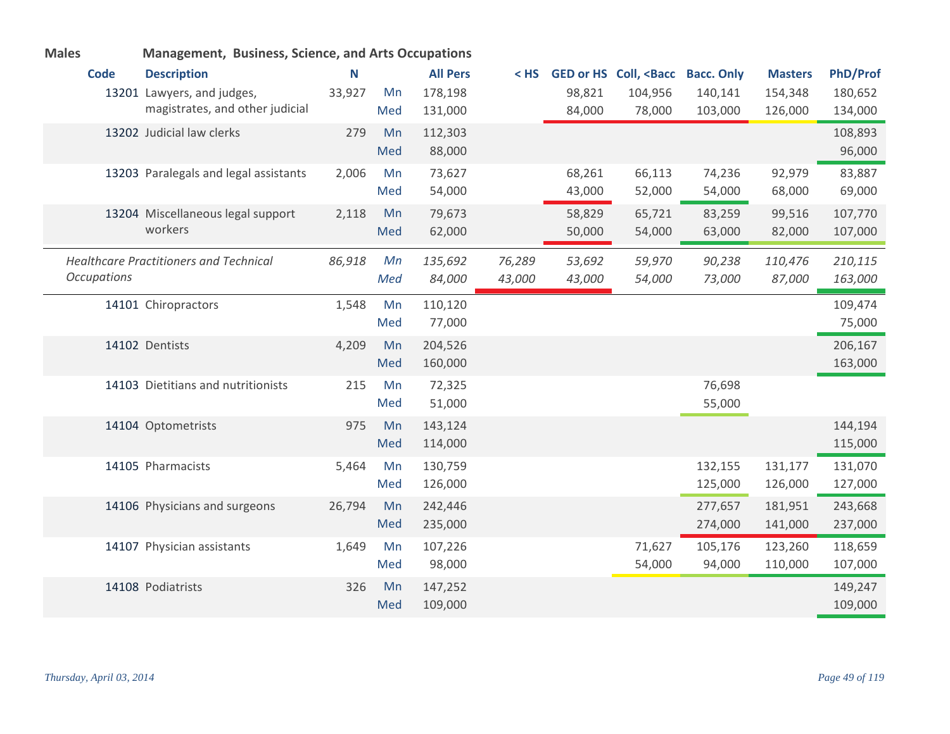| <b>Males</b>       | <b>Management, Business, Science, and Arts Occupations</b> |        |     |                 |        |        |                                                                                                        |         |                |          |
|--------------------|------------------------------------------------------------|--------|-----|-----------------|--------|--------|--------------------------------------------------------------------------------------------------------|---------|----------------|----------|
| <b>Code</b>        | <b>Description</b>                                         | Ν      |     | <b>All Pers</b> | $<$ HS |        | GED or HS Coll, <bacc bacc.="" only<="" th=""><th></th><th><b>Masters</b></th><th>PhD/Prof</th></bacc> |         | <b>Masters</b> | PhD/Prof |
|                    | 13201 Lawyers, and judges,                                 | 33,927 | Mn  | 178,198         |        | 98,821 | 104,956                                                                                                | 140,141 | 154,348        | 180,652  |
|                    | magistrates, and other judicial                            |        | Med | 131,000         |        | 84,000 | 78,000                                                                                                 | 103,000 | 126,000        | 134,000  |
|                    | 13202 Judicial law clerks                                  | 279    | Mn  | 112,303         |        |        |                                                                                                        |         |                | 108,893  |
|                    |                                                            |        | Med | 88,000          |        |        |                                                                                                        |         |                | 96,000   |
|                    | 13203 Paralegals and legal assistants                      | 2,006  | Mn  | 73,627          |        | 68,261 | 66,113                                                                                                 | 74,236  | 92,979         | 83,887   |
|                    |                                                            |        | Med | 54,000          |        | 43,000 | 52,000                                                                                                 | 54,000  | 68,000         | 69,000   |
|                    | 13204 Miscellaneous legal support                          | 2,118  | Mn  | 79,673          |        | 58,829 | 65,721                                                                                                 | 83,259  | 99,516         | 107,770  |
|                    | workers                                                    |        | Med | 62,000          |        | 50,000 | 54,000                                                                                                 | 63,000  | 82,000         | 107,000  |
|                    | <b>Healthcare Practitioners and Technical</b>              | 86,918 | Mn  | 135,692         | 76,289 | 53,692 | 59,970                                                                                                 | 90,238  | 110,476        | 210,115  |
| <b>Occupations</b> |                                                            |        | Med | 84,000          | 43,000 | 43,000 | 54,000                                                                                                 | 73,000  | 87,000         | 163,000  |
|                    | 14101 Chiropractors                                        | 1,548  | Mn  | 110,120         |        |        |                                                                                                        |         |                | 109,474  |
|                    |                                                            |        | Med | 77,000          |        |        |                                                                                                        |         |                | 75,000   |
|                    | 14102 Dentists                                             | 4,209  | Mn  | 204,526         |        |        |                                                                                                        |         |                | 206,167  |
|                    |                                                            |        | Med | 160,000         |        |        |                                                                                                        |         |                | 163,000  |
|                    | 14103 Dietitians and nutritionists                         | 215    | Mn  | 72,325          |        |        |                                                                                                        | 76,698  |                |          |
|                    |                                                            |        | Med | 51,000          |        |        |                                                                                                        | 55,000  |                |          |
|                    | 14104 Optometrists                                         | 975    | Mn  | 143,124         |        |        |                                                                                                        |         |                | 144,194  |
|                    |                                                            |        | Med | 114,000         |        |        |                                                                                                        |         |                | 115,000  |
|                    | 14105 Pharmacists                                          | 5,464  | Mn  | 130,759         |        |        |                                                                                                        | 132,155 | 131,177        | 131,070  |
|                    |                                                            |        | Med | 126,000         |        |        |                                                                                                        | 125,000 | 126,000        | 127,000  |
|                    | 14106 Physicians and surgeons                              | 26,794 | Mn  | 242,446         |        |        |                                                                                                        | 277,657 | 181,951        | 243,668  |
|                    |                                                            |        | Med | 235,000         |        |        |                                                                                                        | 274,000 | 141,000        | 237,000  |
|                    | 14107 Physician assistants                                 | 1,649  | Mn  | 107,226         |        |        | 71,627                                                                                                 | 105,176 | 123,260        | 118,659  |
|                    |                                                            |        | Med | 98,000          |        |        | 54,000                                                                                                 | 94,000  | 110,000        | 107,000  |
|                    | 14108 Podiatrists                                          | 326    | Mn  | 147,252         |        |        |                                                                                                        |         |                | 149,247  |
|                    |                                                            |        | Med | 109,000         |        |        |                                                                                                        |         |                | 109,000  |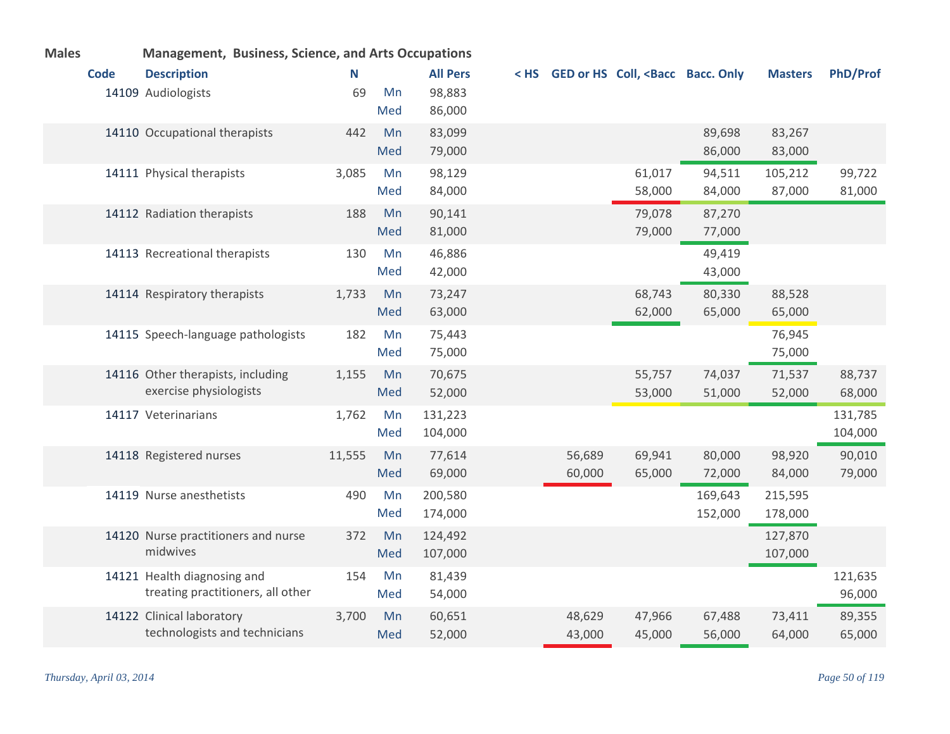| <b>Males</b> | <b>Management, Business, Science, and Arts Occupations</b> |        |     |                 |        |                                                                                                             |         |                |          |
|--------------|------------------------------------------------------------|--------|-----|-----------------|--------|-------------------------------------------------------------------------------------------------------------|---------|----------------|----------|
| <b>Code</b>  | <b>Description</b>                                         | N      |     | <b>All Pers</b> |        | < HS GED or HS Coll, <bacc bacc.="" only<="" th=""><th></th><th><b>Masters</b></th><th>PhD/Prof</th></bacc> |         | <b>Masters</b> | PhD/Prof |
|              | 14109 Audiologists                                         | 69     | Mn  | 98,883          |        |                                                                                                             |         |                |          |
|              |                                                            |        | Med | 86,000          |        |                                                                                                             |         |                |          |
|              | 14110 Occupational therapists                              | 442    | Mn  | 83,099          |        |                                                                                                             | 89,698  | 83,267         |          |
|              |                                                            |        | Med | 79,000          |        |                                                                                                             | 86,000  | 83,000         |          |
|              | 14111 Physical therapists                                  | 3,085  | Mn  | 98,129          |        | 61,017                                                                                                      | 94,511  | 105,212        | 99,722   |
|              |                                                            |        | Med | 84,000          |        | 58,000                                                                                                      | 84,000  | 87,000         | 81,000   |
|              | 14112 Radiation therapists                                 | 188    | Mn  | 90,141          |        | 79,078                                                                                                      | 87,270  |                |          |
|              |                                                            |        | Med | 81,000          |        | 79,000                                                                                                      | 77,000  |                |          |
|              | 14113 Recreational therapists                              | 130    | Mn  | 46,886          |        |                                                                                                             | 49,419  |                |          |
|              |                                                            |        | Med | 42,000          |        |                                                                                                             | 43,000  |                |          |
|              | 14114 Respiratory therapists                               | 1,733  | Mn  | 73,247          |        | 68,743                                                                                                      | 80,330  | 88,528         |          |
|              |                                                            |        | Med | 63,000          |        | 62,000                                                                                                      | 65,000  | 65,000         |          |
|              | 14115 Speech-language pathologists                         | 182    | Mn  | 75,443          |        |                                                                                                             |         | 76,945         |          |
|              |                                                            |        | Med | 75,000          |        |                                                                                                             |         | 75,000         |          |
|              | 14116 Other therapists, including                          | 1,155  | Mn  | 70,675          |        | 55,757                                                                                                      | 74,037  | 71,537         | 88,737   |
|              | exercise physiologists                                     |        | Med | 52,000          |        | 53,000                                                                                                      | 51,000  | 52,000         | 68,000   |
|              | 14117 Veterinarians                                        | 1,762  | Mn  | 131,223         |        |                                                                                                             |         |                | 131,785  |
|              |                                                            |        | Med | 104,000         |        |                                                                                                             |         |                | 104,000  |
|              | 14118 Registered nurses                                    | 11,555 | Mn  | 77,614          | 56,689 | 69,941                                                                                                      | 80,000  | 98,920         | 90,010   |
|              |                                                            |        | Med | 69,000          | 60,000 | 65,000                                                                                                      | 72,000  | 84,000         | 79,000   |
|              | 14119 Nurse anesthetists                                   | 490    | Mn  | 200,580         |        |                                                                                                             | 169,643 | 215,595        |          |
|              |                                                            |        | Med | 174,000         |        |                                                                                                             | 152,000 | 178,000        |          |
|              | 14120 Nurse practitioners and nurse                        | 372    | Mn  | 124,492         |        |                                                                                                             |         | 127,870        |          |
|              | midwives                                                   |        | Med | 107,000         |        |                                                                                                             |         | 107,000        |          |
|              | 14121 Health diagnosing and                                | 154    | Mn  | 81,439          |        |                                                                                                             |         |                | 121,635  |
|              | treating practitioners, all other                          |        | Med | 54,000          |        |                                                                                                             |         |                | 96,000   |
|              | 14122 Clinical laboratory                                  | 3,700  | Mn  | 60,651          | 48,629 | 47,966                                                                                                      | 67,488  | 73,411         | 89,355   |
|              | technologists and technicians                              |        | Med | 52,000          | 43,000 | 45,000                                                                                                      | 56,000  | 64,000         | 65,000   |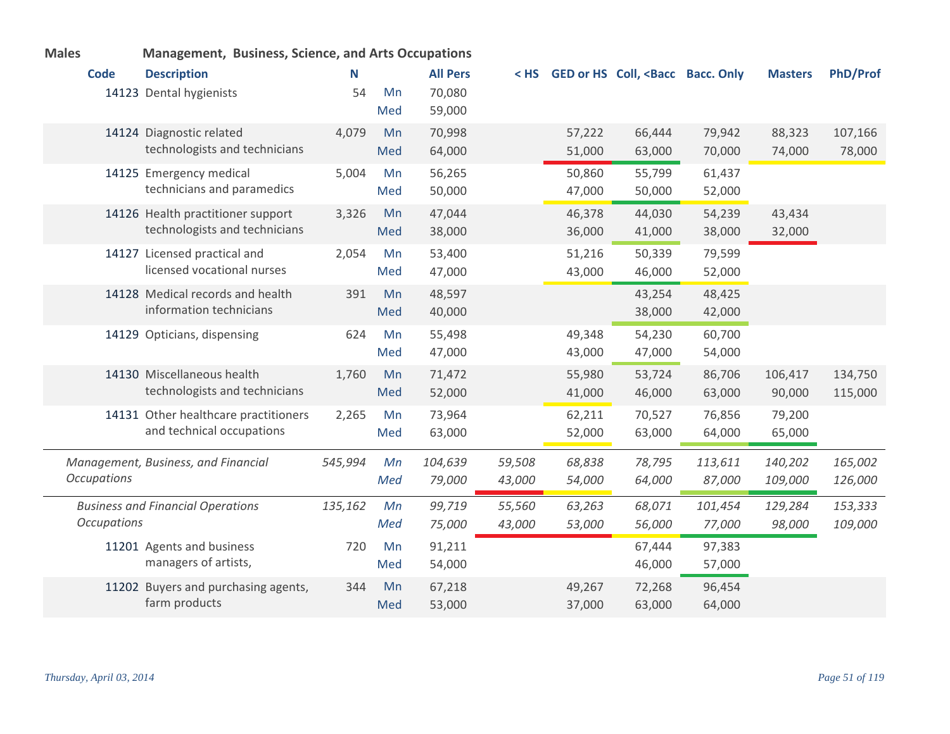| <b>Males</b>       | <b>Management, Business, Science, and Arts Occupations</b>         |         |           |                   |                  |                  |                                                                                                               |                   |                    |                    |
|--------------------|--------------------------------------------------------------------|---------|-----------|-------------------|------------------|------------------|---------------------------------------------------------------------------------------------------------------|-------------------|--------------------|--------------------|
| <b>Code</b>        | <b>Description</b>                                                 | Ν       |           | <b>All Pers</b>   | < HS             |                  | GED or HS Coll, <bacc bacc.="" only<="" th=""><th></th><th><b>Masters</b></th><th><b>PhD/Prof</b></th></bacc> |                   | <b>Masters</b>     | <b>PhD/Prof</b>    |
|                    | 14123 Dental hygienists                                            | 54      | Mn<br>Med | 70,080<br>59,000  |                  |                  |                                                                                                               |                   |                    |                    |
|                    |                                                                    |         | Mn        |                   |                  |                  |                                                                                                               |                   |                    |                    |
|                    | 14124 Diagnostic related<br>technologists and technicians          | 4,079   | Med       | 70,998<br>64,000  |                  | 57,222<br>51,000 | 66,444<br>63,000                                                                                              | 79,942<br>70,000  | 88,323<br>74,000   | 107,166<br>78,000  |
|                    | 14125 Emergency medical<br>technicians and paramedics              | 5,004   | Mn<br>Med | 56,265<br>50,000  |                  | 50,860<br>47,000 | 55,799<br>50,000                                                                                              | 61,437<br>52,000  |                    |                    |
|                    | 14126 Health practitioner support<br>technologists and technicians | 3,326   | Mn<br>Med | 47,044<br>38,000  |                  | 46,378<br>36,000 | 44,030<br>41,000                                                                                              | 54,239<br>38,000  | 43,434<br>32,000   |                    |
|                    | 14127 Licensed practical and<br>licensed vocational nurses         | 2,054   | Mn<br>Med | 53,400<br>47,000  |                  | 51,216<br>43,000 | 50,339<br>46,000                                                                                              | 79,599<br>52,000  |                    |                    |
|                    | 14128 Medical records and health<br>information technicians        | 391     | Mn<br>Med | 48,597<br>40,000  |                  |                  | 43,254<br>38,000                                                                                              | 48,425<br>42,000  |                    |                    |
|                    | 14129 Opticians, dispensing                                        | 624     | Mn<br>Med | 55,498<br>47,000  |                  | 49,348<br>43,000 | 54,230<br>47,000                                                                                              | 60,700<br>54,000  |                    |                    |
|                    | 14130 Miscellaneous health<br>technologists and technicians        | 1,760   | Mn<br>Med | 71,472<br>52,000  |                  | 55,980<br>41,000 | 53,724<br>46,000                                                                                              | 86,706<br>63,000  | 106,417<br>90,000  | 134,750<br>115,000 |
|                    | 14131 Other healthcare practitioners<br>and technical occupations  | 2,265   | Mn<br>Med | 73,964<br>63,000  |                  | 62,211<br>52,000 | 70,527<br>63,000                                                                                              | 76,856<br>64,000  | 79,200<br>65,000   |                    |
| <b>Occupations</b> | Management, Business, and Financial                                | 545,994 | Mn<br>Med | 104,639<br>79,000 | 59,508<br>43,000 | 68,838<br>54,000 | 78,795<br>64,000                                                                                              | 113,611<br>87,000 | 140,202<br>109,000 | 165,002<br>126,000 |
| <b>Occupations</b> | <b>Business and Financial Operations</b>                           | 135,162 | Mn<br>Med | 99,719<br>75,000  | 55,560<br>43,000 | 63,263<br>53,000 | 68,071<br>56,000                                                                                              | 101,454<br>77,000 | 129,284<br>98,000  | 153,333<br>109,000 |
|                    | 11201 Agents and business<br>managers of artists,                  | 720     | Mn<br>Med | 91,211<br>54,000  |                  |                  | 67,444<br>46,000                                                                                              | 97,383<br>57,000  |                    |                    |
|                    | 11202 Buyers and purchasing agents,<br>farm products               | 344     | Mn<br>Med | 67,218<br>53,000  |                  | 49,267<br>37,000 | 72,268<br>63,000                                                                                              | 96,454<br>64,000  |                    |                    |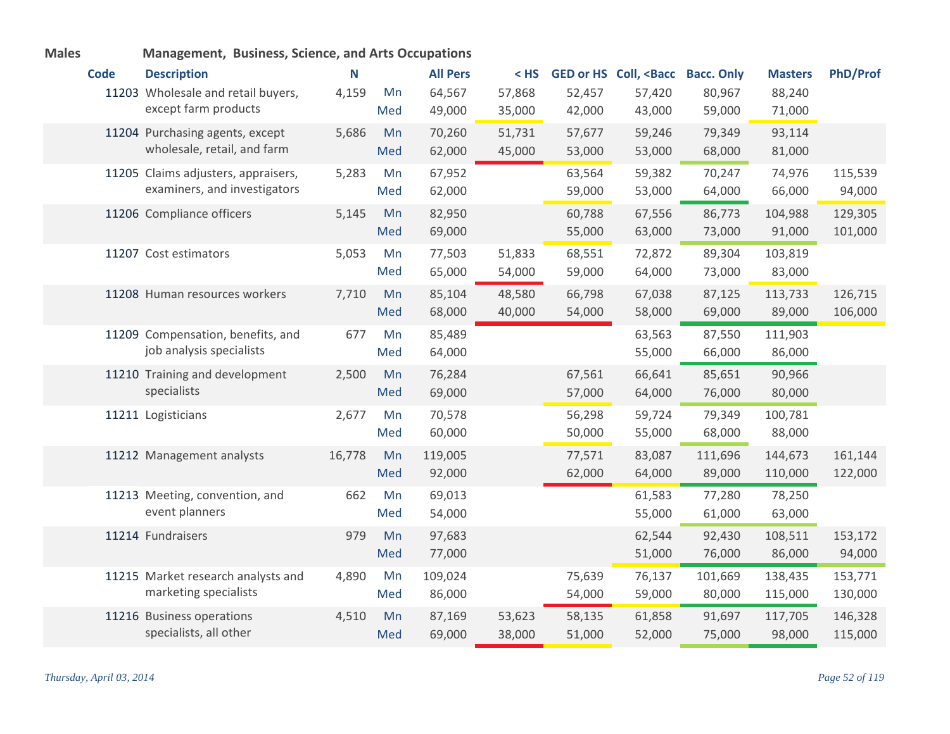|             | management, Dasmess, Science, and Arts Occup |        |     |                 |        |        |                                             |                   |                |                 |
|-------------|----------------------------------------------|--------|-----|-----------------|--------|--------|---------------------------------------------|-------------------|----------------|-----------------|
| <b>Code</b> | <b>Description</b>                           | N      |     | <b>All Pers</b> | $<$ HS |        | <b>GED or HS Coll, <bacc< b=""></bacc<></b> | <b>Bacc. Only</b> | <b>Masters</b> | <b>PhD/Prof</b> |
|             | 11203 Wholesale and retail buyers,           | 4,159  | Mn  | 64,567          | 57,868 | 52,457 | 57,420                                      | 80,967            | 88,240         |                 |
|             | except farm products                         |        | Med | 49,000          | 35,000 | 42,000 | 43,000                                      | 59,000            | 71,000         |                 |
|             | 11204 Purchasing agents, except              | 5,686  | Mn  | 70,260          | 51,731 | 57,677 | 59,246                                      | 79,349            | 93,114         |                 |
|             | wholesale, retail, and farm                  |        | Med | 62,000          | 45,000 | 53,000 | 53,000                                      | 68,000            | 81,000         |                 |
|             | 11205 Claims adjusters, appraisers,          | 5,283  | Mn  | 67,952          |        | 63,564 | 59,382                                      | 70,247            | 74,976         | 115,539         |
|             | examiners, and investigators                 |        | Med | 62,000          |        | 59,000 | 53,000                                      | 64,000            | 66,000         | 94,000          |
|             | 11206 Compliance officers                    | 5,145  | Mn  | 82,950          |        | 60,788 | 67,556                                      | 86,773            | 104,988        | 129,305         |
|             |                                              |        | Med | 69,000          |        | 55,000 | 63,000                                      | 73,000            | 91,000         | 101,000         |
|             | 11207 Cost estimators                        | 5,053  | Mn  | 77,503          | 51,833 | 68,551 | 72,872                                      | 89,304            | 103,819        |                 |
|             |                                              |        | Med | 65,000          | 54,000 | 59,000 | 64,000                                      | 73,000            | 83,000         |                 |
|             | 11208 Human resources workers                | 7,710  | Mn  | 85,104          | 48,580 | 66,798 | 67,038                                      | 87,125            | 113,733        | 126,715         |
|             |                                              |        | Med | 68,000          | 40,000 | 54,000 | 58,000                                      | 69,000            | 89,000         | 106,000         |
|             | 11209 Compensation, benefits, and            | 677    | Mn  | 85,489          |        |        | 63,563                                      | 87,550            | 111,903        |                 |
|             | job analysis specialists                     |        | Med | 64,000          |        |        | 55,000                                      | 66,000            | 86,000         |                 |
|             | 11210 Training and development               | 2,500  | Mn  | 76,284          |        | 67,561 | 66,641                                      | 85,651            | 90,966         |                 |
|             | specialists                                  |        | Med | 69,000          |        | 57,000 | 64,000                                      | 76,000            | 80,000         |                 |
|             | 11211 Logisticians                           | 2,677  | Mn  | 70,578          |        | 56,298 | 59,724                                      | 79,349            | 100,781        |                 |
|             |                                              |        | Med | 60,000          |        | 50,000 | 55,000                                      | 68,000            | 88,000         |                 |
|             | 11212 Management analysts                    | 16,778 | Mn  | 119,005         |        | 77,571 | 83,087                                      | 111,696           | 144,673        | 161,144         |
|             |                                              |        | Med | 92,000          |        | 62,000 | 64,000                                      | 89,000            | 110,000        | 122,000         |
|             | 11213 Meeting, convention, and               | 662    | Mn  | 69,013          |        |        | 61,583                                      | 77,280            | 78,250         |                 |
|             | event planners                               |        | Med | 54,000          |        |        | 55,000                                      | 61,000            | 63,000         |                 |
|             | 11214 Fundraisers                            | 979    | Mn  | 97,683          |        |        | 62,544                                      | 92,430            | 108,511        | 153,172         |
|             |                                              |        | Med | 77,000          |        |        | 51,000                                      | 76,000            | 86,000         | 94,000          |
|             | 11215 Market research analysts and           | 4,890  | Mn  | 109,024         |        | 75,639 | 76,137                                      | 101,669           | 138,435        | 153,771         |
|             | marketing specialists                        |        | Med | 86,000          |        | 54,000 | 59,000                                      | 80,000            | 115,000        | 130,000         |
|             | 11216 Business operations                    | 4,510  | Mn  | 87,169          | 53,623 | 58,135 | 61,858                                      | 91,697            | 117,705        | 146,328         |
|             | specialists, all other                       |        | Med | 69,000          | 38,000 | 51,000 | 52,000                                      | 75,000            | 98,000         | 115,000         |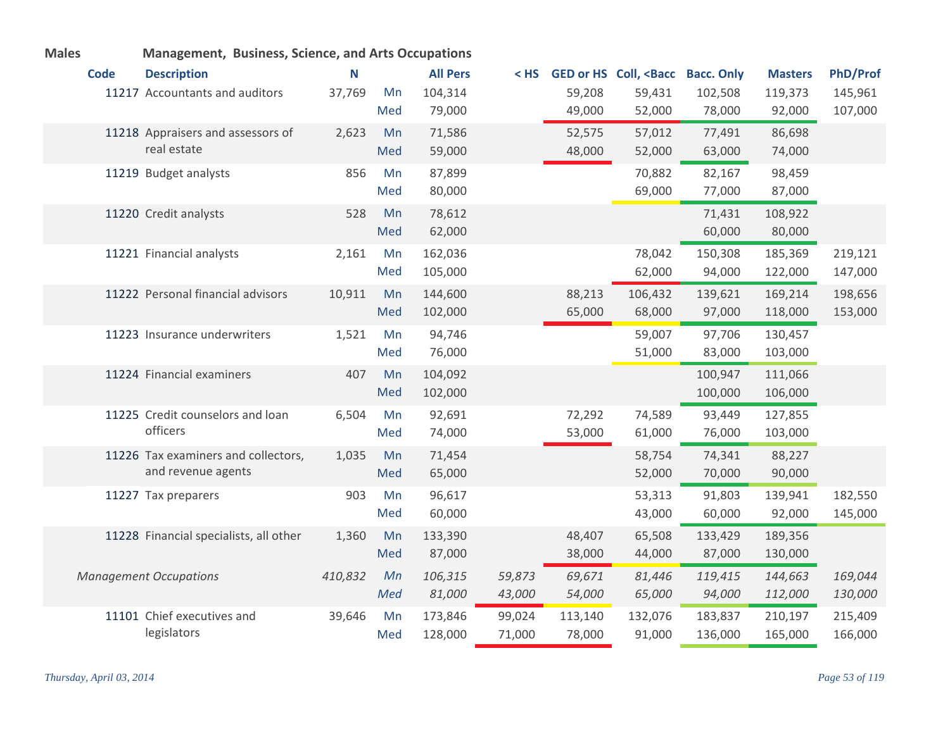| <b>Males</b> |             | Management, Business, Science, and Arts Occupations |         |     |                 |        |         |                                                                                                               |         |                |                 |
|--------------|-------------|-----------------------------------------------------|---------|-----|-----------------|--------|---------|---------------------------------------------------------------------------------------------------------------|---------|----------------|-----------------|
|              | <b>Code</b> | <b>Description</b>                                  | N       |     | <b>All Pers</b> | $<$ HS |         | GED or HS Coll, <bacc bacc.="" only<="" th=""><th></th><th><b>Masters</b></th><th><b>PhD/Prof</b></th></bacc> |         | <b>Masters</b> | <b>PhD/Prof</b> |
|              |             | 11217 Accountants and auditors                      | 37,769  | Mn  | 104,314         |        | 59,208  | 59,431                                                                                                        | 102,508 | 119,373        | 145,961         |
|              |             |                                                     |         | Med | 79,000          |        | 49,000  | 52,000                                                                                                        | 78,000  | 92,000         | 107,000         |
|              |             | 11218 Appraisers and assessors of                   | 2,623   | Mn  | 71,586          |        | 52,575  | 57,012                                                                                                        | 77,491  | 86,698         |                 |
|              |             | real estate                                         |         | Med | 59,000          |        | 48,000  | 52,000                                                                                                        | 63,000  | 74,000         |                 |
|              |             | 11219 Budget analysts                               | 856     | Mn  | 87,899          |        |         | 70,882                                                                                                        | 82,167  | 98,459         |                 |
|              |             |                                                     |         | Med | 80,000          |        |         | 69,000                                                                                                        | 77,000  | 87,000         |                 |
|              |             | 11220 Credit analysts                               | 528     | Mn  | 78,612          |        |         |                                                                                                               | 71,431  | 108,922        |                 |
|              |             |                                                     |         | Med | 62,000          |        |         |                                                                                                               | 60,000  | 80,000         |                 |
|              |             | 11221 Financial analysts                            | 2,161   | Mn  | 162,036         |        |         | 78,042                                                                                                        | 150,308 | 185,369        | 219,121         |
|              |             |                                                     |         | Med | 105,000         |        |         | 62,000                                                                                                        | 94,000  | 122,000        | 147,000         |
|              |             | 11222 Personal financial advisors                   | 10,911  | Mn  | 144,600         |        | 88,213  | 106,432                                                                                                       | 139,621 | 169,214        | 198,656         |
|              |             |                                                     |         | Med | 102,000         |        | 65,000  | 68,000                                                                                                        | 97,000  | 118,000        | 153,000         |
|              |             | 11223 Insurance underwriters                        | 1,521   | Mn  | 94,746          |        |         | 59,007                                                                                                        | 97,706  | 130,457        |                 |
|              |             |                                                     |         | Med | 76,000          |        |         | 51,000                                                                                                        | 83,000  | 103,000        |                 |
|              |             | 11224 Financial examiners                           | 407     | Mn  | 104,092         |        |         |                                                                                                               | 100,947 | 111,066        |                 |
|              |             |                                                     |         | Med | 102,000         |        |         |                                                                                                               | 100,000 | 106,000        |                 |
|              |             | 11225 Credit counselors and loan                    | 6,504   | Mn  | 92,691          |        | 72,292  | 74,589                                                                                                        | 93,449  | 127,855        |                 |
|              |             | officers                                            |         | Med | 74,000          |        | 53,000  | 61,000                                                                                                        | 76,000  | 103,000        |                 |
|              |             | 11226 Tax examiners and collectors,                 | 1,035   | Mn  | 71,454          |        |         | 58,754                                                                                                        | 74,341  | 88,227         |                 |
|              |             | and revenue agents                                  |         | Med | 65,000          |        |         | 52,000                                                                                                        | 70,000  | 90,000         |                 |
|              |             | 11227 Tax preparers                                 | 903     | Mn  | 96,617          |        |         | 53,313                                                                                                        | 91,803  | 139,941        | 182,550         |
|              |             |                                                     |         | Med | 60,000          |        |         | 43,000                                                                                                        | 60,000  | 92,000         | 145,000         |
|              |             | 11228 Financial specialists, all other              | 1,360   | Mn  | 133,390         |        | 48,407  | 65,508                                                                                                        | 133,429 | 189,356        |                 |
|              |             |                                                     |         | Med | 87,000          |        | 38,000  | 44,000                                                                                                        | 87,000  | 130,000        |                 |
|              |             | <b>Management Occupations</b>                       | 410,832 | Mn  | 106,315         | 59,873 | 69,671  | 81,446                                                                                                        | 119,415 | 144,663        | 169,044         |
|              |             |                                                     |         | Med | 81,000          | 43,000 | 54,000  | 65,000                                                                                                        | 94,000  | 112,000        | 130,000         |
|              |             | 11101 Chief executives and                          | 39,646  | Mn  | 173,846         | 99,024 | 113,140 | 132,076                                                                                                       | 183,837 | 210,197        | 215,409         |
|              |             | legislators                                         |         | Med | 128,000         | 71,000 | 78,000  | 91,000                                                                                                        | 136,000 | 165,000        | 166,000         |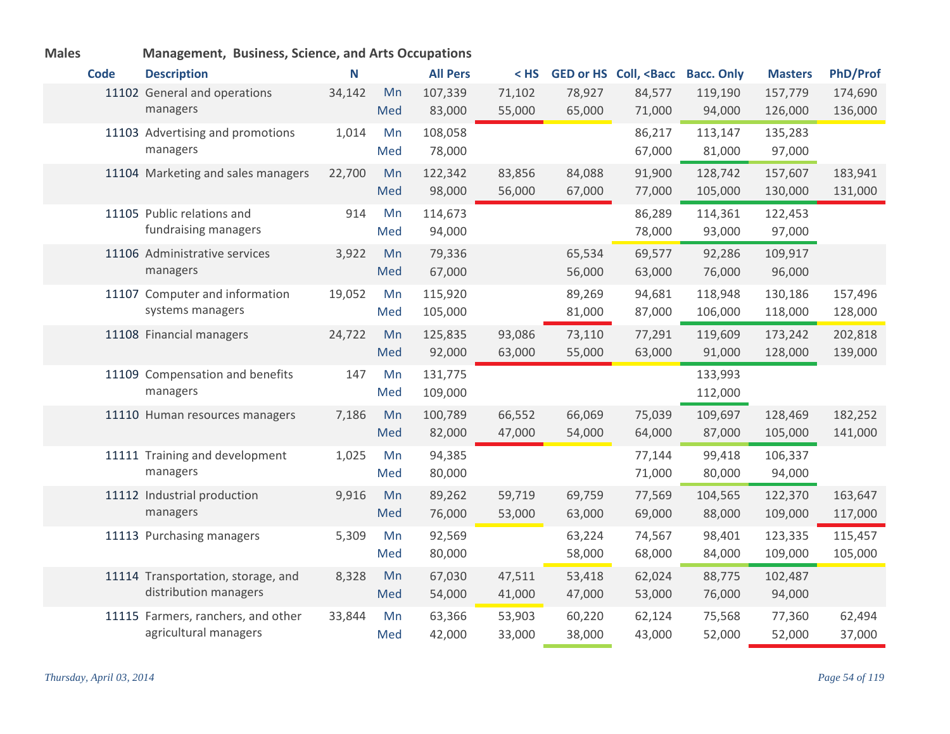| <b>IVIAIES</b> |             | ivianagement, business, science, and Arts Occupations       |        |           |                    |                  |                  |                                                                                                               |                    |                    |                    |
|----------------|-------------|-------------------------------------------------------------|--------|-----------|--------------------|------------------|------------------|---------------------------------------------------------------------------------------------------------------|--------------------|--------------------|--------------------|
|                | <b>Code</b> | <b>Description</b>                                          | N      |           | <b>All Pers</b>    | < HS             |                  | GED or HS Coll, <bacc bacc.="" only<="" th=""><th></th><th><b>Masters</b></th><th><b>PhD/Prof</b></th></bacc> |                    | <b>Masters</b>     | <b>PhD/Prof</b>    |
|                |             | 11102 General and operations<br>managers                    | 34,142 | Mn<br>Med | 107,339<br>83,000  | 71,102<br>55,000 | 78,927<br>65,000 | 84,577<br>71,000                                                                                              | 119,190<br>94,000  | 157,779<br>126,000 | 174,690<br>136,000 |
|                |             | 11103 Advertising and promotions<br>managers                | 1,014  | Mn<br>Med | 108,058<br>78,000  |                  |                  | 86,217<br>67,000                                                                                              | 113,147<br>81,000  | 135,283<br>97,000  |                    |
|                |             | 11104 Marketing and sales managers                          | 22,700 | Mn<br>Med | 122,342<br>98,000  | 83,856<br>56,000 | 84,088<br>67,000 | 91,900<br>77,000                                                                                              | 128,742<br>105,000 | 157,607<br>130,000 | 183,941<br>131,000 |
|                |             | 11105 Public relations and<br>fundraising managers          | 914    | Mn<br>Med | 114,673<br>94,000  |                  |                  | 86,289<br>78,000                                                                                              | 114,361<br>93,000  | 122,453<br>97,000  |                    |
|                |             | 11106 Administrative services<br>managers                   | 3,922  | Mn<br>Med | 79,336<br>67,000   |                  | 65,534<br>56,000 | 69,577<br>63,000                                                                                              | 92,286<br>76,000   | 109,917<br>96,000  |                    |
|                |             | 11107 Computer and information<br>systems managers          | 19,052 | Mn<br>Med | 115,920<br>105,000 |                  | 89,269<br>81,000 | 94,681<br>87,000                                                                                              | 118,948<br>106,000 | 130,186<br>118,000 | 157,496<br>128,000 |
|                |             | 11108 Financial managers                                    | 24,722 | Mn<br>Med | 125,835<br>92,000  | 93,086<br>63,000 | 73,110<br>55,000 | 77,291<br>63,000                                                                                              | 119,609<br>91,000  | 173,242<br>128,000 | 202,818<br>139,000 |
|                |             | 11109 Compensation and benefits<br>managers                 | 147    | Mn<br>Med | 131,775<br>109,000 |                  |                  |                                                                                                               | 133,993<br>112,000 |                    |                    |
|                |             | 11110 Human resources managers                              | 7,186  | Mn<br>Med | 100,789<br>82,000  | 66,552<br>47,000 | 66,069<br>54,000 | 75,039<br>64,000                                                                                              | 109,697<br>87,000  | 128,469<br>105,000 | 182,252<br>141,000 |
|                |             | 11111 Training and development<br>managers                  | 1,025  | Mn<br>Med | 94,385<br>80,000   |                  |                  | 77,144<br>71,000                                                                                              | 99,418<br>80,000   | 106,337<br>94,000  |                    |
|                |             | 11112 Industrial production<br>managers                     | 9,916  | Mn<br>Med | 89,262<br>76,000   | 59,719<br>53,000 | 69,759<br>63,000 | 77,569<br>69,000                                                                                              | 104,565<br>88,000  | 122,370<br>109,000 | 163,647<br>117,000 |
|                |             | 11113 Purchasing managers                                   | 5,309  | Mn<br>Med | 92,569<br>80,000   |                  | 63,224<br>58,000 | 74,567<br>68,000                                                                                              | 98,401<br>84,000   | 123,335<br>109,000 | 115,457<br>105,000 |
|                |             | 11114 Transportation, storage, and<br>distribution managers | 8,328  | Mn<br>Med | 67,030<br>54,000   | 47,511<br>41,000 | 53,418<br>47,000 | 62,024<br>53,000                                                                                              | 88,775<br>76,000   | 102,487<br>94,000  |                    |
|                |             | 11115 Farmers, ranchers, and other<br>agricultural managers | 33,844 | Mn<br>Med | 63,366<br>42,000   | 53,903<br>33,000 | 60,220<br>38,000 | 62,124<br>43,000                                                                                              | 75,568<br>52,000   | 77,360<br>52,000   | 62,494<br>37,000   |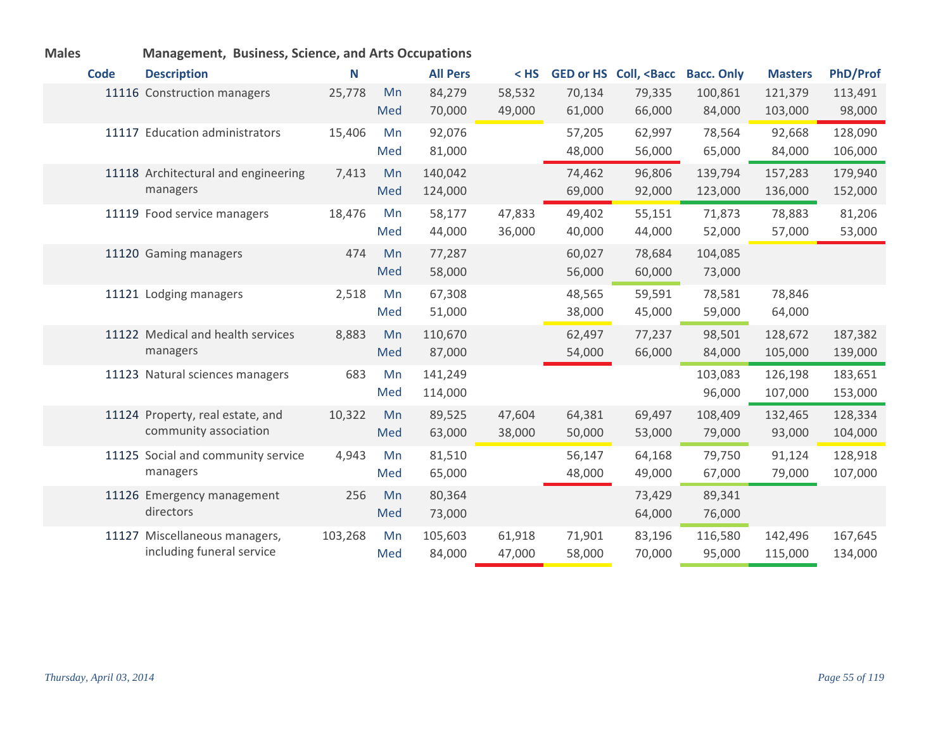| <b>Code</b> | <b>Description</b>                  | N       |     | <b>All Pers</b> | $<$ HS |        | GED or HS Coll, <bacc< th=""><th><b>Bacc. Only</b></th><th><b>Masters</b></th><th><b>PhD/Prof</b></th></bacc<> | <b>Bacc. Only</b> | <b>Masters</b> | <b>PhD/Prof</b> |
|-------------|-------------------------------------|---------|-----|-----------------|--------|--------|----------------------------------------------------------------------------------------------------------------|-------------------|----------------|-----------------|
|             | 11116 Construction managers         | 25,778  | Mn  | 84,279          | 58,532 | 70,134 | 79,335                                                                                                         | 100,861           | 121,379        | 113,491         |
|             |                                     |         | Med | 70,000          | 49,000 | 61,000 | 66,000                                                                                                         | 84,000            | 103,000        | 98,000          |
|             | 11117 Education administrators      | 15,406  | Mn  | 92,076          |        | 57,205 | 62,997                                                                                                         | 78,564            | 92,668         | 128,090         |
|             |                                     |         | Med | 81,000          |        | 48,000 | 56,000                                                                                                         | 65,000            | 84,000         | 106,000         |
|             | 11118 Architectural and engineering | 7,413   | Mn  | 140,042         |        | 74,462 | 96,806                                                                                                         | 139,794           | 157,283        | 179,940         |
|             | managers                            |         | Med | 124,000         |        | 69,000 | 92,000                                                                                                         | 123,000           | 136,000        | 152,000         |
|             | 11119 Food service managers         | 18,476  | Mn  | 58,177          | 47,833 | 49,402 | 55,151                                                                                                         | 71,873            | 78,883         | 81,206          |
|             |                                     |         | Med | 44,000          | 36,000 | 40,000 | 44,000                                                                                                         | 52,000            | 57,000         | 53,000          |
|             | 11120 Gaming managers               | 474     | Mn  | 77,287          |        | 60,027 | 78,684                                                                                                         | 104,085           |                |                 |
|             |                                     |         | Med | 58,000          |        | 56,000 | 60,000                                                                                                         | 73,000            |                |                 |
|             | 11121 Lodging managers              | 2,518   | Mn  | 67,308          |        | 48,565 | 59,591                                                                                                         | 78,581            | 78,846         |                 |
|             |                                     |         | Med | 51,000          |        | 38,000 | 45,000                                                                                                         | 59,000            | 64,000         |                 |
|             | 11122 Medical and health services   | 8,883   | Mn  | 110,670         |        | 62,497 | 77,237                                                                                                         | 98,501            | 128,672        | 187,382         |
|             | managers                            |         | Med | 87,000          |        | 54,000 | 66,000                                                                                                         | 84,000            | 105,000        | 139,000         |
|             | 11123 Natural sciences managers     | 683     | Mn  | 141,249         |        |        |                                                                                                                | 103,083           | 126,198        | 183,651         |
|             |                                     |         | Med | 114,000         |        |        |                                                                                                                | 96,000            | 107,000        | 153,000         |
|             | 11124 Property, real estate, and    | 10,322  | Mn  | 89,525          | 47,604 | 64,381 | 69,497                                                                                                         | 108,409           | 132,465        | 128,334         |
|             | community association               |         | Med | 63,000          | 38,000 | 50,000 | 53,000                                                                                                         | 79,000            | 93,000         | 104,000         |
|             | 11125 Social and community service  | 4,943   | Mn  | 81,510          |        | 56,147 | 64,168                                                                                                         | 79,750            | 91,124         | 128,918         |
|             | managers                            |         | Med | 65,000          |        | 48,000 | 49,000                                                                                                         | 67,000            | 79,000         | 107,000         |
|             | 11126 Emergency management          | 256     | Mn  | 80,364          |        |        | 73,429                                                                                                         | 89,341            |                |                 |
|             | directors                           |         | Med | 73,000          |        |        | 64,000                                                                                                         | 76,000            |                |                 |
|             | 11127 Miscellaneous managers,       | 103,268 | Mn  | 105,603         | 61,918 | 71,901 | 83,196                                                                                                         | 116,580           | 142,496        | 167,645         |
|             | including funeral service           |         | Med | 84,000          | 47,000 | 58,000 | 70,000                                                                                                         | 95,000            | 115,000        | 134,000         |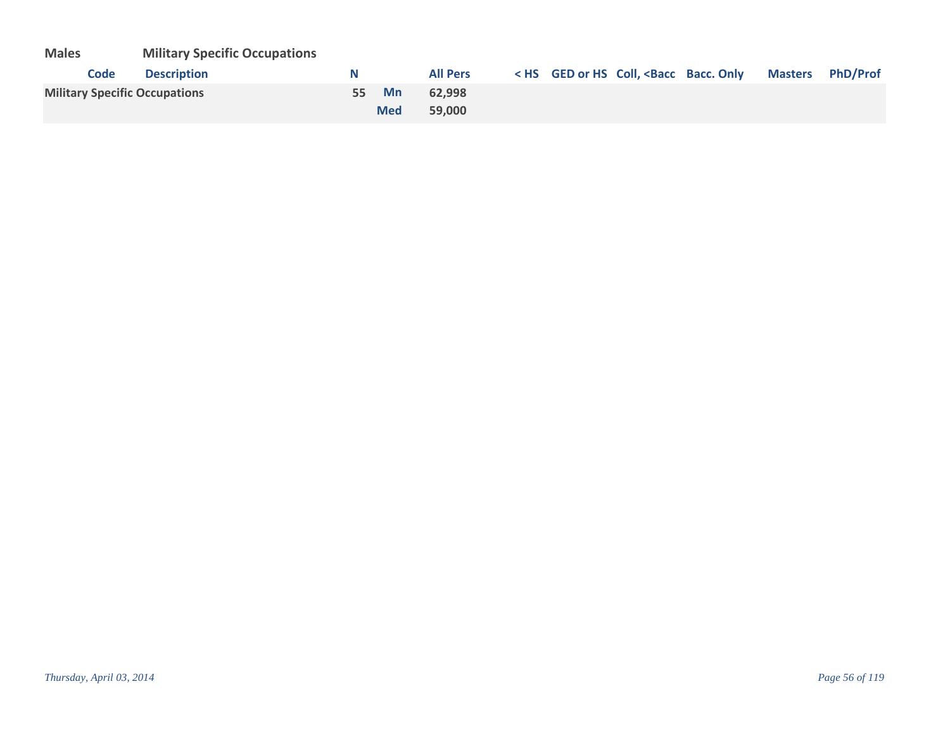| <b>Males</b> | <b>Military Specific Occupations</b> |
|--------------|--------------------------------------|
|--------------|--------------------------------------|

| <b>Description</b><br>Code           | N     |            | <b>All Pers</b> |  | < HS GED or HS Coll, <bacc bacc.="" masters="" only="" phd="" prof<="" th=""><th></th></bacc> |  |
|--------------------------------------|-------|------------|-----------------|--|-----------------------------------------------------------------------------------------------|--|
| <b>Military Specific Occupations</b> | 55 Mn |            | 62.998          |  |                                                                                               |  |
|                                      |       | <b>Med</b> | 59.000          |  |                                                                                               |  |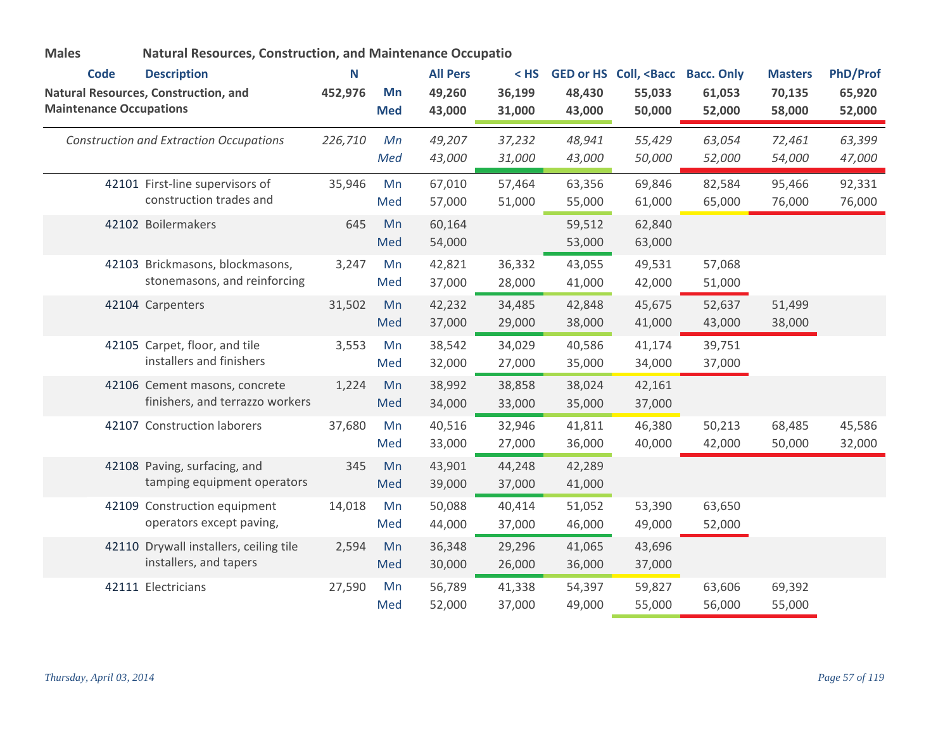| <b>Males</b>                   |                                                                  | <b>Natural Resources, Construction, and Maintenance Occupatio</b> |                  |                  |                  |                  |                                                                                                               |                  |                  |                  |
|--------------------------------|------------------------------------------------------------------|-------------------------------------------------------------------|------------------|------------------|------------------|------------------|---------------------------------------------------------------------------------------------------------------|------------------|------------------|------------------|
| <b>Code</b>                    | <b>Description</b>                                               | N                                                                 |                  | <b>All Pers</b>  | $<$ HS           |                  | GED or HS Coll, <bacc bacc.="" only<="" th=""><th></th><th><b>Masters</b></th><th><b>PhD/Prof</b></th></bacc> |                  | <b>Masters</b>   | <b>PhD/Prof</b>  |
| <b>Maintenance Occupations</b> | <b>Natural Resources, Construction, and</b>                      | 452,976                                                           | Mn<br><b>Med</b> | 49,260<br>43,000 | 36,199<br>31,000 | 48,430<br>43,000 | 55,033<br>50,000                                                                                              | 61,053<br>52,000 | 70,135<br>58,000 | 65,920<br>52,000 |
|                                | <b>Construction and Extraction Occupations</b>                   | 226,710                                                           | Mn<br>Med        | 49,207<br>43,000 | 37,232<br>31,000 | 48,941<br>43,000 | 55,429<br>50,000                                                                                              | 63,054<br>52,000 | 72,461<br>54,000 | 63,399<br>47,000 |
|                                | 42101 First-line supervisors of<br>construction trades and       | 35,946                                                            | Mn<br>Med        | 67,010<br>57,000 | 57,464<br>51,000 | 63,356<br>55,000 | 69,846<br>61,000                                                                                              | 82,584<br>65,000 | 95,466<br>76,000 | 92,331<br>76,000 |
|                                | 42102 Boilermakers                                               | 645                                                               | Mn<br>Med        | 60,164<br>54,000 |                  | 59,512<br>53,000 | 62,840<br>63,000                                                                                              |                  |                  |                  |
|                                | 42103 Brickmasons, blockmasons,<br>stonemasons, and reinforcing  | 3,247                                                             | Mn<br>Med        | 42,821<br>37,000 | 36,332<br>28,000 | 43,055<br>41,000 | 49,531<br>42,000                                                                                              | 57,068<br>51,000 |                  |                  |
|                                | 42104 Carpenters                                                 | 31,502                                                            | Mn<br>Med        | 42,232<br>37,000 | 34,485<br>29,000 | 42,848<br>38,000 | 45,675<br>41,000                                                                                              | 52,637<br>43,000 | 51,499<br>38,000 |                  |
|                                | 42105 Carpet, floor, and tile<br>installers and finishers        | 3,553                                                             | Mn<br>Med        | 38,542<br>32,000 | 34,029<br>27,000 | 40,586<br>35,000 | 41,174<br>34,000                                                                                              | 39,751<br>37,000 |                  |                  |
|                                | 42106 Cement masons, concrete<br>finishers, and terrazzo workers | 1,224                                                             | Mn<br>Med        | 38,992<br>34,000 | 38,858<br>33,000 | 38,024<br>35,000 | 42,161<br>37,000                                                                                              |                  |                  |                  |
|                                | 42107 Construction laborers                                      | 37,680                                                            | Mn<br>Med        | 40,516<br>33,000 | 32,946<br>27,000 | 41,811<br>36,000 | 46,380<br>40,000                                                                                              | 50,213<br>42,000 | 68,485<br>50,000 | 45,586<br>32,000 |
|                                | 42108 Paving, surfacing, and<br>tamping equipment operators      | 345                                                               | Mn<br>Med        | 43,901<br>39,000 | 44,248<br>37,000 | 42,289<br>41,000 |                                                                                                               |                  |                  |                  |
|                                | 42109 Construction equipment<br>operators except paving,         | 14,018                                                            | Mn<br>Med        | 50,088<br>44,000 | 40,414<br>37,000 | 51,052<br>46,000 | 53,390<br>49,000                                                                                              | 63,650<br>52,000 |                  |                  |
|                                | 42110 Drywall installers, ceiling tile<br>installers, and tapers | 2,594                                                             | Mn<br>Med        | 36,348<br>30,000 | 29,296<br>26,000 | 41,065<br>36,000 | 43,696<br>37,000                                                                                              |                  |                  |                  |
|                                | 42111 Electricians                                               | 27,590                                                            | Mn<br>Med        | 56,789<br>52,000 | 41,338<br>37,000 | 54,397<br>49,000 | 59,827<br>55,000                                                                                              | 63,606<br>56,000 | 69,392<br>55,000 |                  |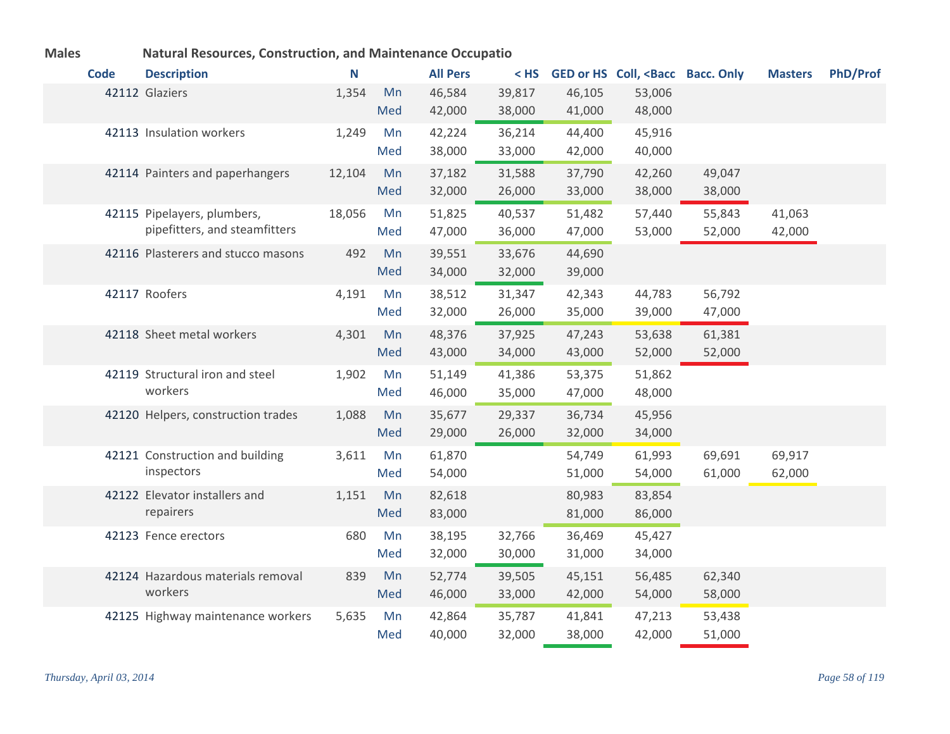| יטומוכ |             | <u>ivatural Nesources, Construction, and ividintenance Occupatio</u> |        |     |                 |        |        |                                                                                                               |        |                |                 |
|--------|-------------|----------------------------------------------------------------------|--------|-----|-----------------|--------|--------|---------------------------------------------------------------------------------------------------------------|--------|----------------|-----------------|
|        | <b>Code</b> | <b>Description</b>                                                   | N      |     | <b>All Pers</b> | $<$ HS |        | GED or HS Coll, <bacc bacc.="" only<="" th=""><th></th><th><b>Masters</b></th><th><b>PhD/Prof</b></th></bacc> |        | <b>Masters</b> | <b>PhD/Prof</b> |
|        |             | 42112 Glaziers                                                       | 1,354  | Mn  | 46,584          | 39,817 | 46,105 | 53,006                                                                                                        |        |                |                 |
|        |             |                                                                      |        | Med | 42,000          | 38,000 | 41,000 | 48,000                                                                                                        |        |                |                 |
|        |             | 42113 Insulation workers                                             | 1,249  | Mn  | 42,224          | 36,214 | 44,400 | 45,916                                                                                                        |        |                |                 |
|        |             |                                                                      |        | Med | 38,000          | 33,000 | 42,000 | 40,000                                                                                                        |        |                |                 |
|        |             | 42114 Painters and paperhangers                                      | 12,104 | Mn  | 37,182          | 31,588 | 37,790 | 42,260                                                                                                        | 49,047 |                |                 |
|        |             |                                                                      |        | Med | 32,000          | 26,000 | 33,000 | 38,000                                                                                                        | 38,000 |                |                 |
|        |             | 42115 Pipelayers, plumbers,                                          | 18,056 | Mn  | 51,825          | 40,537 | 51,482 | 57,440                                                                                                        | 55,843 | 41,063         |                 |
|        |             | pipefitters, and steamfitters                                        |        | Med | 47,000          | 36,000 | 47,000 | 53,000                                                                                                        | 52,000 | 42,000         |                 |
|        |             | 42116 Plasterers and stucco masons                                   | 492    | Mn  | 39,551          | 33,676 | 44,690 |                                                                                                               |        |                |                 |
|        |             |                                                                      |        | Med | 34,000          | 32,000 | 39,000 |                                                                                                               |        |                |                 |
|        |             | 42117 Roofers                                                        | 4,191  | Mn  | 38,512          | 31,347 | 42,343 | 44,783                                                                                                        | 56,792 |                |                 |
|        |             |                                                                      |        | Med | 32,000          | 26,000 | 35,000 | 39,000                                                                                                        | 47,000 |                |                 |
|        |             | 42118 Sheet metal workers                                            | 4,301  | Mn  | 48,376          | 37,925 | 47,243 | 53,638                                                                                                        | 61,381 |                |                 |
|        |             |                                                                      |        | Med | 43,000          | 34,000 | 43,000 | 52,000                                                                                                        | 52,000 |                |                 |
|        |             | 42119 Structural iron and steel                                      | 1,902  | Mn  | 51,149          | 41,386 | 53,375 | 51,862                                                                                                        |        |                |                 |
|        |             | workers                                                              |        | Med | 46,000          | 35,000 | 47,000 | 48,000                                                                                                        |        |                |                 |
|        |             | 42120 Helpers, construction trades                                   | 1,088  | Mn  | 35,677          | 29,337 | 36,734 | 45,956                                                                                                        |        |                |                 |
|        |             |                                                                      |        | Med | 29,000          | 26,000 | 32,000 | 34,000                                                                                                        |        |                |                 |
|        |             | 42121 Construction and building                                      | 3,611  | Mn  | 61,870          |        | 54,749 | 61,993                                                                                                        | 69,691 | 69,917         |                 |
|        |             | inspectors                                                           |        | Med | 54,000          |        | 51,000 | 54,000                                                                                                        | 61,000 | 62,000         |                 |
|        |             | 42122 Elevator installers and                                        | 1,151  | Mn  | 82,618          |        | 80,983 | 83,854                                                                                                        |        |                |                 |
|        |             | repairers                                                            |        | Med | 83,000          |        | 81,000 | 86,000                                                                                                        |        |                |                 |
|        |             | 42123 Fence erectors                                                 | 680    | Mn  | 38,195          | 32,766 | 36,469 | 45,427                                                                                                        |        |                |                 |
|        |             |                                                                      |        | Med | 32,000          | 30,000 | 31,000 | 34,000                                                                                                        |        |                |                 |
|        |             | 42124 Hazardous materials removal                                    | 839    | Mn  | 52,774          | 39,505 | 45,151 | 56,485                                                                                                        | 62,340 |                |                 |
|        |             | workers                                                              |        | Med | 46,000          | 33,000 | 42,000 | 54,000                                                                                                        | 58,000 |                |                 |
|        |             | 42125 Highway maintenance workers                                    | 5,635  | Mn  | 42,864          | 35,787 | 41,841 | 47,213                                                                                                        | 53,438 |                |                 |
|        |             |                                                                      |        | Med | 40,000          | 32,000 | 38,000 | 42,000                                                                                                        | 51,000 |                |                 |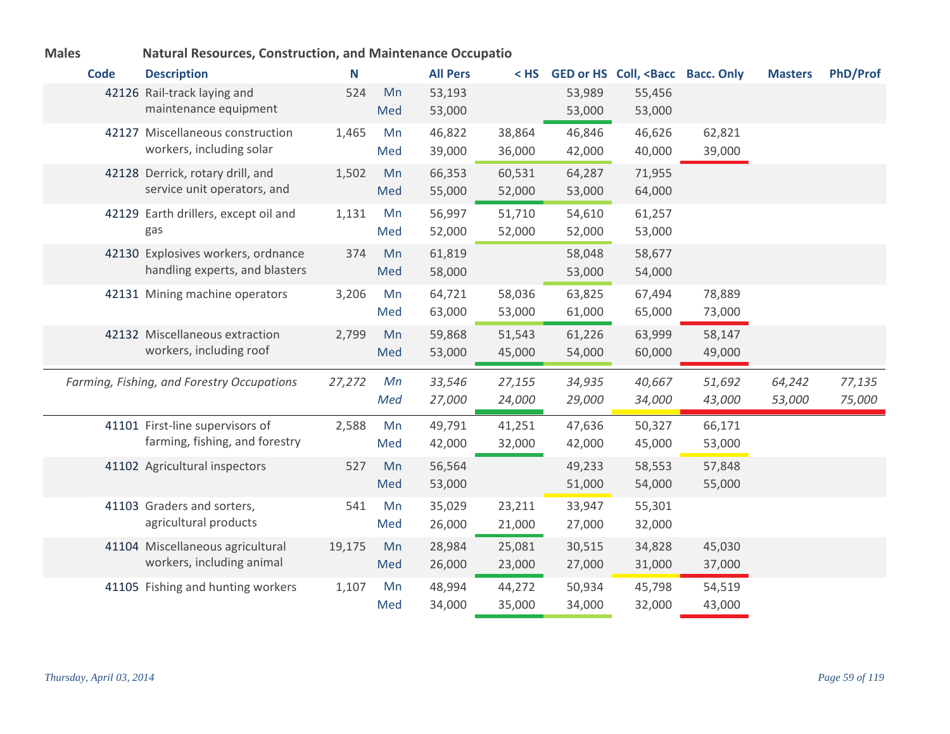| <b>Code</b> | <b>Description</b>                                                | N      |           | <b>All Pers</b>  | $<$ HS           |                  | GED or HS Coll, <bacc bacc.="" only<="" th=""><th></th><th><b>Masters</b></th><th><b>PhD/Prof</b></th></bacc> |                  | <b>Masters</b> | <b>PhD/Prof</b> |
|-------------|-------------------------------------------------------------------|--------|-----------|------------------|------------------|------------------|---------------------------------------------------------------------------------------------------------------|------------------|----------------|-----------------|
|             | 42126 Rail-track laying and                                       | 524    | Mn        | 53,193           |                  | 53,989           | 55,456                                                                                                        |                  |                |                 |
|             | maintenance equipment                                             |        | Med       | 53,000           |                  | 53,000           | 53,000                                                                                                        |                  |                |                 |
|             | 42127 Miscellaneous construction                                  | 1,465  | Mn        | 46,822           | 38,864           | 46,846           | 46,626                                                                                                        | 62,821           |                |                 |
|             | workers, including solar                                          |        | Med       | 39,000           | 36,000           | 42,000           | 40,000                                                                                                        | 39,000           |                |                 |
|             | 42128 Derrick, rotary drill, and                                  | 1,502  | Mn        | 66,353           | 60,531           | 64,287           | 71,955                                                                                                        |                  |                |                 |
|             | service unit operators, and                                       |        | Med       | 55,000           | 52,000           | 53,000           | 64,000                                                                                                        |                  |                |                 |
|             | 42129 Earth drillers, except oil and                              | 1,131  | Mn        | 56,997           | 51,710           | 54,610           | 61,257                                                                                                        |                  |                |                 |
|             | gas                                                               |        | Med       | 52,000           | 52,000           | 52,000           | 53,000                                                                                                        |                  |                |                 |
|             | 42130 Explosives workers, ordnance                                | 374    | Mn        | 61,819           |                  | 58,048           | 58,677                                                                                                        |                  |                |                 |
|             | handling experts, and blasters                                    |        | Med       | 58,000           |                  | 53,000           | 54,000                                                                                                        |                  |                |                 |
|             | 42131 Mining machine operators                                    | 3,206  | Mn        | 64,721           | 58,036           | 63,825           | 67,494                                                                                                        | 78,889           |                |                 |
|             |                                                                   |        | Med       | 63,000           | 53,000           | 61,000           | 65,000                                                                                                        | 73,000           |                |                 |
|             | 42132 Miscellaneous extraction                                    | 2,799  | Mn        | 59,868           | 51,543           | 61,226           | 63,999                                                                                                        | 58,147           |                |                 |
|             | workers, including roof                                           |        | Med       | 53,000           | 45,000           | 54,000           | 60,000                                                                                                        | 49,000           |                |                 |
|             | Farming, Fishing, and Forestry Occupations                        | 27,272 | Mn        | 33,546           | 27,155           | 34,935           | 40,667                                                                                                        | 51,692           | 64,242         | 77,135          |
|             |                                                                   |        | Med       | 27,000           | 24,000           | 29,000           | 34,000                                                                                                        | 43,000           | 53,000         | 75,000          |
|             |                                                                   |        |           |                  |                  |                  |                                                                                                               |                  |                |                 |
|             | 41101 First-line supervisors of<br>farming, fishing, and forestry | 2,588  | Mn<br>Med | 49,791<br>42,000 | 41,251<br>32,000 | 47,636<br>42,000 | 50,327<br>45,000                                                                                              | 66,171<br>53,000 |                |                 |
|             |                                                                   |        |           |                  |                  |                  |                                                                                                               |                  |                |                 |
|             | 41102 Agricultural inspectors                                     | 527    | Mn        | 56,564           |                  | 49,233           | 58,553                                                                                                        | 57,848           |                |                 |
|             |                                                                   |        | Med       | 53,000           |                  | 51,000           | 54,000                                                                                                        | 55,000           |                |                 |
|             | 41103 Graders and sorters,<br>agricultural products               | 541    | Mn        | 35,029           | 23,211           | 33,947           | 55,301                                                                                                        |                  |                |                 |
|             |                                                                   |        | Med       | 26,000           | 21,000           | 27,000           | 32,000                                                                                                        |                  |                |                 |
|             | 41104 Miscellaneous agricultural                                  | 19,175 | Mn        | 28,984           | 25,081           | 30,515           | 34,828                                                                                                        | 45,030           |                |                 |
|             | workers, including animal                                         |        | Med       | 26,000           | 23,000           | 27,000           | 31,000                                                                                                        | 37,000           |                |                 |
|             | 41105 Fishing and hunting workers                                 | 1,107  | Mn        | 48,994           | 44,272           | 50,934           | 45,798                                                                                                        | 54,519           |                |                 |
|             |                                                                   |        | Med       | 34,000           | 35,000           | 34,000           | 32,000                                                                                                        | 43,000           |                |                 |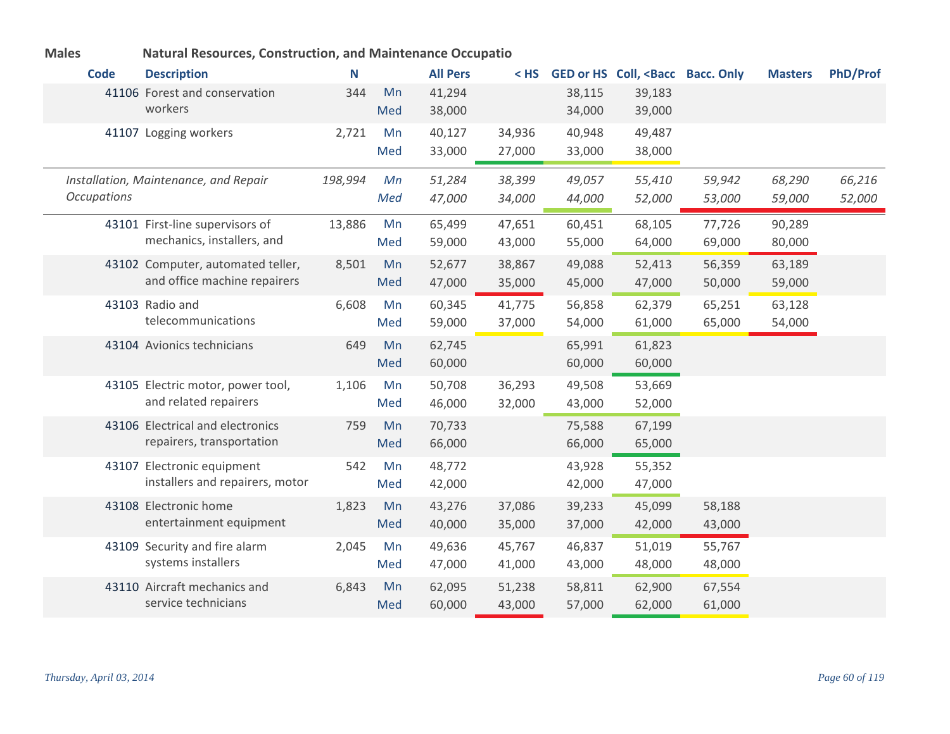| <b>Code</b>        | <b>Description</b>                                                | N       |           | <b>All Pers</b>  | < HS             |                  | GED or HS Coll, <bacc bacc.="" only<="" th=""><th></th><th><b>Masters</b></th><th><b>PhD/Prof</b></th></bacc> |                  | <b>Masters</b>   | <b>PhD/Prof</b>  |
|--------------------|-------------------------------------------------------------------|---------|-----------|------------------|------------------|------------------|---------------------------------------------------------------------------------------------------------------|------------------|------------------|------------------|
|                    | 41106 Forest and conservation<br>workers                          | 344     | Mn<br>Med | 41,294<br>38,000 |                  | 38,115<br>34,000 | 39,183<br>39,000                                                                                              |                  |                  |                  |
|                    | 41107 Logging workers                                             | 2,721   | Mn<br>Med | 40,127<br>33,000 | 34,936<br>27,000 | 40,948<br>33,000 | 49,487<br>38,000                                                                                              |                  |                  |                  |
| <b>Occupations</b> | Installation, Maintenance, and Repair                             | 198,994 | Mn<br>Med | 51,284<br>47,000 | 38,399<br>34,000 | 49,057<br>44,000 | 55,410<br>52,000                                                                                              | 59,942<br>53,000 | 68,290<br>59,000 | 66,216<br>52,000 |
|                    | 43101 First-line supervisors of<br>mechanics, installers, and     | 13,886  | Mn<br>Med | 65,499<br>59,000 | 47,651<br>43,000 | 60,451<br>55,000 | 68,105<br>64,000                                                                                              | 77,726<br>69,000 | 90,289<br>80,000 |                  |
|                    | 43102 Computer, automated teller,<br>and office machine repairers | 8,501   | Mn<br>Med | 52,677<br>47,000 | 38,867<br>35,000 | 49,088<br>45,000 | 52,413<br>47,000                                                                                              | 56,359<br>50,000 | 63,189<br>59,000 |                  |
|                    | 43103 Radio and<br>telecommunications                             | 6,608   | Mn<br>Med | 60,345<br>59,000 | 41,775<br>37,000 | 56,858<br>54,000 | 62,379<br>61,000                                                                                              | 65,251<br>65,000 | 63,128<br>54,000 |                  |
|                    | 43104 Avionics technicians                                        | 649     | Mn<br>Med | 62,745<br>60,000 |                  | 65,991<br>60,000 | 61,823<br>60,000                                                                                              |                  |                  |                  |
|                    | 43105 Electric motor, power tool,<br>and related repairers        | 1,106   | Mn<br>Med | 50,708<br>46,000 | 36,293<br>32,000 | 49,508<br>43,000 | 53,669<br>52,000                                                                                              |                  |                  |                  |
|                    | 43106 Electrical and electronics<br>repairers, transportation     | 759     | Mn<br>Med | 70,733<br>66,000 |                  | 75,588<br>66,000 | 67,199<br>65,000                                                                                              |                  |                  |                  |
|                    | 43107 Electronic equipment<br>installers and repairers, motor     | 542     | Mn<br>Med | 48,772<br>42,000 |                  | 43,928<br>42,000 | 55,352<br>47,000                                                                                              |                  |                  |                  |
|                    | 43108 Electronic home<br>entertainment equipment                  | 1,823   | Mn<br>Med | 43,276<br>40,000 | 37,086<br>35,000 | 39,233<br>37,000 | 45,099<br>42,000                                                                                              | 58,188<br>43,000 |                  |                  |
|                    | 43109 Security and fire alarm<br>systems installers               | 2,045   | Mn<br>Med | 49,636<br>47,000 | 45,767<br>41,000 | 46,837<br>43,000 | 51,019<br>48,000                                                                                              | 55,767<br>48,000 |                  |                  |
|                    | 43110 Aircraft mechanics and<br>service technicians               | 6,843   | Mn<br>Med | 62,095<br>60,000 | 51,238<br>43,000 | 58,811<br>57,000 | 62,900<br>62,000                                                                                              | 67,554<br>61,000 |                  |                  |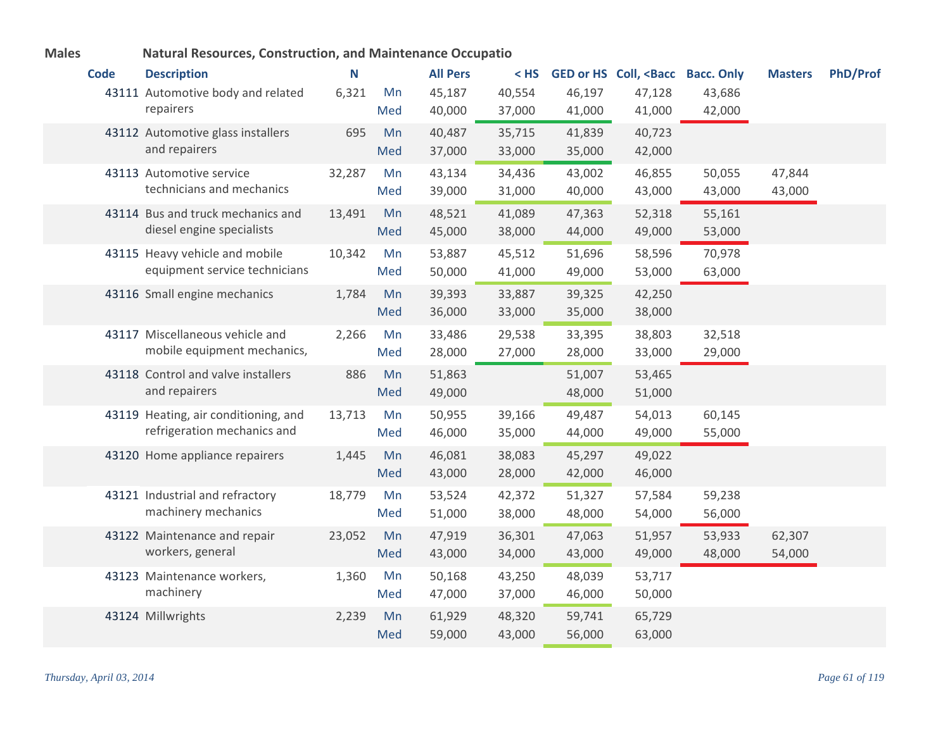|             | tural hesparecs, construction, and manufacturity occupatio |        |     |                 |        |        |                                                                                                               |        |                |                 |
|-------------|------------------------------------------------------------|--------|-----|-----------------|--------|--------|---------------------------------------------------------------------------------------------------------------|--------|----------------|-----------------|
| <b>Code</b> | <b>Description</b>                                         | N      |     | <b>All Pers</b> | $<$ HS |        | GED or HS Coll, <bacc bacc.="" only<="" th=""><th></th><th><b>Masters</b></th><th><b>PhD/Prof</b></th></bacc> |        | <b>Masters</b> | <b>PhD/Prof</b> |
|             | 43111 Automotive body and related                          | 6,321  | Mn  | 45,187          | 40,554 | 46,197 | 47,128                                                                                                        | 43,686 |                |                 |
|             | repairers                                                  |        | Med | 40,000          | 37,000 | 41,000 | 41,000                                                                                                        | 42,000 |                |                 |
|             | 43112 Automotive glass installers                          | 695    | Mn  | 40,487          | 35,715 | 41,839 | 40,723                                                                                                        |        |                |                 |
|             | and repairers                                              |        | Med | 37,000          | 33,000 | 35,000 | 42,000                                                                                                        |        |                |                 |
|             | 43113 Automotive service                                   | 32,287 | Mn  | 43,134          | 34,436 | 43,002 | 46,855                                                                                                        | 50,055 | 47,844         |                 |
|             | technicians and mechanics                                  |        | Med | 39,000          | 31,000 | 40,000 | 43,000                                                                                                        | 43,000 | 43,000         |                 |
|             | 43114 Bus and truck mechanics and                          | 13,491 | Mn  | 48,521          | 41,089 | 47,363 | 52,318                                                                                                        | 55,161 |                |                 |
|             | diesel engine specialists                                  |        | Med | 45,000          | 38,000 | 44,000 | 49,000                                                                                                        | 53,000 |                |                 |
|             | 43115 Heavy vehicle and mobile                             | 10,342 | Mn  | 53,887          | 45,512 | 51,696 | 58,596                                                                                                        | 70,978 |                |                 |
|             | equipment service technicians                              |        | Med | 50,000          | 41,000 | 49,000 | 53,000                                                                                                        | 63,000 |                |                 |
|             | 43116 Small engine mechanics                               | 1,784  | Mn  | 39,393          | 33,887 | 39,325 | 42,250                                                                                                        |        |                |                 |
|             |                                                            |        | Med | 36,000          | 33,000 | 35,000 | 38,000                                                                                                        |        |                |                 |
|             | 43117 Miscellaneous vehicle and                            | 2,266  | Mn  | 33,486          | 29,538 | 33,395 | 38,803                                                                                                        | 32,518 |                |                 |
|             | mobile equipment mechanics,                                |        | Med | 28,000          | 27,000 | 28,000 | 33,000                                                                                                        | 29,000 |                |                 |
|             | 43118 Control and valve installers                         | 886    | Mn  | 51,863          |        | 51,007 | 53,465                                                                                                        |        |                |                 |
|             | and repairers                                              |        | Med | 49,000          |        | 48,000 | 51,000                                                                                                        |        |                |                 |
|             | 43119 Heating, air conditioning, and                       | 13,713 | Mn  | 50,955          | 39,166 | 49,487 | 54,013                                                                                                        | 60,145 |                |                 |
|             | refrigeration mechanics and                                |        | Med | 46,000          | 35,000 | 44,000 | 49,000                                                                                                        | 55,000 |                |                 |
|             | 43120 Home appliance repairers                             | 1,445  | Mn  | 46,081          | 38,083 | 45,297 | 49,022                                                                                                        |        |                |                 |
|             |                                                            |        | Med | 43,000          | 28,000 | 42,000 | 46,000                                                                                                        |        |                |                 |
|             | 43121 Industrial and refractory                            | 18,779 | Mn  | 53,524          | 42,372 | 51,327 | 57,584                                                                                                        | 59,238 |                |                 |
|             | machinery mechanics                                        |        | Med | 51,000          | 38,000 | 48,000 | 54,000                                                                                                        | 56,000 |                |                 |
|             | 43122 Maintenance and repair                               | 23,052 | Mn  | 47,919          | 36,301 | 47,063 | 51,957                                                                                                        | 53,933 | 62,307         |                 |
|             | workers, general                                           |        | Med | 43,000          | 34,000 | 43,000 | 49,000                                                                                                        | 48,000 | 54,000         |                 |
|             | 43123 Maintenance workers,                                 | 1,360  | Mn  | 50,168          | 43,250 | 48,039 | 53,717                                                                                                        |        |                |                 |
|             | machinery                                                  |        | Med | 47,000          | 37,000 | 46,000 | 50,000                                                                                                        |        |                |                 |
|             | 43124 Millwrights                                          | 2,239  | Mn  | 61,929          | 48,320 | 59,741 | 65,729                                                                                                        |        |                |                 |
|             |                                                            |        | Med | 59,000          | 43,000 | 56,000 | 63,000                                                                                                        |        |                |                 |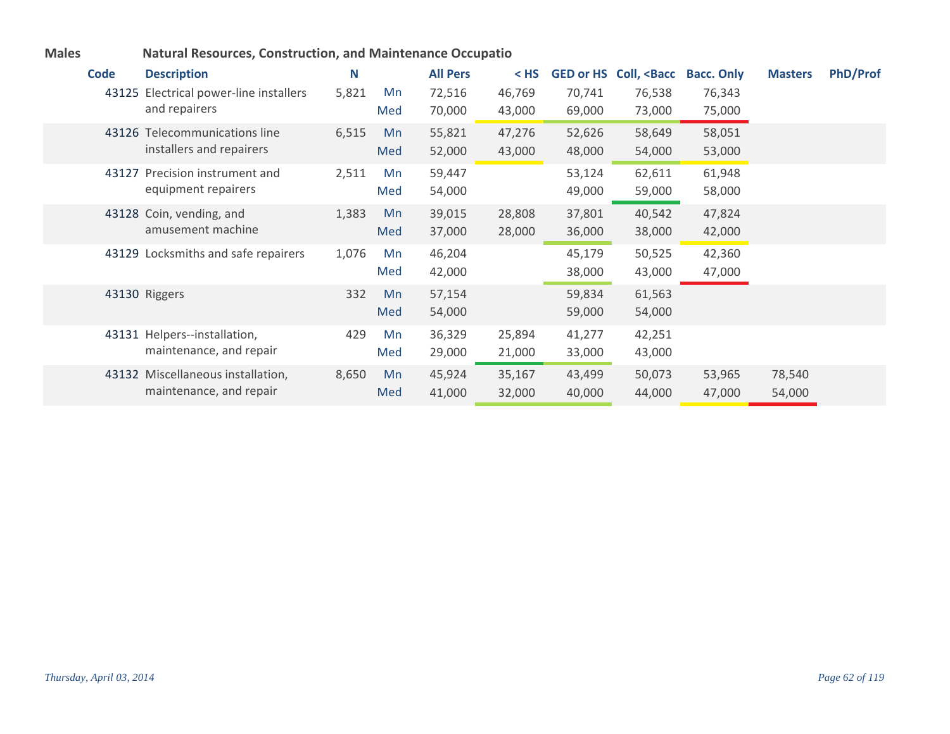| <b>PhD/Prof</b><br><b>All Pers</b><br><b>Code</b><br>N<br><b>Description</b><br>GED or HS Coll, <bacc<br><b>Bacc. Only</b><br/><math>&lt;</math> HS<br/><b>Masters</b><br/>43125 Electrical power-line installers<br/>5,821<br/>70,741<br/>76,538<br/>76,343<br/>72,516<br/>46,769<br/>Mn<br/>and repairers<br/>Med<br/>70,000<br/>43,000<br/>69,000<br/>73,000<br/>75,000<br/>6,515<br/>55,821<br/>58,649<br/>58,051<br/>43126 Telecommunications line<br/>Mn<br/>47,276<br/>52,626<br/>installers and repairers<br/>52,000<br/>43,000<br/>48,000<br/>53,000<br/>Med<br/>54,000<br/>43127 Precision instrument and<br/>61,948<br/>2,511<br/>Mn<br/>59,447<br/>53,124<br/>62,611<br/>equipment repairers<br/>54,000<br/>59,000<br/>58,000<br/>49,000<br/>Med<br/>40,542<br/>47,824<br/>43128 Coin, vending, and<br/>1,383<br/>39,015<br/>37,801<br/>28,808<br/>Mn<br/>amusement machine<br/>Med<br/>37,000<br/>28,000<br/>36,000<br/>38,000<br/>42,000<br/>43129 Locksmiths and safe repairers<br/>1,076<br/>46,204<br/>50,525<br/>45,179<br/>42,360<br/>Mn<br/>42,000<br/>38,000<br/>43,000<br/>47,000<br/>Med<br/>43130 Riggers<br/>332<br/>57,154<br/>61,563<br/>59,834<br/>Mn<br/>54,000<br/>54,000<br/>59,000<br/>Med<br/>43131 Helpers--installation,<br/>429<br/>36,329<br/>42,251<br/>25,894<br/>41,277<br/>Mn<br/>maintenance, and repair<br/>29,000<br/>33,000<br/>43,000<br/>Med<br/>21,000</bacc<br> |                                   |       |    |        |        |        |        |        |        |  |
|------------------------------------------------------------------------------------------------------------------------------------------------------------------------------------------------------------------------------------------------------------------------------------------------------------------------------------------------------------------------------------------------------------------------------------------------------------------------------------------------------------------------------------------------------------------------------------------------------------------------------------------------------------------------------------------------------------------------------------------------------------------------------------------------------------------------------------------------------------------------------------------------------------------------------------------------------------------------------------------------------------------------------------------------------------------------------------------------------------------------------------------------------------------------------------------------------------------------------------------------------------------------------------------------------------------------------------------------------------------------------------------------------------------|-----------------------------------|-------|----|--------|--------|--------|--------|--------|--------|--|
|                                                                                                                                                                                                                                                                                                                                                                                                                                                                                                                                                                                                                                                                                                                                                                                                                                                                                                                                                                                                                                                                                                                                                                                                                                                                                                                                                                                                                  |                                   |       |    |        |        |        |        |        |        |  |
|                                                                                                                                                                                                                                                                                                                                                                                                                                                                                                                                                                                                                                                                                                                                                                                                                                                                                                                                                                                                                                                                                                                                                                                                                                                                                                                                                                                                                  |                                   |       |    |        |        |        |        |        |        |  |
|                                                                                                                                                                                                                                                                                                                                                                                                                                                                                                                                                                                                                                                                                                                                                                                                                                                                                                                                                                                                                                                                                                                                                                                                                                                                                                                                                                                                                  |                                   |       |    |        |        |        |        |        |        |  |
|                                                                                                                                                                                                                                                                                                                                                                                                                                                                                                                                                                                                                                                                                                                                                                                                                                                                                                                                                                                                                                                                                                                                                                                                                                                                                                                                                                                                                  |                                   |       |    |        |        |        |        |        |        |  |
|                                                                                                                                                                                                                                                                                                                                                                                                                                                                                                                                                                                                                                                                                                                                                                                                                                                                                                                                                                                                                                                                                                                                                                                                                                                                                                                                                                                                                  |                                   |       |    |        |        |        |        |        |        |  |
|                                                                                                                                                                                                                                                                                                                                                                                                                                                                                                                                                                                                                                                                                                                                                                                                                                                                                                                                                                                                                                                                                                                                                                                                                                                                                                                                                                                                                  |                                   |       |    |        |        |        |        |        |        |  |
|                                                                                                                                                                                                                                                                                                                                                                                                                                                                                                                                                                                                                                                                                                                                                                                                                                                                                                                                                                                                                                                                                                                                                                                                                                                                                                                                                                                                                  |                                   |       |    |        |        |        |        |        |        |  |
|                                                                                                                                                                                                                                                                                                                                                                                                                                                                                                                                                                                                                                                                                                                                                                                                                                                                                                                                                                                                                                                                                                                                                                                                                                                                                                                                                                                                                  |                                   |       |    |        |        |        |        |        |        |  |
|                                                                                                                                                                                                                                                                                                                                                                                                                                                                                                                                                                                                                                                                                                                                                                                                                                                                                                                                                                                                                                                                                                                                                                                                                                                                                                                                                                                                                  |                                   |       |    |        |        |        |        |        |        |  |
|                                                                                                                                                                                                                                                                                                                                                                                                                                                                                                                                                                                                                                                                                                                                                                                                                                                                                                                                                                                                                                                                                                                                                                                                                                                                                                                                                                                                                  |                                   |       |    |        |        |        |        |        |        |  |
|                                                                                                                                                                                                                                                                                                                                                                                                                                                                                                                                                                                                                                                                                                                                                                                                                                                                                                                                                                                                                                                                                                                                                                                                                                                                                                                                                                                                                  |                                   |       |    |        |        |        |        |        |        |  |
|                                                                                                                                                                                                                                                                                                                                                                                                                                                                                                                                                                                                                                                                                                                                                                                                                                                                                                                                                                                                                                                                                                                                                                                                                                                                                                                                                                                                                  |                                   |       |    |        |        |        |        |        |        |  |
|                                                                                                                                                                                                                                                                                                                                                                                                                                                                                                                                                                                                                                                                                                                                                                                                                                                                                                                                                                                                                                                                                                                                                                                                                                                                                                                                                                                                                  |                                   |       |    |        |        |        |        |        |        |  |
|                                                                                                                                                                                                                                                                                                                                                                                                                                                                                                                                                                                                                                                                                                                                                                                                                                                                                                                                                                                                                                                                                                                                                                                                                                                                                                                                                                                                                  |                                   |       |    |        |        |        |        |        |        |  |
|                                                                                                                                                                                                                                                                                                                                                                                                                                                                                                                                                                                                                                                                                                                                                                                                                                                                                                                                                                                                                                                                                                                                                                                                                                                                                                                                                                                                                  |                                   |       |    |        |        |        |        |        |        |  |
|                                                                                                                                                                                                                                                                                                                                                                                                                                                                                                                                                                                                                                                                                                                                                                                                                                                                                                                                                                                                                                                                                                                                                                                                                                                                                                                                                                                                                  | 43132 Miscellaneous installation, | 8,650 | Mn | 45,924 | 35,167 | 43,499 | 50,073 | 53,965 | 78,540 |  |
| maintenance, and repair<br>44,000<br>47,000<br>54,000<br>Med<br>41,000<br>32,000<br>40,000                                                                                                                                                                                                                                                                                                                                                                                                                                                                                                                                                                                                                                                                                                                                                                                                                                                                                                                                                                                                                                                                                                                                                                                                                                                                                                                       |                                   |       |    |        |        |        |        |        |        |  |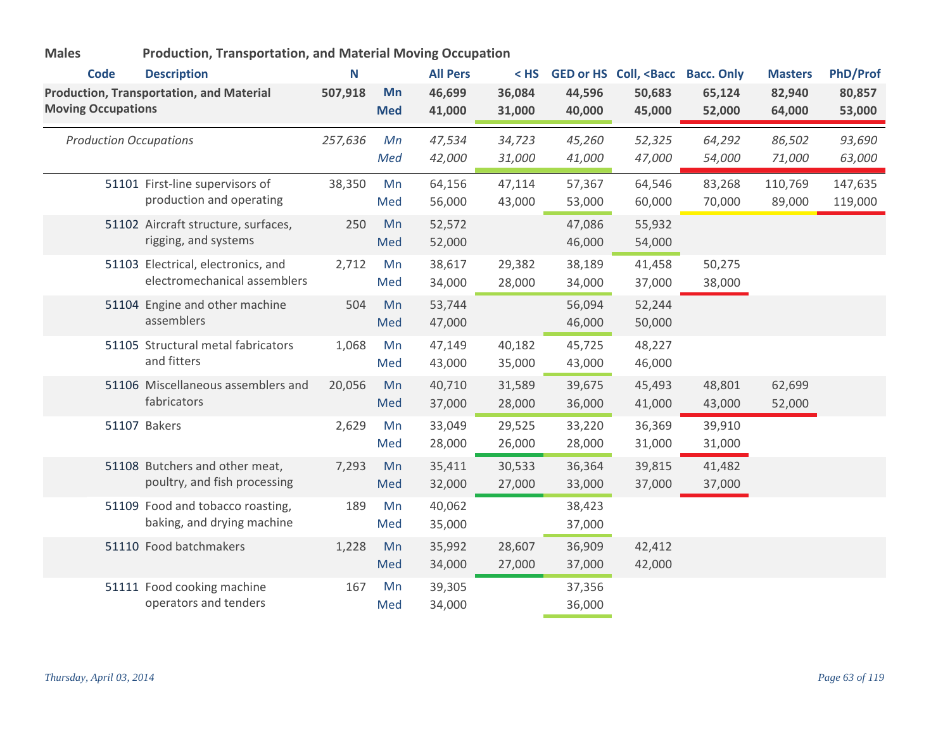| <b>Code</b>               | <b>Description</b>                              | N       |                  | <b>All Pers</b>  | $<$ HS           |                  | <b>GED or HS Coll, <bacc< b=""></bacc<></b> | <b>Bacc. Only</b> | <b>Masters</b>   | <b>PhD/Prof</b>  |
|---------------------------|-------------------------------------------------|---------|------------------|------------------|------------------|------------------|---------------------------------------------|-------------------|------------------|------------------|
| <b>Moving Occupations</b> | <b>Production, Transportation, and Material</b> | 507,918 | Mn<br><b>Med</b> | 46,699<br>41,000 | 36,084<br>31,000 | 44,596<br>40,000 | 50,683<br>45,000                            | 65,124<br>52,000  | 82,940<br>64,000 | 80,857<br>53,000 |
|                           |                                                 |         |                  |                  |                  |                  |                                             |                   |                  |                  |
|                           | <b>Production Occupations</b>                   | 257,636 | Mn               | 47,534           | 34,723           | 45,260           | 52,325                                      | 64,292            | 86,502           | 93,690           |
|                           |                                                 |         | Med              | 42,000           | 31,000           | 41,000           | 47,000                                      | 54,000            | 71,000           | 63,000           |
|                           | 51101 First-line supervisors of                 | 38,350  | Mn               | 64,156           | 47,114           | 57,367           | 64,546                                      | 83,268            | 110,769          | 147,635          |
|                           | production and operating                        |         | Med              | 56,000           | 43,000           | 53,000           | 60,000                                      | 70,000            | 89,000           | 119,000          |
|                           | 51102 Aircraft structure, surfaces,             | 250     | Mn               | 52,572           |                  | 47,086           | 55,932                                      |                   |                  |                  |
|                           | rigging, and systems                            |         | Med              | 52,000           |                  | 46,000           | 54,000                                      |                   |                  |                  |
|                           | 51103 Electrical, electronics, and              | 2,712   | Mn               | 38,617           | 29,382           | 38,189           | 41,458                                      | 50,275            |                  |                  |
|                           | electromechanical assemblers                    |         | Med              | 34,000           | 28,000           | 34,000           | 37,000                                      | 38,000            |                  |                  |
|                           | 51104 Engine and other machine                  | 504     | Mn               | 53,744           |                  | 56,094           | 52,244                                      |                   |                  |                  |
|                           | assemblers                                      |         | Med              | 47,000           |                  | 46,000           | 50,000                                      |                   |                  |                  |
|                           | 51105 Structural metal fabricators              | 1,068   | Mn               | 47,149           | 40,182           | 45,725           | 48,227                                      |                   |                  |                  |
|                           | and fitters                                     |         | Med              | 43,000           | 35,000           | 43,000           | 46,000                                      |                   |                  |                  |
|                           | 51106 Miscellaneous assemblers and              | 20,056  | Mn               | 40,710           | 31,589           | 39,675           | 45,493                                      | 48,801            | 62,699           |                  |
|                           | fabricators                                     |         | Med              | 37,000           | 28,000           | 36,000           | 41,000                                      | 43,000            | 52,000           |                  |
|                           | 51107 Bakers                                    | 2,629   | Mn               | 33,049           | 29,525           | 33,220           | 36,369                                      | 39,910            |                  |                  |
|                           |                                                 |         | Med              | 28,000           | 26,000           | 28,000           | 31,000                                      | 31,000            |                  |                  |
|                           | 51108 Butchers and other meat,                  | 7,293   | Mn               | 35,411           | 30,533           | 36,364           | 39,815                                      | 41,482            |                  |                  |
|                           | poultry, and fish processing                    |         | Med              | 32,000           | 27,000           | 33,000           | 37,000                                      | 37,000            |                  |                  |
|                           | 51109 Food and tobacco roasting,                | 189     | Mn               | 40,062           |                  | 38,423           |                                             |                   |                  |                  |
|                           | baking, and drying machine                      |         | Med              | 35,000           |                  | 37,000           |                                             |                   |                  |                  |
|                           | 51110 Food batchmakers                          | 1,228   | Mn               | 35,992           | 28,607           | 36,909           | 42,412                                      |                   |                  |                  |
|                           |                                                 |         | Med              | 34,000           | 27,000           | 37,000           | 42,000                                      |                   |                  |                  |
|                           | 51111 Food cooking machine                      | 167     | Mn               | 39,305           |                  | 37,356           |                                             |                   |                  |                  |
|                           | operators and tenders                           |         | Med              | 34,000           |                  | 36,000           |                                             |                   |                  |                  |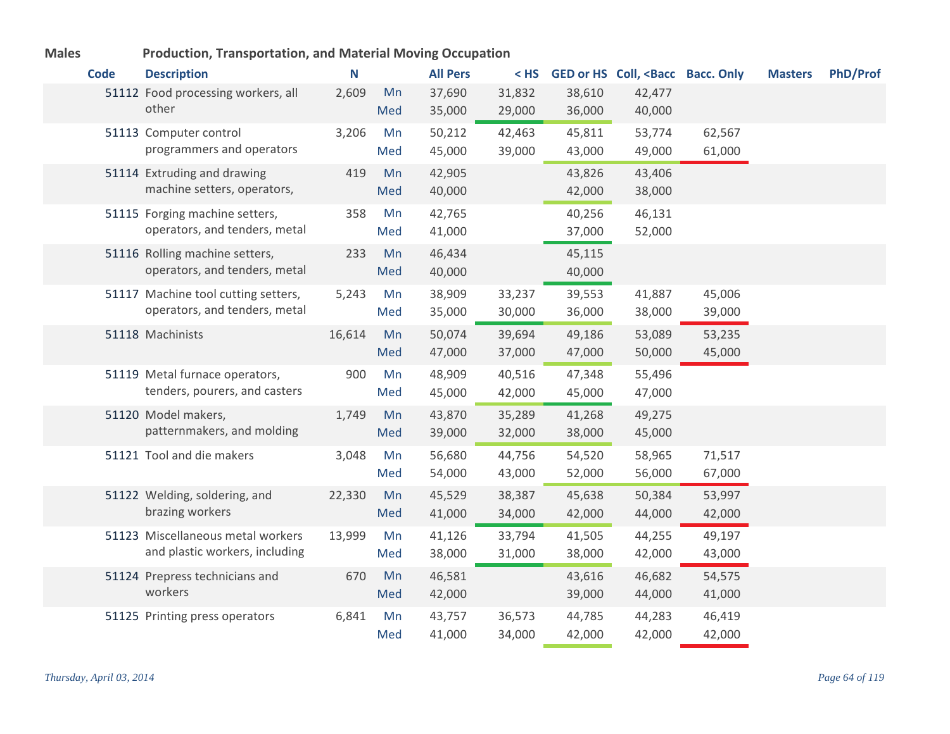| <b>Code</b> | <b>Description</b>                                                   | N      |           | <b>All Pers</b>  | $<$ HS $<$       |                  | GED or HS Coll, <bacc bacc.="" only<="" th=""><th></th><th><b>Masters</b></th><th><b>PhD/Prof</b></th></bacc> |                  | <b>Masters</b> | <b>PhD/Prof</b> |
|-------------|----------------------------------------------------------------------|--------|-----------|------------------|------------------|------------------|---------------------------------------------------------------------------------------------------------------|------------------|----------------|-----------------|
|             | 51112 Food processing workers, all<br>other                          | 2,609  | Mn<br>Med | 37,690<br>35,000 | 31,832<br>29,000 | 38,610<br>36,000 | 42,477<br>40,000                                                                                              |                  |                |                 |
|             | 51113 Computer control<br>programmers and operators                  | 3,206  | Mn<br>Med | 50,212<br>45,000 | 42,463<br>39,000 | 45,811<br>43,000 | 53,774<br>49,000                                                                                              | 62,567<br>61,000 |                |                 |
|             | 51114 Extruding and drawing<br>machine setters, operators,           | 419    | Mn<br>Med | 42,905<br>40,000 |                  | 43,826<br>42,000 | 43,406<br>38,000                                                                                              |                  |                |                 |
|             | 51115 Forging machine setters,<br>operators, and tenders, metal      | 358    | Mn<br>Med | 42,765<br>41,000 |                  | 40,256<br>37,000 | 46,131<br>52,000                                                                                              |                  |                |                 |
|             | 51116 Rolling machine setters,<br>operators, and tenders, metal      | 233    | Mn<br>Med | 46,434<br>40,000 |                  | 45,115<br>40,000 |                                                                                                               |                  |                |                 |
|             | 51117 Machine tool cutting setters,<br>operators, and tenders, metal | 5,243  | Mn<br>Med | 38,909<br>35,000 | 33,237<br>30,000 | 39,553<br>36,000 | 41,887<br>38,000                                                                                              | 45,006<br>39,000 |                |                 |
|             | 51118 Machinists                                                     | 16,614 | Mn<br>Med | 50,074<br>47,000 | 39,694<br>37,000 | 49,186<br>47,000 | 53,089<br>50,000                                                                                              | 53,235<br>45,000 |                |                 |
|             | 51119 Metal furnace operators,<br>tenders, pourers, and casters      | 900    | Mn<br>Med | 48,909<br>45,000 | 40,516<br>42,000 | 47,348<br>45,000 | 55,496<br>47,000                                                                                              |                  |                |                 |
|             | 51120 Model makers,<br>patternmakers, and molding                    | 1,749  | Mn<br>Med | 43,870<br>39,000 | 35,289<br>32,000 | 41,268<br>38,000 | 49,275<br>45,000                                                                                              |                  |                |                 |
|             | 51121 Tool and die makers                                            | 3,048  | Mn<br>Med | 56,680<br>54,000 | 44,756<br>43,000 | 54,520<br>52,000 | 58,965<br>56,000                                                                                              | 71,517<br>67,000 |                |                 |
|             | 51122 Welding, soldering, and<br>brazing workers                     | 22,330 | Mn<br>Med | 45,529<br>41,000 | 38,387<br>34,000 | 45,638<br>42,000 | 50,384<br>44,000                                                                                              | 53,997<br>42,000 |                |                 |
|             | 51123 Miscellaneous metal workers<br>and plastic workers, including  | 13,999 | Mn<br>Med | 41,126<br>38,000 | 33,794<br>31,000 | 41,505<br>38,000 | 44,255<br>42,000                                                                                              | 49,197<br>43,000 |                |                 |
|             | 51124 Prepress technicians and<br>workers                            | 670    | Mn<br>Med | 46,581<br>42,000 |                  | 43,616<br>39,000 | 46,682<br>44,000                                                                                              | 54,575<br>41,000 |                |                 |
|             | 51125 Printing press operators                                       | 6,841  | Mn<br>Med | 43,757<br>41,000 | 36,573<br>34,000 | 44,785<br>42,000 | 44,283<br>42,000                                                                                              | 46,419<br>42,000 |                |                 |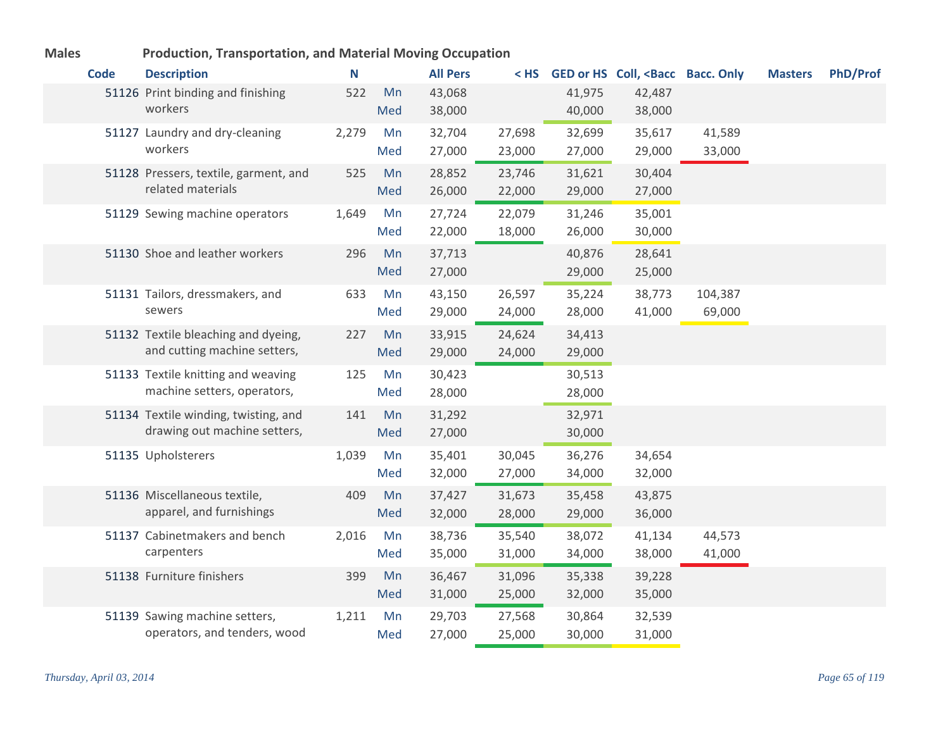| <b>Code</b> | <b>Description</b>                    | N     |     | <b>All Pers</b> |        |        | < HS GED or HS Coll, <bacc bacc.="" only<="" th=""><th></th><th><b>Masters</b></th><th><b>PhD/Prof</b></th></bacc> |         | <b>Masters</b> | <b>PhD/Prof</b> |
|-------------|---------------------------------------|-------|-----|-----------------|--------|--------|--------------------------------------------------------------------------------------------------------------------|---------|----------------|-----------------|
|             | 51126 Print binding and finishing     | 522   | Mn  | 43,068          |        | 41,975 | 42,487                                                                                                             |         |                |                 |
|             | workers                               |       | Med | 38,000          |        | 40,000 | 38,000                                                                                                             |         |                |                 |
|             | 51127 Laundry and dry-cleaning        | 2,279 | Mn  | 32,704          | 27,698 | 32,699 | 35,617                                                                                                             | 41,589  |                |                 |
|             | workers                               |       | Med | 27,000          | 23,000 | 27,000 | 29,000                                                                                                             | 33,000  |                |                 |
|             | 51128 Pressers, textile, garment, and | 525   | Mn  | 28,852          | 23,746 | 31,621 | 30,404                                                                                                             |         |                |                 |
|             | related materials                     |       | Med | 26,000          | 22,000 | 29,000 | 27,000                                                                                                             |         |                |                 |
|             | 51129 Sewing machine operators        | 1,649 | Mn  | 27,724          | 22,079 | 31,246 | 35,001                                                                                                             |         |                |                 |
|             |                                       |       | Med | 22,000          | 18,000 | 26,000 | 30,000                                                                                                             |         |                |                 |
|             | 51130 Shoe and leather workers        | 296   | Mn  | 37,713          |        | 40,876 | 28,641                                                                                                             |         |                |                 |
|             |                                       |       | Med | 27,000          |        | 29,000 | 25,000                                                                                                             |         |                |                 |
|             | 51131 Tailors, dressmakers, and       | 633   | Mn  | 43,150          | 26,597 | 35,224 | 38,773                                                                                                             | 104,387 |                |                 |
|             | sewers                                |       | Med | 29,000          | 24,000 | 28,000 | 41,000                                                                                                             | 69,000  |                |                 |
|             | 51132 Textile bleaching and dyeing,   | 227   | Mn  | 33,915          | 24,624 | 34,413 |                                                                                                                    |         |                |                 |
|             | and cutting machine setters,          |       | Med | 29,000          | 24,000 | 29,000 |                                                                                                                    |         |                |                 |
|             | 51133 Textile knitting and weaving    | 125   | Mn  | 30,423          |        | 30,513 |                                                                                                                    |         |                |                 |
|             | machine setters, operators,           |       | Med | 28,000          |        | 28,000 |                                                                                                                    |         |                |                 |
|             | 51134 Textile winding, twisting, and  | 141   | Mn  | 31,292          |        | 32,971 |                                                                                                                    |         |                |                 |
|             | drawing out machine setters,          |       | Med | 27,000          |        | 30,000 |                                                                                                                    |         |                |                 |
|             | 51135 Upholsterers                    | 1,039 | Mn  | 35,401          | 30,045 | 36,276 | 34,654                                                                                                             |         |                |                 |
|             |                                       |       | Med | 32,000          | 27,000 | 34,000 | 32,000                                                                                                             |         |                |                 |
|             | 51136 Miscellaneous textile,          | 409   | Mn  | 37,427          | 31,673 | 35,458 | 43,875                                                                                                             |         |                |                 |
|             | apparel, and furnishings              |       | Med | 32,000          | 28,000 | 29,000 | 36,000                                                                                                             |         |                |                 |
|             | 51137 Cabinetmakers and bench         | 2,016 | Mn  | 38,736          | 35,540 | 38,072 | 41,134                                                                                                             | 44,573  |                |                 |
|             | carpenters                            |       | Med | 35,000          | 31,000 | 34,000 | 38,000                                                                                                             | 41,000  |                |                 |
|             | 51138 Furniture finishers             | 399   | Mn  | 36,467          | 31,096 | 35,338 | 39,228                                                                                                             |         |                |                 |
|             |                                       |       | Med | 31,000          | 25,000 | 32,000 | 35,000                                                                                                             |         |                |                 |
|             | 51139 Sawing machine setters,         | 1,211 | Mn  | 29,703          | 27,568 | 30,864 | 32,539                                                                                                             |         |                |                 |
|             | operators, and tenders, wood          |       | Med | 27,000          | 25,000 | 30,000 | 31,000                                                                                                             |         |                |                 |

a a bh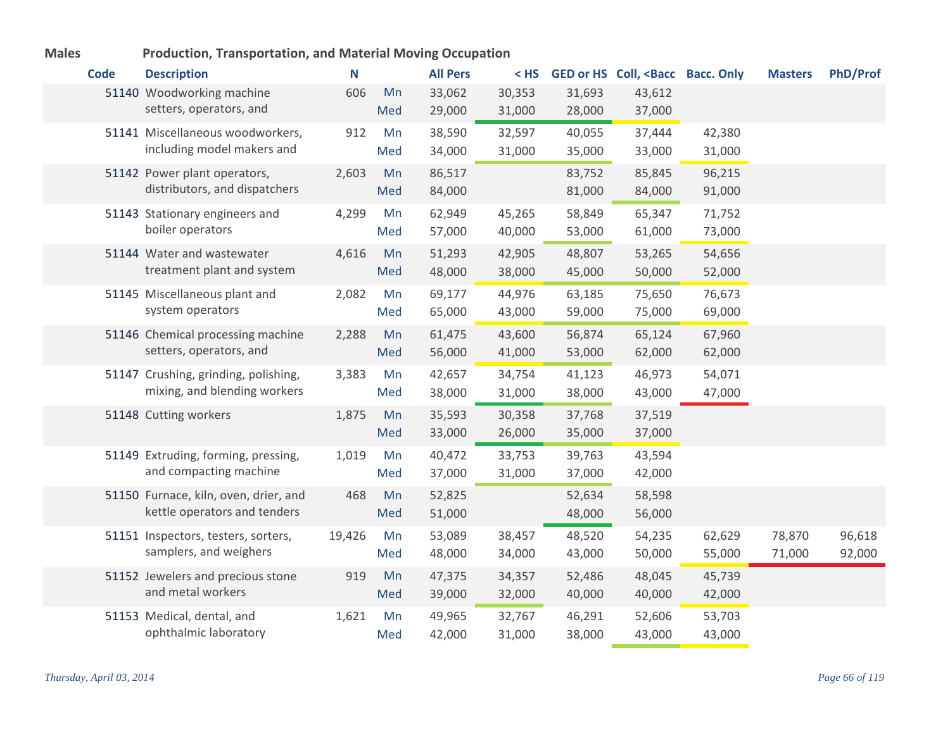| <b>Code</b> | <b>Description</b>                                                    | N      |           | <b>All Pers</b>  | $<$ HS           |                  | GED or HS Coll, <bacc bacc.="" only<="" th=""><th></th><th><b>Masters</b></th><th><b>PhD/Prof</b></th></bacc> |                  | <b>Masters</b>   | <b>PhD/Prof</b>  |
|-------------|-----------------------------------------------------------------------|--------|-----------|------------------|------------------|------------------|---------------------------------------------------------------------------------------------------------------|------------------|------------------|------------------|
|             | 51140 Woodworking machine<br>setters, operators, and                  | 606    | Mn<br>Med | 33,062<br>29,000 | 30,353<br>31,000 | 31,693<br>28,000 | 43,612<br>37,000                                                                                              |                  |                  |                  |
|             | 51141 Miscellaneous woodworkers,<br>including model makers and        | 912    | Mn<br>Med | 38,590<br>34,000 | 32,597<br>31,000 | 40,055<br>35,000 | 37,444<br>33,000                                                                                              | 42,380<br>31,000 |                  |                  |
|             | 51142 Power plant operators,<br>distributors, and dispatchers         | 2,603  | Mn<br>Med | 86,517<br>84,000 |                  | 83,752<br>81,000 | 85,845<br>84,000                                                                                              | 96,215<br>91,000 |                  |                  |
|             | 51143 Stationary engineers and<br>boiler operators                    | 4,299  | Mn<br>Med | 62,949<br>57,000 | 45,265<br>40,000 | 58,849<br>53,000 | 65,347<br>61,000                                                                                              | 71,752<br>73,000 |                  |                  |
|             | 51144 Water and wastewater<br>treatment plant and system              | 4,616  | Mn<br>Med | 51,293<br>48,000 | 42,905<br>38,000 | 48,807<br>45,000 | 53,265<br>50,000                                                                                              | 54,656<br>52,000 |                  |                  |
|             | 51145 Miscellaneous plant and<br>system operators                     | 2,082  | Mn<br>Med | 69,177<br>65,000 | 44,976<br>43,000 | 63,185<br>59,000 | 75,650<br>75,000                                                                                              | 76,673<br>69,000 |                  |                  |
|             | 51146 Chemical processing machine<br>setters, operators, and          | 2,288  | Mn<br>Med | 61,475<br>56,000 | 43,600<br>41,000 | 56,874<br>53,000 | 65,124<br>62,000                                                                                              | 67,960<br>62,000 |                  |                  |
|             | 51147 Crushing, grinding, polishing,<br>mixing, and blending workers  | 3,383  | Mn<br>Med | 42,657<br>38,000 | 34,754<br>31,000 | 41,123<br>38,000 | 46,973<br>43,000                                                                                              | 54,071<br>47,000 |                  |                  |
|             | 51148 Cutting workers                                                 | 1,875  | Mn<br>Med | 35,593<br>33,000 | 30,358<br>26,000 | 37,768<br>35,000 | 37,519<br>37,000                                                                                              |                  |                  |                  |
|             | 51149 Extruding, forming, pressing,<br>and compacting machine         | 1,019  | Mn<br>Med | 40,472<br>37,000 | 33,753<br>31,000 | 39,763<br>37,000 | 43,594<br>42,000                                                                                              |                  |                  |                  |
|             | 51150 Furnace, kiln, oven, drier, and<br>kettle operators and tenders | 468    | Mn<br>Med | 52,825<br>51,000 |                  | 52,634<br>48,000 | 58,598<br>56,000                                                                                              |                  |                  |                  |
|             | 51151 Inspectors, testers, sorters,<br>samplers, and weighers         | 19,426 | Mn<br>Med | 53,089<br>48,000 | 38,457<br>34,000 | 48,520<br>43,000 | 54,235<br>50,000                                                                                              | 62,629<br>55,000 | 78,870<br>71,000 | 96,618<br>92,000 |
|             | 51152 Jewelers and precious stone<br>and metal workers                | 919    | Mn<br>Med | 47,375<br>39,000 | 34,357<br>32,000 | 52,486<br>40,000 | 48,045<br>40,000                                                                                              | 45,739<br>42,000 |                  |                  |
|             | 51153 Medical, dental, and<br>ophthalmic laboratory                   | 1,621  | Mn<br>Med | 49,965<br>42,000 | 32,767<br>31,000 | 46,291<br>38,000 | 52,606<br>43,000                                                                                              | 53,703<br>43,000 |                  |                  |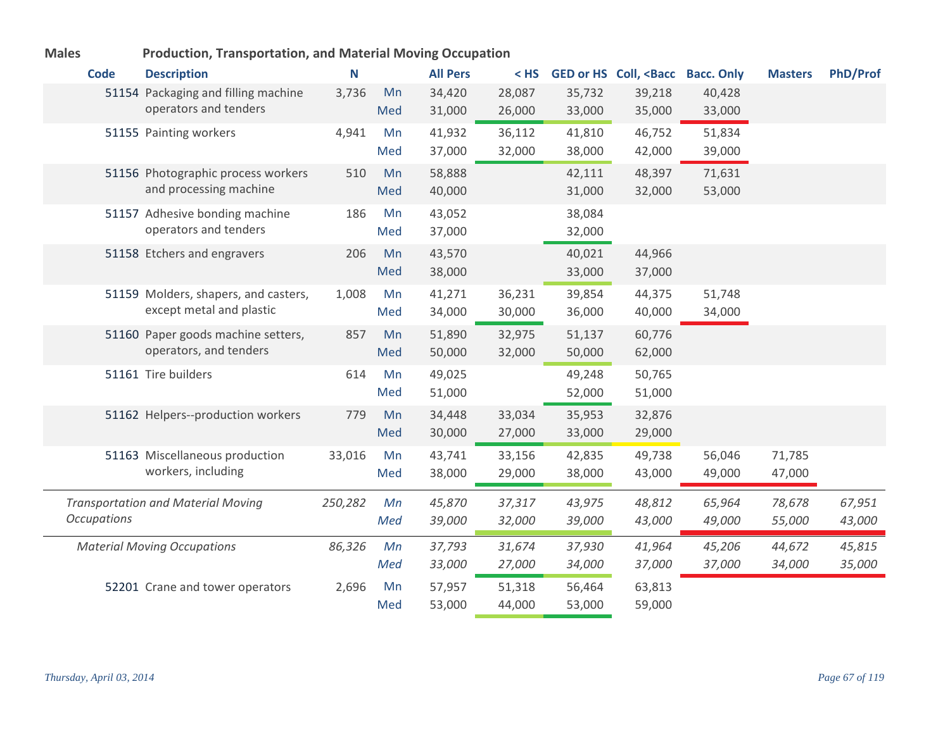| <b>Males</b>       | <b>Production, Transportation, and Material Moving Occupation</b> |         |           |                  |                  |                  |                                                                                                               |                  |                  |                 |
|--------------------|-------------------------------------------------------------------|---------|-----------|------------------|------------------|------------------|---------------------------------------------------------------------------------------------------------------|------------------|------------------|-----------------|
| <b>Code</b>        | <b>Description</b>                                                | N       |           | <b>All Pers</b>  | $<$ HS           |                  | GED or HS Coll, <bacc bacc.="" only<="" th=""><th></th><th><b>Masters</b></th><th><b>PhD/Prof</b></th></bacc> |                  | <b>Masters</b>   | <b>PhD/Prof</b> |
|                    | 51154 Packaging and filling machine                               | 3,736   | Mn        | 34,420           | 28,087           | 35,732           | 39,218                                                                                                        | 40,428           |                  |                 |
|                    | operators and tenders                                             |         | Med       | 31,000           | 26,000           | 33,000           | 35,000                                                                                                        | 33,000           |                  |                 |
|                    | 51155 Painting workers                                            | 4,941   | Mn        | 41,932           | 36,112           | 41,810           | 46,752                                                                                                        | 51,834           |                  |                 |
|                    |                                                                   |         | Med       | 37,000           | 32,000           | 38,000           | 42,000                                                                                                        | 39,000           |                  |                 |
|                    | 51156 Photographic process workers                                | 510     | Mn        | 58,888           |                  | 42,111           | 48,397                                                                                                        | 71,631           |                  |                 |
|                    | and processing machine                                            |         | Med       | 40,000           |                  | 31,000           | 32,000                                                                                                        | 53,000           |                  |                 |
|                    | 51157 Adhesive bonding machine                                    | 186     | Mn        | 43,052           |                  | 38,084           |                                                                                                               |                  |                  |                 |
|                    | operators and tenders                                             |         | Med       | 37,000           |                  | 32,000           |                                                                                                               |                  |                  |                 |
|                    | 51158 Etchers and engravers                                       | 206     | Mn        | 43,570           |                  | 40,021           | 44,966                                                                                                        |                  |                  |                 |
|                    |                                                                   |         | Med       | 38,000           |                  | 33,000           | 37,000                                                                                                        |                  |                  |                 |
|                    | 51159 Molders, shapers, and casters,                              | 1,008   | Mn        | 41,271           | 36,231           | 39,854           | 44,375                                                                                                        | 51,748           |                  |                 |
|                    | except metal and plastic                                          |         | Med       | 34,000           | 30,000           | 36,000           | 40,000                                                                                                        | 34,000           |                  |                 |
|                    | 51160 Paper goods machine setters,                                | 857     | Mn        | 51,890           | 32,975           | 51,137           | 60,776                                                                                                        |                  |                  |                 |
|                    | operators, and tenders                                            |         | Med       | 50,000           | 32,000           | 50,000           | 62,000                                                                                                        |                  |                  |                 |
|                    | 51161 Tire builders                                               | 614     | Mn        | 49,025           |                  | 49,248           | 50,765                                                                                                        |                  |                  |                 |
|                    |                                                                   |         | Med       | 51,000           |                  | 52,000           | 51,000                                                                                                        |                  |                  |                 |
|                    | 51162 Helpers--production workers                                 | 779     | Mn        | 34,448           | 33,034           | 35,953           | 32,876                                                                                                        |                  |                  |                 |
|                    |                                                                   |         | Med       | 30,000           | 27,000           | 33,000           | 29,000                                                                                                        |                  |                  |                 |
|                    | 51163 Miscellaneous production                                    | 33,016  | Mn        | 43,741           | 33,156           | 42,835           | 49,738                                                                                                        | 56,046           | 71,785           |                 |
|                    | workers, including                                                |         | Med       | 38,000           | 29,000           | 38,000           | 43,000                                                                                                        | 49,000           | 47,000           |                 |
|                    | <b>Transportation and Material Moving</b>                         | 250,282 | Mn        | 45,870           | 37,317           | 43,975           | 48,812                                                                                                        | 65,964           | 78,678           | 67,951          |
| <b>Occupations</b> |                                                                   |         | Med       | 39,000           | 32,000           | 39,000           | 43,000                                                                                                        | 49,000           | 55,000           | 43,000          |
|                    |                                                                   |         | Mn        | 37,793           | 31,674           | 37,930           | 41,964                                                                                                        |                  |                  | 45,815          |
|                    | <b>Material Moving Occupations</b>                                | 86,326  | Med       | 33,000           | 27,000           | 34,000           | 37,000                                                                                                        | 45,206<br>37,000 | 44,672<br>34,000 | 35,000          |
|                    |                                                                   |         |           |                  |                  |                  |                                                                                                               |                  |                  |                 |
|                    | 52201 Crane and tower operators                                   | 2,696   | Mn<br>Med | 57,957<br>53,000 | 51,318<br>44,000 | 56,464<br>53,000 | 63,813<br>59,000                                                                                              |                  |                  |                 |
|                    |                                                                   |         |           |                  |                  |                  |                                                                                                               |                  |                  |                 |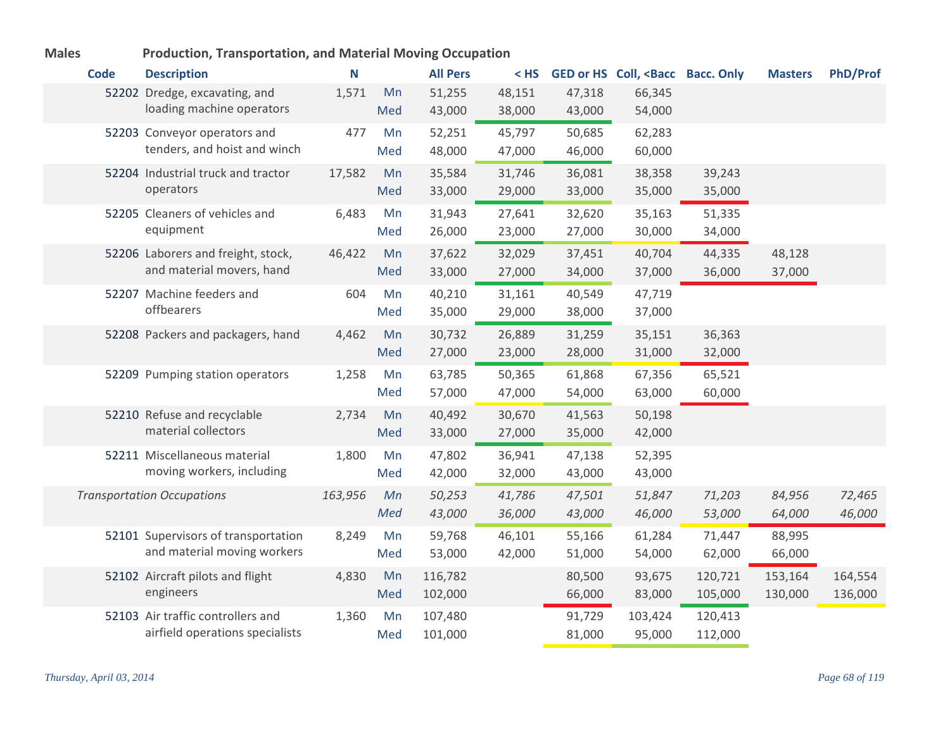| <b>Males</b> | <b>Production, Transportation, and Material Moving Occupation</b>    |         |           |                    |                  |                  |                                                                                                               |                    |                    |                    |
|--------------|----------------------------------------------------------------------|---------|-----------|--------------------|------------------|------------------|---------------------------------------------------------------------------------------------------------------|--------------------|--------------------|--------------------|
| <b>Code</b>  | <b>Description</b>                                                   | N       |           | <b>All Pers</b>    | $<$ HS           |                  | GED or HS Coll, <bacc bacc.="" only<="" th=""><th></th><th><b>Masters</b></th><th><b>PhD/Prof</b></th></bacc> |                    | <b>Masters</b>     | <b>PhD/Prof</b>    |
|              | 52202 Dredge, excavating, and<br>loading machine operators           | 1,571   | Mn<br>Med | 51,255<br>43,000   | 48,151<br>38,000 | 47,318<br>43,000 | 66,345<br>54,000                                                                                              |                    |                    |                    |
|              | 52203 Conveyor operators and<br>tenders, and hoist and winch         | 477     | Mn<br>Med | 52,251<br>48,000   | 45,797<br>47,000 | 50,685<br>46,000 | 62,283<br>60,000                                                                                              |                    |                    |                    |
|              | 52204 Industrial truck and tractor<br>operators                      | 17,582  | Mn<br>Med | 35,584<br>33,000   | 31,746<br>29,000 | 36,081<br>33,000 | 38,358<br>35,000                                                                                              | 39,243<br>35,000   |                    |                    |
|              | 52205 Cleaners of vehicles and<br>equipment                          | 6,483   | Mn<br>Med | 31,943<br>26,000   | 27,641<br>23,000 | 32,620<br>27,000 | 35,163<br>30,000                                                                                              | 51,335<br>34,000   |                    |                    |
|              | 52206 Laborers and freight, stock,<br>and material movers, hand      | 46,422  | Mn<br>Med | 37,622<br>33,000   | 32,029<br>27,000 | 37,451<br>34,000 | 40,704<br>37,000                                                                                              | 44,335<br>36,000   | 48,128<br>37,000   |                    |
|              | 52207 Machine feeders and<br>offbearers                              | 604     | Mn<br>Med | 40,210<br>35,000   | 31,161<br>29,000 | 40,549<br>38,000 | 47,719<br>37,000                                                                                              |                    |                    |                    |
|              | 52208 Packers and packagers, hand                                    | 4,462   | Mn<br>Med | 30,732<br>27,000   | 26,889<br>23,000 | 31,259<br>28,000 | 35,151<br>31,000                                                                                              | 36,363<br>32,000   |                    |                    |
|              | 52209 Pumping station operators                                      | 1,258   | Mn<br>Med | 63,785<br>57,000   | 50,365<br>47,000 | 61,868<br>54,000 | 67,356<br>63,000                                                                                              | 65,521<br>60,000   |                    |                    |
|              | 52210 Refuse and recyclable<br>material collectors                   | 2,734   | Mn<br>Med | 40,492<br>33,000   | 30,670<br>27,000 | 41,563<br>35,000 | 50,198<br>42,000                                                                                              |                    |                    |                    |
|              | 52211 Miscellaneous material<br>moving workers, including            | 1,800   | Mn<br>Med | 47,802<br>42,000   | 36,941<br>32,000 | 47,138<br>43,000 | 52,395<br>43,000                                                                                              |                    |                    |                    |
|              | <b>Transportation Occupations</b>                                    | 163,956 | Mn<br>Med | 50,253<br>43,000   | 41,786<br>36,000 | 47,501<br>43,000 | 51,847<br>46,000                                                                                              | 71,203<br>53,000   | 84,956<br>64,000   | 72,465<br>46,000   |
|              | 52101 Supervisors of transportation<br>and material moving workers   | 8,249   | Mn<br>Med | 59,768<br>53,000   | 46,101<br>42,000 | 55,166<br>51,000 | 61,284<br>54,000                                                                                              | 71,447<br>62,000   | 88,995<br>66,000   |                    |
|              | 52102 Aircraft pilots and flight<br>engineers                        | 4,830   | Mn<br>Med | 116,782<br>102,000 |                  | 80,500<br>66,000 | 93,675<br>83,000                                                                                              | 120,721<br>105,000 | 153,164<br>130,000 | 164,554<br>136,000 |
|              | 52103 Air traffic controllers and<br>airfield operations specialists | 1,360   | Mn<br>Med | 107,480<br>101,000 |                  | 91,729<br>81,000 | 103,424<br>95,000                                                                                             | 120,413<br>112,000 |                    |                    |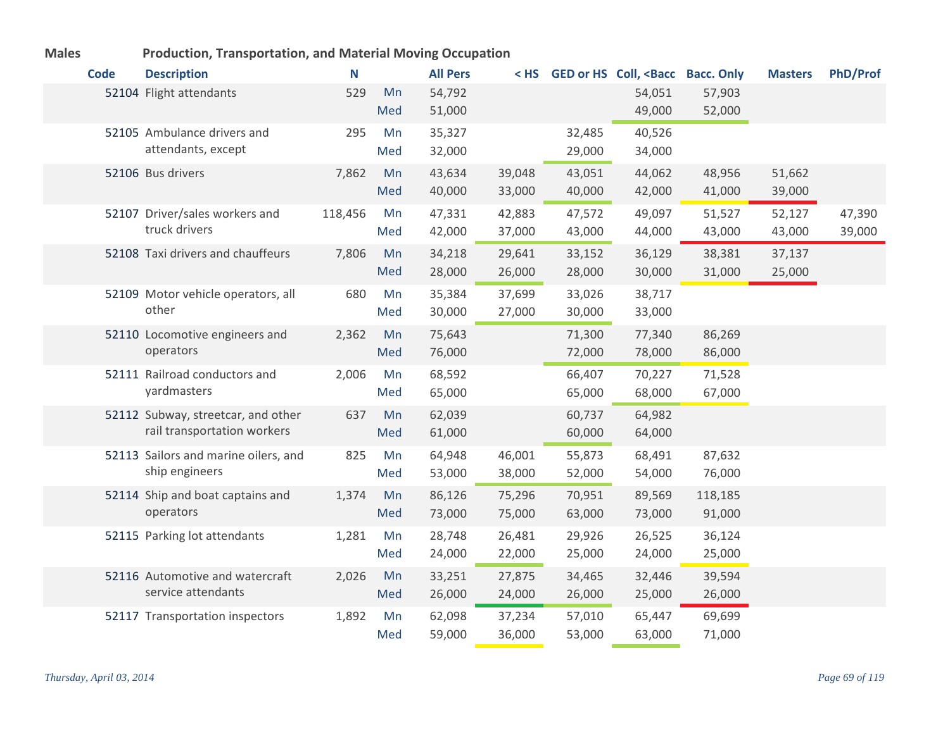| <b>Code</b> | <b>Description</b>                   | N       |     | <b>All Pers</b> | $<$ HS |        | GED or HS Coll, <bacc bacc.="" only<="" th=""><th></th><th><b>Masters</b></th><th>PhD/Prof</th></bacc> |         | <b>Masters</b> | PhD/Prof |
|-------------|--------------------------------------|---------|-----|-----------------|--------|--------|--------------------------------------------------------------------------------------------------------|---------|----------------|----------|
|             | 52104 Flight attendants              | 529     | Mn  | 54,792          |        |        | 54,051                                                                                                 | 57,903  |                |          |
|             |                                      |         | Med | 51,000          |        |        | 49,000                                                                                                 | 52,000  |                |          |
|             | 52105 Ambulance drivers and          | 295     | Mn  | 35,327          |        | 32,485 | 40,526                                                                                                 |         |                |          |
|             | attendants, except                   |         | Med | 32,000          |        | 29,000 | 34,000                                                                                                 |         |                |          |
|             | 52106 Bus drivers                    | 7,862   | Mn  | 43,634          | 39,048 | 43,051 | 44,062                                                                                                 | 48,956  | 51,662         |          |
|             |                                      |         | Med | 40,000          | 33,000 | 40,000 | 42,000                                                                                                 | 41,000  | 39,000         |          |
|             | 52107 Driver/sales workers and       | 118,456 | Mn  | 47,331          | 42,883 | 47,572 | 49,097                                                                                                 | 51,527  | 52,127         | 47,390   |
|             | truck drivers                        |         | Med | 42,000          | 37,000 | 43,000 | 44,000                                                                                                 | 43,000  | 43,000         | 39,000   |
|             | 52108 Taxi drivers and chauffeurs    | 7,806   | Mn  | 34,218          | 29,641 | 33,152 | 36,129                                                                                                 | 38,381  | 37,137         |          |
|             |                                      |         | Med | 28,000          | 26,000 | 28,000 | 30,000                                                                                                 | 31,000  | 25,000         |          |
|             | 52109 Motor vehicle operators, all   | 680     | Mn  | 35,384          | 37,699 | 33,026 | 38,717                                                                                                 |         |                |          |
|             | other                                |         | Med | 30,000          | 27,000 | 30,000 | 33,000                                                                                                 |         |                |          |
|             | 52110 Locomotive engineers and       | 2,362   | Mn  | 75,643          |        | 71,300 | 77,340                                                                                                 | 86,269  |                |          |
|             | operators                            |         | Med | 76,000          |        | 72,000 | 78,000                                                                                                 | 86,000  |                |          |
|             | 52111 Railroad conductors and        | 2,006   | Mn  | 68,592          |        | 66,407 | 70,227                                                                                                 | 71,528  |                |          |
|             | yardmasters                          |         | Med | 65,000          |        | 65,000 | 68,000                                                                                                 | 67,000  |                |          |
|             | 52112 Subway, streetcar, and other   | 637     | Mn  | 62,039          |        | 60,737 | 64,982                                                                                                 |         |                |          |
|             | rail transportation workers          |         | Med | 61,000          |        | 60,000 | 64,000                                                                                                 |         |                |          |
|             | 52113 Sailors and marine oilers, and | 825     | Mn  | 64,948          | 46,001 | 55,873 | 68,491                                                                                                 | 87,632  |                |          |
|             | ship engineers                       |         | Med | 53,000          | 38,000 | 52,000 | 54,000                                                                                                 | 76,000  |                |          |
|             | 52114 Ship and boat captains and     | 1,374   | Mn  | 86,126          | 75,296 | 70,951 | 89,569                                                                                                 | 118,185 |                |          |
|             | operators                            |         | Med | 73,000          | 75,000 | 63,000 | 73,000                                                                                                 | 91,000  |                |          |
|             | 52115 Parking lot attendants         | 1,281   | Mn  | 28,748          | 26,481 | 29,926 | 26,525                                                                                                 | 36,124  |                |          |
|             |                                      |         | Med | 24,000          | 22,000 | 25,000 | 24,000                                                                                                 | 25,000  |                |          |
|             | 52116 Automotive and watercraft      | 2,026   | Mn  | 33,251          | 27,875 | 34,465 | 32,446                                                                                                 | 39,594  |                |          |
|             | service attendants                   |         | Med | 26,000          | 24,000 | 26,000 | 25,000                                                                                                 | 26,000  |                |          |
|             | 52117 Transportation inspectors      | 1,892   | Mn  | 62,098          | 37,234 | 57,010 | 65,447                                                                                                 | 69,699  |                |          |
|             |                                      |         | Med | 59,000          | 36,000 | 53,000 | 63,000                                                                                                 | 71,000  |                |          |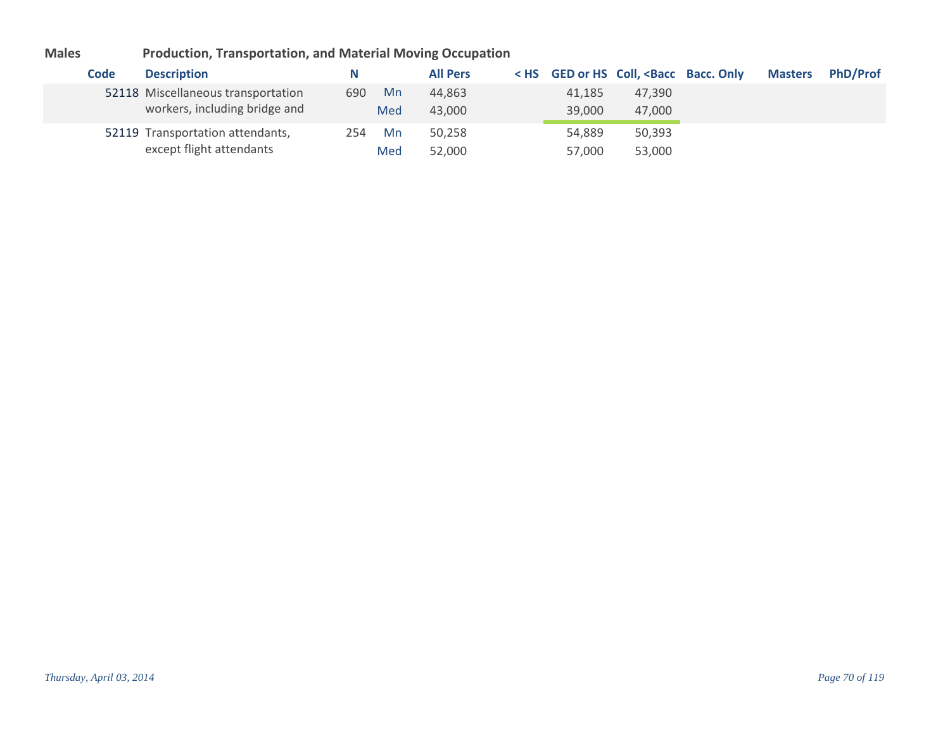| Code | <b>Description</b>                                                  | N                | <b>All Pers</b>  |                  | < HS GED or HS Coll, <bacc bacc.="" only<="" th=""><th><b>Masters</b></th><th><b>PhD/Prof</b></th></bacc> | <b>Masters</b> | <b>PhD/Prof</b> |
|------|---------------------------------------------------------------------|------------------|------------------|------------------|-----------------------------------------------------------------------------------------------------------|----------------|-----------------|
|      | 52118 Miscellaneous transportation<br>workers, including bridge and | Mn<br>690<br>Med | 44.863<br>43,000 | 41,185<br>39,000 | 47.390<br>47,000                                                                                          |                |                 |
|      | 52119 Transportation attendants,<br>except flight attendants        | Mn<br>254<br>Med | 50.258<br>52,000 | 54,889<br>57,000 | 50,393<br>53,000                                                                                          |                |                 |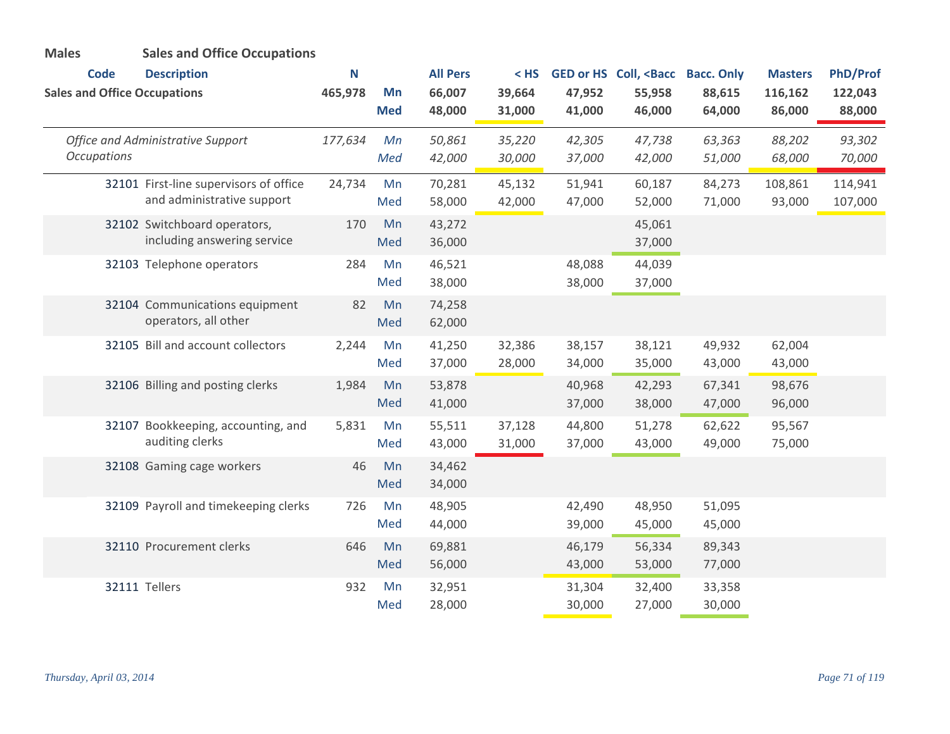| <b>Males</b>                        | <b>Sales and Office Occupations</b>                                  |         |                  |                  |                  |                  |                                                                                                               |                  |                   |                    |
|-------------------------------------|----------------------------------------------------------------------|---------|------------------|------------------|------------------|------------------|---------------------------------------------------------------------------------------------------------------|------------------|-------------------|--------------------|
| <b>Code</b>                         | <b>Description</b>                                                   | N       |                  | <b>All Pers</b>  | $<$ HS           |                  | GED or HS Coll, <bacc bacc.="" only<="" th=""><th></th><th><b>Masters</b></th><th><b>PhD/Prof</b></th></bacc> |                  | <b>Masters</b>    | <b>PhD/Prof</b>    |
| <b>Sales and Office Occupations</b> |                                                                      | 465,978 | Mn<br><b>Med</b> | 66,007<br>48,000 | 39,664<br>31,000 | 47,952<br>41,000 | 55,958<br>46,000                                                                                              | 88,615<br>64,000 | 116,162<br>86,000 | 122,043<br>88,000  |
| <b>Occupations</b>                  | <b>Office and Administrative Support</b>                             | 177,634 | Mn<br>Med        | 50,861<br>42,000 | 35,220<br>30,000 | 42,305<br>37,000 | 47,738<br>42,000                                                                                              | 63,363<br>51,000 | 88,202<br>68,000  | 93,302<br>70,000   |
|                                     | 32101 First-line supervisors of office<br>and administrative support | 24,734  | Mn<br>Med        | 70,281<br>58,000 | 45,132<br>42,000 | 51,941<br>47,000 | 60,187<br>52,000                                                                                              | 84,273<br>71,000 | 108,861<br>93,000 | 114,941<br>107,000 |
|                                     | 32102 Switchboard operators,<br>including answering service          | 170     | Mn<br>Med        | 43,272<br>36,000 |                  |                  | 45,061<br>37,000                                                                                              |                  |                   |                    |
|                                     | 32103 Telephone operators                                            | 284     | Mn<br>Med        | 46,521<br>38,000 |                  | 48,088<br>38,000 | 44,039<br>37,000                                                                                              |                  |                   |                    |
|                                     | 32104 Communications equipment<br>operators, all other               | 82      | Mn<br>Med        | 74,258<br>62,000 |                  |                  |                                                                                                               |                  |                   |                    |
|                                     | 32105 Bill and account collectors                                    | 2,244   | Mn<br>Med        | 41,250<br>37,000 | 32,386<br>28,000 | 38,157<br>34,000 | 38,121<br>35,000                                                                                              | 49,932<br>43,000 | 62,004<br>43,000  |                    |
|                                     | 32106 Billing and posting clerks                                     | 1,984   | Mn<br>Med        | 53,878<br>41,000 |                  | 40,968<br>37,000 | 42,293<br>38,000                                                                                              | 67,341<br>47,000 | 98,676<br>96,000  |                    |
|                                     | 32107 Bookkeeping, accounting, and<br>auditing clerks                | 5,831   | Mn<br>Med        | 55,511<br>43,000 | 37,128<br>31,000 | 44,800<br>37,000 | 51,278<br>43,000                                                                                              | 62,622<br>49,000 | 95,567<br>75,000  |                    |
|                                     | 32108 Gaming cage workers                                            | 46      | Mn<br>Med        | 34,462<br>34,000 |                  |                  |                                                                                                               |                  |                   |                    |
|                                     | 32109 Payroll and timekeeping clerks                                 | 726     | Mn<br>Med        | 48,905<br>44,000 |                  | 42,490<br>39,000 | 48,950<br>45,000                                                                                              | 51,095<br>45,000 |                   |                    |
|                                     | 32110 Procurement clerks                                             | 646     | Mn<br>Med        | 69,881<br>56,000 |                  | 46,179<br>43,000 | 56,334<br>53,000                                                                                              | 89,343<br>77,000 |                   |                    |
|                                     | 32111 Tellers                                                        | 932     | Mn<br>Med        | 32,951<br>28,000 |                  | 31,304<br>30,000 | 32,400<br>27,000                                                                                              | 33,358<br>30,000 |                   |                    |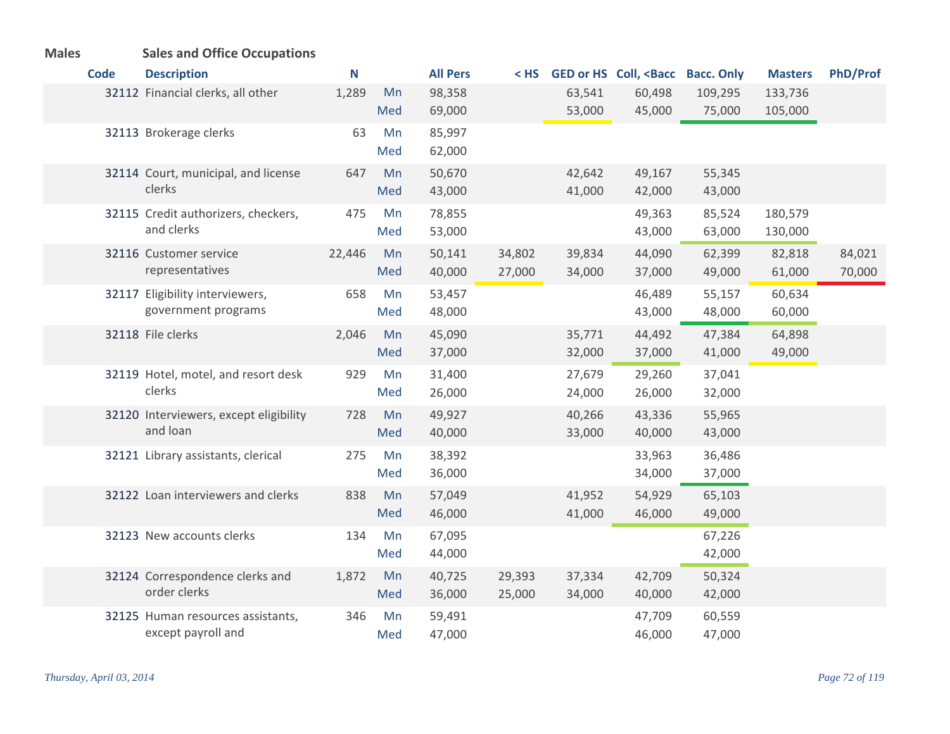| <b>Males</b> |  |  | <b>Sales and Office Occupations</b> |
|--------------|--|--|-------------------------------------|
|--------------|--|--|-------------------------------------|

| <b>Code</b> | <b>Description</b>                                      | N      |           | <b>All Pers</b>  | $<$ HS           |                  | GED or HS Coll, <bacc bacc.="" only<="" th=""><th></th><th><b>Masters</b></th><th>PhD/Prof</th></bacc> |                  | <b>Masters</b> | PhD/Prof |
|-------------|---------------------------------------------------------|--------|-----------|------------------|------------------|------------------|--------------------------------------------------------------------------------------------------------|------------------|----------------|----------|
|             | 32112 Financial clerks, all other                       | 1,289  | Mn        | 98,358           |                  | 63,541           | 60,498                                                                                                 | 109,295          | 133,736        |          |
|             |                                                         |        | Med       | 69,000           |                  | 53,000           | 45,000                                                                                                 | 75,000           | 105,000        |          |
|             | 32113 Brokerage clerks                                  | 63     | Mn        | 85,997           |                  |                  |                                                                                                        |                  |                |          |
|             |                                                         |        | Med       | 62,000           |                  |                  |                                                                                                        |                  |                |          |
|             | 32114 Court, municipal, and license                     | 647    | Mn        | 50,670           |                  | 42,642           | 49,167                                                                                                 | 55,345           |                |          |
|             | clerks                                                  |        | Med       | 43,000           |                  | 41,000           | 42,000                                                                                                 | 43,000           |                |          |
|             | 32115 Credit authorizers, checkers,                     | 475    | Mn        | 78,855           |                  |                  | 49,363                                                                                                 | 85,524           | 180,579        |          |
|             | and clerks                                              |        | Med       | 53,000           |                  |                  | 43,000                                                                                                 | 63,000           | 130,000        |          |
|             | 32116 Customer service                                  | 22,446 | Mn        | 50,141           | 34,802           | 39,834           | 44,090                                                                                                 | 62,399           | 82,818         | 84,021   |
|             | representatives                                         |        | Med       | 40,000           | 27,000           | 34,000           | 37,000                                                                                                 | 49,000           | 61,000         | 70,000   |
|             | 32117 Eligibility interviewers,<br>government programs  | 658    | Mn        | 53,457           |                  |                  | 46,489                                                                                                 | 55,157           | 60,634         |          |
|             |                                                         |        | Med       | 48,000           |                  |                  | 43,000                                                                                                 | 48,000           | 60,000         |          |
|             | 32118 File clerks                                       | 2,046  | Mn        | 45,090           |                  | 35,771           | 44,492                                                                                                 | 47,384           | 64,898         |          |
|             |                                                         |        | Med       | 37,000           |                  | 32,000           | 37,000                                                                                                 | 41,000           | 49,000         |          |
|             | 32119 Hotel, motel, and resort desk<br>clerks           | 929    | Mn<br>Med | 31,400<br>26,000 |                  | 27,679<br>24,000 | 29,260<br>26,000                                                                                       | 37,041<br>32,000 |                |          |
|             |                                                         |        |           |                  |                  |                  |                                                                                                        |                  |                |          |
|             | 32120 Interviewers, except eligibility<br>and loan      | 728    | Mn<br>Med | 49,927<br>40,000 |                  | 40,266<br>33,000 | 43,336<br>40,000                                                                                       | 55,965<br>43,000 |                |          |
|             |                                                         |        |           |                  |                  |                  |                                                                                                        |                  |                |          |
|             | 32121 Library assistants, clerical                      | 275    | Mn<br>Med | 38,392<br>36,000 |                  |                  | 33,963<br>34,000                                                                                       | 36,486<br>37,000 |                |          |
|             |                                                         |        |           |                  |                  |                  |                                                                                                        |                  |                |          |
|             | 32122 Loan interviewers and clerks                      | 838    | Mn<br>Med | 57,049<br>46,000 |                  | 41,952<br>41,000 | 54,929<br>46,000                                                                                       | 65,103<br>49,000 |                |          |
|             |                                                         |        |           |                  |                  |                  |                                                                                                        |                  |                |          |
|             | 32123 New accounts clerks                               | 134    | Mn<br>Med | 67,095<br>44,000 |                  |                  |                                                                                                        | 67,226<br>42,000 |                |          |
|             |                                                         |        |           |                  |                  |                  |                                                                                                        |                  |                |          |
|             | 32124 Correspondence clerks and<br>order clerks         | 1,872  | Mn<br>Med | 40,725<br>36,000 | 29,393<br>25,000 | 37,334<br>34,000 | 42,709<br>40,000                                                                                       | 50,324<br>42,000 |                |          |
|             |                                                         |        | Mn        |                  |                  |                  |                                                                                                        |                  |                |          |
|             | 32125 Human resources assistants,<br>except payroll and | 346    | Med       | 59,491<br>47,000 |                  |                  | 47,709<br>46,000                                                                                       | 60,559<br>47,000 |                |          |
|             |                                                         |        |           |                  |                  |                  |                                                                                                        |                  |                |          |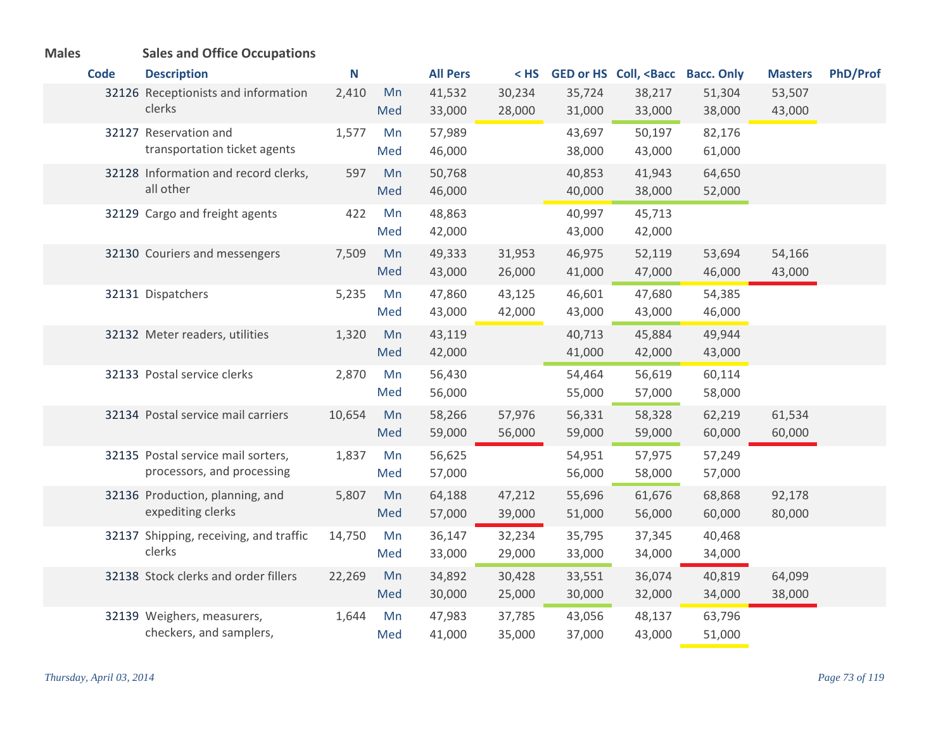| <b>Males</b> | <b>Sales and Office Occupations</b>                              |        |           |                  |                  |                  |                                                                                                               |                  |                  |                 |
|--------------|------------------------------------------------------------------|--------|-----------|------------------|------------------|------------------|---------------------------------------------------------------------------------------------------------------|------------------|------------------|-----------------|
| <b>Code</b>  | <b>Description</b>                                               | N      |           | <b>All Pers</b>  | $<$ HS           |                  | GED or HS Coll, <bacc bacc.="" only<="" th=""><th></th><th><b>Masters</b></th><th><b>PhD/Prof</b></th></bacc> |                  | <b>Masters</b>   | <b>PhD/Prof</b> |
|              | 32126 Receptionists and information<br>clerks                    | 2,410  | Mn<br>Med | 41,532<br>33,000 | 30,234<br>28,000 | 35,724<br>31,000 | 38,217<br>33,000                                                                                              | 51,304<br>38,000 | 53,507<br>43,000 |                 |
|              | 32127 Reservation and<br>transportation ticket agents            | 1,577  | Mn<br>Med | 57,989<br>46,000 |                  | 43,697<br>38,000 | 50,197<br>43,000                                                                                              | 82,176<br>61,000 |                  |                 |
|              | 32128 Information and record clerks,<br>all other                | 597    | Mn<br>Med | 50,768<br>46,000 |                  | 40,853<br>40,000 | 41,943<br>38,000                                                                                              | 64,650<br>52,000 |                  |                 |
|              | 32129 Cargo and freight agents                                   | 422    | Mn<br>Med | 48,863<br>42,000 |                  | 40,997<br>43,000 | 45,713<br>42,000                                                                                              |                  |                  |                 |
|              | 32130 Couriers and messengers                                    | 7,509  | Mn<br>Med | 49,333<br>43,000 | 31,953<br>26,000 | 46,975<br>41,000 | 52,119<br>47,000                                                                                              | 53,694<br>46,000 | 54,166<br>43,000 |                 |
|              | 32131 Dispatchers                                                | 5,235  | Mn<br>Med | 47,860<br>43,000 | 43,125<br>42,000 | 46,601<br>43,000 | 47,680<br>43,000                                                                                              | 54,385<br>46,000 |                  |                 |
|              | 32132 Meter readers, utilities                                   | 1,320  | Mn<br>Med | 43,119<br>42,000 |                  | 40,713<br>41,000 | 45,884<br>42,000                                                                                              | 49,944<br>43,000 |                  |                 |
|              | 32133 Postal service clerks                                      | 2,870  | Mn<br>Med | 56,430<br>56,000 |                  | 54,464<br>55,000 | 56,619<br>57,000                                                                                              | 60,114<br>58,000 |                  |                 |
|              | 32134 Postal service mail carriers                               | 10,654 | Mn<br>Med | 58,266<br>59,000 | 57,976<br>56,000 | 56,331<br>59,000 | 58,328<br>59,000                                                                                              | 62,219<br>60,000 | 61,534<br>60,000 |                 |
|              | 32135 Postal service mail sorters,<br>processors, and processing | 1,837  | Mn<br>Med | 56,625<br>57,000 |                  | 54,951<br>56,000 | 57,975<br>58,000                                                                                              | 57,249<br>57,000 |                  |                 |
|              | 32136 Production, planning, and<br>expediting clerks             | 5,807  | Mn<br>Med | 64,188<br>57,000 | 47,212<br>39,000 | 55,696<br>51,000 | 61,676<br>56,000                                                                                              | 68,868<br>60,000 | 92,178<br>80,000 |                 |
|              | 32137 Shipping, receiving, and traffic<br>clerks                 | 14,750 | Mn<br>Med | 36,147<br>33,000 | 32,234<br>29,000 | 35,795<br>33,000 | 37,345<br>34,000                                                                                              | 40,468<br>34,000 |                  |                 |
|              | 32138 Stock clerks and order fillers                             | 22,269 | Mn<br>Med | 34,892<br>30,000 | 30,428<br>25,000 | 33,551<br>30,000 | 36,074<br>32,000                                                                                              | 40,819<br>34,000 | 64,099<br>38,000 |                 |
|              | 32139 Weighers, measurers,<br>checkers, and samplers,            | 1,644  | Mn<br>Med | 47,983<br>41,000 | 37,785<br>35,000 | 43,056<br>37,000 | 48,137<br>43,000                                                                                              | 63,796<br>51,000 |                  |                 |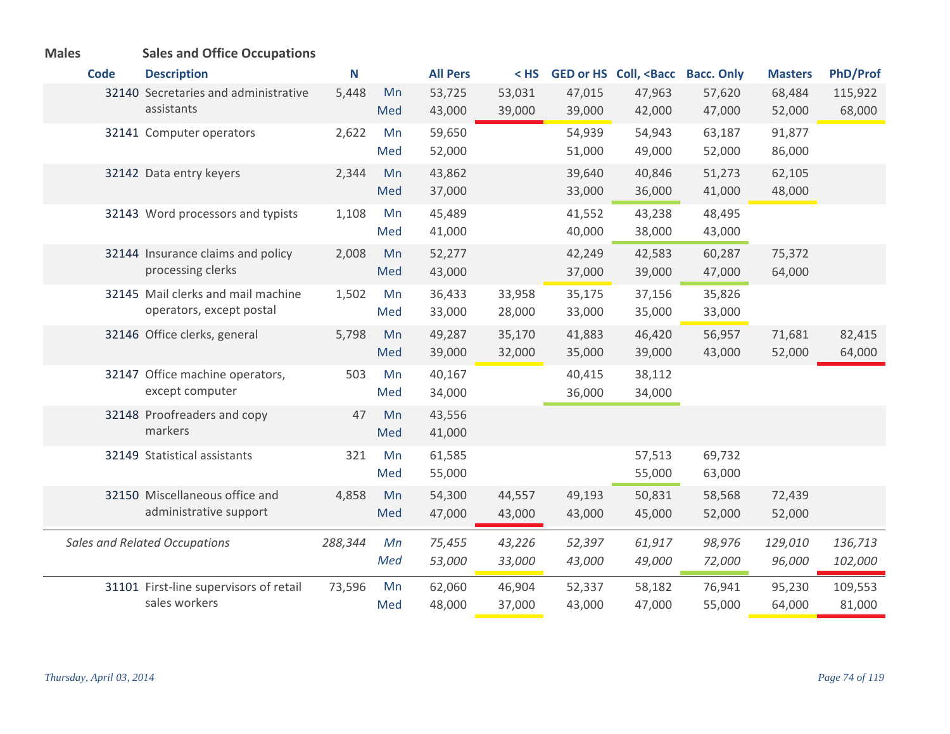| <b>Males</b> | <b>Sales and Office Occupations</b>                            |         |           |                  |                  |                  |                                                                                                                |                   |                   |                    |
|--------------|----------------------------------------------------------------|---------|-----------|------------------|------------------|------------------|----------------------------------------------------------------------------------------------------------------|-------------------|-------------------|--------------------|
| <b>Code</b>  | <b>Description</b>                                             | N       |           | <b>All Pers</b>  | $<$ HS           |                  | GED or HS Coll, <bacc< th=""><th><b>Bacc. Only</b></th><th><b>Masters</b></th><th><b>PhD/Prof</b></th></bacc<> | <b>Bacc. Only</b> | <b>Masters</b>    | <b>PhD/Prof</b>    |
|              | 32140 Secretaries and administrative<br>assistants             | 5,448   | Mn<br>Med | 53,725<br>43,000 | 53,031<br>39,000 | 47,015<br>39,000 | 47,963<br>42,000                                                                                               | 57,620<br>47,000  | 68,484<br>52,000  | 115,922<br>68,000  |
|              | 32141 Computer operators                                       | 2,622   | Mn<br>Med | 59,650<br>52,000 |                  | 54,939<br>51,000 | 54,943<br>49,000                                                                                               | 63,187<br>52,000  | 91,877<br>86,000  |                    |
|              | 32142 Data entry keyers                                        | 2,344   | Mn<br>Med | 43,862<br>37,000 |                  | 39,640<br>33,000 | 40,846<br>36,000                                                                                               | 51,273<br>41,000  | 62,105<br>48,000  |                    |
|              | 32143 Word processors and typists                              | 1,108   | Mn<br>Med | 45,489<br>41,000 |                  | 41,552<br>40,000 | 43,238<br>38,000                                                                                               | 48,495<br>43,000  |                   |                    |
|              | 32144 Insurance claims and policy<br>processing clerks         | 2,008   | Mn<br>Med | 52,277<br>43,000 |                  | 42,249<br>37,000 | 42,583<br>39,000                                                                                               | 60,287<br>47,000  | 75,372<br>64,000  |                    |
|              | 32145 Mail clerks and mail machine<br>operators, except postal | 1,502   | Mn<br>Med | 36,433<br>33,000 | 33,958<br>28,000 | 35,175<br>33,000 | 37,156<br>35,000                                                                                               | 35,826<br>33,000  |                   |                    |
|              | 32146 Office clerks, general                                   | 5,798   | Mn<br>Med | 49,287<br>39,000 | 35,170<br>32,000 | 41,883<br>35,000 | 46,420<br>39,000                                                                                               | 56,957<br>43,000  | 71,681<br>52,000  | 82,415<br>64,000   |
|              | 32147 Office machine operators,<br>except computer             | 503     | Mn<br>Med | 40,167<br>34,000 |                  | 40,415<br>36,000 | 38,112<br>34,000                                                                                               |                   |                   |                    |
|              | 32148 Proofreaders and copy<br>markers                         | 47      | Mn<br>Med | 43,556<br>41,000 |                  |                  |                                                                                                                |                   |                   |                    |
|              | 32149 Statistical assistants                                   | 321     | Mn<br>Med | 61,585<br>55,000 |                  |                  | 57,513<br>55,000                                                                                               | 69,732<br>63,000  |                   |                    |
|              | 32150 Miscellaneous office and<br>administrative support       | 4,858   | Mn<br>Med | 54,300<br>47,000 | 44,557<br>43,000 | 49,193<br>43,000 | 50,831<br>45,000                                                                                               | 58,568<br>52,000  | 72,439<br>52,000  |                    |
|              | <b>Sales and Related Occupations</b>                           | 288,344 | Mn<br>Med | 75,455<br>53,000 | 43,226<br>33,000 | 52,397<br>43,000 | 61,917<br>49,000                                                                                               | 98,976<br>72,000  | 129,010<br>96,000 | 136,713<br>102,000 |
|              | 31101 First-line supervisors of retail<br>sales workers        | 73,596  | Mn<br>Med | 62,060<br>48,000 | 46,904<br>37,000 | 52,337<br>43,000 | 58,182<br>47,000                                                                                               | 76,941<br>55,000  | 95,230<br>64,000  | 109,553<br>81,000  |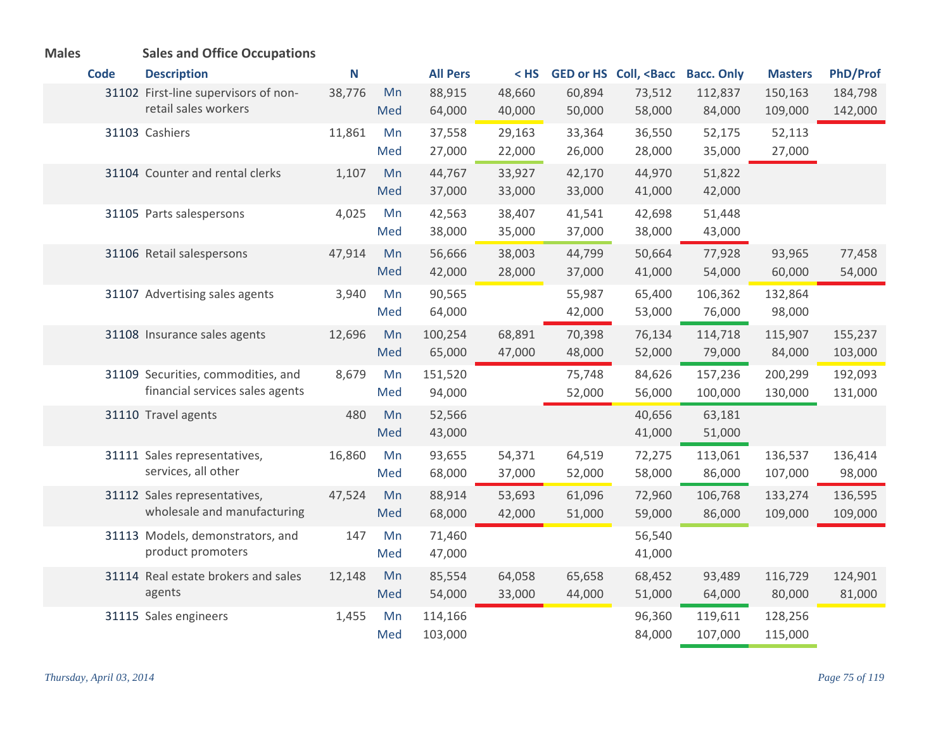| <b>Males</b> |             | <b>Sales and Office Occupations</b>                                   |        |           |                    |                  |                  |                                                                                                                |                    |                    |                    |
|--------------|-------------|-----------------------------------------------------------------------|--------|-----------|--------------------|------------------|------------------|----------------------------------------------------------------------------------------------------------------|--------------------|--------------------|--------------------|
|              | <b>Code</b> | <b>Description</b>                                                    | N      |           | <b>All Pers</b>    | $<$ HS           |                  | GED or HS Coll, <bacc< th=""><th><b>Bacc. Only</b></th><th><b>Masters</b></th><th><b>PhD/Prof</b></th></bacc<> | <b>Bacc. Only</b>  | <b>Masters</b>     | <b>PhD/Prof</b>    |
|              |             | 31102 First-line supervisors of non-<br>retail sales workers          | 38,776 | Mn<br>Med | 88,915<br>64,000   | 48,660<br>40,000 | 60,894<br>50,000 | 73,512<br>58,000                                                                                               | 112,837<br>84,000  | 150,163<br>109,000 | 184,798<br>142,000 |
|              |             | 31103 Cashiers                                                        | 11,861 | Mn<br>Med | 37,558<br>27,000   | 29,163<br>22,000 | 33,364<br>26,000 | 36,550<br>28,000                                                                                               | 52,175<br>35,000   | 52,113<br>27,000   |                    |
|              |             | 31104 Counter and rental clerks                                       | 1,107  | Mn<br>Med | 44,767<br>37,000   | 33,927<br>33,000 | 42,170<br>33,000 | 44,970<br>41,000                                                                                               | 51,822<br>42,000   |                    |                    |
|              |             | 31105 Parts salespersons                                              | 4,025  | Mn<br>Med | 42,563<br>38,000   | 38,407<br>35,000 | 41,541<br>37,000 | 42,698<br>38,000                                                                                               | 51,448<br>43,000   |                    |                    |
|              |             | 31106 Retail salespersons                                             | 47,914 | Mn<br>Med | 56,666<br>42,000   | 38,003<br>28,000 | 44,799<br>37,000 | 50,664<br>41,000                                                                                               | 77,928<br>54,000   | 93,965<br>60,000   | 77,458<br>54,000   |
|              |             | 31107 Advertising sales agents                                        | 3,940  | Mn<br>Med | 90,565<br>64,000   |                  | 55,987<br>42,000 | 65,400<br>53,000                                                                                               | 106,362<br>76,000  | 132,864<br>98,000  |                    |
|              |             | 31108 Insurance sales agents                                          | 12,696 | Mn<br>Med | 100,254<br>65,000  | 68,891<br>47,000 | 70,398<br>48,000 | 76,134<br>52,000                                                                                               | 114,718<br>79,000  | 115,907<br>84,000  | 155,237<br>103,000 |
|              |             | 31109 Securities, commodities, and<br>financial services sales agents | 8,679  | Mn<br>Med | 151,520<br>94,000  |                  | 75,748<br>52,000 | 84,626<br>56,000                                                                                               | 157,236<br>100,000 | 200,299<br>130,000 | 192,093<br>131,000 |
|              |             | 31110 Travel agents                                                   | 480    | Mn<br>Med | 52,566<br>43,000   |                  |                  | 40,656<br>41,000                                                                                               | 63,181<br>51,000   |                    |                    |
|              |             | 31111 Sales representatives,<br>services, all other                   | 16,860 | Mn<br>Med | 93,655<br>68,000   | 54,371<br>37,000 | 64,519<br>52,000 | 72,275<br>58,000                                                                                               | 113,061<br>86,000  | 136,537<br>107,000 | 136,414<br>98,000  |
|              |             | 31112 Sales representatives,<br>wholesale and manufacturing           | 47,524 | Mn<br>Med | 88,914<br>68,000   | 53,693<br>42,000 | 61,096<br>51,000 | 72,960<br>59,000                                                                                               | 106,768<br>86,000  | 133,274<br>109,000 | 136,595<br>109,000 |
|              |             | 31113 Models, demonstrators, and<br>product promoters                 | 147    | Mn<br>Med | 71,460<br>47,000   |                  |                  | 56,540<br>41,000                                                                                               |                    |                    |                    |
|              |             | 31114 Real estate brokers and sales<br>agents                         | 12,148 | Mn<br>Med | 85,554<br>54,000   | 64,058<br>33,000 | 65,658<br>44,000 | 68,452<br>51,000                                                                                               | 93,489<br>64,000   | 116,729<br>80,000  | 124,901<br>81,000  |
|              |             | 31115 Sales engineers                                                 | 1,455  | Mn<br>Med | 114,166<br>103,000 |                  |                  | 96,360<br>84,000                                                                                               | 119,611<br>107,000 | 128,256<br>115,000 |                    |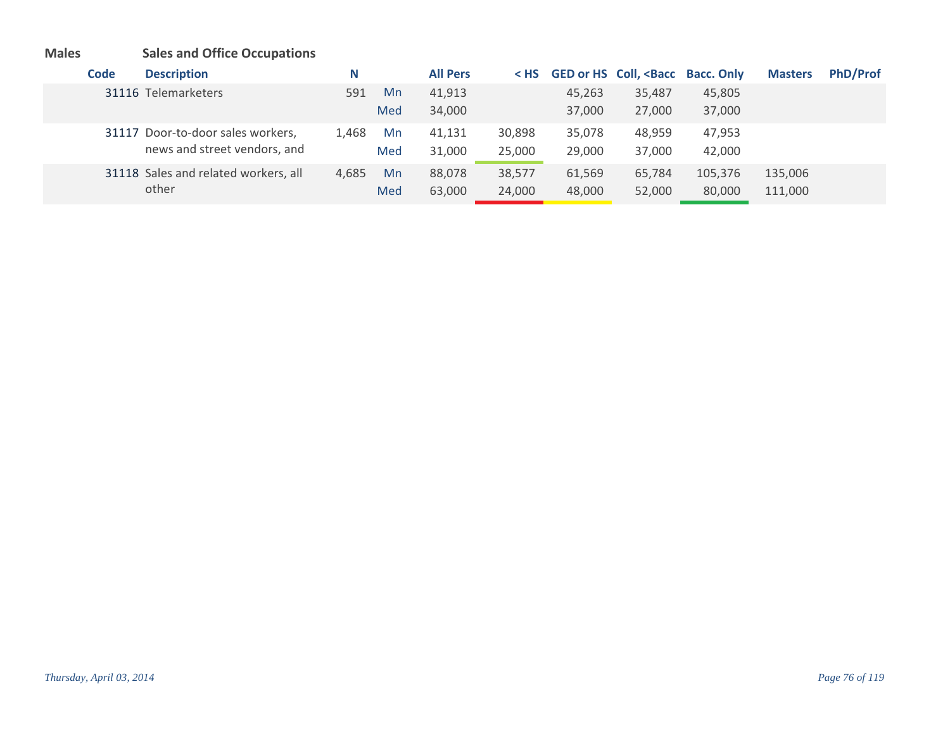# **Males Sales and Office Occupations**

| Code | <b>Description</b>                   | N     |     | <b>All Pers</b> | $<$ HS |        | GED or HS Coll, <bacc bacc.="" only<="" th=""><th></th><th><b>Masters</b></th><th><b>PhD/Prof</b></th></bacc> |         | <b>Masters</b> | <b>PhD/Prof</b> |
|------|--------------------------------------|-------|-----|-----------------|--------|--------|---------------------------------------------------------------------------------------------------------------|---------|----------------|-----------------|
|      | 31116 Telemarketers                  | 591   | Mn  | 41,913          |        | 45,263 | 35,487                                                                                                        | 45,805  |                |                 |
|      |                                      |       | Med | 34,000          |        | 37,000 | 27,000                                                                                                        | 37,000  |                |                 |
|      | 31117 Door-to-door sales workers,    | 1.468 | Mn  | 41,131          | 30,898 | 35,078 | 48,959                                                                                                        | 47,953  |                |                 |
|      | news and street vendors, and         |       | Med | 31,000          | 25,000 | 29,000 | 37,000                                                                                                        | 42,000  |                |                 |
|      | 31118 Sales and related workers, all | 4.685 | Mn  | 88,078          | 38,577 | 61,569 | 65,784                                                                                                        | 105,376 | 135,006        |                 |
|      | other                                |       | Med | 63,000          | 24,000 | 48,000 | 52,000                                                                                                        | 80,000  | 111,000        |                 |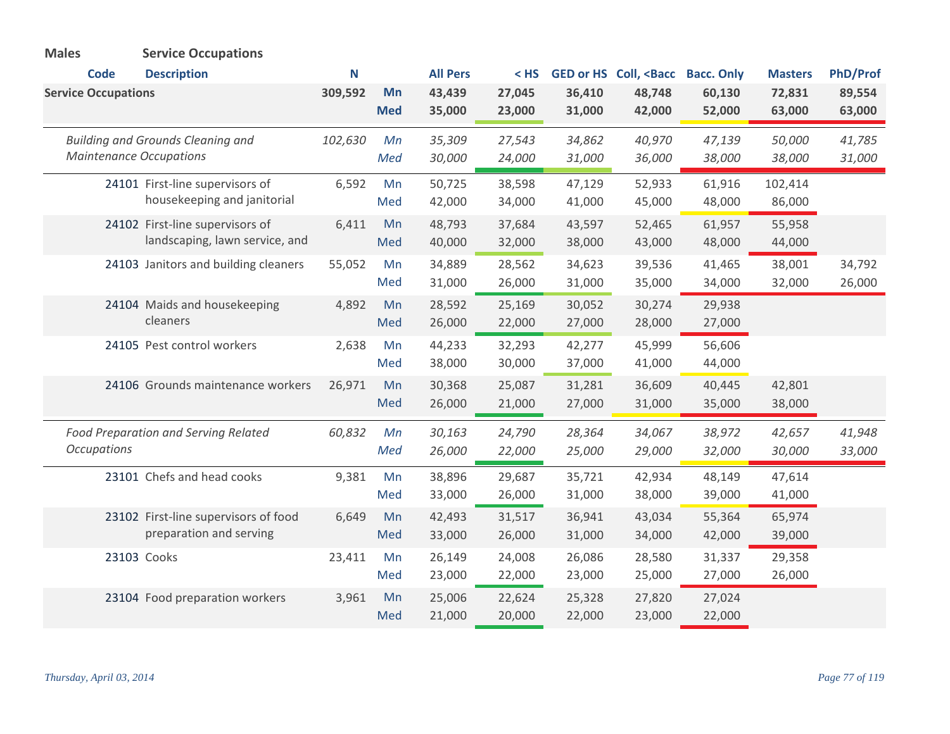| <b>Males</b>               | <b>Service Occupations</b>               |         |            |                 |        |        |                                                                                                         |                   |                |          |
|----------------------------|------------------------------------------|---------|------------|-----------------|--------|--------|---------------------------------------------------------------------------------------------------------|-------------------|----------------|----------|
| <b>Code</b>                | <b>Description</b>                       | N       |            | <b>All Pers</b> | $<$ HS |        | GED or HS Coll, <bacc< th=""><th><b>Bacc. Only</b></th><th><b>Masters</b></th><th>PhD/Prof</th></bacc<> | <b>Bacc. Only</b> | <b>Masters</b> | PhD/Prof |
| <b>Service Occupations</b> |                                          | 309,592 | Mn         | 43,439          | 27,045 | 36,410 | 48,748                                                                                                  | 60,130            | 72,831         | 89,554   |
|                            |                                          |         | <b>Med</b> | 35,000          | 23,000 | 31,000 | 42,000                                                                                                  | 52,000            | 63,000         | 63,000   |
|                            | <b>Building and Grounds Cleaning and</b> | 102,630 | Mn         | 35,309          | 27,543 | 34,862 | 40,970                                                                                                  | 47,139            | 50,000         | 41,785   |
|                            | <b>Maintenance Occupations</b>           |         | Med        | 30,000          | 24,000 | 31,000 | 36,000                                                                                                  | 38,000            | 38,000         | 31,000   |
|                            | 24101 First-line supervisors of          | 6,592   | Mn         | 50,725          | 38,598 | 47,129 | 52,933                                                                                                  | 61,916            | 102,414        |          |
|                            | housekeeping and janitorial              |         | Med        | 42,000          | 34,000 | 41,000 | 45,000                                                                                                  | 48,000            | 86,000         |          |
|                            | 24102 First-line supervisors of          | 6,411   | Mn         | 48,793          | 37,684 | 43,597 | 52,465                                                                                                  | 61,957            | 55,958         |          |
|                            | landscaping, lawn service, and           |         | Med        | 40,000          | 32,000 | 38,000 | 43,000                                                                                                  | 48,000            | 44,000         |          |
|                            | 24103 Janitors and building cleaners     | 55,052  | Mn         | 34,889          | 28,562 | 34,623 | 39,536                                                                                                  | 41,465            | 38,001         | 34,792   |
|                            |                                          |         | Med        | 31,000          | 26,000 | 31,000 | 35,000                                                                                                  | 34,000            | 32,000         | 26,000   |
|                            | 24104 Maids and housekeeping             | 4,892   | Mn         | 28,592          | 25,169 | 30,052 | 30,274                                                                                                  | 29,938            |                |          |
|                            | cleaners                                 |         | Med        | 26,000          | 22,000 | 27,000 | 28,000                                                                                                  | 27,000            |                |          |
|                            | 24105 Pest control workers               | 2,638   | Mn         | 44,233          | 32,293 | 42,277 | 45,999                                                                                                  | 56,606            |                |          |
|                            |                                          |         | Med        | 38,000          | 30,000 | 37,000 | 41,000                                                                                                  | 44,000            |                |          |
|                            | 24106 Grounds maintenance workers        | 26,971  | Mn         | 30,368          | 25,087 | 31,281 | 36,609                                                                                                  | 40,445            | 42,801         |          |
|                            |                                          |         | Med        | 26,000          | 21,000 | 27,000 | 31,000                                                                                                  | 35,000            | 38,000         |          |
|                            | Food Preparation and Serving Related     | 60,832  | Mn         | 30,163          | 24,790 | 28,364 | 34,067                                                                                                  | 38,972            | 42,657         | 41,948   |
| <b>Occupations</b>         |                                          |         | Med        | 26,000          | 22,000 | 25,000 | 29,000                                                                                                  | 32,000            | 30,000         | 33,000   |
|                            | 23101 Chefs and head cooks               | 9,381   | Mn         | 38,896          | 29,687 | 35,721 | 42,934                                                                                                  | 48,149            | 47,614         |          |
|                            |                                          |         | Med        | 33,000          | 26,000 | 31,000 | 38,000                                                                                                  | 39,000            | 41,000         |          |
|                            | 23102 First-line supervisors of food     | 6,649   | Mn         | 42,493          | 31,517 | 36,941 | 43,034                                                                                                  | 55,364            | 65,974         |          |
|                            | preparation and serving                  |         | Med        | 33,000          | 26,000 | 31,000 | 34,000                                                                                                  | 42,000            | 39,000         |          |
|                            | 23103 Cooks                              | 23,411  | Mn         | 26,149          | 24,008 | 26,086 | 28,580                                                                                                  | 31,337            | 29,358         |          |
|                            |                                          |         | Med        | 23,000          | 22,000 | 23,000 | 25,000                                                                                                  | 27,000            | 26,000         |          |
|                            | 23104 Food preparation workers           | 3,961   | Mn         | 25,006          | 22,624 | 25,328 | 27,820                                                                                                  | 27,024            |                |          |
|                            |                                          |         | Med        | 21,000          | 20,000 | 22,000 | 23,000                                                                                                  | 22,000            |                |          |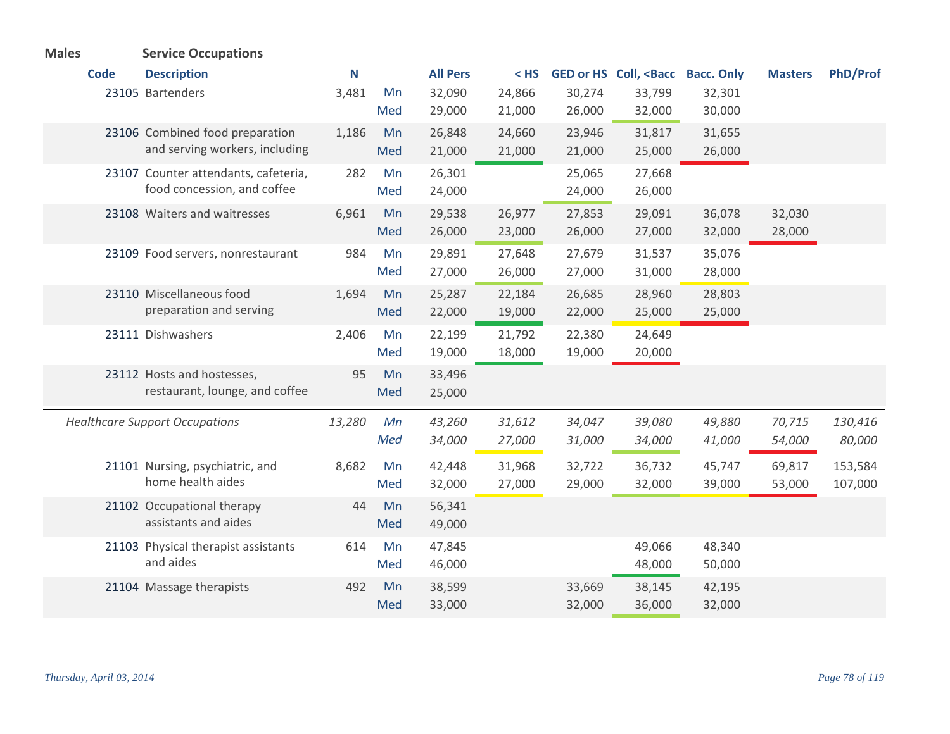| <b>Males</b> | <b>Service Occupations</b>            |        |     |                 |        |        |                                             |                   |                |                 |
|--------------|---------------------------------------|--------|-----|-----------------|--------|--------|---------------------------------------------|-------------------|----------------|-----------------|
| <b>Code</b>  | <b>Description</b>                    | N      |     | <b>All Pers</b> | $<$ HS |        | <b>GED or HS Coll, <bacc< b=""></bacc<></b> | <b>Bacc. Only</b> | <b>Masters</b> | <b>PhD/Prof</b> |
|              | 23105 Bartenders                      | 3,481  | Mn  | 32,090          | 24,866 | 30,274 | 33,799                                      | 32,301            |                |                 |
|              |                                       |        | Med | 29,000          | 21,000 | 26,000 | 32,000                                      | 30,000            |                |                 |
|              | 23106 Combined food preparation       | 1,186  | Mn  | 26,848          | 24,660 | 23,946 | 31,817                                      | 31,655            |                |                 |
|              | and serving workers, including        |        | Med | 21,000          | 21,000 | 21,000 | 25,000                                      | 26,000            |                |                 |
|              | 23107 Counter attendants, cafeteria,  | 282    | Mn  | 26,301          |        | 25,065 | 27,668                                      |                   |                |                 |
|              | food concession, and coffee           |        | Med | 24,000          |        | 24,000 | 26,000                                      |                   |                |                 |
|              | 23108 Waiters and waitresses          | 6,961  | Mn  | 29,538          | 26,977 | 27,853 | 29,091                                      | 36,078            | 32,030         |                 |
|              |                                       |        | Med | 26,000          | 23,000 | 26,000 | 27,000                                      | 32,000            | 28,000         |                 |
|              | 23109 Food servers, nonrestaurant     | 984    | Mn  | 29,891          | 27,648 | 27,679 | 31,537                                      | 35,076            |                |                 |
|              |                                       |        | Med | 27,000          | 26,000 | 27,000 | 31,000                                      | 28,000            |                |                 |
|              | 23110 Miscellaneous food              | 1,694  | Mn  | 25,287          | 22,184 | 26,685 | 28,960                                      | 28,803            |                |                 |
|              | preparation and serving               |        | Med | 22,000          | 19,000 | 22,000 | 25,000                                      | 25,000            |                |                 |
|              | 23111 Dishwashers                     | 2,406  | Mn  | 22,199          | 21,792 | 22,380 | 24,649                                      |                   |                |                 |
|              |                                       |        | Med | 19,000          | 18,000 | 19,000 | 20,000                                      |                   |                |                 |
|              | 23112 Hosts and hostesses,            | 95     | Mn  | 33,496          |        |        |                                             |                   |                |                 |
|              | restaurant, lounge, and coffee        |        | Med | 25,000          |        |        |                                             |                   |                |                 |
|              | <b>Healthcare Support Occupations</b> | 13,280 | Mn  | 43,260          | 31,612 | 34,047 | 39,080                                      | 49,880            | 70,715         | 130,416         |
|              |                                       |        | Med | 34,000          | 27,000 | 31,000 | 34,000                                      | 41,000            | 54,000         | 80,000          |
|              | 21101 Nursing, psychiatric, and       | 8,682  | Mn  | 42,448          | 31,968 | 32,722 | 36,732                                      | 45,747            | 69,817         | 153,584         |
|              | home health aides                     |        | Med | 32,000          | 27,000 | 29,000 | 32,000                                      | 39,000            | 53,000         | 107,000         |
|              | 21102 Occupational therapy            | 44     | Mn  | 56,341          |        |        |                                             |                   |                |                 |
|              | assistants and aides                  |        | Med | 49,000          |        |        |                                             |                   |                |                 |
|              | 21103 Physical therapist assistants   | 614    | Mn  | 47,845          |        |        | 49,066                                      | 48,340            |                |                 |
|              | and aides                             |        | Med | 46,000          |        |        | 48,000                                      | 50,000            |                |                 |
|              | 21104 Massage therapists              | 492    | Mn  | 38,599          |        | 33,669 | 38,145                                      | 42,195            |                |                 |
|              |                                       |        | Med | 33,000          |        | 32,000 | 36,000                                      | 32,000            |                |                 |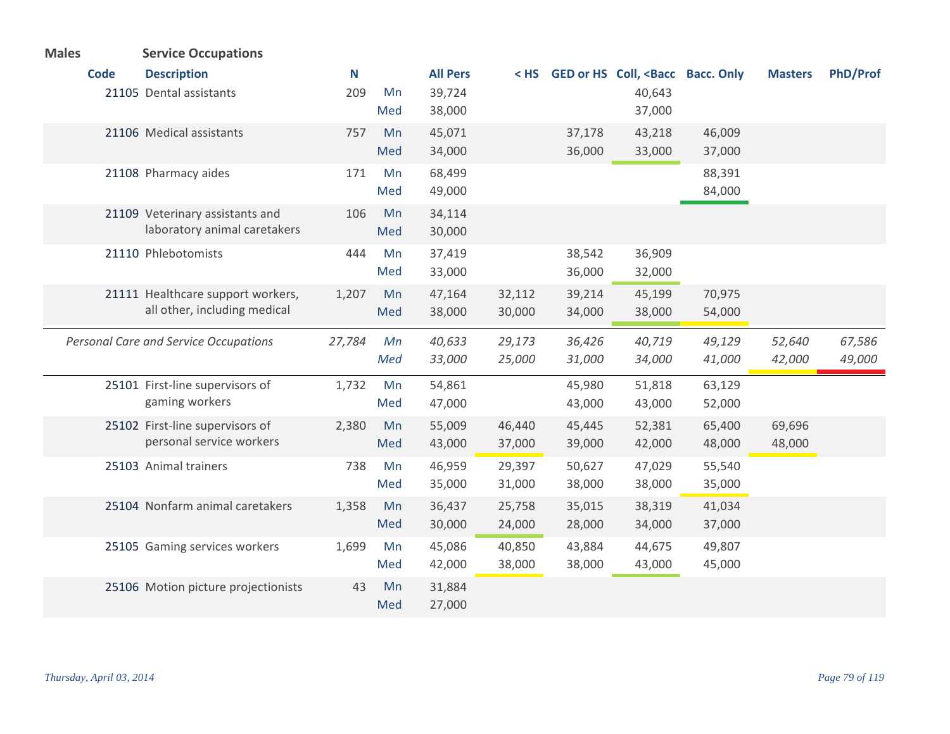| <b>Males</b> | <b>Service Occupations</b>                   |        |     |                 |        |        |                                                                                                               |        |                |                 |
|--------------|----------------------------------------------|--------|-----|-----------------|--------|--------|---------------------------------------------------------------------------------------------------------------|--------|----------------|-----------------|
| <b>Code</b>  | <b>Description</b>                           | N      |     | <b>All Pers</b> | $<$ HS |        | GED or HS Coll, <bacc bacc.="" only<="" th=""><th></th><th><b>Masters</b></th><th><b>PhD/Prof</b></th></bacc> |        | <b>Masters</b> | <b>PhD/Prof</b> |
|              | 21105 Dental assistants                      | 209    | Mn  | 39,724          |        |        | 40,643                                                                                                        |        |                |                 |
|              |                                              |        | Med | 38,000          |        |        | 37,000                                                                                                        |        |                |                 |
|              | 21106 Medical assistants                     | 757    | Mn  | 45,071          |        | 37,178 | 43,218                                                                                                        | 46,009 |                |                 |
|              |                                              |        | Med | 34,000          |        | 36,000 | 33,000                                                                                                        | 37,000 |                |                 |
|              | 21108 Pharmacy aides                         | 171    | Mn  | 68,499          |        |        |                                                                                                               | 88,391 |                |                 |
|              |                                              |        | Med | 49,000          |        |        |                                                                                                               | 84,000 |                |                 |
|              | 21109 Veterinary assistants and              | 106    | Mn  | 34,114          |        |        |                                                                                                               |        |                |                 |
|              | laboratory animal caretakers                 |        | Med | 30,000          |        |        |                                                                                                               |        |                |                 |
|              | 21110 Phlebotomists                          | 444    | Mn  | 37,419          |        | 38,542 | 36,909                                                                                                        |        |                |                 |
|              |                                              |        | Med | 33,000          |        | 36,000 | 32,000                                                                                                        |        |                |                 |
|              | 21111 Healthcare support workers,            | 1,207  | Mn  | 47,164          | 32,112 | 39,214 | 45,199                                                                                                        | 70,975 |                |                 |
|              | all other, including medical                 |        | Med | 38,000          | 30,000 | 34,000 | 38,000                                                                                                        | 54,000 |                |                 |
|              | <b>Personal Care and Service Occupations</b> | 27,784 | Mn  | 40,633          | 29,173 | 36,426 | 40,719                                                                                                        | 49,129 | 52,640         | 67,586          |
|              |                                              |        | Med | 33,000          | 25,000 | 31,000 | 34,000                                                                                                        | 41,000 | 42,000         | 49,000          |
|              | 25101 First-line supervisors of              | 1,732  | Mn  | 54,861          |        | 45,980 | 51,818                                                                                                        | 63,129 |                |                 |
|              | gaming workers                               |        | Med | 47,000          |        | 43,000 | 43,000                                                                                                        | 52,000 |                |                 |
|              | 25102 First-line supervisors of              | 2,380  | Mn  | 55,009          | 46,440 | 45,445 | 52,381                                                                                                        | 65,400 | 69,696         |                 |
|              | personal service workers                     |        | Med | 43,000          | 37,000 | 39,000 | 42,000                                                                                                        | 48,000 | 48,000         |                 |
|              | 25103 Animal trainers                        | 738    | Mn  | 46,959          | 29,397 | 50,627 | 47,029                                                                                                        | 55,540 |                |                 |
|              |                                              |        | Med | 35,000          | 31,000 | 38,000 | 38,000                                                                                                        | 35,000 |                |                 |
|              | 25104 Nonfarm animal caretakers              | 1,358  | Mn  | 36,437          | 25,758 | 35,015 | 38,319                                                                                                        | 41,034 |                |                 |
|              |                                              |        | Med | 30,000          | 24,000 | 28,000 | 34,000                                                                                                        | 37,000 |                |                 |
|              | 25105 Gaming services workers                | 1,699  | Mn  | 45,086          | 40,850 | 43,884 | 44,675                                                                                                        | 49,807 |                |                 |
|              |                                              |        | Med | 42,000          | 38,000 | 38,000 | 43,000                                                                                                        | 45,000 |                |                 |
|              | 25106 Motion picture projectionists          | 43     | Mn  | 31,884          |        |        |                                                                                                               |        |                |                 |
|              |                                              |        | Med | 27,000          |        |        |                                                                                                               |        |                |                 |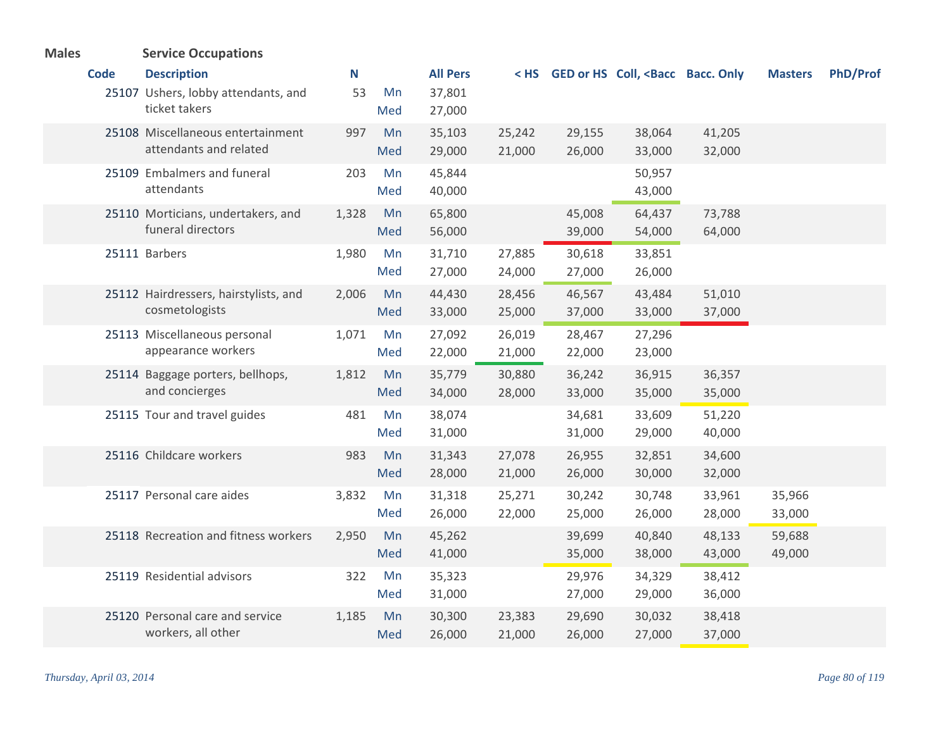| <b>Males</b> |             | <b>Service Occupations</b>                                  |       |           |                  |                  |                  |                                                                                                                    |                  |                  |                 |
|--------------|-------------|-------------------------------------------------------------|-------|-----------|------------------|------------------|------------------|--------------------------------------------------------------------------------------------------------------------|------------------|------------------|-----------------|
|              | <b>Code</b> | <b>Description</b>                                          | N     |           | <b>All Pers</b>  |                  |                  | < HS GED or HS Coll, <bacc bacc.="" only<="" th=""><th></th><th><b>Masters</b></th><th><b>PhD/Prof</b></th></bacc> |                  | <b>Masters</b>   | <b>PhD/Prof</b> |
|              |             | 25107 Ushers, lobby attendants, and<br>ticket takers        | 53    | Mn<br>Med | 37,801<br>27,000 |                  |                  |                                                                                                                    |                  |                  |                 |
|              |             | 25108 Miscellaneous entertainment<br>attendants and related | 997   | Mn<br>Med | 35,103<br>29,000 | 25,242<br>21,000 | 29,155<br>26,000 | 38,064<br>33,000                                                                                                   | 41,205<br>32,000 |                  |                 |
|              |             | 25109 Embalmers and funeral<br>attendants                   | 203   | Mn<br>Med | 45,844<br>40,000 |                  |                  | 50,957<br>43,000                                                                                                   |                  |                  |                 |
|              |             | 25110 Morticians, undertakers, and<br>funeral directors     | 1,328 | Mn<br>Med | 65,800<br>56,000 |                  | 45,008<br>39,000 | 64,437<br>54,000                                                                                                   | 73,788<br>64,000 |                  |                 |
|              |             | 25111 Barbers                                               | 1,980 | Mn<br>Med | 31,710<br>27,000 | 27,885<br>24,000 | 30,618<br>27,000 | 33,851<br>26,000                                                                                                   |                  |                  |                 |
|              |             | 25112 Hairdressers, hairstylists, and<br>cosmetologists     | 2,006 | Mn<br>Med | 44,430<br>33,000 | 28,456<br>25,000 | 46,567<br>37,000 | 43,484<br>33,000                                                                                                   | 51,010<br>37,000 |                  |                 |
|              |             | 25113 Miscellaneous personal<br>appearance workers          | 1,071 | Mn<br>Med | 27,092<br>22,000 | 26,019<br>21,000 | 28,467<br>22,000 | 27,296<br>23,000                                                                                                   |                  |                  |                 |
|              |             | 25114 Baggage porters, bellhops,<br>and concierges          | 1,812 | Mn<br>Med | 35,779<br>34,000 | 30,880<br>28,000 | 36,242<br>33,000 | 36,915<br>35,000                                                                                                   | 36,357<br>35,000 |                  |                 |
|              |             | 25115 Tour and travel guides                                | 481   | Mn<br>Med | 38,074<br>31,000 |                  | 34,681<br>31,000 | 33,609<br>29,000                                                                                                   | 51,220<br>40,000 |                  |                 |
|              |             | 25116 Childcare workers                                     | 983   | Mn<br>Med | 31,343<br>28,000 | 27,078<br>21,000 | 26,955<br>26,000 | 32,851<br>30,000                                                                                                   | 34,600<br>32,000 |                  |                 |
|              |             | 25117 Personal care aides                                   | 3,832 | Mn<br>Med | 31,318<br>26,000 | 25,271<br>22,000 | 30,242<br>25,000 | 30,748<br>26,000                                                                                                   | 33,961<br>28,000 | 35,966<br>33,000 |                 |
|              |             | 25118 Recreation and fitness workers                        | 2,950 | Mn<br>Med | 45,262<br>41,000 |                  | 39,699<br>35,000 | 40,840<br>38,000                                                                                                   | 48,133<br>43,000 | 59,688<br>49,000 |                 |
|              |             | 25119 Residential advisors                                  | 322   | Mn<br>Med | 35,323<br>31,000 |                  | 29,976<br>27,000 | 34,329<br>29,000                                                                                                   | 38,412<br>36,000 |                  |                 |
|              |             | 25120 Personal care and service<br>workers, all other       | 1,185 | Mn<br>Med | 30,300<br>26,000 | 23,383<br>21,000 | 29,690<br>26,000 | 30,032<br>27,000                                                                                                   | 38,418<br>37,000 |                  |                 |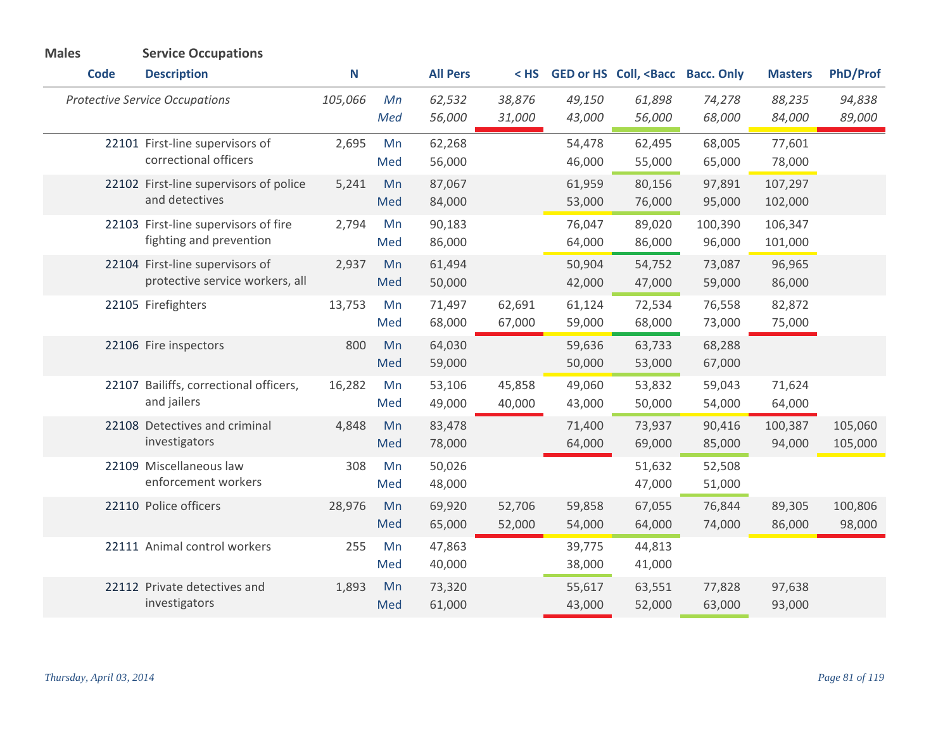| <b>Males</b> | <b>Service Occupations</b>                                         |         |           |                  |                  |                  |                                                                                                        |                   |                    |                    |
|--------------|--------------------------------------------------------------------|---------|-----------|------------------|------------------|------------------|--------------------------------------------------------------------------------------------------------|-------------------|--------------------|--------------------|
| <b>Code</b>  | <b>Description</b>                                                 | Ν       |           | <b>All Pers</b>  | $<$ HS           |                  | GED or HS Coll, <bacc bacc.="" only<="" th=""><th></th><th><b>Masters</b></th><th>PhD/Prof</th></bacc> |                   | <b>Masters</b>     | PhD/Prof           |
|              | <b>Protective Service Occupations</b>                              | 105,066 | Mn<br>Med | 62,532<br>56,000 | 38,876<br>31,000 | 49,150<br>43,000 | 61,898<br>56,000                                                                                       | 74,278<br>68,000  | 88,235<br>84,000   | 94,838<br>89,000   |
|              | 22101 First-line supervisors of<br>correctional officers           | 2,695   | Mn<br>Med | 62,268<br>56,000 |                  | 54,478<br>46,000 | 62,495<br>55,000                                                                                       | 68,005<br>65,000  | 77,601<br>78,000   |                    |
|              | 22102 First-line supervisors of police<br>and detectives           | 5,241   | Mn<br>Med | 87,067<br>84,000 |                  | 61,959<br>53,000 | 80,156<br>76,000                                                                                       | 97,891<br>95,000  | 107,297<br>102,000 |                    |
|              | 22103 First-line supervisors of fire<br>fighting and prevention    | 2,794   | Mn<br>Med | 90,183<br>86,000 |                  | 76,047<br>64,000 | 89,020<br>86,000                                                                                       | 100,390<br>96,000 | 106,347<br>101,000 |                    |
|              | 22104 First-line supervisors of<br>protective service workers, all | 2,937   | Mn<br>Med | 61,494<br>50,000 |                  | 50,904<br>42,000 | 54,752<br>47,000                                                                                       | 73,087<br>59,000  | 96,965<br>86,000   |                    |
|              | 22105 Firefighters                                                 | 13,753  | Mn<br>Med | 71,497<br>68,000 | 62,691<br>67,000 | 61,124<br>59,000 | 72,534<br>68,000                                                                                       | 76,558<br>73,000  | 82,872<br>75,000   |                    |
|              | 22106 Fire inspectors                                              | 800     | Mn<br>Med | 64,030<br>59,000 |                  | 59,636<br>50,000 | 63,733<br>53,000                                                                                       | 68,288<br>67,000  |                    |                    |
|              | 22107 Bailiffs, correctional officers,<br>and jailers              | 16,282  | Mn<br>Med | 53,106<br>49,000 | 45,858<br>40,000 | 49,060<br>43,000 | 53,832<br>50,000                                                                                       | 59,043<br>54,000  | 71,624<br>64,000   |                    |
|              | 22108 Detectives and criminal<br>investigators                     | 4,848   | Mn<br>Med | 83,478<br>78,000 |                  | 71,400<br>64,000 | 73,937<br>69,000                                                                                       | 90,416<br>85,000  | 100,387<br>94,000  | 105,060<br>105,000 |
|              | 22109 Miscellaneous law<br>enforcement workers                     | 308     | Mn<br>Med | 50,026<br>48,000 |                  |                  | 51,632<br>47,000                                                                                       | 52,508<br>51,000  |                    |                    |
|              | 22110 Police officers                                              | 28,976  | Mn<br>Med | 69,920<br>65,000 | 52,706<br>52,000 | 59,858<br>54,000 | 67,055<br>64,000                                                                                       | 76,844<br>74,000  | 89,305<br>86,000   | 100,806<br>98,000  |
|              | 22111 Animal control workers                                       | 255     | Mn<br>Med | 47,863<br>40,000 |                  | 39,775<br>38,000 | 44,813<br>41,000                                                                                       |                   |                    |                    |
|              | 22112 Private detectives and<br>investigators                      | 1,893   | Mn<br>Med | 73,320<br>61,000 |                  | 55,617<br>43,000 | 63,551<br>52,000                                                                                       | 77,828<br>63,000  | 97,638<br>93,000   |                    |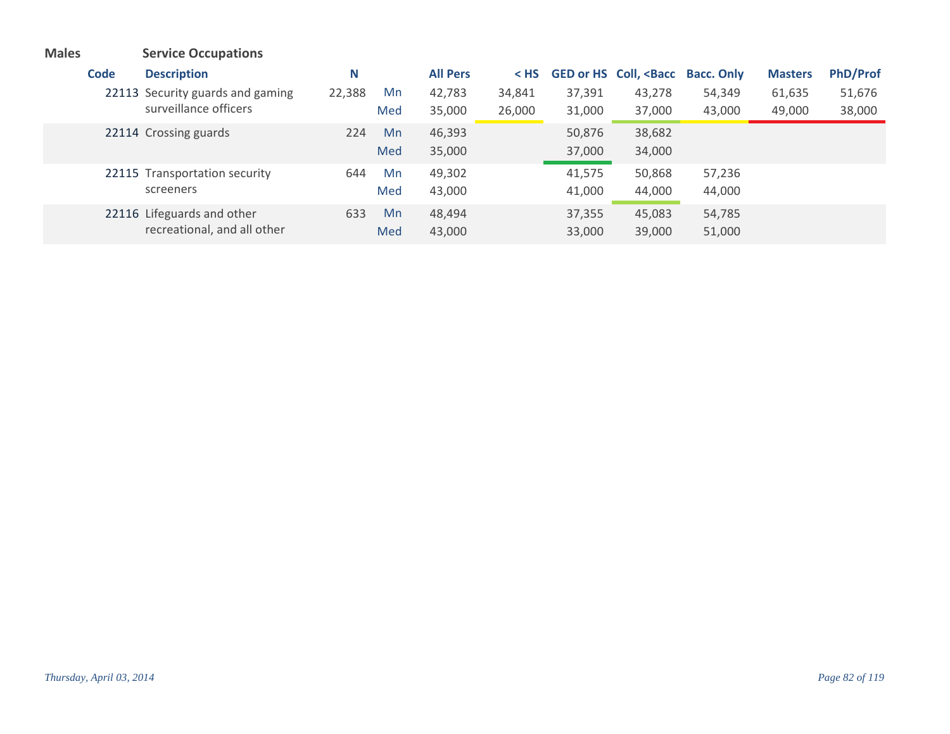| <b>Males</b> |             | <b>Service Occupations</b>       |        |     |                 |        |        |                                                                                                               |        |                |                 |
|--------------|-------------|----------------------------------|--------|-----|-----------------|--------|--------|---------------------------------------------------------------------------------------------------------------|--------|----------------|-----------------|
|              | <b>Code</b> | <b>Description</b>               | N      |     | <b>All Pers</b> | < HS   |        | GED or HS Coll, <bacc bacc.="" only<="" th=""><th></th><th><b>Masters</b></th><th><b>PhD/Prof</b></th></bacc> |        | <b>Masters</b> | <b>PhD/Prof</b> |
|              |             | 22113 Security guards and gaming | 22,388 | Mn  | 42,783          | 34,841 | 37,391 | 43,278                                                                                                        | 54,349 | 61,635         | 51,676          |
|              |             | surveillance officers            |        | Med | 35,000          | 26,000 | 31,000 | 37,000                                                                                                        | 43,000 | 49,000         | 38,000          |
|              |             | 22114 Crossing guards            | 224    | Mn  | 46,393          |        | 50,876 | 38,682                                                                                                        |        |                |                 |
|              |             |                                  |        | Med | 35,000          |        | 37,000 | 34,000                                                                                                        |        |                |                 |
|              |             | 22115 Transportation security    | 644    | Mn  | 49,302          |        | 41,575 | 50,868                                                                                                        | 57,236 |                |                 |
|              |             | screeners                        |        | Med | 43,000          |        | 41,000 | 44,000                                                                                                        | 44,000 |                |                 |
|              |             | 22116 Lifeguards and other       | 633    | Mn  | 48,494          |        | 37,355 | 45,083                                                                                                        | 54,785 |                |                 |
|              |             | recreational, and all other      |        | Med | 43,000          |        | 33,000 | 39,000                                                                                                        | 51,000 |                |                 |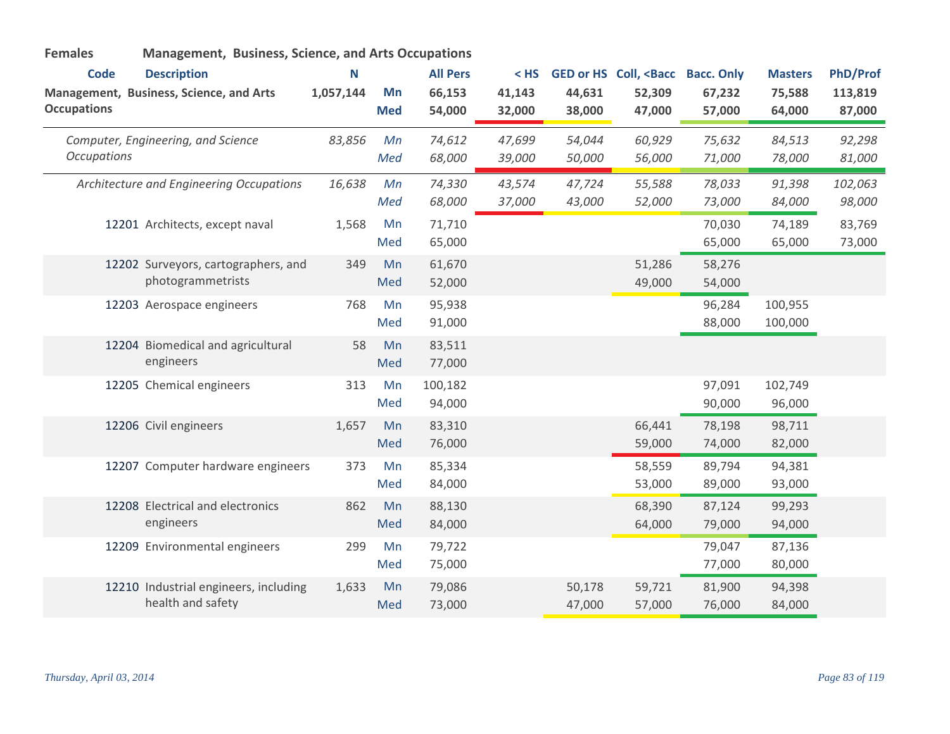| <b>Females</b>                    | <b>Management, Business, Science, and Arts Occupations</b>    |                |                  |                                     |                            |                  |                                                                    |                  |                                    |                               |
|-----------------------------------|---------------------------------------------------------------|----------------|------------------|-------------------------------------|----------------------------|------------------|--------------------------------------------------------------------|------------------|------------------------------------|-------------------------------|
| <b>Code</b><br><b>Occupations</b> | <b>Description</b><br>Management, Business, Science, and Arts | N<br>1,057,144 | Mn<br><b>Med</b> | <b>All Pers</b><br>66,153<br>54,000 | $<$ HS<br>41,143<br>32,000 | 44,631<br>38,000 | GED or HS Coll, <bacc bacc.="" only<br="">52,309<br/>47,000</bacc> | 67,232<br>57,000 | <b>Masters</b><br>75,588<br>64,000 | PhD/Prof<br>113,819<br>87,000 |
| <b>Occupations</b>                | Computer, Engineering, and Science                            | 83,856         | Mn<br>Med        | 74,612<br>68,000                    | 47,699<br>39,000           | 54,044<br>50,000 | 60,929<br>56,000                                                   | 75,632<br>71,000 | 84,513<br>78,000                   | 92,298<br>81,000              |
|                                   | Architecture and Engineering Occupations                      | 16,638         | Mn<br>Med        | 74,330<br>68,000                    | 43,574<br>37,000           | 47,724<br>43,000 | 55,588<br>52,000                                                   | 78,033<br>73,000 | 91,398<br>84,000                   | 102,063<br>98,000             |
|                                   | 12201 Architects, except naval                                | 1,568          | Mn<br>Med        | 71,710<br>65,000                    |                            |                  |                                                                    | 70,030<br>65,000 | 74,189<br>65,000                   | 83,769<br>73,000              |
|                                   | 12202 Surveyors, cartographers, and<br>photogrammetrists      | 349            | Mn<br>Med        | 61,670<br>52,000                    |                            |                  | 51,286<br>49,000                                                   | 58,276<br>54,000 |                                    |                               |
|                                   | 12203 Aerospace engineers                                     | 768            | Mn<br>Med        | 95,938<br>91,000                    |                            |                  |                                                                    | 96,284<br>88,000 | 100,955<br>100,000                 |                               |
|                                   | 12204 Biomedical and agricultural<br>engineers                | 58             | Mn<br>Med        | 83,511<br>77,000                    |                            |                  |                                                                    |                  |                                    |                               |
|                                   | 12205 Chemical engineers                                      | 313            | Mn<br>Med        | 100,182<br>94,000                   |                            |                  |                                                                    | 97,091<br>90,000 | 102,749<br>96,000                  |                               |
|                                   | 12206 Civil engineers                                         | 1,657          | Mn<br>Med        | 83,310<br>76,000                    |                            |                  | 66,441<br>59,000                                                   | 78,198<br>74,000 | 98,711<br>82,000                   |                               |
|                                   | 12207 Computer hardware engineers                             | 373            | Mn<br>Med        | 85,334<br>84,000                    |                            |                  | 58,559<br>53,000                                                   | 89,794<br>89,000 | 94,381<br>93,000                   |                               |
|                                   | 12208 Electrical and electronics<br>engineers                 | 862            | Mn<br>Med        | 88,130<br>84,000                    |                            |                  | 68,390<br>64,000                                                   | 87,124<br>79,000 | 99,293<br>94,000                   |                               |
|                                   | 12209 Environmental engineers                                 | 299            | Mn<br>Med        | 79,722<br>75,000                    |                            |                  |                                                                    | 79,047<br>77,000 | 87,136<br>80,000                   |                               |
|                                   | 12210 Industrial engineers, including<br>health and safety    | 1,633          | Mn<br>Med        | 79,086<br>73,000                    |                            | 50,178<br>47,000 | 59,721<br>57,000                                                   | 81,900<br>76,000 | 94,398<br>84,000                   |                               |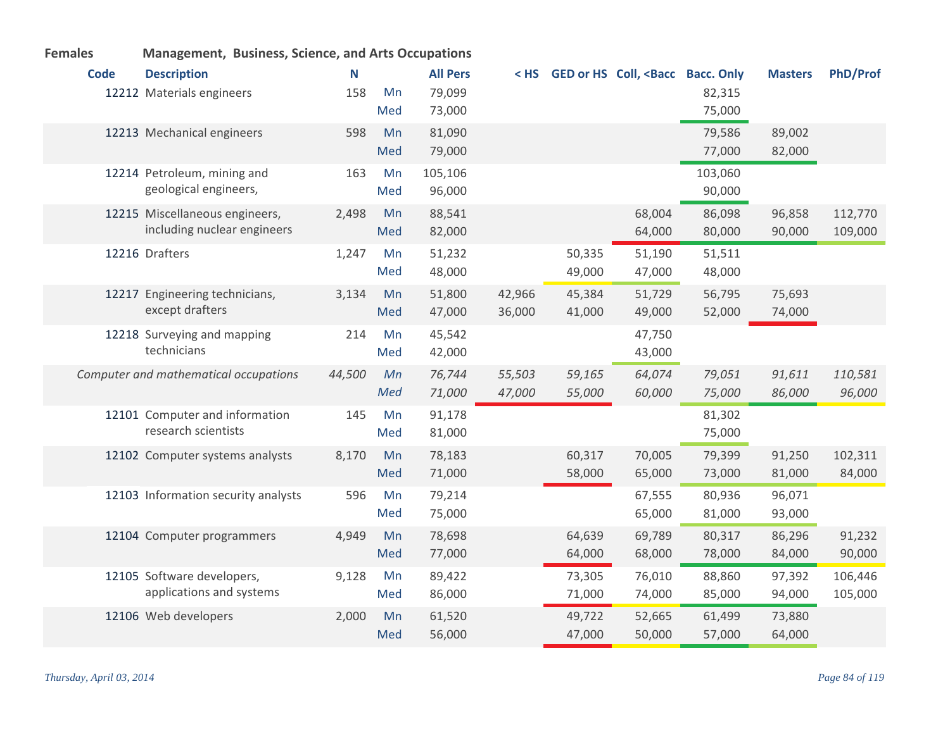| <b>Code</b> | <b>Description</b>                    | N      |     | <b>All Pers</b> | $<$ HS |        | GED or HS Coll, <bacc bacc.="" only<="" th=""><th></th><th><b>Masters</b></th><th><b>PhD/Prof</b></th></bacc> |         | <b>Masters</b> | <b>PhD/Prof</b> |
|-------------|---------------------------------------|--------|-----|-----------------|--------|--------|---------------------------------------------------------------------------------------------------------------|---------|----------------|-----------------|
|             | 12212 Materials engineers             | 158    | Mn  | 79,099          |        |        |                                                                                                               | 82,315  |                |                 |
|             |                                       |        | Med | 73,000          |        |        |                                                                                                               | 75,000  |                |                 |
|             | 12213 Mechanical engineers            | 598    | Mn  | 81,090          |        |        |                                                                                                               | 79,586  | 89,002         |                 |
|             |                                       |        | Med | 79,000          |        |        |                                                                                                               | 77,000  | 82,000         |                 |
|             | 12214 Petroleum, mining and           | 163    | Mn  | 105,106         |        |        |                                                                                                               | 103,060 |                |                 |
|             | geological engineers,                 |        | Med | 96,000          |        |        |                                                                                                               | 90,000  |                |                 |
|             | 12215 Miscellaneous engineers,        | 2,498  | Mn  | 88,541          |        |        | 68,004                                                                                                        | 86,098  | 96,858         | 112,770         |
|             | including nuclear engineers           |        | Med | 82,000          |        |        | 64,000                                                                                                        | 80,000  | 90,000         | 109,000         |
|             | 12216 Drafters                        | 1,247  | Mn  | 51,232          |        | 50,335 | 51,190                                                                                                        | 51,511  |                |                 |
|             |                                       |        | Med | 48,000          |        | 49,000 | 47,000                                                                                                        | 48,000  |                |                 |
|             | 12217 Engineering technicians,        | 3,134  | Mn  | 51,800          | 42,966 | 45,384 | 51,729                                                                                                        | 56,795  | 75,693         |                 |
|             | except drafters                       |        | Med | 47,000          | 36,000 | 41,000 | 49,000                                                                                                        | 52,000  | 74,000         |                 |
|             | 12218 Surveying and mapping           | 214    | Mn  | 45,542          |        |        | 47,750                                                                                                        |         |                |                 |
|             | technicians                           |        | Med | 42,000          |        |        | 43,000                                                                                                        |         |                |                 |
|             | Computer and mathematical occupations | 44,500 | Mn  | 76,744          | 55,503 | 59,165 | 64,074                                                                                                        | 79,051  | 91,611         | 110,581         |
|             |                                       |        | Med | 71,000          | 47,000 | 55,000 | 60,000                                                                                                        | 75,000  | 86,000         | 96,000          |
|             | 12101 Computer and information        | 145    | Mn  | 91,178          |        |        |                                                                                                               | 81,302  |                |                 |
|             | research scientists                   |        | Med | 81,000          |        |        |                                                                                                               | 75,000  |                |                 |
|             | 12102 Computer systems analysts       | 8,170  | Mn  | 78,183          |        | 60,317 | 70,005                                                                                                        | 79,399  | 91,250         | 102,311         |
|             |                                       |        | Med | 71,000          |        | 58,000 | 65,000                                                                                                        | 73,000  | 81,000         | 84,000          |
|             | 12103 Information security analysts   | 596    | Mn  | 79,214          |        |        | 67,555                                                                                                        | 80,936  | 96,071         |                 |
|             |                                       |        | Med | 75,000          |        |        | 65,000                                                                                                        | 81,000  | 93,000         |                 |
|             | 12104 Computer programmers            | 4,949  | Mn  | 78,698          |        | 64,639 | 69,789                                                                                                        | 80,317  | 86,296         | 91,232          |
|             |                                       |        | Med | 77,000          |        | 64,000 | 68,000                                                                                                        | 78,000  | 84,000         | 90,000          |
|             | 12105 Software developers,            | 9,128  | Mn  | 89,422          |        | 73,305 | 76,010                                                                                                        | 88,860  | 97,392         | 106,446         |
|             | applications and systems              |        | Med | 86,000          |        | 71,000 | 74,000                                                                                                        | 85,000  | 94,000         | 105,000         |
|             | 12106 Web developers                  | 2,000  | Mn  | 61,520          |        | 49,722 | 52,665                                                                                                        | 61,499  | 73,880         |                 |
|             |                                       |        | Med | 56,000          |        | 47,000 | 50,000                                                                                                        | 57,000  | 64,000         |                 |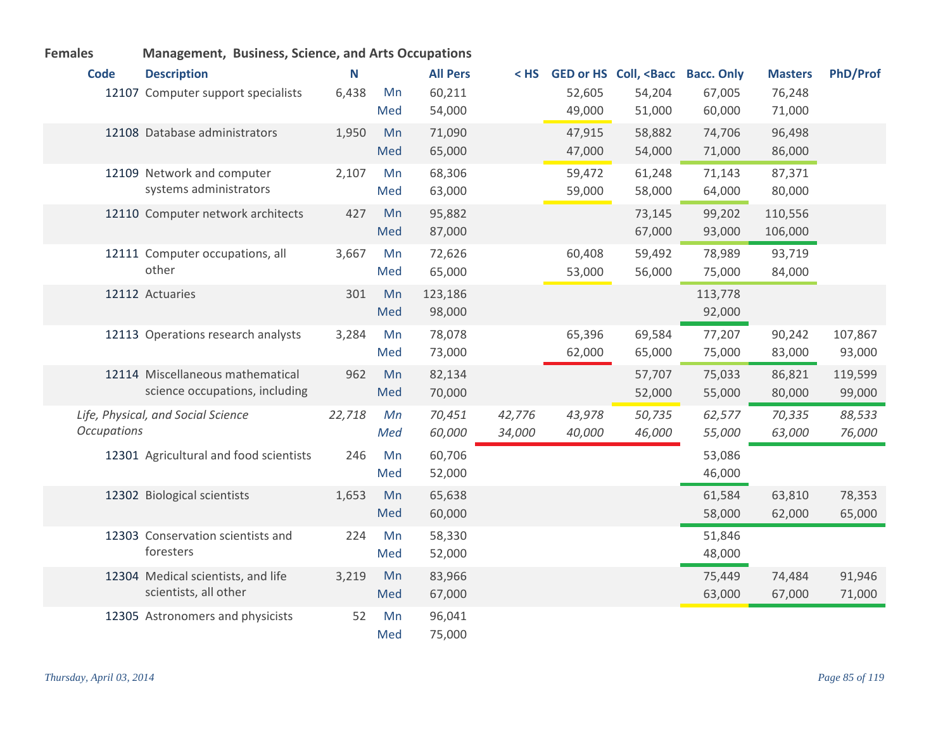| <b>Code</b>        | <b>Description</b>                     | N      |     | <b>All Pers</b> | < HS   |        | <b>GED or HS Coll, <bacc< b=""></bacc<></b> | <b>Bacc. Only</b> | <b>Masters</b> | <b>PhD/Prof</b> |
|--------------------|----------------------------------------|--------|-----|-----------------|--------|--------|---------------------------------------------|-------------------|----------------|-----------------|
|                    | 12107 Computer support specialists     | 6,438  | Mn  | 60,211          |        | 52,605 | 54,204                                      | 67,005            | 76,248         |                 |
|                    |                                        |        | Med | 54,000          |        | 49,000 | 51,000                                      | 60,000            | 71,000         |                 |
|                    | 12108 Database administrators          | 1,950  | Mn  | 71,090          |        | 47,915 | 58,882                                      | 74,706            | 96,498         |                 |
|                    |                                        |        | Med | 65,000          |        | 47,000 | 54,000                                      | 71,000            | 86,000         |                 |
|                    | 12109 Network and computer             | 2,107  | Mn  | 68,306          |        | 59,472 | 61,248                                      | 71,143            | 87,371         |                 |
|                    | systems administrators                 |        | Med | 63,000          |        | 59,000 | 58,000                                      | 64,000            | 80,000         |                 |
|                    | 12110 Computer network architects      | 427    | Mn  | 95,882          |        |        | 73,145                                      | 99,202            | 110,556        |                 |
|                    |                                        |        | Med | 87,000          |        |        | 67,000                                      | 93,000            | 106,000        |                 |
|                    | 12111 Computer occupations, all        | 3,667  | Mn  | 72,626          |        | 60,408 | 59,492                                      | 78,989            | 93,719         |                 |
|                    | other                                  |        | Med | 65,000          |        | 53,000 | 56,000                                      | 75,000            | 84,000         |                 |
|                    | 12112 Actuaries                        | 301    | Mn  | 123,186         |        |        |                                             | 113,778           |                |                 |
|                    |                                        |        | Med | 98,000          |        |        |                                             | 92,000            |                |                 |
|                    | 12113 Operations research analysts     | 3,284  | Mn  | 78,078          |        | 65,396 | 69,584                                      | 77,207            | 90,242         | 107,867         |
|                    |                                        |        | Med | 73,000          |        | 62,000 | 65,000                                      | 75,000            | 83,000         | 93,000          |
|                    | 12114 Miscellaneous mathematical       | 962    | Mn  | 82,134          |        |        | 57,707                                      | 75,033            | 86,821         | 119,599         |
|                    | science occupations, including         |        | Med | 70,000          |        |        | 52,000                                      | 55,000            | 80,000         | 99,000          |
|                    | Life, Physical, and Social Science     | 22,718 | Mn  | 70,451          | 42,776 | 43,978 | 50,735                                      | 62,577            | 70,335         | 88,533          |
| <b>Occupations</b> |                                        |        | Med | 60,000          | 34,000 | 40,000 | 46,000                                      | 55,000            | 63,000         | 76,000          |
|                    | 12301 Agricultural and food scientists | 246    | Mn  | 60,706          |        |        |                                             | 53,086            |                |                 |
|                    |                                        |        | Med | 52,000          |        |        |                                             | 46,000            |                |                 |
|                    | 12302 Biological scientists            | 1,653  | Mn  | 65,638          |        |        |                                             | 61,584            | 63,810         | 78,353          |
|                    |                                        |        | Med | 60,000          |        |        |                                             | 58,000            | 62,000         | 65,000          |
|                    | 12303 Conservation scientists and      | 224    | Mn  | 58,330          |        |        |                                             | 51,846            |                |                 |
|                    | foresters                              |        | Med | 52,000          |        |        |                                             | 48,000            |                |                 |
|                    | 12304 Medical scientists, and life     | 3,219  | Mn  | 83,966          |        |        |                                             | 75,449            | 74,484         | 91,946          |
|                    | scientists, all other                  |        | Med | 67,000          |        |        |                                             | 63,000            | 67,000         | 71,000          |
|                    | 12305 Astronomers and physicists       | 52     | Mn  | 96,041          |        |        |                                             |                   |                |                 |
|                    |                                        |        | Med | 75,000          |        |        |                                             |                   |                |                 |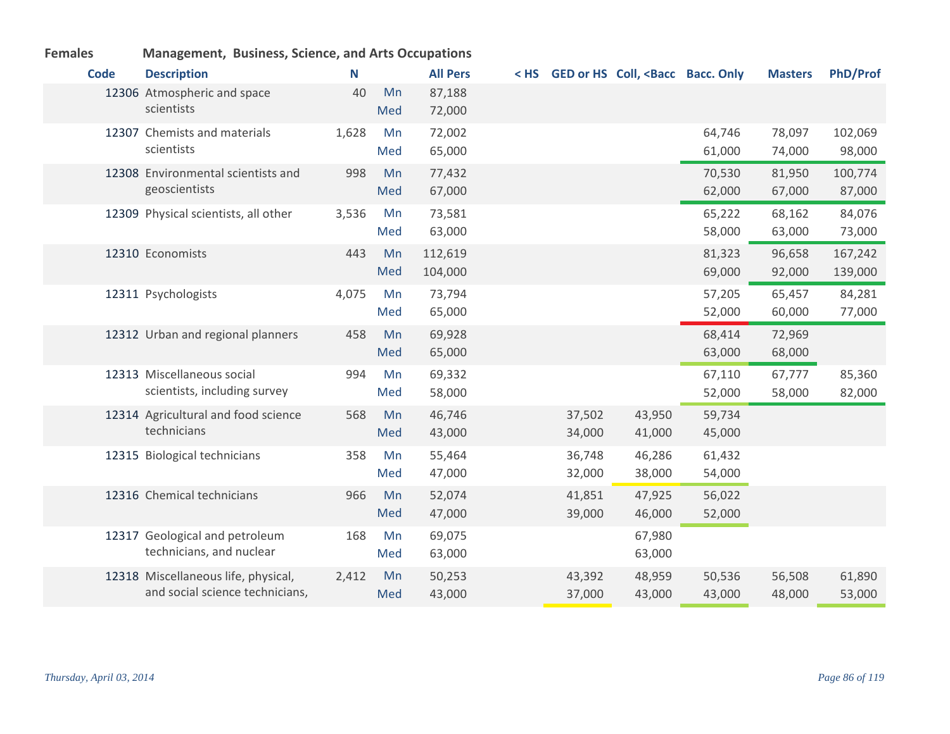| <b>Females</b> | ivianagement, Business, Science, and Arts Occupations                  |       |           |                    |                  |                                                                                                                                |                  |                  |                    |
|----------------|------------------------------------------------------------------------|-------|-----------|--------------------|------------------|--------------------------------------------------------------------------------------------------------------------------------|------------------|------------------|--------------------|
| <b>Code</b>    | <b>Description</b>                                                     | N     |           | <b>All Pers</b>    |                  | <hs <bacc="" bacc.="" coll,="" ged="" hs="" only<="" or="" th=""><th></th><th><b>Masters</b></th><th><b>PhD/Prof</b></th></hs> |                  | <b>Masters</b>   | <b>PhD/Prof</b>    |
|                | 12306 Atmospheric and space<br>scientists                              | 40    | Mn<br>Med | 87,188<br>72,000   |                  |                                                                                                                                |                  |                  |                    |
|                | 12307 Chemists and materials<br>scientists                             | 1,628 | Mn<br>Med | 72,002<br>65,000   |                  |                                                                                                                                | 64,746<br>61,000 | 78,097<br>74,000 | 102,069<br>98,000  |
|                | 12308 Environmental scientists and<br>geoscientists                    | 998   | Mn<br>Med | 77,432<br>67,000   |                  |                                                                                                                                | 70,530<br>62,000 | 81,950<br>67,000 | 100,774<br>87,000  |
|                | 12309 Physical scientists, all other                                   | 3,536 | Mn<br>Med | 73,581<br>63,000   |                  |                                                                                                                                | 65,222<br>58,000 | 68,162<br>63,000 | 84,076<br>73,000   |
|                | 12310 Economists                                                       | 443   | Mn<br>Med | 112,619<br>104,000 |                  |                                                                                                                                | 81,323<br>69,000 | 96,658<br>92,000 | 167,242<br>139,000 |
|                | 12311 Psychologists                                                    | 4,075 | Mn<br>Med | 73,794<br>65,000   |                  |                                                                                                                                | 57,205<br>52,000 | 65,457<br>60,000 | 84,281<br>77,000   |
|                | 12312 Urban and regional planners                                      | 458   | Mn<br>Med | 69,928<br>65,000   |                  |                                                                                                                                | 68,414<br>63,000 | 72,969<br>68,000 |                    |
|                | 12313 Miscellaneous social<br>scientists, including survey             | 994   | Mn<br>Med | 69,332<br>58,000   |                  |                                                                                                                                | 67,110<br>52,000 | 67,777<br>58,000 | 85,360<br>82,000   |
|                | 12314 Agricultural and food science<br>technicians                     | 568   | Mn<br>Med | 46,746<br>43,000   | 37,502<br>34,000 | 43,950<br>41,000                                                                                                               | 59,734<br>45,000 |                  |                    |
|                | 12315 Biological technicians                                           | 358   | Mn<br>Med | 55,464<br>47,000   | 36,748<br>32,000 | 46,286<br>38,000                                                                                                               | 61,432<br>54,000 |                  |                    |
|                | 12316 Chemical technicians                                             | 966   | Mn<br>Med | 52,074<br>47,000   | 41,851<br>39,000 | 47,925<br>46,000                                                                                                               | 56,022<br>52,000 |                  |                    |
|                | 12317 Geological and petroleum<br>technicians, and nuclear             | 168   | Mn<br>Med | 69,075<br>63,000   |                  | 67,980<br>63,000                                                                                                               |                  |                  |                    |
|                | 12318 Miscellaneous life, physical,<br>and social science technicians, | 2,412 | Mn<br>Med | 50,253<br>43,000   | 43,392<br>37,000 | 48,959<br>43,000                                                                                                               | 50,536<br>43,000 | 56,508<br>48,000 | 61,890<br>53,000   |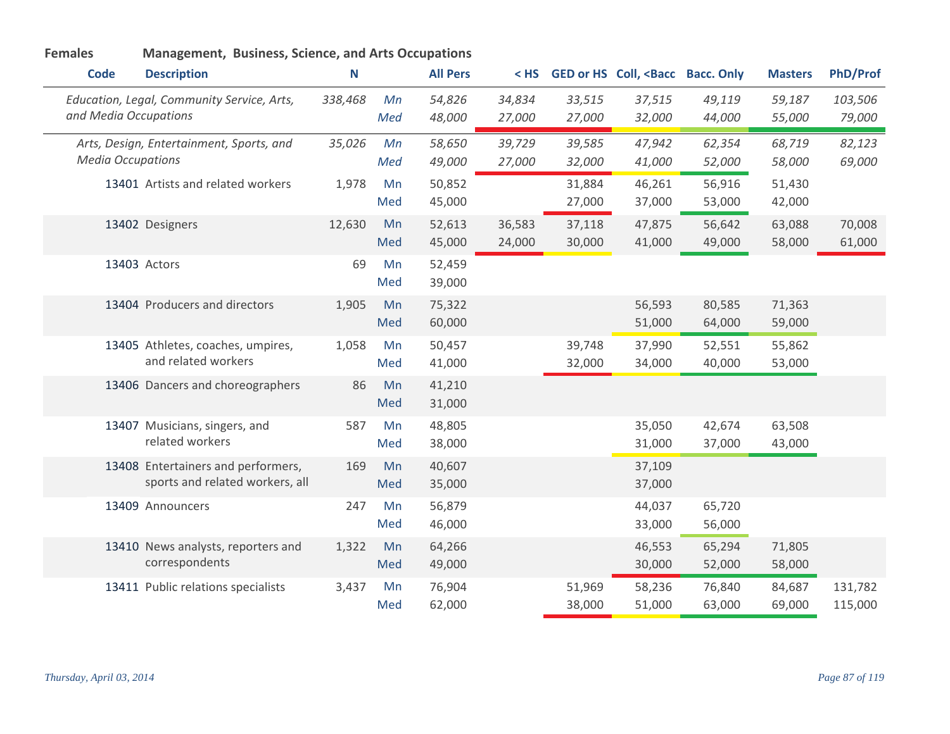| <b>Code</b>              | <b>Description</b>                                                    | N       |           | <b>All Pers</b>  | $<$ HS           |                  | GED or HS Coll, <bacc bacc.="" only<="" th=""><th></th><th><b>Masters</b></th><th><b>PhD/Prof</b></th></bacc> |                  | <b>Masters</b>   | <b>PhD/Prof</b>    |
|--------------------------|-----------------------------------------------------------------------|---------|-----------|------------------|------------------|------------------|---------------------------------------------------------------------------------------------------------------|------------------|------------------|--------------------|
| and Media Occupations    | Education, Legal, Community Service, Arts,                            | 338,468 | Mn<br>Med | 54,826<br>48,000 | 34,834<br>27,000 | 33,515<br>27,000 | 37,515<br>32,000                                                                                              | 49,119<br>44,000 | 59,187<br>55,000 | 103,506<br>79,000  |
| <b>Media Occupations</b> | Arts, Design, Entertainment, Sports, and                              | 35,026  | Mn<br>Med | 58,650<br>49,000 | 39,729<br>27,000 | 39,585<br>32,000 | 47,942<br>41,000                                                                                              | 62,354<br>52,000 | 68,719<br>58,000 | 82,123<br>69,000   |
|                          | 13401 Artists and related workers                                     | 1,978   | Mn<br>Med | 50,852<br>45,000 |                  | 31,884<br>27,000 | 46,261<br>37,000                                                                                              | 56,916<br>53,000 | 51,430<br>42,000 |                    |
|                          | 13402 Designers                                                       | 12,630  | Mn<br>Med | 52,613<br>45,000 | 36,583<br>24,000 | 37,118<br>30,000 | 47,875<br>41,000                                                                                              | 56,642<br>49,000 | 63,088<br>58,000 | 70,008<br>61,000   |
|                          | 13403 Actors                                                          | 69      | Mn<br>Med | 52,459<br>39,000 |                  |                  |                                                                                                               |                  |                  |                    |
|                          | 13404 Producers and directors                                         | 1,905   | Mn<br>Med | 75,322<br>60,000 |                  |                  | 56,593<br>51,000                                                                                              | 80,585<br>64,000 | 71,363<br>59,000 |                    |
|                          | 13405 Athletes, coaches, umpires,<br>and related workers              | 1,058   | Mn<br>Med | 50,457<br>41,000 |                  | 39,748<br>32,000 | 37,990<br>34,000                                                                                              | 52,551<br>40,000 | 55,862<br>53,000 |                    |
|                          | 13406 Dancers and choreographers                                      | 86      | Mn<br>Med | 41,210<br>31,000 |                  |                  |                                                                                                               |                  |                  |                    |
|                          | 13407 Musicians, singers, and<br>related workers                      | 587     | Mn<br>Med | 48,805<br>38,000 |                  |                  | 35,050<br>31,000                                                                                              | 42,674<br>37,000 | 63,508<br>43,000 |                    |
|                          | 13408 Entertainers and performers,<br>sports and related workers, all | 169     | Mn<br>Med | 40,607<br>35,000 |                  |                  | 37,109<br>37,000                                                                                              |                  |                  |                    |
|                          | 13409 Announcers                                                      | 247     | Mn<br>Med | 56,879<br>46,000 |                  |                  | 44,037<br>33,000                                                                                              | 65,720<br>56,000 |                  |                    |
|                          | 13410 News analysts, reporters and<br>correspondents                  | 1,322   | Mn<br>Med | 64,266<br>49,000 |                  |                  | 46,553<br>30,000                                                                                              | 65,294<br>52,000 | 71,805<br>58,000 |                    |
|                          | 13411 Public relations specialists                                    | 3,437   | Mn<br>Med | 76,904<br>62,000 |                  | 51,969<br>38,000 | 58,236<br>51,000                                                                                              | 76,840<br>63,000 | 84,687<br>69,000 | 131,782<br>115,000 |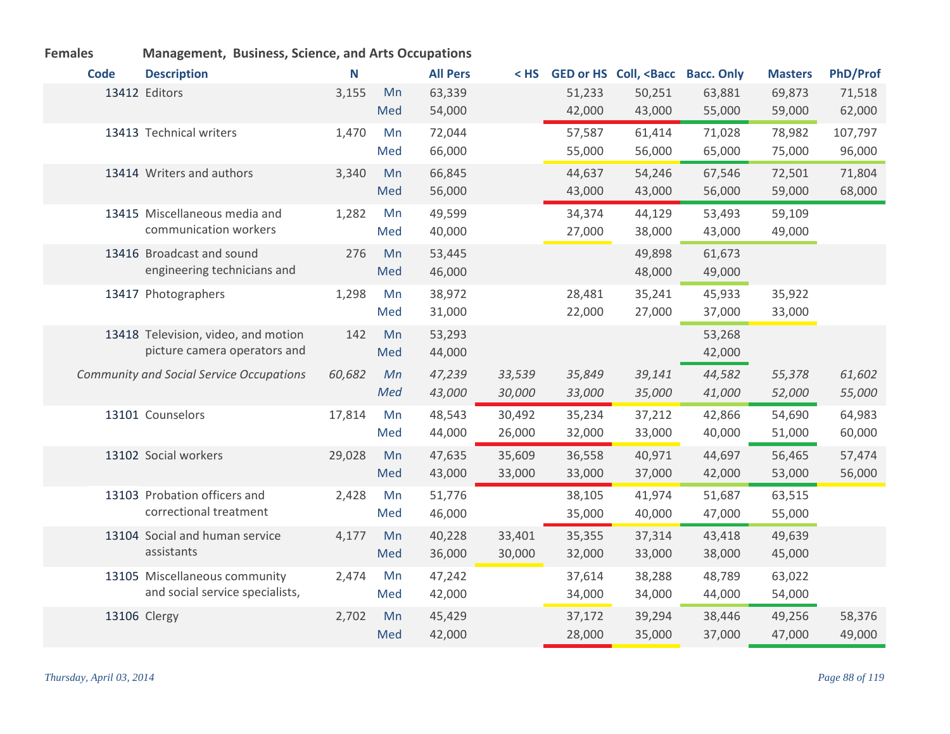| <b>Females</b> | <b>Management, Business, Science, and Arts Occupations</b> |        |     |                 |        |        |                                                                                                               |        |                |                 |
|----------------|------------------------------------------------------------|--------|-----|-----------------|--------|--------|---------------------------------------------------------------------------------------------------------------|--------|----------------|-----------------|
| <b>Code</b>    | <b>Description</b>                                         | N      |     | <b>All Pers</b> | < HS   |        | GED or HS Coll, <bacc bacc.="" only<="" th=""><th></th><th><b>Masters</b></th><th><b>PhD/Prof</b></th></bacc> |        | <b>Masters</b> | <b>PhD/Prof</b> |
|                | 13412 Editors                                              | 3,155  | Mn  | 63,339          |        | 51,233 | 50,251                                                                                                        | 63,881 | 69,873         | 71,518          |
|                |                                                            |        | Med | 54,000          |        | 42,000 | 43,000                                                                                                        | 55,000 | 59,000         | 62,000          |
|                | 13413 Technical writers                                    | 1,470  | Mn  | 72,044          |        | 57,587 | 61,414                                                                                                        | 71,028 | 78,982         | 107,797         |
|                |                                                            |        | Med | 66,000          |        | 55,000 | 56,000                                                                                                        | 65,000 | 75,000         | 96,000          |
|                | 13414 Writers and authors                                  | 3,340  | Mn  | 66,845          |        | 44,637 | 54,246                                                                                                        | 67,546 | 72,501         | 71,804          |
|                |                                                            |        | Med | 56,000          |        | 43,000 | 43,000                                                                                                        | 56,000 | 59,000         | 68,000          |
|                | 13415 Miscellaneous media and                              | 1,282  | Mn  | 49,599          |        | 34,374 | 44,129                                                                                                        | 53,493 | 59,109         |                 |
|                | communication workers                                      |        | Med | 40,000          |        | 27,000 | 38,000                                                                                                        | 43,000 | 49,000         |                 |
|                | 13416 Broadcast and sound                                  | 276    | Mn  | 53,445          |        |        | 49,898                                                                                                        | 61,673 |                |                 |
|                | engineering technicians and                                |        | Med | 46,000          |        |        | 48,000                                                                                                        | 49,000 |                |                 |
|                | 13417 Photographers                                        | 1,298  | Mn  | 38,972          |        | 28,481 | 35,241                                                                                                        | 45,933 | 35,922         |                 |
|                |                                                            |        | Med | 31,000          |        | 22,000 | 27,000                                                                                                        | 37,000 | 33,000         |                 |
|                | 13418 Television, video, and motion                        | 142    | Mn  | 53,293          |        |        |                                                                                                               | 53,268 |                |                 |
|                | picture camera operators and                               |        | Med | 44,000          |        |        |                                                                                                               | 42,000 |                |                 |
|                | <b>Community and Social Service Occupations</b>            | 60,682 | Mn  | 47,239          | 33,539 | 35,849 | 39,141                                                                                                        | 44,582 | 55,378         | 61,602          |
|                |                                                            |        | Med | 43,000          | 30,000 | 33,000 | 35,000                                                                                                        | 41,000 | 52,000         | 55,000          |
|                | 13101 Counselors                                           | 17,814 | Mn  | 48,543          | 30,492 | 35,234 | 37,212                                                                                                        | 42,866 | 54,690         | 64,983          |
|                |                                                            |        | Med | 44,000          | 26,000 | 32,000 | 33,000                                                                                                        | 40,000 | 51,000         | 60,000          |
|                | 13102 Social workers                                       | 29,028 | Mn  | 47,635          | 35,609 | 36,558 | 40,971                                                                                                        | 44,697 | 56,465         | 57,474          |
|                |                                                            |        | Med | 43,000          | 33,000 | 33,000 | 37,000                                                                                                        | 42,000 | 53,000         | 56,000          |
|                | 13103 Probation officers and                               | 2,428  | Mn  | 51,776          |        | 38,105 | 41,974                                                                                                        | 51,687 | 63,515         |                 |
|                | correctional treatment                                     |        | Med | 46,000          |        | 35,000 | 40,000                                                                                                        | 47,000 | 55,000         |                 |
|                | 13104 Social and human service                             | 4,177  | Mn  | 40,228          | 33,401 | 35,355 | 37,314                                                                                                        | 43,418 | 49,639         |                 |
|                | assistants                                                 |        | Med | 36,000          | 30,000 | 32,000 | 33,000                                                                                                        | 38,000 | 45,000         |                 |
|                | 13105 Miscellaneous community                              | 2,474  | Mn  | 47,242          |        | 37,614 | 38,288                                                                                                        | 48,789 | 63,022         |                 |
|                | and social service specialists,                            |        | Med | 42,000          |        | 34,000 | 34,000                                                                                                        | 44,000 | 54,000         |                 |
|                | 13106 Clergy                                               | 2,702  | Mn  | 45,429          |        | 37,172 | 39,294                                                                                                        | 38,446 | 49,256         | 58,376          |
|                |                                                            |        | Med | 42,000          |        | 28,000 | 35,000                                                                                                        | 37,000 | 47,000         | 49,000          |

## *Thursday, April 03, 2014 Page 88 of 119*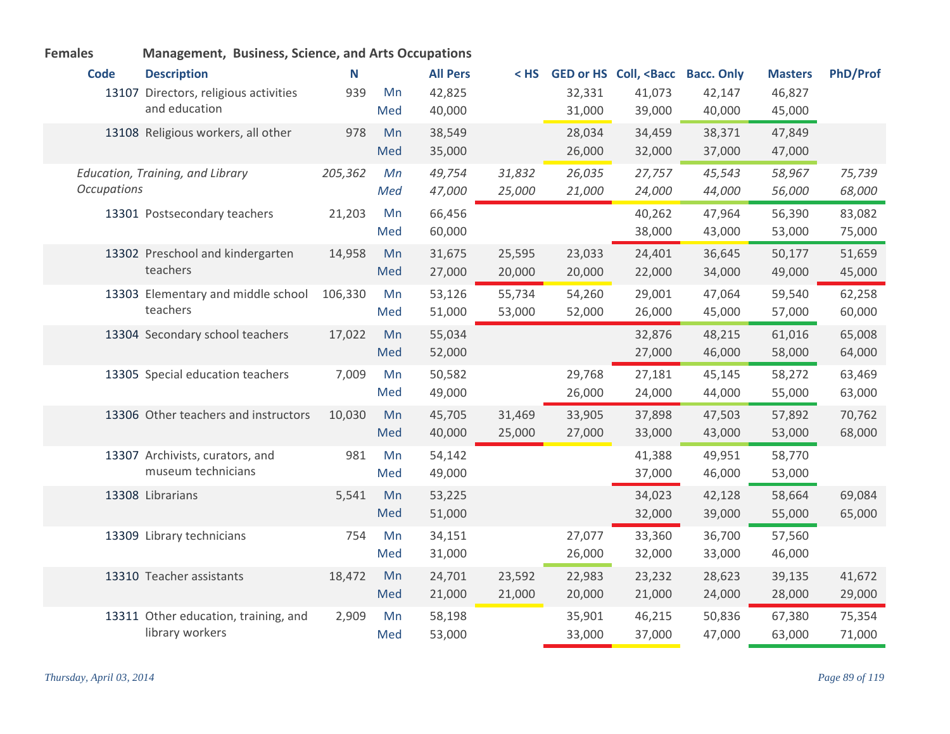| <b>Code</b>        | <b>Description</b>                    | N       |     | <b>All Pers</b> | $<$ HS |        | GED or HS Coll, <bacc< th=""><th><b>Bacc. Only</b></th><th><b>Masters</b></th><th><b>PhD/Prof</b></th></bacc<> | <b>Bacc. Only</b> | <b>Masters</b> | <b>PhD/Prof</b> |
|--------------------|---------------------------------------|---------|-----|-----------------|--------|--------|----------------------------------------------------------------------------------------------------------------|-------------------|----------------|-----------------|
|                    | 13107 Directors, religious activities | 939     | Mn  | 42,825          |        | 32,331 | 41,073                                                                                                         | 42,147            | 46,827         |                 |
|                    | and education                         |         | Med | 40,000          |        | 31,000 | 39,000                                                                                                         | 40,000            | 45,000         |                 |
|                    | 13108 Religious workers, all other    | 978     | Mn  | 38,549          |        | 28,034 | 34,459                                                                                                         | 38,371            | 47,849         |                 |
|                    |                                       |         | Med | 35,000          |        | 26,000 | 32,000                                                                                                         | 37,000            | 47,000         |                 |
|                    | Education, Training, and Library      | 205,362 | Mn  | 49,754          | 31,832 | 26,035 | 27,757                                                                                                         | 45,543            | 58,967         | 75,739          |
| <b>Occupations</b> |                                       |         | Med | 47,000          | 25,000 | 21,000 | 24,000                                                                                                         | 44,000            | 56,000         | 68,000          |
|                    | 13301 Postsecondary teachers          | 21,203  | Mn  | 66,456          |        |        | 40,262                                                                                                         | 47,964            | 56,390         | 83,082          |
|                    |                                       |         | Med | 60,000          |        |        | 38,000                                                                                                         | 43,000            | 53,000         | 75,000          |
|                    | 13302 Preschool and kindergarten      | 14,958  | Mn  | 31,675          | 25,595 | 23,033 | 24,401                                                                                                         | 36,645            | 50,177         | 51,659          |
|                    | teachers                              |         | Med | 27,000          | 20,000 | 20,000 | 22,000                                                                                                         | 34,000            | 49,000         | 45,000          |
|                    | 13303 Elementary and middle school    | 106,330 | Mn  | 53,126          | 55,734 | 54,260 | 29,001                                                                                                         | 47,064            | 59,540         | 62,258          |
|                    | teachers                              |         | Med | 51,000          | 53,000 | 52,000 | 26,000                                                                                                         | 45,000            | 57,000         | 60,000          |
|                    | 13304 Secondary school teachers       | 17,022  | Mn  | 55,034          |        |        | 32,876                                                                                                         | 48,215            | 61,016         | 65,008          |
|                    |                                       |         | Med | 52,000          |        |        | 27,000                                                                                                         | 46,000            | 58,000         | 64,000          |
|                    | 13305 Special education teachers      | 7,009   | Mn  | 50,582          |        | 29,768 | 27,181                                                                                                         | 45,145            | 58,272         | 63,469          |
|                    |                                       |         | Med | 49,000          |        | 26,000 | 24,000                                                                                                         | 44,000            | 55,000         | 63,000          |
|                    | 13306 Other teachers and instructors  | 10,030  | Mn  | 45,705          | 31,469 | 33,905 | 37,898                                                                                                         | 47,503            | 57,892         | 70,762          |
|                    |                                       |         | Med | 40,000          | 25,000 | 27,000 | 33,000                                                                                                         | 43,000            | 53,000         | 68,000          |
|                    | 13307 Archivists, curators, and       | 981     | Mn  | 54,142          |        |        | 41,388                                                                                                         | 49,951            | 58,770         |                 |
|                    | museum technicians                    |         | Med | 49,000          |        |        | 37,000                                                                                                         | 46,000            | 53,000         |                 |
|                    | 13308 Librarians                      | 5,541   | Mn  | 53,225          |        |        | 34,023                                                                                                         | 42,128            | 58,664         | 69,084          |
|                    |                                       |         | Med | 51,000          |        |        | 32,000                                                                                                         | 39,000            | 55,000         | 65,000          |
|                    | 13309 Library technicians             | 754     | Mn  | 34,151          |        | 27,077 | 33,360                                                                                                         | 36,700            | 57,560         |                 |
|                    |                                       |         | Med | 31,000          |        | 26,000 | 32,000                                                                                                         | 33,000            | 46,000         |                 |
|                    | 13310 Teacher assistants              | 18,472  | Mn  | 24,701          | 23,592 | 22,983 | 23,232                                                                                                         | 28,623            | 39,135         | 41,672          |
|                    |                                       |         | Med | 21,000          | 21,000 | 20,000 | 21,000                                                                                                         | 24,000            | 28,000         | 29,000          |
|                    | 13311 Other education, training, and  | 2,909   | Mn  | 58,198          |        | 35,901 | 46,215                                                                                                         | 50,836            | 67,380         | 75,354          |
|                    | library workers                       |         | Med | 53,000          |        | 33,000 | 37,000                                                                                                         | 47,000            | 63,000         | 71,000          |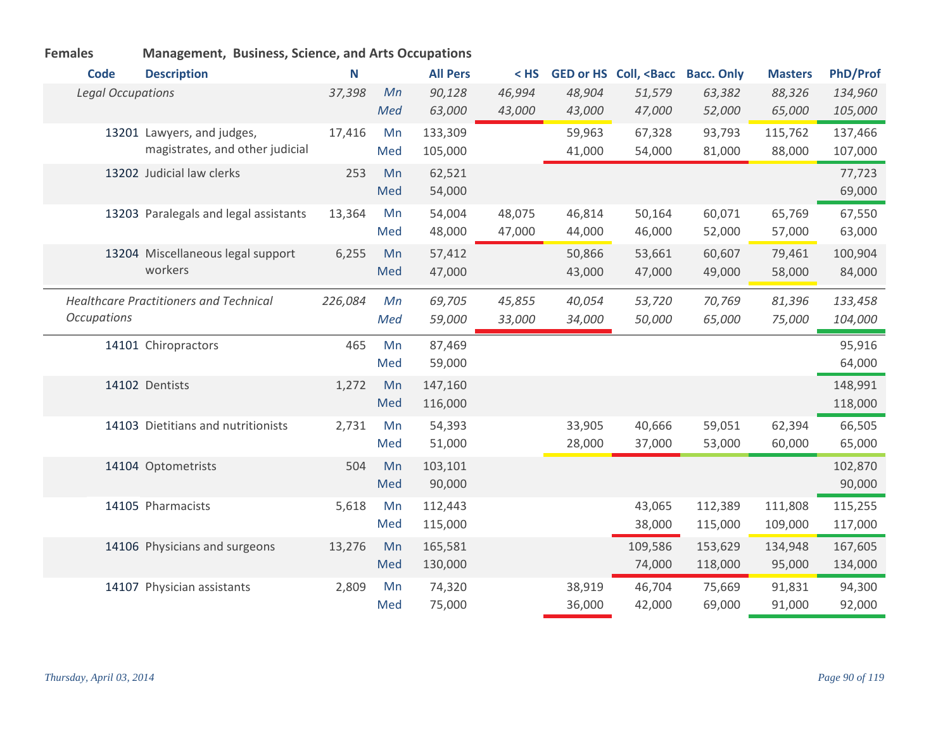| <b>Code</b>              | <b>Description</b>                            | N       |     | <b>All Pers</b> | $<$ HS |        | GED or HS Coll, <bacc bacc.="" only<="" th=""><th></th><th><b>Masters</b></th><th><b>PhD/Prof</b></th></bacc> |         | <b>Masters</b> | <b>PhD/Prof</b> |
|--------------------------|-----------------------------------------------|---------|-----|-----------------|--------|--------|---------------------------------------------------------------------------------------------------------------|---------|----------------|-----------------|
| <b>Legal Occupations</b> |                                               | 37,398  | Mn  | 90,128          | 46,994 | 48,904 | 51,579                                                                                                        | 63,382  | 88,326         | 134,960         |
|                          |                                               |         | Med | 63,000          | 43,000 | 43,000 | 47,000                                                                                                        | 52,000  | 65,000         | 105,000         |
|                          | 13201 Lawyers, and judges,                    | 17,416  | Mn  | 133,309         |        | 59,963 | 67,328                                                                                                        | 93,793  | 115,762        | 137,466         |
|                          | magistrates, and other judicial               |         | Med | 105,000         |        | 41,000 | 54,000                                                                                                        | 81,000  | 88,000         | 107,000         |
|                          | 13202 Judicial law clerks                     | 253     | Mn  | 62,521          |        |        |                                                                                                               |         |                | 77,723          |
|                          |                                               |         | Med | 54,000          |        |        |                                                                                                               |         |                | 69,000          |
|                          | 13203 Paralegals and legal assistants         | 13,364  | Mn  | 54,004          | 48,075 | 46,814 | 50,164                                                                                                        | 60,071  | 65,769         | 67,550          |
|                          |                                               |         | Med | 48,000          | 47,000 | 44,000 | 46,000                                                                                                        | 52,000  | 57,000         | 63,000          |
|                          | 13204 Miscellaneous legal support<br>workers  | 6,255   | Mn  | 57,412          |        | 50,866 | 53,661                                                                                                        | 60,607  | 79,461         | 100,904         |
|                          |                                               |         | Med | 47,000          |        | 43,000 | 47,000                                                                                                        | 49,000  | 58,000         | 84,000          |
|                          | <b>Healthcare Practitioners and Technical</b> | 226,084 | Mn  | 69,705          | 45,855 | 40,054 | 53,720                                                                                                        | 70,769  | 81,396         | 133,458         |
| <b>Occupations</b>       |                                               |         | Med | 59,000          | 33,000 | 34,000 | 50,000                                                                                                        | 65,000  | 75,000         | 104,000         |
|                          | 14101 Chiropractors                           | 465     | Mn  | 87,469          |        |        |                                                                                                               |         |                | 95,916          |
|                          |                                               |         | Med | 59,000          |        |        |                                                                                                               |         |                | 64,000          |
|                          | 14102 Dentists                                | 1,272   | Mn  | 147,160         |        |        |                                                                                                               |         |                | 148,991         |
|                          |                                               |         | Med | 116,000         |        |        |                                                                                                               |         |                | 118,000         |
|                          | 14103 Dietitians and nutritionists            | 2,731   | Mn  | 54,393          |        | 33,905 | 40,666                                                                                                        | 59,051  | 62,394         | 66,505          |
|                          |                                               |         | Med | 51,000          |        | 28,000 | 37,000                                                                                                        | 53,000  | 60,000         | 65,000          |
|                          | 14104 Optometrists                            | 504     | Mn  | 103,101         |        |        |                                                                                                               |         |                | 102,870         |
|                          |                                               |         | Med | 90,000          |        |        |                                                                                                               |         |                | 90,000          |
|                          | 14105 Pharmacists                             | 5,618   | Mn  | 112,443         |        |        | 43,065                                                                                                        | 112,389 | 111,808        | 115,255         |
|                          |                                               |         | Med | 115,000         |        |        | 38,000                                                                                                        | 115,000 | 109,000        | 117,000         |
|                          | 14106 Physicians and surgeons                 | 13,276  | Mn  | 165,581         |        |        | 109,586                                                                                                       | 153,629 | 134,948        | 167,605         |
|                          |                                               |         | Med | 130,000         |        |        | 74,000                                                                                                        | 118,000 | 95,000         | 134,000         |
|                          | 14107 Physician assistants                    | 2,809   | Mn  | 74,320          |        | 38,919 | 46,704                                                                                                        | 75,669  | 91,831         | 94,300          |
|                          |                                               |         | Med | 75,000          |        | 36,000 | 42,000                                                                                                        | 69,000  | 91,000         | 92,000          |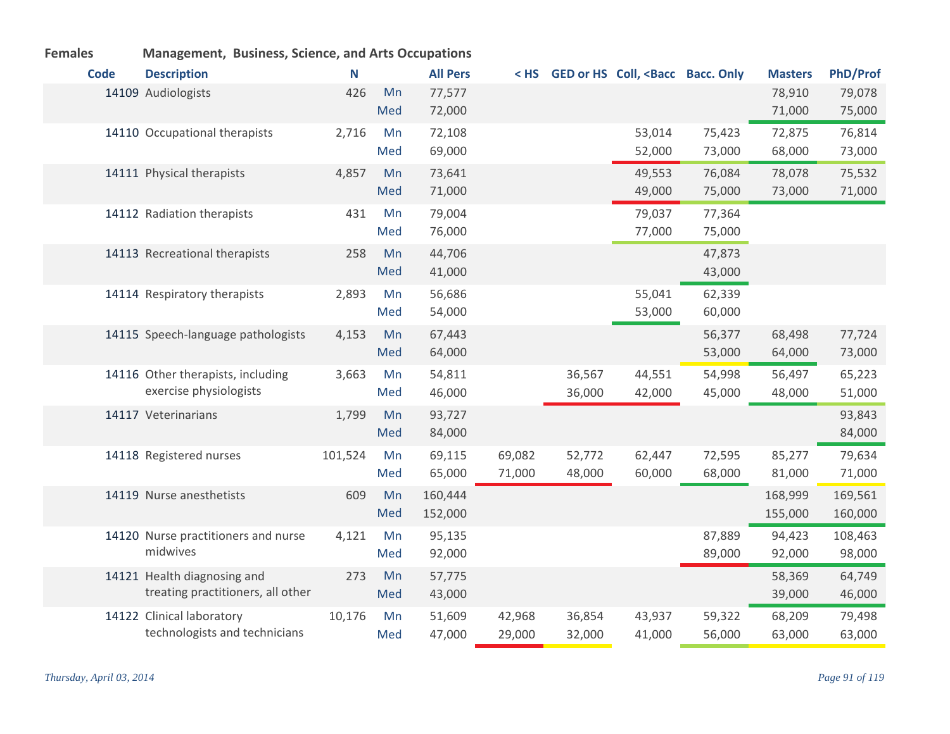|             |                               | $m_{\text{S}}$                                              |         |           |                    |                  |                  |                                                                                                                                |                  |                    |                    |
|-------------|-------------------------------|-------------------------------------------------------------|---------|-----------|--------------------|------------------|------------------|--------------------------------------------------------------------------------------------------------------------------------|------------------|--------------------|--------------------|
| <b>Code</b> | <b>Description</b>            |                                                             | N       |           | <b>All Pers</b>    |                  |                  | <hs <bacc="" bacc.="" coll,="" ged="" hs="" only<="" or="" th=""><th></th><th><b>Masters</b></th><th><b>PhD/Prof</b></th></hs> |                  | <b>Masters</b>     | <b>PhD/Prof</b>    |
|             | 14109 Audiologists            |                                                             | 426     | Mn<br>Med | 77,577<br>72,000   |                  |                  |                                                                                                                                |                  | 78,910<br>71,000   | 79,078<br>75,000   |
|             |                               | 14110 Occupational therapists                               | 2,716   | Mn<br>Med | 72,108<br>69,000   |                  |                  | 53,014<br>52,000                                                                                                               | 75,423<br>73,000 | 72,875<br>68,000   | 76,814<br>73,000   |
|             | 14111 Physical therapists     |                                                             | 4,857   | Mn<br>Med | 73,641<br>71,000   |                  |                  | 49,553<br>49,000                                                                                                               | 76,084<br>75,000 | 78,078<br>73,000   | 75,532<br>71,000   |
|             | 14112 Radiation therapists    |                                                             | 431     | Mn<br>Med | 79,004<br>76,000   |                  |                  | 79,037<br>77,000                                                                                                               | 77,364<br>75,000 |                    |                    |
|             | 14113 Recreational therapists |                                                             | 258     | Mn<br>Med | 44,706<br>41,000   |                  |                  |                                                                                                                                | 47,873<br>43,000 |                    |                    |
|             | 14114 Respiratory therapists  |                                                             | 2,893   | Mn<br>Med | 56,686<br>54,000   |                  |                  | 55,041<br>53,000                                                                                                               | 62,339<br>60,000 |                    |                    |
|             |                               | 14115 Speech-language pathologists                          | 4,153   | Mn<br>Med | 67,443<br>64,000   |                  |                  |                                                                                                                                | 56,377<br>53,000 | 68,498<br>64,000   | 77,724<br>73,000   |
|             |                               | 14116 Other therapists, including<br>exercise physiologists | 3,663   | Mn<br>Med | 54,811<br>46,000   |                  | 36,567<br>36,000 | 44,551<br>42,000                                                                                                               | 54,998<br>45,000 | 56,497<br>48,000   | 65,223<br>51,000   |
|             | 14117 Veterinarians           |                                                             | 1,799   | Mn<br>Med | 93,727<br>84,000   |                  |                  |                                                                                                                                |                  |                    | 93,843<br>84,000   |
|             | 14118 Registered nurses       |                                                             | 101,524 | Mn<br>Med | 69,115<br>65,000   | 69,082<br>71,000 | 52,772<br>48,000 | 62,447<br>60,000                                                                                                               | 72,595<br>68,000 | 85,277<br>81,000   | 79,634<br>71,000   |
|             | 14119 Nurse anesthetists      |                                                             | 609     | Mn<br>Med | 160,444<br>152,000 |                  |                  |                                                                                                                                |                  | 168,999<br>155,000 | 169,561<br>160,000 |
|             | midwives                      | 14120 Nurse practitioners and nurse                         | 4,121   | Mn<br>Med | 95,135<br>92,000   |                  |                  |                                                                                                                                | 87,889<br>89,000 | 94,423<br>92,000   | 108,463<br>98,000  |
|             | 14121 Health diagnosing and   | treating practitioners, all other                           | 273     | Mn<br>Med | 57,775<br>43,000   |                  |                  |                                                                                                                                |                  | 58,369<br>39,000   | 64,749<br>46,000   |
|             | 14122 Clinical laboratory     | technologists and technicians                               | 10,176  | Mn<br>Med | 51,609<br>47,000   | 42,968<br>29,000 | 36,854<br>32,000 | 43,937<br>41,000                                                                                                               | 59,322<br>56,000 | 68,209<br>63,000   | 79,498<br>63,000   |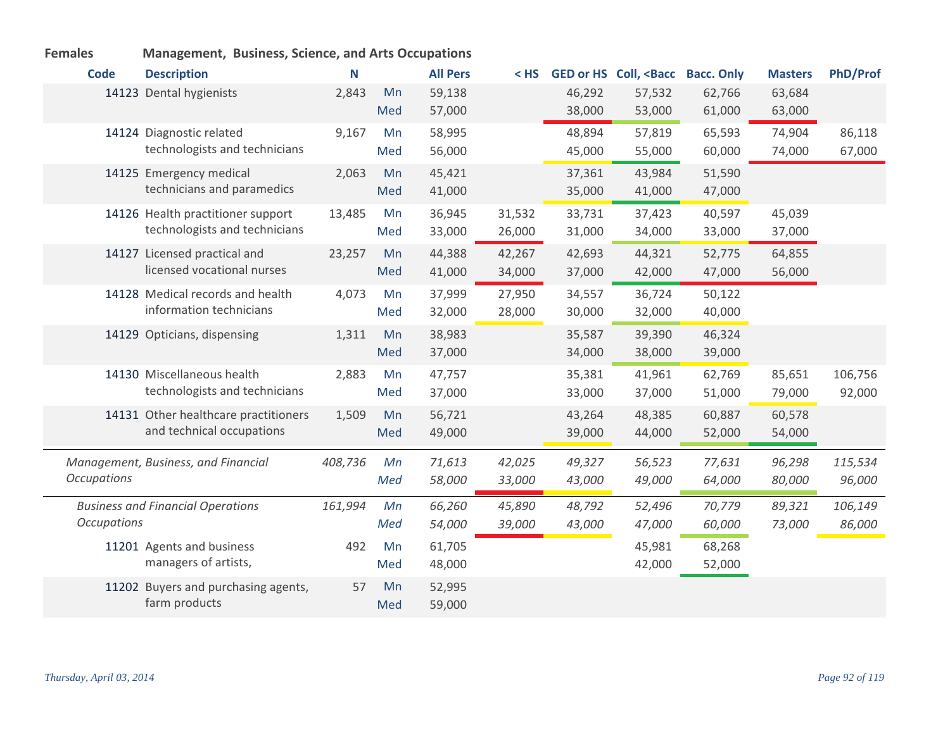| <b>Code</b>        | <b>Description</b>                       | N       |     | <b>All Pers</b> | $<$ HS |        | <b>GED or HS Coll, <bacc< b=""></bacc<></b> | <b>Bacc. Only</b> | <b>Masters</b> | <b>PhD/Prof</b> |
|--------------------|------------------------------------------|---------|-----|-----------------|--------|--------|---------------------------------------------|-------------------|----------------|-----------------|
|                    | 14123 Dental hygienists                  | 2,843   | Mn  | 59,138          |        | 46,292 | 57,532                                      | 62,766            | 63,684         |                 |
|                    |                                          |         | Med | 57,000          |        | 38,000 | 53,000                                      | 61,000            | 63,000         |                 |
|                    | 14124 Diagnostic related                 | 9,167   | Mn  | 58,995          |        | 48,894 | 57,819                                      | 65,593            | 74,904         | 86,118          |
|                    | technologists and technicians            |         | Med | 56,000          |        | 45,000 | 55,000                                      | 60,000            | 74,000         | 67,000          |
|                    | 14125 Emergency medical                  | 2,063   | Mn  | 45,421          |        | 37,361 | 43,984                                      | 51,590            |                |                 |
|                    | technicians and paramedics               |         | Med | 41,000          |        | 35,000 | 41,000                                      | 47,000            |                |                 |
|                    | 14126 Health practitioner support        | 13,485  | Mn  | 36,945          | 31,532 | 33,731 | 37,423                                      | 40,597            | 45,039         |                 |
|                    | technologists and technicians            |         | Med | 33,000          | 26,000 | 31,000 | 34,000                                      | 33,000            | 37,000         |                 |
|                    | 14127 Licensed practical and             | 23,257  | Mn  | 44,388          | 42,267 | 42,693 | 44,321                                      | 52,775            | 64,855         |                 |
|                    | licensed vocational nurses               |         | Med | 41,000          | 34,000 | 37,000 | 42,000                                      | 47,000            | 56,000         |                 |
|                    | 14128 Medical records and health         | 4,073   | Mn  | 37,999          | 27,950 | 34,557 | 36,724                                      | 50,122            |                |                 |
|                    | information technicians                  |         | Med | 32,000          | 28,000 | 30,000 | 32,000                                      | 40,000            |                |                 |
|                    | 14129 Opticians, dispensing              | 1,311   | Mn  | 38,983          |        | 35,587 | 39,390                                      | 46,324            |                |                 |
|                    |                                          |         | Med | 37,000          |        | 34,000 | 38,000                                      | 39,000            |                |                 |
|                    | 14130 Miscellaneous health               | 2,883   | Mn  | 47,757          |        | 35,381 | 41,961                                      | 62,769            | 85,651         | 106,756         |
|                    | technologists and technicians            |         | Med | 37,000          |        | 33,000 | 37,000                                      | 51,000            | 79,000         | 92,000          |
|                    | 14131 Other healthcare practitioners     | 1,509   | Mn  | 56,721          |        | 43,264 | 48,385                                      | 60,887            | 60,578         |                 |
|                    | and technical occupations                |         | Med | 49,000          |        | 39,000 | 44,000                                      | 52,000            | 54,000         |                 |
|                    |                                          |         |     |                 |        |        |                                             |                   |                |                 |
|                    | Management, Business, and Financial      | 408,736 | Mn  | 71,613          | 42,025 | 49,327 | 56,523                                      | 77,631            | 96,298         | 115,534         |
| <b>Occupations</b> |                                          |         | Med | 58,000          | 33,000 | 43,000 | 49,000                                      | 64,000            | 80,000         | 96,000          |
|                    | <b>Business and Financial Operations</b> | 161,994 | Mn  | 66,260          | 45,890 | 48,792 | 52,496                                      | 70,779            | 89,321         | 106,149         |
| <b>Occupations</b> |                                          |         | Med | 54,000          | 39,000 | 43,000 | 47,000                                      | 60,000            | 73,000         | 86,000          |
|                    | 11201 Agents and business                | 492     | Mn  | 61,705          |        |        | 45,981                                      | 68,268            |                |                 |
|                    | managers of artists,                     |         | Med | 48,000          |        |        | 42,000                                      | 52,000            |                |                 |
|                    | 11202 Buyers and purchasing agents,      | 57      | Mn  | 52,995          |        |        |                                             |                   |                |                 |
|                    | farm products                            |         | Med | 59,000          |        |        |                                             |                   |                |                 |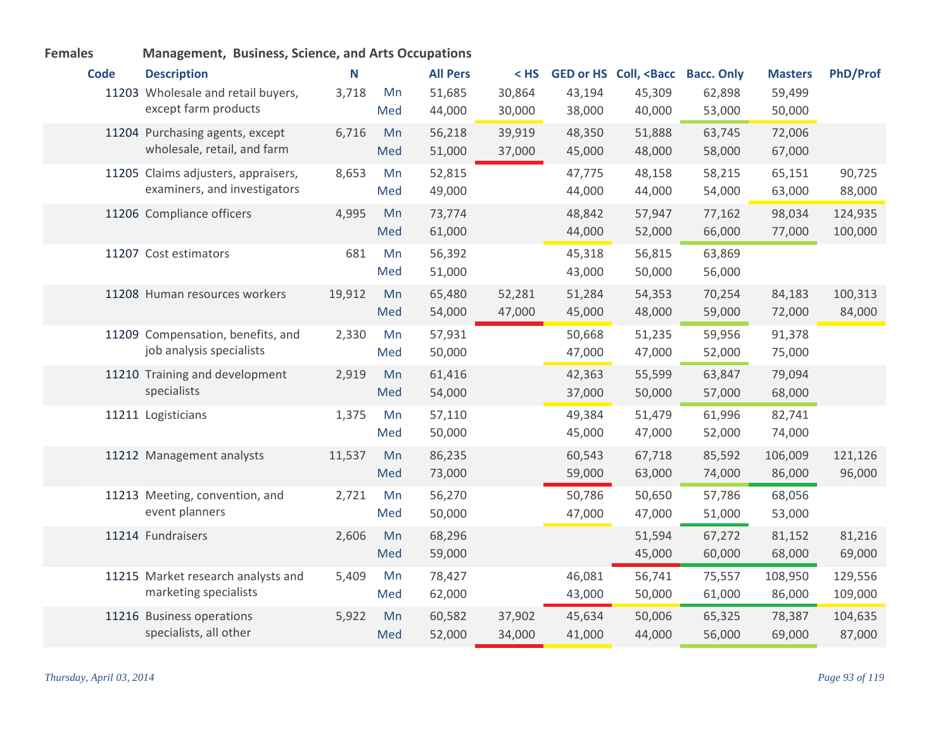| <b>Females</b> | Management, Business, Science, and Arts Occupations |        |     |                 |        |        |                                             |                   |                |                 |
|----------------|-----------------------------------------------------|--------|-----|-----------------|--------|--------|---------------------------------------------|-------------------|----------------|-----------------|
| <b>Code</b>    | <b>Description</b>                                  | N      |     | <b>All Pers</b> | $<$ HS |        | <b>GED or HS Coll, <bacc< b=""></bacc<></b> | <b>Bacc. Only</b> | <b>Masters</b> | <b>PhD/Prof</b> |
|                | 11203 Wholesale and retail buyers,                  | 3,718  | Mn  | 51,685          | 30,864 | 43,194 | 45,309                                      | 62,898            | 59,499         |                 |
|                | except farm products                                |        | Med | 44,000          | 30,000 | 38,000 | 40,000                                      | 53,000            | 50,000         |                 |
|                | 11204 Purchasing agents, except                     | 6,716  | Mn  | 56,218          | 39,919 | 48,350 | 51,888                                      | 63,745            | 72,006         |                 |
|                | wholesale, retail, and farm                         |        | Med | 51,000          | 37,000 | 45,000 | 48,000                                      | 58,000            | 67,000         |                 |
|                | 11205 Claims adjusters, appraisers,                 | 8,653  | Mn  | 52,815          |        | 47,775 | 48,158                                      | 58,215            | 65,151         | 90,725          |
|                | examiners, and investigators                        |        | Med | 49,000          |        | 44,000 | 44,000                                      | 54,000            | 63,000         | 88,000          |
|                | 11206 Compliance officers                           | 4,995  | Mn  | 73,774          |        | 48,842 | 57,947                                      | 77,162            | 98,034         | 124,935         |
|                |                                                     |        | Med | 61,000          |        | 44,000 | 52,000                                      | 66,000            | 77,000         | 100,000         |
|                | 11207 Cost estimators                               | 681    | Mn  | 56,392          |        | 45,318 | 56,815                                      | 63,869            |                |                 |
|                |                                                     |        | Med | 51,000          |        | 43,000 | 50,000                                      | 56,000            |                |                 |
|                | 11208 Human resources workers                       | 19,912 | Mn  | 65,480          | 52,281 | 51,284 | 54,353                                      | 70,254            | 84,183         | 100,313         |
|                |                                                     |        | Med | 54,000          | 47,000 | 45,000 | 48,000                                      | 59,000            | 72,000         | 84,000          |
|                | 11209 Compensation, benefits, and                   | 2,330  | Mn  | 57,931          |        | 50,668 | 51,235                                      | 59,956            | 91,378         |                 |
|                | job analysis specialists                            |        | Med | 50,000          |        | 47,000 | 47,000                                      | 52,000            | 75,000         |                 |
|                | 11210 Training and development                      | 2,919  | Mn  | 61,416          |        | 42,363 | 55,599                                      | 63,847            | 79,094         |                 |
|                | specialists                                         |        | Med | 54,000          |        | 37,000 | 50,000                                      | 57,000            | 68,000         |                 |
|                | 11211 Logisticians                                  | 1,375  | Mn  | 57,110          |        | 49,384 | 51,479                                      | 61,996            | 82,741         |                 |
|                |                                                     |        | Med | 50,000          |        | 45,000 | 47,000                                      | 52,000            | 74,000         |                 |
|                | 11212 Management analysts                           | 11,537 | Mn  | 86,235          |        | 60,543 | 67,718                                      | 85,592            | 106,009        | 121,126         |
|                |                                                     |        | Med | 73,000          |        | 59,000 | 63,000                                      | 74,000            | 86,000         | 96,000          |
|                | 11213 Meeting, convention, and                      | 2,721  | Mn  | 56,270          |        | 50,786 | 50,650                                      | 57,786            | 68,056         |                 |
|                | event planners                                      |        | Med | 50,000          |        | 47,000 | 47,000                                      | 51,000            | 53,000         |                 |
|                | 11214 Fundraisers                                   | 2,606  | Mn  | 68,296          |        |        | 51,594                                      | 67,272            | 81,152         | 81,216          |
|                |                                                     |        | Med | 59,000          |        |        | 45,000                                      | 60,000            | 68,000         | 69,000          |
|                | 11215 Market research analysts and                  | 5,409  | Mn  | 78,427          |        | 46,081 | 56,741                                      | 75,557            | 108,950        | 129,556         |
|                | marketing specialists                               |        | Med | 62,000          |        | 43,000 | 50,000                                      | 61,000            | 86,000         | 109,000         |
|                | 11216 Business operations                           | 5,922  | Mn  | 60,582          | 37,902 | 45,634 | 50,006                                      | 65,325            | 78,387         | 104,635         |
|                | specialists, all other                              |        | Med | 52,000          | 34,000 | 41,000 | 44,000                                      | 56,000            | 69,000         | 87,000          |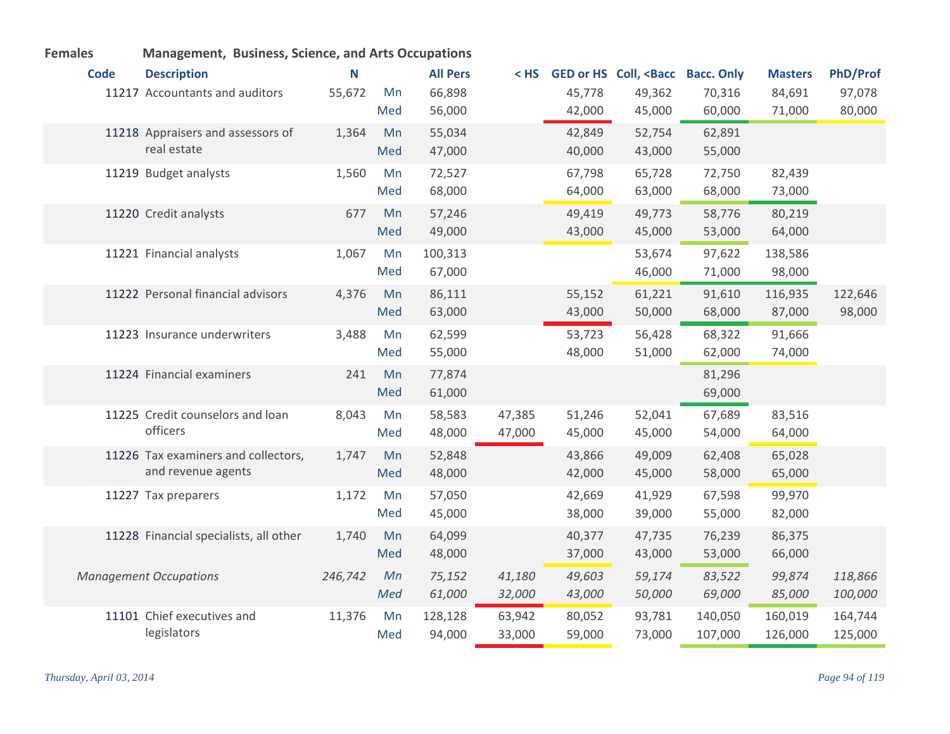| <b>Code</b> | <b>Description</b>                     | N       |     | <b>All Pers</b> | $<$ HS |        | GED or HS Coll, <bacc bacc.="" only<="" th=""><th></th><th><b>Masters</b></th><th><b>PhD/Prof</b></th></bacc> |         | <b>Masters</b> | <b>PhD/Prof</b> |
|-------------|----------------------------------------|---------|-----|-----------------|--------|--------|---------------------------------------------------------------------------------------------------------------|---------|----------------|-----------------|
|             | 11217 Accountants and auditors         | 55,672  | Mn  | 66,898          |        | 45,778 | 49,362                                                                                                        | 70,316  | 84,691         | 97,078          |
|             |                                        |         | Med | 56,000          |        | 42,000 | 45,000                                                                                                        | 60,000  | 71,000         | 80,000          |
|             | 11218 Appraisers and assessors of      | 1,364   | Mn  | 55,034          |        | 42,849 | 52,754                                                                                                        | 62,891  |                |                 |
|             | real estate                            |         | Med | 47,000          |        | 40,000 | 43,000                                                                                                        | 55,000  |                |                 |
|             | 11219 Budget analysts                  | 1,560   | Mn  | 72,527          |        | 67,798 | 65,728                                                                                                        | 72,750  | 82,439         |                 |
|             |                                        |         | Med | 68,000          |        | 64,000 | 63,000                                                                                                        | 68,000  | 73,000         |                 |
|             | 11220 Credit analysts                  | 677     | Mn  | 57,246          |        | 49,419 | 49,773                                                                                                        | 58,776  | 80,219         |                 |
|             |                                        |         | Med | 49,000          |        | 43,000 | 45,000                                                                                                        | 53,000  | 64,000         |                 |
|             | 11221 Financial analysts               | 1,067   | Mn  | 100,313         |        |        | 53,674                                                                                                        | 97,622  | 138,586        |                 |
|             |                                        |         | Med | 67,000          |        |        | 46,000                                                                                                        | 71,000  | 98,000         |                 |
|             | 11222 Personal financial advisors      | 4,376   | Mn  | 86,111          |        | 55,152 | 61,221                                                                                                        | 91,610  | 116,935        | 122,646         |
|             |                                        |         | Med | 63,000          |        | 43,000 | 50,000                                                                                                        | 68,000  | 87,000         | 98,000          |
|             | 11223 Insurance underwriters           | 3,488   | Mn  | 62,599          |        | 53,723 | 56,428                                                                                                        | 68,322  | 91,666         |                 |
|             |                                        |         | Med | 55,000          |        | 48,000 | 51,000                                                                                                        | 62,000  | 74,000         |                 |
|             | 11224 Financial examiners              | 241     | Mn  | 77,874          |        |        |                                                                                                               | 81,296  |                |                 |
|             |                                        |         | Med | 61,000          |        |        |                                                                                                               | 69,000  |                |                 |
|             | 11225 Credit counselors and loan       | 8,043   | Mn  | 58,583          | 47,385 | 51,246 | 52,041                                                                                                        | 67,689  | 83,516         |                 |
|             | officers                               |         | Med | 48,000          | 47,000 | 45,000 | 45,000                                                                                                        | 54,000  | 64,000         |                 |
|             | 11226 Tax examiners and collectors,    | 1,747   | Mn  | 52,848          |        | 43,866 | 49,009                                                                                                        | 62,408  | 65,028         |                 |
|             | and revenue agents                     |         | Med | 48,000          |        | 42,000 | 45,000                                                                                                        | 58,000  | 65,000         |                 |
|             | 11227 Tax preparers                    | 1,172   | Mn  | 57,050          |        | 42,669 | 41,929                                                                                                        | 67,598  | 99,970         |                 |
|             |                                        |         | Med | 45,000          |        | 38,000 | 39,000                                                                                                        | 55,000  | 82,000         |                 |
|             | 11228 Financial specialists, all other | 1,740   | Mn  | 64,099          |        | 40,377 | 47,735                                                                                                        | 76,239  | 86,375         |                 |
|             |                                        |         | Med | 48,000          |        | 37,000 | 43,000                                                                                                        | 53,000  | 66,000         |                 |
|             | <b>Management Occupations</b>          | 246,742 | Mn  | 75,152          | 41,180 | 49,603 | 59,174                                                                                                        | 83,522  | 99,874         | 118,866         |
|             |                                        |         | Med | 61,000          | 32,000 | 43,000 | 50,000                                                                                                        | 69,000  | 85,000         | 100,000         |
|             | 11101 Chief executives and             | 11,376  | Mn  | 128,128         | 63,942 | 80,052 | 93,781                                                                                                        | 140,050 | 160,019        | 164,744         |
|             | legislators                            |         | Med | 94,000          | 33,000 | 59,000 | 73,000                                                                                                        | 107,000 | 126,000        | 125,000         |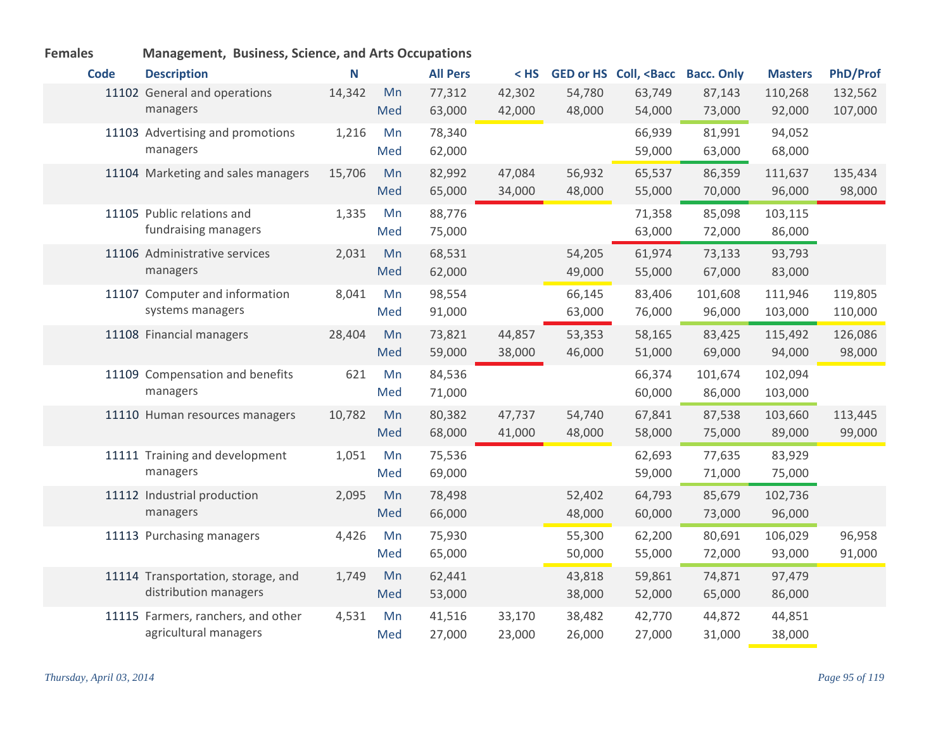| <b>Code</b> | <b>Description</b>                 | N      |     | <b>All Pers</b> | $<$ HS |        | GED or HS Coll, <bacc< th=""><th><b>Bacc. Only</b></th><th><b>Masters</b></th><th><b>PhD/Prof</b></th></bacc<> | <b>Bacc. Only</b> | <b>Masters</b> | <b>PhD/Prof</b> |
|-------------|------------------------------------|--------|-----|-----------------|--------|--------|----------------------------------------------------------------------------------------------------------------|-------------------|----------------|-----------------|
|             | 11102 General and operations       | 14,342 | Mn  | 77,312          | 42,302 | 54,780 | 63,749                                                                                                         | 87,143            | 110,268        | 132,562         |
|             | managers                           |        | Med | 63,000          | 42,000 | 48,000 | 54,000                                                                                                         | 73,000            | 92,000         | 107,000         |
|             | 11103 Advertising and promotions   | 1,216  | Mn  | 78,340          |        |        | 66,939                                                                                                         | 81,991            | 94,052         |                 |
|             | managers                           |        | Med | 62,000          |        |        | 59,000                                                                                                         | 63,000            | 68,000         |                 |
|             | 11104 Marketing and sales managers | 15,706 | Mn  | 82,992          | 47,084 | 56,932 | 65,537                                                                                                         | 86,359            | 111,637        | 135,434         |
|             |                                    |        | Med | 65,000          | 34,000 | 48,000 | 55,000                                                                                                         | 70,000            | 96,000         | 98,000          |
|             | 11105 Public relations and         | 1,335  | Mn  | 88,776          |        |        | 71,358                                                                                                         | 85,098            | 103,115        |                 |
|             | fundraising managers               |        | Med | 75,000          |        |        | 63,000                                                                                                         | 72,000            | 86,000         |                 |
|             | 11106 Administrative services      | 2,031  | Mn  | 68,531          |        | 54,205 | 61,974                                                                                                         | 73,133            | 93,793         |                 |
|             | managers                           |        | Med | 62,000          |        | 49,000 | 55,000                                                                                                         | 67,000            | 83,000         |                 |
|             | 11107 Computer and information     | 8,041  | Mn  | 98,554          |        | 66,145 | 83,406                                                                                                         | 101,608           | 111,946        | 119,805         |
|             | systems managers                   |        | Med | 91,000          |        | 63,000 | 76,000                                                                                                         | 96,000            | 103,000        | 110,000         |
|             | 11108 Financial managers           | 28,404 | Mn  | 73,821          | 44,857 | 53,353 | 58,165                                                                                                         | 83,425            | 115,492        | 126,086         |
|             |                                    |        | Med | 59,000          | 38,000 | 46,000 | 51,000                                                                                                         | 69,000            | 94,000         | 98,000          |
|             | 11109 Compensation and benefits    | 621    | Mn  | 84,536          |        |        | 66,374                                                                                                         | 101,674           | 102,094        |                 |
|             | managers                           |        | Med | 71,000          |        |        | 60,000                                                                                                         | 86,000            | 103,000        |                 |
|             | 11110 Human resources managers     | 10,782 | Mn  | 80,382          | 47,737 | 54,740 | 67,841                                                                                                         | 87,538            | 103,660        | 113,445         |
|             |                                    |        | Med | 68,000          | 41,000 | 48,000 | 58,000                                                                                                         | 75,000            | 89,000         | 99,000          |
|             | 11111 Training and development     | 1,051  | Mn  | 75,536          |        |        | 62,693                                                                                                         | 77,635            | 83,929         |                 |
|             | managers                           |        | Med | 69,000          |        |        | 59,000                                                                                                         | 71,000            | 75,000         |                 |
|             | 11112 Industrial production        | 2,095  | Mn  | 78,498          |        | 52,402 | 64,793                                                                                                         | 85,679            | 102,736        |                 |
|             | managers                           |        | Med | 66,000          |        | 48,000 | 60,000                                                                                                         | 73,000            | 96,000         |                 |
|             | 11113 Purchasing managers          | 4,426  | Mn  | 75,930          |        | 55,300 | 62,200                                                                                                         | 80,691            | 106,029        | 96,958          |
|             |                                    |        | Med | 65,000          |        | 50,000 | 55,000                                                                                                         | 72,000            | 93,000         | 91,000          |
|             | 11114 Transportation, storage, and | 1,749  | Mn  | 62,441          |        | 43,818 | 59,861                                                                                                         | 74,871            | 97,479         |                 |
|             | distribution managers              |        | Med | 53,000          |        | 38,000 | 52,000                                                                                                         | 65,000            | 86,000         |                 |
|             | 11115 Farmers, ranchers, and other | 4,531  | Mn  | 41,516          | 33,170 | 38,482 | 42,770                                                                                                         | 44,872            | 44,851         |                 |
|             | agricultural managers              |        | Med | 27,000          | 23,000 | 26,000 | 27,000                                                                                                         | 31,000            | 38,000         |                 |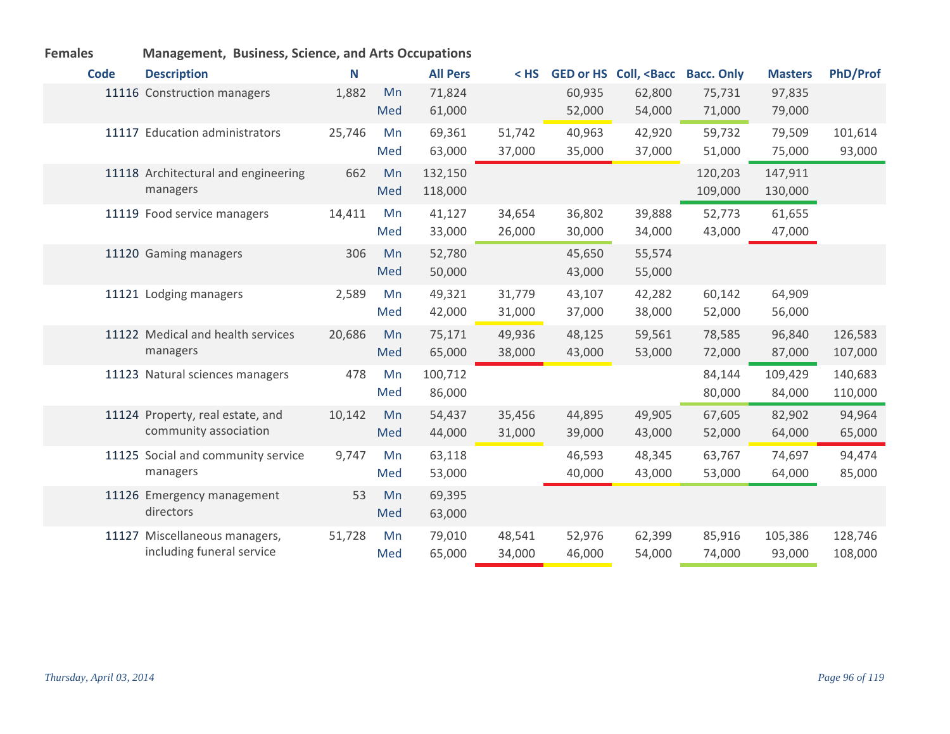|             | management, basiness, selence, and And Secu |        |     |                 |        |        |                                                                                                                     |                   |                |                 |  |  |
|-------------|---------------------------------------------|--------|-----|-----------------|--------|--------|---------------------------------------------------------------------------------------------------------------------|-------------------|----------------|-----------------|--|--|
| <b>Code</b> | <b>Description</b>                          | N      |     | <b>All Pers</b> |        |        | < HS GED or HS Coll, <bacc< th=""><th><b>Bacc. Only</b></th><th><b>Masters</b></th><th><b>PhD/Prof</b></th></bacc<> | <b>Bacc. Only</b> | <b>Masters</b> | <b>PhD/Prof</b> |  |  |
|             | 11116 Construction managers                 | 1,882  | Mn  | 71,824          |        | 60,935 | 62,800                                                                                                              | 75,731            | 97,835         |                 |  |  |
|             |                                             |        | Med | 61,000          |        | 52,000 | 54,000                                                                                                              | 71,000            | 79,000         |                 |  |  |
|             | 11117 Education administrators              | 25,746 | Mn  | 69,361          | 51,742 | 40,963 | 42,920                                                                                                              | 59,732            | 79,509         | 101,614         |  |  |
|             |                                             |        | Med | 63,000          | 37,000 | 35,000 | 37,000                                                                                                              | 51,000            | 75,000         | 93,000          |  |  |
|             | 11118 Architectural and engineering         | 662    | Mn  | 132,150         |        |        |                                                                                                                     | 120,203           | 147,911        |                 |  |  |
|             | managers                                    |        | Med | 118,000         |        |        |                                                                                                                     | 109,000           | 130,000        |                 |  |  |
|             | 11119 Food service managers                 | 14,411 | Mn  | 41,127          | 34,654 | 36,802 | 39,888                                                                                                              | 52,773            | 61,655         |                 |  |  |
|             |                                             |        | Med | 33,000          | 26,000 | 30,000 | 34,000                                                                                                              | 43,000            | 47,000         |                 |  |  |
|             | 11120 Gaming managers                       | 306    | Mn  | 52,780          |        | 45,650 | 55,574                                                                                                              |                   |                |                 |  |  |
|             |                                             |        | Med | 50,000          |        | 43,000 | 55,000                                                                                                              |                   |                |                 |  |  |
|             | 11121 Lodging managers                      | 2,589  | Mn  | 49,321          | 31,779 | 43,107 | 42,282                                                                                                              | 60,142            | 64,909         |                 |  |  |
|             |                                             |        | Med | 42,000          | 31,000 | 37,000 | 38,000                                                                                                              | 52,000            | 56,000         |                 |  |  |
|             | 11122 Medical and health services           | 20,686 | Mn  | 75,171          | 49,936 | 48,125 | 59,561                                                                                                              | 78,585            | 96,840         | 126,583         |  |  |
|             | managers                                    |        | Med | 65,000          | 38,000 | 43,000 | 53,000                                                                                                              | 72,000            | 87,000         | 107,000         |  |  |
|             | 11123 Natural sciences managers             | 478    | Mn  | 100,712         |        |        |                                                                                                                     | 84,144            | 109,429        | 140,683         |  |  |
|             |                                             |        | Med | 86,000          |        |        |                                                                                                                     | 80,000            | 84,000         | 110,000         |  |  |
|             | 11124 Property, real estate, and            | 10,142 | Mn  | 54,437          | 35,456 | 44,895 | 49,905                                                                                                              | 67,605            | 82,902         | 94,964          |  |  |
|             | community association                       |        | Med | 44,000          | 31,000 | 39,000 | 43,000                                                                                                              | 52,000            | 64,000         | 65,000          |  |  |
|             | 11125 Social and community service          | 9,747  | Mn  | 63,118          |        | 46,593 | 48,345                                                                                                              | 63,767            | 74,697         | 94,474          |  |  |
|             | managers                                    |        | Med | 53,000          |        | 40,000 | 43,000                                                                                                              | 53,000            | 64,000         | 85,000          |  |  |
|             | 11126 Emergency management                  | 53     | Mn  | 69,395          |        |        |                                                                                                                     |                   |                |                 |  |  |
|             | directors                                   |        | Med | 63,000          |        |        |                                                                                                                     |                   |                |                 |  |  |
|             | 11127 Miscellaneous managers,               | 51,728 | Mn  | 79,010          | 48,541 | 52,976 | 62,399                                                                                                              | 85,916            | 105,386        | 128,746         |  |  |
|             | including funeral service                   |        | Med | 65,000          | 34,000 | 46,000 | 54,000                                                                                                              | 74,000            | 93,000         | 108,000         |  |  |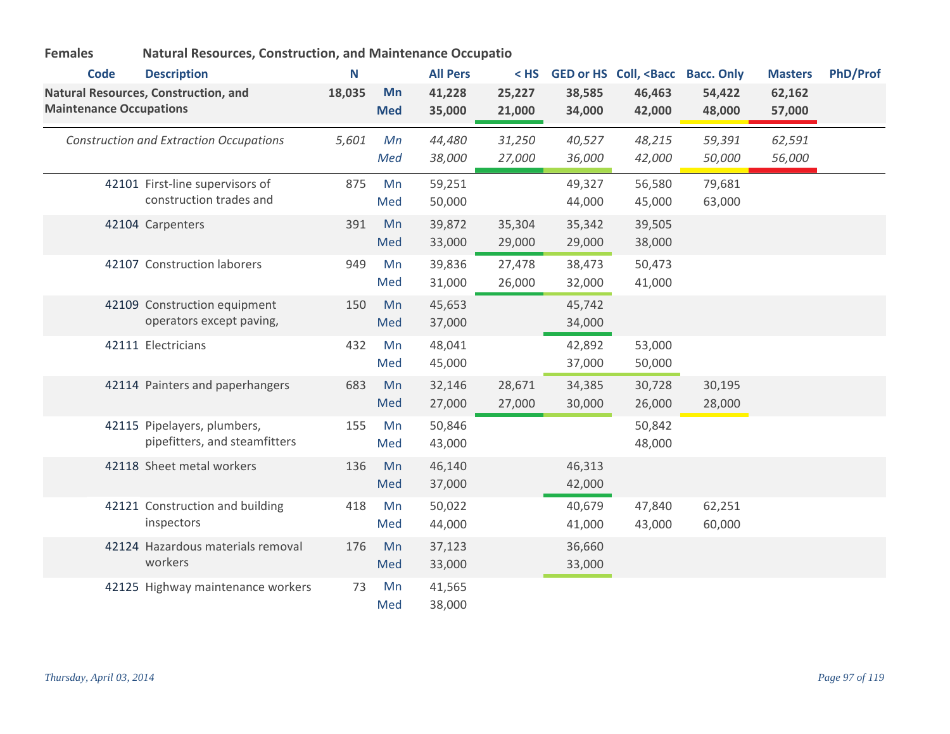| <b>Natural Resources, Construction, and Maintenance Occupatio</b> |
|-------------------------------------------------------------------|
|                                                                   |

| <b>Code</b>                    | <b>Description</b>                                           | N      |                  | <b>All Pers</b>  | $<$ HS           |                  | GED or HS Coll, <bacc bacc.="" only<="" th=""><th></th><th><b>Masters</b></th><th><b>PhD/Prof</b></th></bacc> |                  | <b>Masters</b>   | <b>PhD/Prof</b> |
|--------------------------------|--------------------------------------------------------------|--------|------------------|------------------|------------------|------------------|---------------------------------------------------------------------------------------------------------------|------------------|------------------|-----------------|
| <b>Maintenance Occupations</b> | Natural Resources, Construction, and                         | 18,035 | Mn<br><b>Med</b> | 41,228<br>35,000 | 25,227<br>21,000 | 38,585<br>34,000 | 46,463<br>42,000                                                                                              | 54,422<br>48,000 | 62,162<br>57,000 |                 |
|                                | <b>Construction and Extraction Occupations</b>               | 5,601  | Mn<br>Med        | 44,480<br>38,000 | 31,250<br>27,000 | 40,527<br>36,000 | 48,215<br>42,000                                                                                              | 59,391<br>50,000 | 62,591<br>56,000 |                 |
|                                | 42101 First-line supervisors of<br>construction trades and   | 875    | Mn<br>Med        | 59,251<br>50,000 |                  | 49,327<br>44,000 | 56,580<br>45,000                                                                                              | 79,681<br>63,000 |                  |                 |
|                                | 42104 Carpenters                                             | 391    | Mn<br>Med        | 39,872<br>33,000 | 35,304<br>29,000 | 35,342<br>29,000 | 39,505<br>38,000                                                                                              |                  |                  |                 |
|                                | 42107 Construction laborers                                  | 949    | Mn<br>Med        | 39,836<br>31,000 | 27,478<br>26,000 | 38,473<br>32,000 | 50,473<br>41,000                                                                                              |                  |                  |                 |
|                                | 42109 Construction equipment<br>operators except paving,     | 150    | Mn<br>Med        | 45,653<br>37,000 |                  | 45,742<br>34,000 |                                                                                                               |                  |                  |                 |
|                                | 42111 Electricians                                           | 432    | Mn<br>Med        | 48,041<br>45,000 |                  | 42,892<br>37,000 | 53,000<br>50,000                                                                                              |                  |                  |                 |
|                                | 42114 Painters and paperhangers                              | 683    | Mn<br>Med        | 32,146<br>27,000 | 28,671<br>27,000 | 34,385<br>30,000 | 30,728<br>26,000                                                                                              | 30,195<br>28,000 |                  |                 |
|                                | 42115 Pipelayers, plumbers,<br>pipefitters, and steamfitters | 155    | Mn<br>Med        | 50,846<br>43,000 |                  |                  | 50,842<br>48,000                                                                                              |                  |                  |                 |
|                                | 42118 Sheet metal workers                                    | 136    | Mn<br>Med        | 46,140<br>37,000 |                  | 46,313<br>42,000 |                                                                                                               |                  |                  |                 |
|                                | 42121 Construction and building<br>inspectors                | 418    | Mn<br>Med        | 50,022<br>44,000 |                  | 40,679<br>41,000 | 47,840<br>43,000                                                                                              | 62,251<br>60,000 |                  |                 |
|                                | 42124 Hazardous materials removal<br>workers                 | 176    | Mn<br>Med        | 37,123<br>33,000 |                  | 36,660<br>33,000 |                                                                                                               |                  |                  |                 |
|                                | 42125 Highway maintenance workers                            | 73     | Mn<br>Med        | 41,565<br>38,000 |                  |                  |                                                                                                               |                  |                  |                 |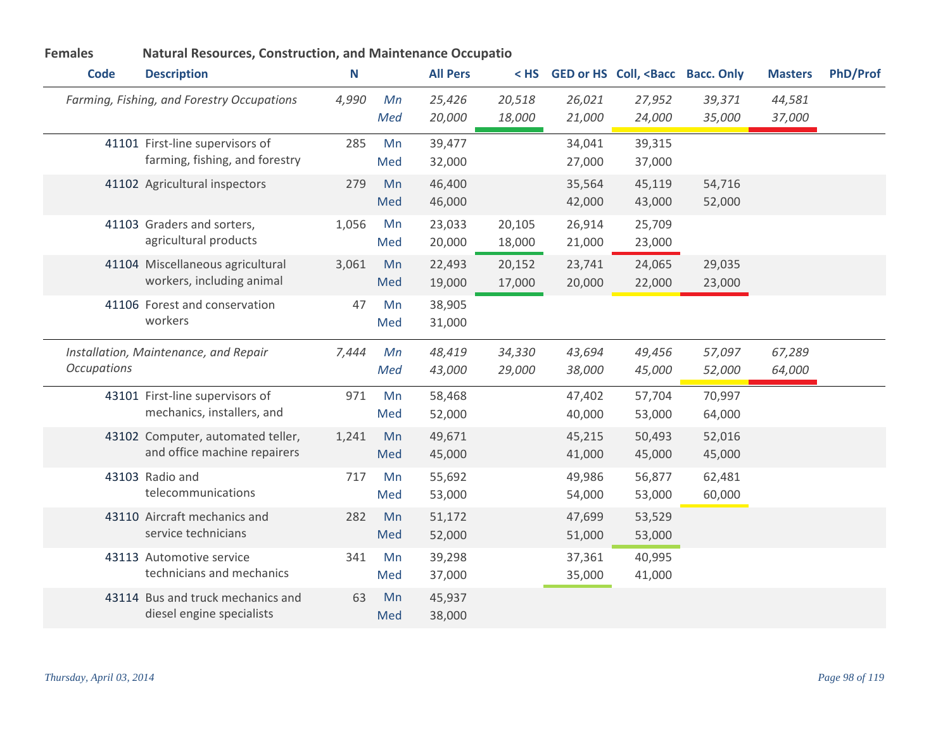| <b>Code</b>        | <b>Description</b>                                                | N     |           | <b>All Pers</b>  |                  |                  | < HS GED or HS Coll, <bacc bacc.="" only<="" th=""><th></th><th><b>Masters</b></th><th><b>PhD/Prof</b></th></bacc> |                  | <b>Masters</b>   | <b>PhD/Prof</b> |
|--------------------|-------------------------------------------------------------------|-------|-----------|------------------|------------------|------------------|--------------------------------------------------------------------------------------------------------------------|------------------|------------------|-----------------|
|                    | Farming, Fishing, and Forestry Occupations                        | 4,990 | Mn<br>Med | 25,426<br>20,000 | 20,518<br>18,000 | 26,021<br>21,000 | 27,952<br>24,000                                                                                                   | 39,371<br>35,000 | 44,581<br>37,000 |                 |
|                    | 41101 First-line supervisors of<br>farming, fishing, and forestry | 285   | Mn<br>Med | 39,477<br>32,000 |                  | 34,041<br>27,000 | 39,315<br>37,000                                                                                                   |                  |                  |                 |
|                    | 41102 Agricultural inspectors                                     | 279   | Mn<br>Med | 46,400<br>46,000 |                  | 35,564<br>42,000 | 45,119<br>43,000                                                                                                   | 54,716<br>52,000 |                  |                 |
|                    | 41103 Graders and sorters,<br>agricultural products               | 1,056 | Mn<br>Med | 23,033<br>20,000 | 20,105<br>18,000 | 26,914<br>21,000 | 25,709<br>23,000                                                                                                   |                  |                  |                 |
|                    | 41104 Miscellaneous agricultural<br>workers, including animal     | 3,061 | Mn<br>Med | 22,493<br>19,000 | 20,152<br>17,000 | 23,741<br>20,000 | 24,065<br>22,000                                                                                                   | 29,035<br>23,000 |                  |                 |
|                    | 41106 Forest and conservation<br>workers                          | 47    | Mn<br>Med | 38,905<br>31,000 |                  |                  |                                                                                                                    |                  |                  |                 |
| <b>Occupations</b> | Installation, Maintenance, and Repair                             | 7,444 | Mn<br>Med | 48,419<br>43,000 | 34,330<br>29,000 | 43,694<br>38,000 | 49,456<br>45,000                                                                                                   | 57,097<br>52,000 | 67,289<br>64,000 |                 |
|                    | 43101 First-line supervisors of<br>mechanics, installers, and     | 971   | Mn<br>Med | 58,468<br>52,000 |                  | 47,402<br>40,000 | 57,704<br>53,000                                                                                                   | 70,997<br>64,000 |                  |                 |
|                    | 43102 Computer, automated teller,<br>and office machine repairers | 1,241 | Mn<br>Med | 49,671<br>45,000 |                  | 45,215<br>41,000 | 50,493<br>45,000                                                                                                   | 52,016<br>45,000 |                  |                 |
|                    | 43103 Radio and<br>telecommunications                             | 717   | Mn<br>Med | 55,692<br>53,000 |                  | 49,986<br>54,000 | 56,877<br>53,000                                                                                                   | 62,481<br>60,000 |                  |                 |
|                    | 43110 Aircraft mechanics and<br>service technicians               | 282   | Mn<br>Med | 51,172<br>52,000 |                  | 47,699<br>51,000 | 53,529<br>53,000                                                                                                   |                  |                  |                 |
|                    | 43113 Automotive service<br>technicians and mechanics             | 341   | Mn<br>Med | 39,298<br>37,000 |                  | 37,361<br>35,000 | 40,995<br>41,000                                                                                                   |                  |                  |                 |
|                    | 43114 Bus and truck mechanics and<br>diesel engine specialists    | 63    | Mn<br>Med | 45,937<br>38,000 |                  |                  |                                                                                                                    |                  |                  |                 |

## **Females Natural Resources, Construction, and Maintenance Occupatio**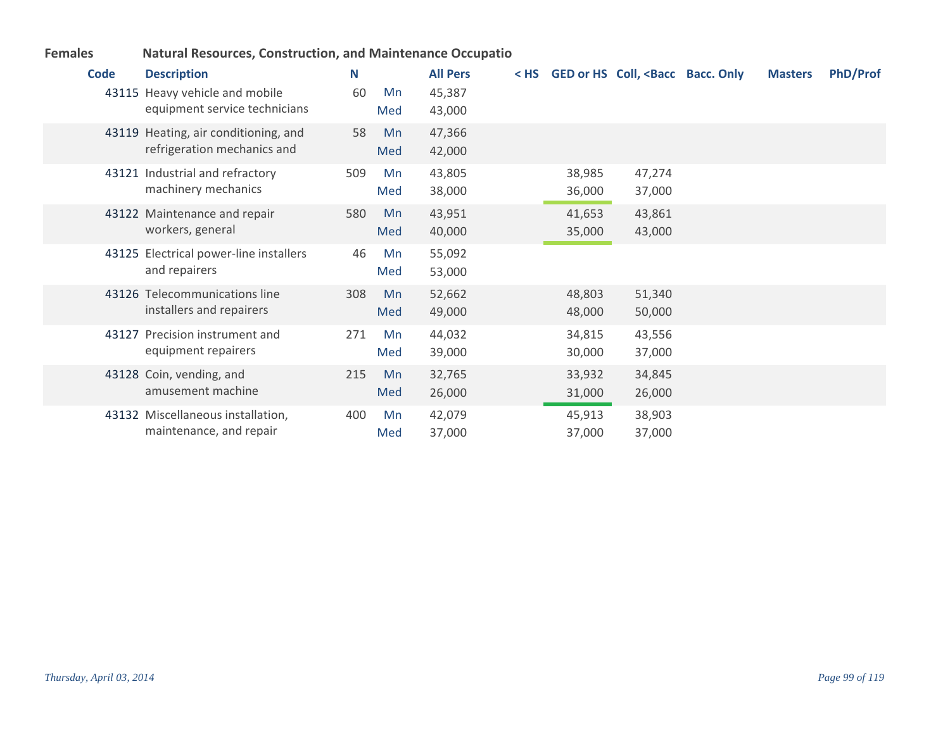| <b>Natural Resources, Construction, and Maintenance Occupatio</b><br><b>Females</b> |
|-------------------------------------------------------------------------------------|
|-------------------------------------------------------------------------------------|

| Code | <b>Description</b><br>43115 Heavy vehicle and mobile<br>equipment service technicians | N<br>60 | Mn<br>Med | <b>All Pers</b><br>45,387<br>43,000 | $<$ HS |                  | GED or HS Coll, <bacc bacc.="" only<="" th=""><th><b>Masters</b></th><th><b>PhD/Prof</b></th></bacc> | <b>Masters</b> | <b>PhD/Prof</b> |
|------|---------------------------------------------------------------------------------------|---------|-----------|-------------------------------------|--------|------------------|------------------------------------------------------------------------------------------------------|----------------|-----------------|
|      | 43119 Heating, air conditioning, and<br>refrigeration mechanics and                   | 58      | Mn<br>Med | 47,366<br>42,000                    |        |                  |                                                                                                      |                |                 |
|      | 43121 Industrial and refractory<br>machinery mechanics                                | 509     | Mn<br>Med | 43,805<br>38,000                    |        | 38,985<br>36,000 | 47,274<br>37,000                                                                                     |                |                 |
|      | 43122 Maintenance and repair<br>workers, general                                      | 580     | Mn<br>Med | 43,951<br>40,000                    |        | 41,653<br>35,000 | 43,861<br>43,000                                                                                     |                |                 |
|      | 43125 Electrical power-line installers<br>and repairers                               | 46      | Mn<br>Med | 55,092<br>53,000                    |        |                  |                                                                                                      |                |                 |
|      | 43126 Telecommunications line<br>installers and repairers                             | 308     | Mn<br>Med | 52,662<br>49,000                    |        | 48,803<br>48,000 | 51,340<br>50,000                                                                                     |                |                 |
|      | 43127 Precision instrument and<br>equipment repairers                                 | 271     | Mn<br>Med | 44,032<br>39,000                    |        | 34,815<br>30,000 | 43,556<br>37,000                                                                                     |                |                 |
|      | 43128 Coin, vending, and<br>amusement machine                                         | 215     | Mn<br>Med | 32,765<br>26,000                    |        | 33,932<br>31,000 | 34,845<br>26,000                                                                                     |                |                 |
|      | 43132 Miscellaneous installation,<br>maintenance, and repair                          | 400     | Mn<br>Med | 42,079<br>37,000                    |        | 45,913<br>37,000 | 38,903<br>37,000                                                                                     |                |                 |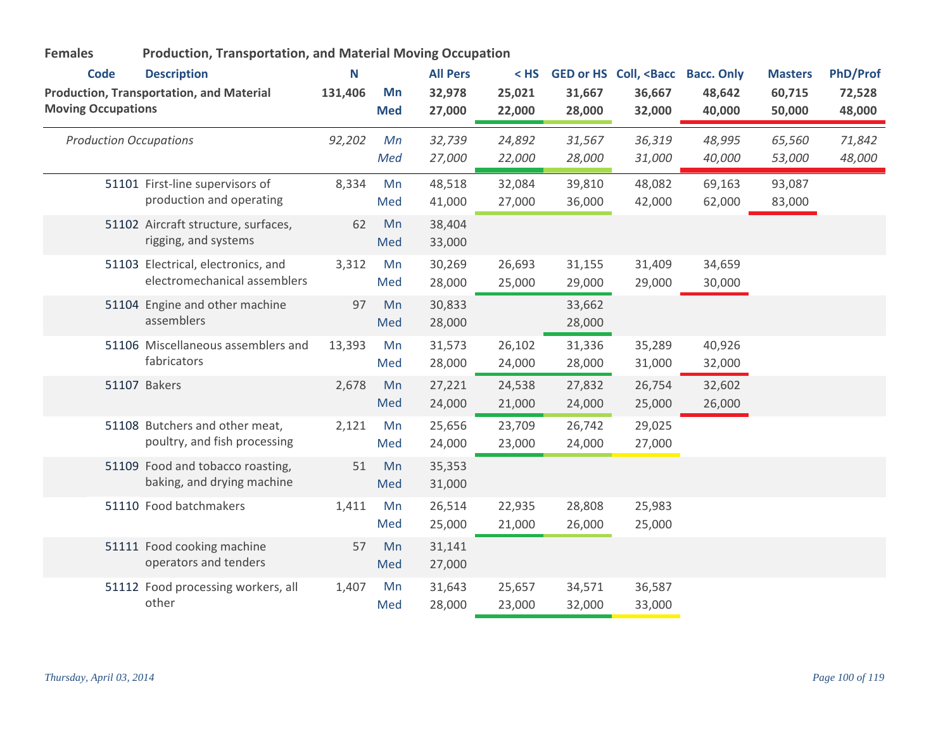| <b>Production, Transportation, and Material Moving Occupation</b><br><b>Females</b> |                                                                    |         |                  |                  |                  |                  |                                                                                                                |                   |                  |                  |
|-------------------------------------------------------------------------------------|--------------------------------------------------------------------|---------|------------------|------------------|------------------|------------------|----------------------------------------------------------------------------------------------------------------|-------------------|------------------|------------------|
| <b>Code</b>                                                                         | <b>Description</b>                                                 | N       |                  | <b>All Pers</b>  | $<$ HS           |                  | GED or HS Coll, <bacc< th=""><th><b>Bacc. Only</b></th><th><b>Masters</b></th><th><b>PhD/Prof</b></th></bacc<> | <b>Bacc. Only</b> | <b>Masters</b>   | <b>PhD/Prof</b>  |
| <b>Moving Occupations</b>                                                           | <b>Production, Transportation, and Material</b>                    | 131,406 | Mn<br><b>Med</b> | 32,978<br>27,000 | 25,021<br>22,000 | 31,667<br>28,000 | 36,667<br>32,000                                                                                               | 48,642<br>40,000  | 60,715<br>50,000 | 72,528<br>48,000 |
| <b>Production Occupations</b>                                                       |                                                                    | 92,202  | Mn<br>Med        | 32,739<br>27,000 | 24,892<br>22,000 | 31,567<br>28,000 | 36,319<br>31,000                                                                                               | 48,995<br>40,000  | 65,560<br>53,000 | 71,842<br>48,000 |
|                                                                                     | 51101 First-line supervisors of<br>production and operating        | 8,334   | Mn<br>Med        | 48,518<br>41,000 | 32,084<br>27,000 | 39,810<br>36,000 | 48,082<br>42,000                                                                                               | 69,163<br>62,000  | 93,087<br>83,000 |                  |
|                                                                                     | 51102 Aircraft structure, surfaces,<br>rigging, and systems        | 62      | Mn<br>Med        | 38,404<br>33,000 |                  |                  |                                                                                                                |                   |                  |                  |
|                                                                                     | 51103 Electrical, electronics, and<br>electromechanical assemblers | 3,312   | Mn<br>Med        | 30,269<br>28,000 | 26,693<br>25,000 | 31,155<br>29,000 | 31,409<br>29,000                                                                                               | 34,659<br>30,000  |                  |                  |
|                                                                                     | 51104 Engine and other machine<br>assemblers                       | 97      | Mn<br>Med        | 30,833<br>28,000 |                  | 33,662<br>28,000 |                                                                                                                |                   |                  |                  |
|                                                                                     | 51106 Miscellaneous assemblers and<br>fabricators                  | 13,393  | Mn<br>Med        | 31,573<br>28,000 | 26,102<br>24,000 | 31,336<br>28,000 | 35,289<br>31,000                                                                                               | 40,926<br>32,000  |                  |                  |
|                                                                                     | 51107 Bakers                                                       | 2,678   | Mn<br>Med        | 27,221<br>24,000 | 24,538<br>21,000 | 27,832<br>24,000 | 26,754<br>25,000                                                                                               | 32,602<br>26,000  |                  |                  |
|                                                                                     | 51108 Butchers and other meat,<br>poultry, and fish processing     | 2,121   | Mn<br>Med        | 25,656<br>24,000 | 23,709<br>23,000 | 26,742<br>24,000 | 29,025<br>27,000                                                                                               |                   |                  |                  |
|                                                                                     | 51109 Food and tobacco roasting,<br>baking, and drying machine     | 51      | Mn<br>Med        | 35,353<br>31,000 |                  |                  |                                                                                                                |                   |                  |                  |
|                                                                                     | 51110 Food batchmakers                                             | 1,411   | Mn<br>Med        | 26,514<br>25,000 | 22,935<br>21,000 | 28,808<br>26,000 | 25,983<br>25,000                                                                                               |                   |                  |                  |
|                                                                                     | 51111 Food cooking machine<br>operators and tenders                | 57      | Mn<br>Med        | 31,141<br>27,000 |                  |                  |                                                                                                                |                   |                  |                  |
|                                                                                     | 51112 Food processing workers, all<br>other                        | 1,407   | Mn<br>Med        | 31,643<br>28,000 | 25,657<br>23,000 | 34,571<br>32,000 | 36,587<br>33,000                                                                                               |                   |                  |                  |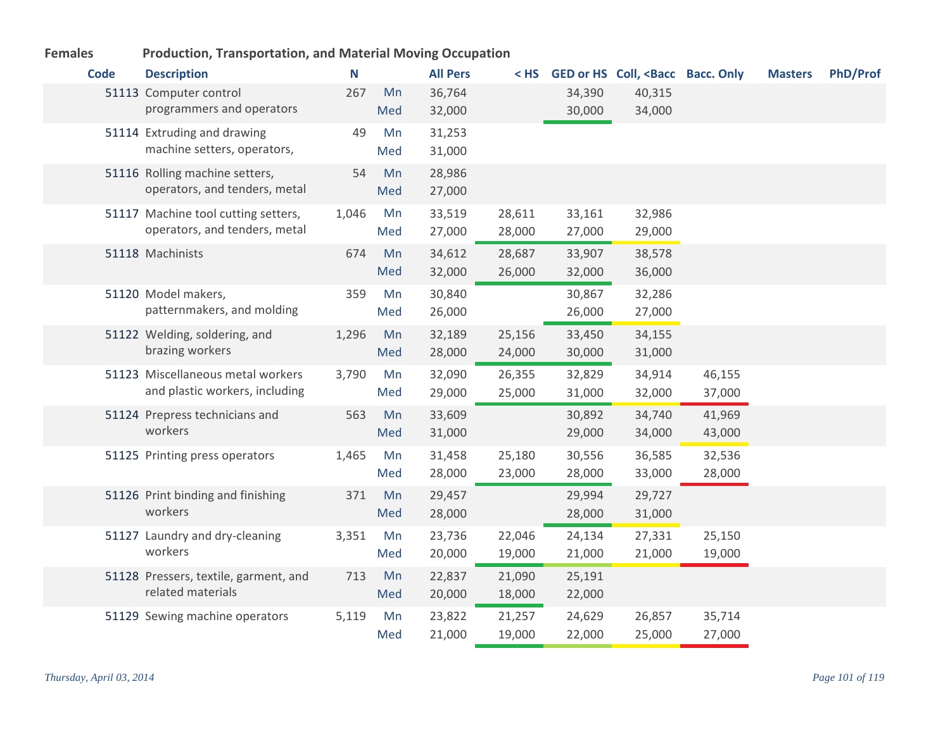| <b>Code</b> | <b>Description</b>                                                   | N     |           | <b>All Pers</b>  | < HS             |                  | GED or HS Coll, <bacc bacc.="" only<="" th=""><th></th><th><b>Masters</b></th><th><b>PhD/Prof</b></th></bacc> |                  | <b>Masters</b> | <b>PhD/Prof</b> |
|-------------|----------------------------------------------------------------------|-------|-----------|------------------|------------------|------------------|---------------------------------------------------------------------------------------------------------------|------------------|----------------|-----------------|
|             | 51113 Computer control<br>programmers and operators                  | 267   | Mn<br>Med | 36,764<br>32,000 |                  | 34,390<br>30,000 | 40,315<br>34,000                                                                                              |                  |                |                 |
|             | 51114 Extruding and drawing<br>machine setters, operators,           | 49    | Mn<br>Med | 31,253<br>31,000 |                  |                  |                                                                                                               |                  |                |                 |
|             | 51116 Rolling machine setters,<br>operators, and tenders, metal      | 54    | Mn<br>Med | 28,986<br>27,000 |                  |                  |                                                                                                               |                  |                |                 |
|             | 51117 Machine tool cutting setters,<br>operators, and tenders, metal | 1,046 | Mn<br>Med | 33,519<br>27,000 | 28,611<br>28,000 | 33,161<br>27,000 | 32,986<br>29,000                                                                                              |                  |                |                 |
|             | 51118 Machinists                                                     | 674   | Mn<br>Med | 34,612<br>32,000 | 28,687<br>26,000 | 33,907<br>32,000 | 38,578<br>36,000                                                                                              |                  |                |                 |
|             | 51120 Model makers,<br>patternmakers, and molding                    | 359   | Mn<br>Med | 30,840<br>26,000 |                  | 30,867<br>26,000 | 32,286<br>27,000                                                                                              |                  |                |                 |
|             | 51122 Welding, soldering, and<br>brazing workers                     | 1,296 | Mn<br>Med | 32,189<br>28,000 | 25,156<br>24,000 | 33,450<br>30,000 | 34,155<br>31,000                                                                                              |                  |                |                 |
|             | 51123 Miscellaneous metal workers<br>and plastic workers, including  | 3,790 | Mn<br>Med | 32,090<br>29,000 | 26,355<br>25,000 | 32,829<br>31,000 | 34,914<br>32,000                                                                                              | 46,155<br>37,000 |                |                 |
|             | 51124 Prepress technicians and<br>workers                            | 563   | Mn<br>Med | 33,609<br>31,000 |                  | 30,892<br>29,000 | 34,740<br>34,000                                                                                              | 41,969<br>43,000 |                |                 |
|             | 51125 Printing press operators                                       | 1,465 | Mn<br>Med | 31,458<br>28,000 | 25,180<br>23,000 | 30,556<br>28,000 | 36,585<br>33,000                                                                                              | 32,536<br>28,000 |                |                 |
|             | 51126 Print binding and finishing<br>workers                         | 371   | Mn<br>Med | 29,457<br>28,000 |                  | 29,994<br>28,000 | 29,727<br>31,000                                                                                              |                  |                |                 |
|             | 51127 Laundry and dry-cleaning<br>workers                            | 3,351 | Mn<br>Med | 23,736<br>20,000 | 22,046<br>19,000 | 24,134<br>21,000 | 27,331<br>21,000                                                                                              | 25,150<br>19,000 |                |                 |
|             | 51128 Pressers, textile, garment, and<br>related materials           | 713   | Mn<br>Med | 22,837<br>20,000 | 21,090<br>18,000 | 25,191<br>22,000 |                                                                                                               |                  |                |                 |
|             | 51129 Sewing machine operators                                       | 5,119 | Mn<br>Med | 23,822<br>21,000 | 21,257<br>19,000 | 24,629<br>22,000 | 26,857<br>25,000                                                                                              | 35,714<br>27,000 |                |                 |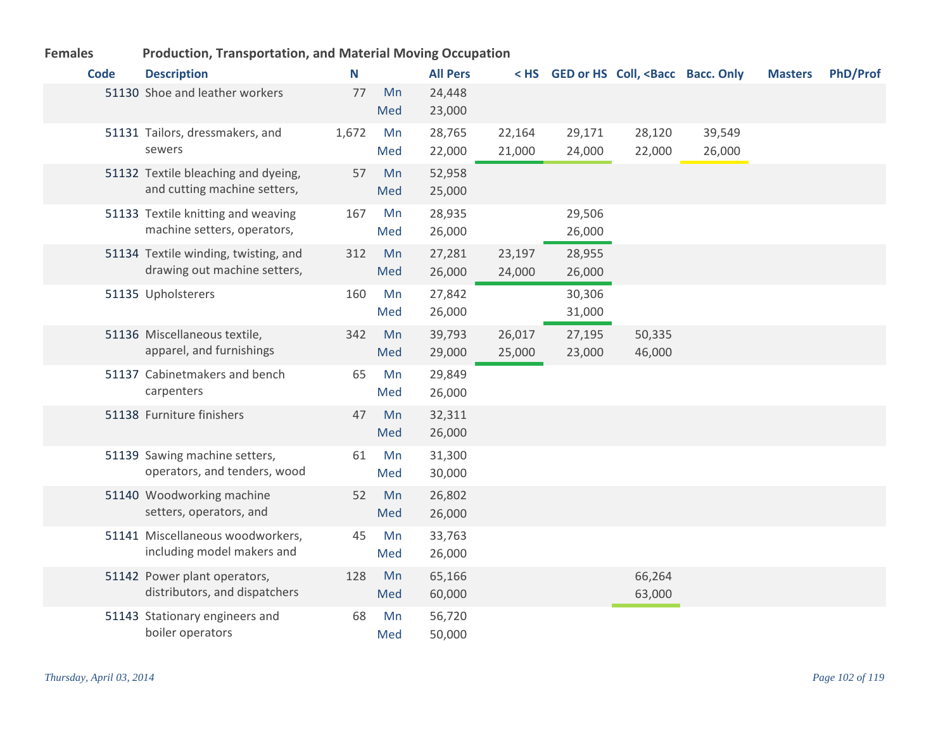| <b>Code</b> | <b>Description</b>                                                   | N     |           | <b>All Pers</b>  |                  |                  | < HS GED or HS Coll, <bacc bacc.="" only<="" th=""><th></th><th><b>Masters</b></th><th><b>PhD/Prof</b></th></bacc> |                  | <b>Masters</b> | <b>PhD/Prof</b> |
|-------------|----------------------------------------------------------------------|-------|-----------|------------------|------------------|------------------|--------------------------------------------------------------------------------------------------------------------|------------------|----------------|-----------------|
|             | 51130 Shoe and leather workers                                       | 77    | Mn<br>Med | 24,448<br>23,000 |                  |                  |                                                                                                                    |                  |                |                 |
|             | 51131 Tailors, dressmakers, and<br>sewers                            | 1,672 | Mn<br>Med | 28,765<br>22,000 | 22,164<br>21,000 | 29,171<br>24,000 | 28,120<br>22,000                                                                                                   | 39,549<br>26,000 |                |                 |
|             | 51132 Textile bleaching and dyeing,<br>and cutting machine setters,  | 57    | Mn<br>Med | 52,958<br>25,000 |                  |                  |                                                                                                                    |                  |                |                 |
|             | 51133 Textile knitting and weaving<br>machine setters, operators,    | 167   | Mn<br>Med | 28,935<br>26,000 |                  | 29,506<br>26,000 |                                                                                                                    |                  |                |                 |
|             | 51134 Textile winding, twisting, and<br>drawing out machine setters, | 312   | Mn<br>Med | 27,281<br>26,000 | 23,197<br>24,000 | 28,955<br>26,000 |                                                                                                                    |                  |                |                 |
|             | 51135 Upholsterers                                                   | 160   | Mn<br>Med | 27,842<br>26,000 |                  | 30,306<br>31,000 |                                                                                                                    |                  |                |                 |
|             | 51136 Miscellaneous textile,<br>apparel, and furnishings             | 342   | Mn<br>Med | 39,793<br>29,000 | 26,017<br>25,000 | 27,195<br>23,000 | 50,335<br>46,000                                                                                                   |                  |                |                 |
|             | 51137 Cabinetmakers and bench<br>carpenters                          | 65    | Mn<br>Med | 29,849<br>26,000 |                  |                  |                                                                                                                    |                  |                |                 |
|             | 51138 Furniture finishers                                            | 47    | Mn<br>Med | 32,311<br>26,000 |                  |                  |                                                                                                                    |                  |                |                 |
|             | 51139 Sawing machine setters,<br>operators, and tenders, wood        | 61    | Mn<br>Med | 31,300<br>30,000 |                  |                  |                                                                                                                    |                  |                |                 |
|             | 51140 Woodworking machine<br>setters, operators, and                 | 52    | Mn<br>Med | 26,802<br>26,000 |                  |                  |                                                                                                                    |                  |                |                 |
|             | 51141 Miscellaneous woodworkers,<br>including model makers and       | 45    | Mn<br>Med | 33,763<br>26,000 |                  |                  |                                                                                                                    |                  |                |                 |
|             | 51142 Power plant operators,<br>distributors, and dispatchers        | 128   | Mn<br>Med | 65,166<br>60,000 |                  |                  | 66,264<br>63,000                                                                                                   |                  |                |                 |
|             | 51143 Stationary engineers and<br>boiler operators                   | 68    | Mn<br>Med | 56,720<br>50,000 |                  |                  |                                                                                                                    |                  |                |                 |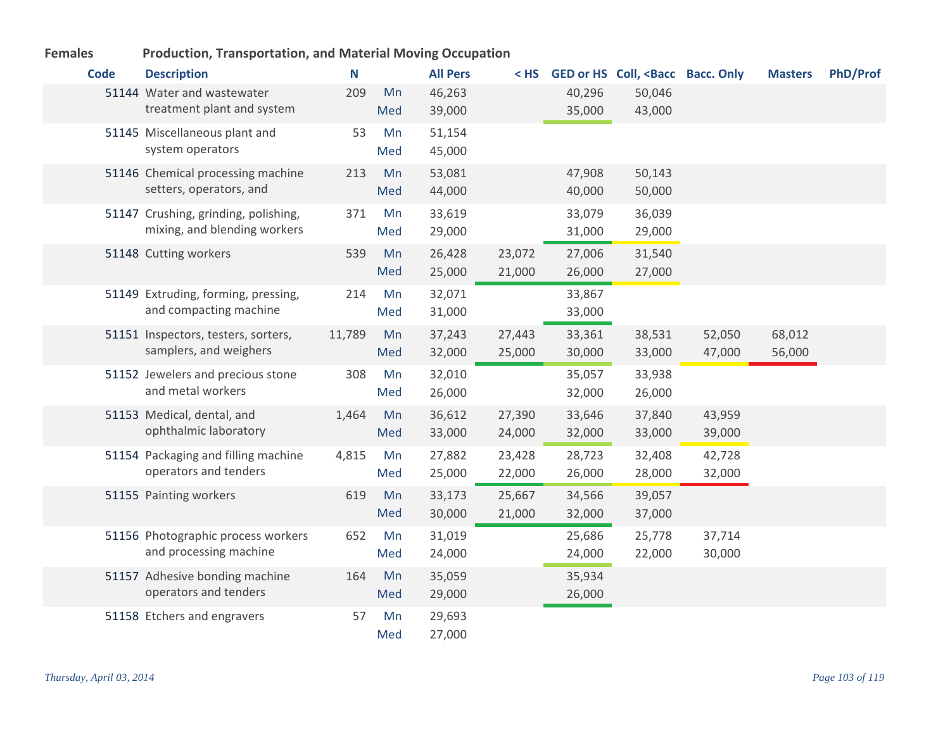| <b>Code</b> | <b>Description</b>                                                   | N      |           | <b>All Pers</b>  | < HS             |                  | GED or HS Coll, <bacc bacc.="" only<="" th=""><th></th><th><b>Masters</b></th><th><b>PhD/Prof</b></th></bacc> |                  | <b>Masters</b>   | <b>PhD/Prof</b> |
|-------------|----------------------------------------------------------------------|--------|-----------|------------------|------------------|------------------|---------------------------------------------------------------------------------------------------------------|------------------|------------------|-----------------|
|             | 51144 Water and wastewater<br>treatment plant and system             | 209    | Mn<br>Med | 46,263<br>39,000 |                  | 40,296<br>35,000 | 50,046<br>43,000                                                                                              |                  |                  |                 |
|             | 51145 Miscellaneous plant and<br>system operators                    | 53     | Mn<br>Med | 51,154<br>45,000 |                  |                  |                                                                                                               |                  |                  |                 |
|             | 51146 Chemical processing machine<br>setters, operators, and         | 213    | Mn<br>Med | 53,081<br>44,000 |                  | 47,908<br>40,000 | 50,143<br>50,000                                                                                              |                  |                  |                 |
|             | 51147 Crushing, grinding, polishing,<br>mixing, and blending workers | 371    | Mn<br>Med | 33,619<br>29,000 |                  | 33,079<br>31,000 | 36,039<br>29,000                                                                                              |                  |                  |                 |
|             | 51148 Cutting workers                                                | 539    | Mn<br>Med | 26,428<br>25,000 | 23,072<br>21,000 | 27,006<br>26,000 | 31,540<br>27,000                                                                                              |                  |                  |                 |
|             | 51149 Extruding, forming, pressing,<br>and compacting machine        | 214    | Mn<br>Med | 32,071<br>31,000 |                  | 33,867<br>33,000 |                                                                                                               |                  |                  |                 |
|             | 51151 Inspectors, testers, sorters,<br>samplers, and weighers        | 11,789 | Mn<br>Med | 37,243<br>32,000 | 27,443<br>25,000 | 33,361<br>30,000 | 38,531<br>33,000                                                                                              | 52,050<br>47,000 | 68,012<br>56,000 |                 |
|             | 51152 Jewelers and precious stone<br>and metal workers               | 308    | Mn<br>Med | 32,010<br>26,000 |                  | 35,057<br>32,000 | 33,938<br>26,000                                                                                              |                  |                  |                 |
|             | 51153 Medical, dental, and<br>ophthalmic laboratory                  | 1,464  | Mn<br>Med | 36,612<br>33,000 | 27,390<br>24,000 | 33,646<br>32,000 | 37,840<br>33,000                                                                                              | 43,959<br>39,000 |                  |                 |
|             | 51154 Packaging and filling machine<br>operators and tenders         | 4,815  | Mn<br>Med | 27,882<br>25,000 | 23,428<br>22,000 | 28,723<br>26,000 | 32,408<br>28,000                                                                                              | 42,728<br>32,000 |                  |                 |
|             | 51155 Painting workers                                               | 619    | Mn<br>Med | 33,173<br>30,000 | 25,667<br>21,000 | 34,566<br>32,000 | 39,057<br>37,000                                                                                              |                  |                  |                 |
|             | 51156 Photographic process workers<br>and processing machine         | 652    | Mn<br>Med | 31,019<br>24,000 |                  | 25,686<br>24,000 | 25,778<br>22,000                                                                                              | 37,714<br>30,000 |                  |                 |
|             | 51157 Adhesive bonding machine<br>operators and tenders              | 164    | Mn<br>Med | 35,059<br>29,000 |                  | 35,934<br>26,000 |                                                                                                               |                  |                  |                 |
|             | 51158 Etchers and engravers                                          | 57     | Mn<br>Med | 29,693<br>27,000 |                  |                  |                                                                                                               |                  |                  |                 |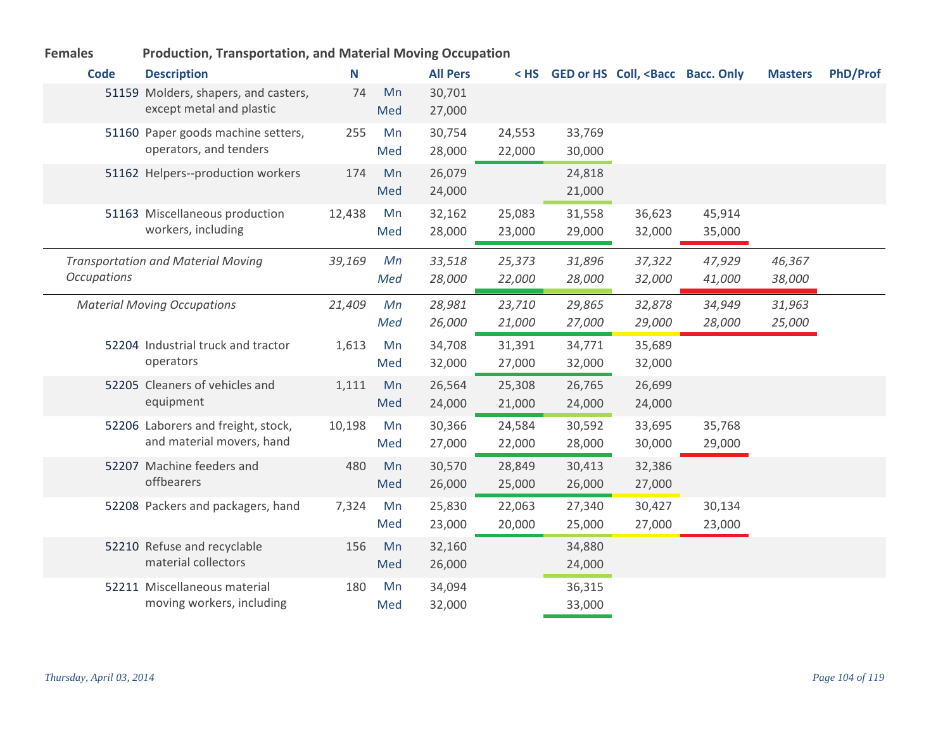| Code               | <b>Description</b>                                               | N      |           | <b>All Pers</b>  |                  |                  | < HS GED or HS Coll, <bacc bacc.="" only<="" th=""><th></th><th><b>Masters</b></th><th>PhD/Prof</th></bacc> |                  | <b>Masters</b>   | PhD/Prof |
|--------------------|------------------------------------------------------------------|--------|-----------|------------------|------------------|------------------|-------------------------------------------------------------------------------------------------------------|------------------|------------------|----------|
|                    | 51159 Molders, shapers, and casters,<br>except metal and plastic | 74     | Mn<br>Med | 30,701<br>27,000 |                  |                  |                                                                                                             |                  |                  |          |
|                    | 51160 Paper goods machine setters,<br>operators, and tenders     | 255    | Mn<br>Med | 30,754<br>28,000 | 24,553<br>22,000 | 33,769<br>30,000 |                                                                                                             |                  |                  |          |
|                    | 51162 Helpers--production workers                                | 174    | Mn<br>Med | 26,079<br>24,000 |                  | 24,818<br>21,000 |                                                                                                             |                  |                  |          |
|                    | 51163 Miscellaneous production<br>workers, including             | 12,438 | Mn<br>Med | 32,162<br>28,000 | 25,083<br>23,000 | 31,558<br>29,000 | 36,623<br>32,000                                                                                            | 45,914<br>35,000 |                  |          |
| <b>Occupations</b> | <b>Transportation and Material Moving</b>                        | 39,169 | Mn<br>Med | 33,518<br>28,000 | 25,373<br>22,000 | 31,896<br>28,000 | 37,322<br>32,000                                                                                            | 47,929<br>41,000 | 46,367<br>38,000 |          |
|                    | <b>Material Moving Occupations</b>                               | 21,409 | Mn<br>Med | 28,981<br>26,000 | 23,710<br>21,000 | 29,865<br>27,000 | 32,878<br>29,000                                                                                            | 34,949<br>28,000 | 31,963<br>25,000 |          |
|                    | 52204 Industrial truck and tractor<br>operators                  | 1,613  | Mn<br>Med | 34,708<br>32,000 | 31,391<br>27,000 | 34,771<br>32,000 | 35,689<br>32,000                                                                                            |                  |                  |          |
|                    | 52205 Cleaners of vehicles and<br>equipment                      | 1,111  | Mn<br>Med | 26,564<br>24,000 | 25,308<br>21,000 | 26,765<br>24,000 | 26,699<br>24,000                                                                                            |                  |                  |          |
|                    | 52206 Laborers and freight, stock,<br>and material movers, hand  | 10,198 | Mn<br>Med | 30,366<br>27,000 | 24,584<br>22,000 | 30,592<br>28,000 | 33,695<br>30,000                                                                                            | 35,768<br>29,000 |                  |          |
|                    | 52207 Machine feeders and<br>offbearers                          | 480    | Mn<br>Med | 30,570<br>26,000 | 28,849<br>25,000 | 30,413<br>26,000 | 32,386<br>27,000                                                                                            |                  |                  |          |
|                    | 52208 Packers and packagers, hand                                | 7,324  | Mn<br>Med | 25,830<br>23,000 | 22,063<br>20,000 | 27,340<br>25,000 | 30,427<br>27,000                                                                                            | 30,134<br>23,000 |                  |          |
|                    | 52210 Refuse and recyclable<br>material collectors               | 156    | Mn<br>Med | 32,160<br>26,000 |                  | 34,880<br>24,000 |                                                                                                             |                  |                  |          |
|                    | 52211 Miscellaneous material<br>moving workers, including        | 180    | Mn<br>Med | 34,094<br>32,000 |                  | 36,315<br>33,000 |                                                                                                             |                  |                  |          |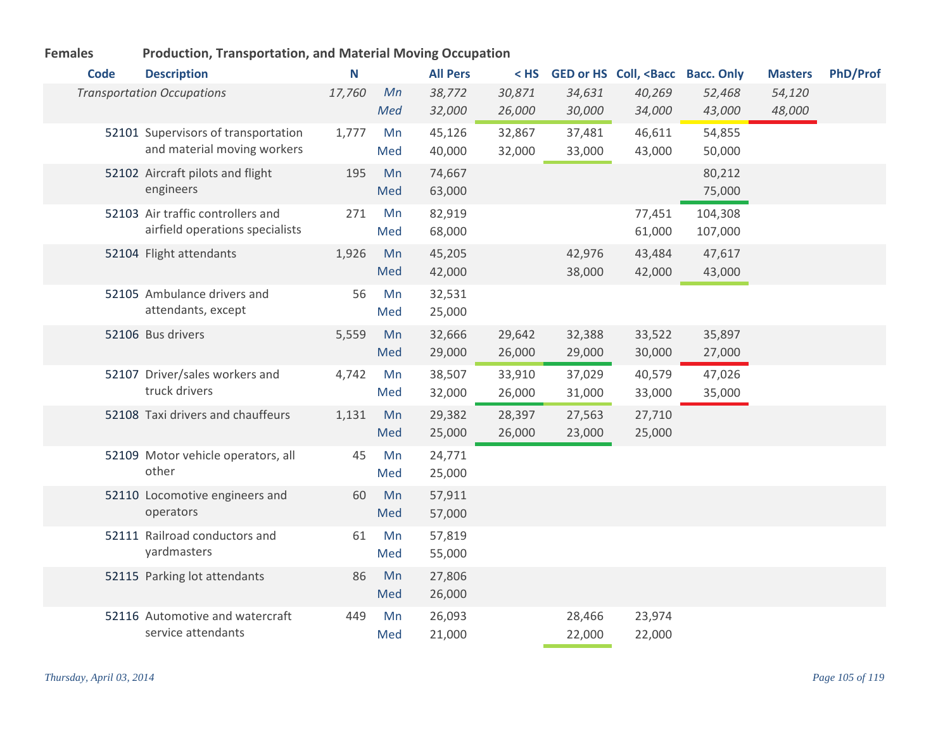| <b>Code</b> | <b>Description</b>                                                   | N      |           | <b>All Pers</b>  | $<$ HS           |                  | GED or HS Coll, <bacc bacc.="" only<="" th=""><th></th><th><b>Masters</b></th><th><b>PhD/Prof</b></th></bacc> |                    | <b>Masters</b>   | <b>PhD/Prof</b> |
|-------------|----------------------------------------------------------------------|--------|-----------|------------------|------------------|------------------|---------------------------------------------------------------------------------------------------------------|--------------------|------------------|-----------------|
|             | <b>Transportation Occupations</b>                                    | 17,760 | Mn<br>Med | 38,772<br>32,000 | 30,871<br>26,000 | 34,631<br>30,000 | 40,269<br>34,000                                                                                              | 52,468<br>43,000   | 54,120<br>48,000 |                 |
|             | 52101 Supervisors of transportation<br>and material moving workers   | 1,777  | Mn<br>Med | 45,126<br>40,000 | 32,867<br>32,000 | 37,481<br>33,000 | 46,611<br>43,000                                                                                              | 54,855<br>50,000   |                  |                 |
|             | 52102 Aircraft pilots and flight<br>engineers                        | 195    | Mn<br>Med | 74,667<br>63,000 |                  |                  |                                                                                                               | 80,212<br>75,000   |                  |                 |
|             | 52103 Air traffic controllers and<br>airfield operations specialists | 271    | Mn<br>Med | 82,919<br>68,000 |                  |                  | 77,451<br>61,000                                                                                              | 104,308<br>107,000 |                  |                 |
|             | 52104 Flight attendants                                              | 1,926  | Mn<br>Med | 45,205<br>42,000 |                  | 42,976<br>38,000 | 43,484<br>42,000                                                                                              | 47,617<br>43,000   |                  |                 |
|             | 52105 Ambulance drivers and<br>attendants, except                    | 56     | Mn<br>Med | 32,531<br>25,000 |                  |                  |                                                                                                               |                    |                  |                 |
|             | 52106 Bus drivers                                                    | 5,559  | Mn<br>Med | 32,666<br>29,000 | 29,642<br>26,000 | 32,388<br>29,000 | 33,522<br>30,000                                                                                              | 35,897<br>27,000   |                  |                 |
|             | 52107 Driver/sales workers and<br>truck drivers                      | 4,742  | Mn<br>Med | 38,507<br>32,000 | 33,910<br>26,000 | 37,029<br>31,000 | 40,579<br>33,000                                                                                              | 47,026<br>35,000   |                  |                 |
|             | 52108 Taxi drivers and chauffeurs                                    | 1,131  | Mn<br>Med | 29,382<br>25,000 | 28,397<br>26,000 | 27,563<br>23,000 | 27,710<br>25,000                                                                                              |                    |                  |                 |
|             | 52109 Motor vehicle operators, all<br>other                          | 45     | Mn<br>Med | 24,771<br>25,000 |                  |                  |                                                                                                               |                    |                  |                 |
|             | 52110 Locomotive engineers and<br>operators                          | 60     | Mn<br>Med | 57,911<br>57,000 |                  |                  |                                                                                                               |                    |                  |                 |
|             | 52111 Railroad conductors and<br>yardmasters                         | 61     | Mn<br>Med | 57,819<br>55,000 |                  |                  |                                                                                                               |                    |                  |                 |
|             | 52115 Parking lot attendants                                         | 86     | Mn<br>Med | 27,806<br>26,000 |                  |                  |                                                                                                               |                    |                  |                 |
|             | 52116 Automotive and watercraft<br>service attendants                | 449    | Mn<br>Med | 26,093<br>21,000 |                  | 28,466<br>22,000 | 23,974<br>22,000                                                                                              |                    |                  |                 |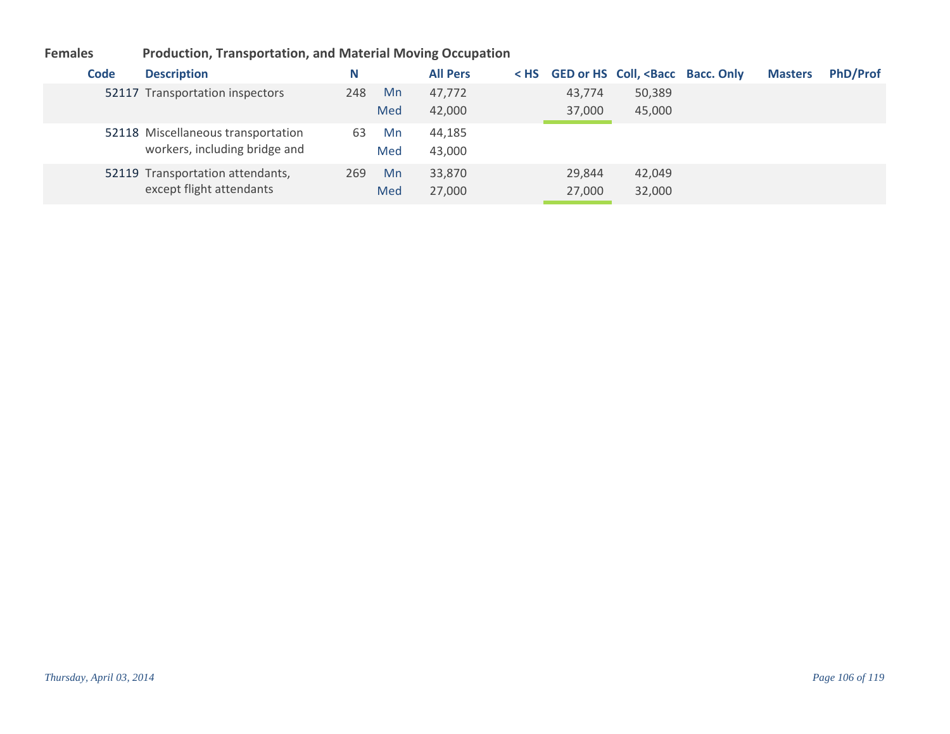| Code | <b>Description</b>                                                  | N   |     | <b>All Pers</b> |        | < HS GED or HS Coll, <bacc bacc.="" only<="" th=""><th><b>Masters</b></th><th><b>PhD/Prof</b></th></bacc> | <b>Masters</b> | <b>PhD/Prof</b> |
|------|---------------------------------------------------------------------|-----|-----|-----------------|--------|-----------------------------------------------------------------------------------------------------------|----------------|-----------------|
|      | 52117 Transportation inspectors                                     | 248 | Mn  | 47.772          | 43,774 | 50,389                                                                                                    |                |                 |
|      |                                                                     |     | Med | 42,000          | 37,000 | 45,000                                                                                                    |                |                 |
|      | 52118 Miscellaneous transportation<br>workers, including bridge and | 63  | Mn  | 44,185          |        |                                                                                                           |                |                 |
|      |                                                                     |     | Med | 43,000          |        |                                                                                                           |                |                 |
|      | 52119 Transportation attendants,                                    | 269 | Mn  | 33,870          | 29,844 | 42,049                                                                                                    |                |                 |
|      | except flight attendants                                            |     | Med | 27,000          | 27,000 | 32,000                                                                                                    |                |                 |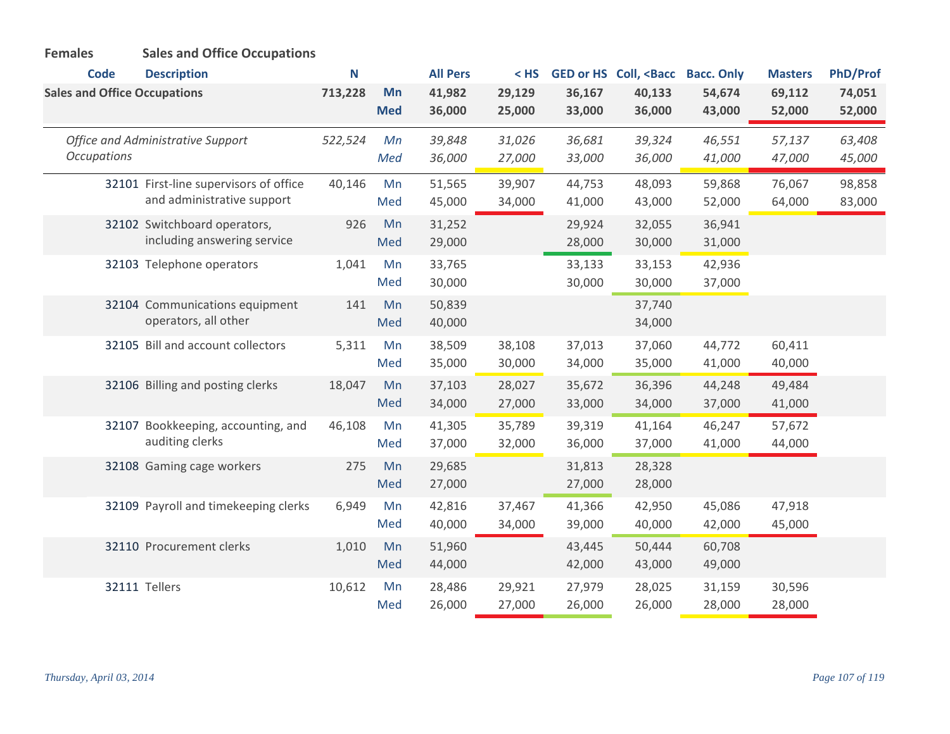| <b>Females</b>                      | <b>Sales and Office Occupations</b>                                  |         |                  |                  |                  |                  |                                                                                                                |                   |                  |                  |
|-------------------------------------|----------------------------------------------------------------------|---------|------------------|------------------|------------------|------------------|----------------------------------------------------------------------------------------------------------------|-------------------|------------------|------------------|
| <b>Code</b>                         | <b>Description</b>                                                   | N       |                  | <b>All Pers</b>  | $<$ HS           |                  | GED or HS Coll, <bacc< th=""><th><b>Bacc. Only</b></th><th><b>Masters</b></th><th><b>PhD/Prof</b></th></bacc<> | <b>Bacc. Only</b> | <b>Masters</b>   | <b>PhD/Prof</b>  |
| <b>Sales and Office Occupations</b> |                                                                      | 713,228 | Mn<br><b>Med</b> | 41,982<br>36,000 | 29,129<br>25,000 | 36,167<br>33,000 | 40,133<br>36,000                                                                                               | 54,674<br>43,000  | 69,112<br>52,000 | 74,051<br>52,000 |
| <b>Occupations</b>                  | Office and Administrative Support                                    | 522,524 | Мn<br>Med        | 39,848<br>36,000 | 31,026<br>27,000 | 36,681<br>33,000 | 39,324<br>36,000                                                                                               | 46,551<br>41,000  | 57,137<br>47,000 | 63,408<br>45,000 |
|                                     | 32101 First-line supervisors of office<br>and administrative support | 40,146  | Mn<br>Med        | 51,565<br>45,000 | 39,907<br>34,000 | 44,753<br>41,000 | 48,093<br>43,000                                                                                               | 59,868<br>52,000  | 76,067<br>64,000 | 98,858<br>83,000 |
|                                     | 32102 Switchboard operators,<br>including answering service          | 926     | Mn<br>Med        | 31,252<br>29,000 |                  | 29,924<br>28,000 | 32,055<br>30,000                                                                                               | 36,941<br>31,000  |                  |                  |
|                                     | 32103 Telephone operators                                            | 1,041   | Mn<br>Med        | 33,765<br>30,000 |                  | 33,133<br>30,000 | 33,153<br>30,000                                                                                               | 42,936<br>37,000  |                  |                  |
|                                     | 32104 Communications equipment<br>operators, all other               | 141     | Mn<br>Med        | 50,839<br>40,000 |                  |                  | 37,740<br>34,000                                                                                               |                   |                  |                  |
|                                     | 32105 Bill and account collectors                                    | 5,311   | Mn<br>Med        | 38,509<br>35,000 | 38,108<br>30,000 | 37,013<br>34,000 | 37,060<br>35,000                                                                                               | 44,772<br>41,000  | 60,411<br>40,000 |                  |
|                                     | 32106 Billing and posting clerks                                     | 18,047  | Mn<br>Med        | 37,103<br>34,000 | 28,027<br>27,000 | 35,672<br>33,000 | 36,396<br>34,000                                                                                               | 44,248<br>37,000  | 49,484<br>41,000 |                  |
|                                     | 32107 Bookkeeping, accounting, and<br>auditing clerks                | 46,108  | Mn<br>Med        | 41,305<br>37,000 | 35,789<br>32,000 | 39,319<br>36,000 | 41,164<br>37,000                                                                                               | 46,247<br>41,000  | 57,672<br>44,000 |                  |
|                                     | 32108 Gaming cage workers                                            | 275     | Mn<br>Med        | 29,685<br>27,000 |                  | 31,813<br>27,000 | 28,328<br>28,000                                                                                               |                   |                  |                  |
|                                     | 32109 Payroll and timekeeping clerks                                 | 6,949   | Mn<br>Med        | 42,816<br>40,000 | 37,467<br>34,000 | 41,366<br>39,000 | 42,950<br>40,000                                                                                               | 45,086<br>42,000  | 47,918<br>45,000 |                  |
|                                     | 32110 Procurement clerks                                             | 1,010   | Mn<br>Med        | 51,960<br>44,000 |                  | 43,445<br>42,000 | 50,444<br>43,000                                                                                               | 60,708<br>49,000  |                  |                  |
|                                     | 32111 Tellers                                                        | 10,612  | Mn<br>Med        | 28,486<br>26,000 | 29,921<br>27,000 | 27,979<br>26,000 | 28,025<br>26,000                                                                                               | 31,159<br>28,000  | 30,596<br>28,000 |                  |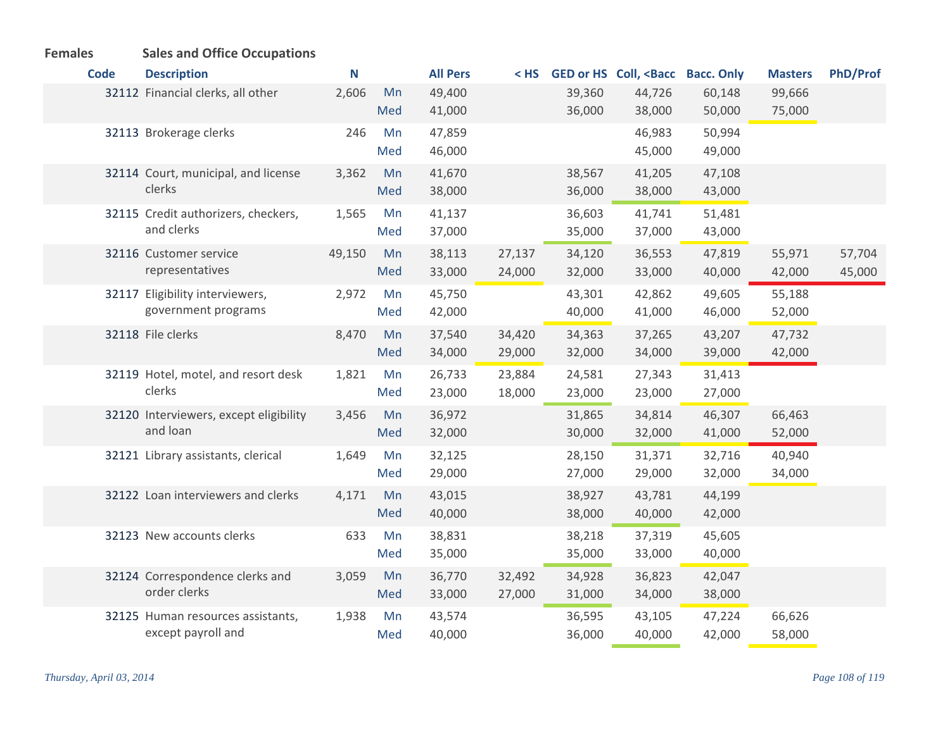# **Females Sales and Office Occupations**

| <b>Code</b> | <b>Description</b>                     | N      |     | <b>All Pers</b> |        |        | < HS GED or HS Coll, <bacc bacc.="" only<="" th=""><th></th><th><b>Masters</b></th><th><b>PhD/Prof</b></th></bacc> |        | <b>Masters</b> | <b>PhD/Prof</b> |
|-------------|----------------------------------------|--------|-----|-----------------|--------|--------|--------------------------------------------------------------------------------------------------------------------|--------|----------------|-----------------|
|             | 32112 Financial clerks, all other      | 2,606  | Mn  | 49,400          |        | 39,360 | 44,726                                                                                                             | 60,148 | 99,666         |                 |
|             |                                        |        | Med | 41,000          |        | 36,000 | 38,000                                                                                                             | 50,000 | 75,000         |                 |
|             | 32113 Brokerage clerks                 | 246    | Mn  | 47,859          |        |        | 46,983                                                                                                             | 50,994 |                |                 |
|             |                                        |        | Med | 46,000          |        |        | 45,000                                                                                                             | 49,000 |                |                 |
|             | 32114 Court, municipal, and license    | 3,362  | Mn  | 41,670          |        | 38,567 | 41,205                                                                                                             | 47,108 |                |                 |
|             | clerks                                 |        | Med | 38,000          |        | 36,000 | 38,000                                                                                                             | 43,000 |                |                 |
|             | 32115 Credit authorizers, checkers,    | 1,565  | Mn  | 41,137          |        | 36,603 | 41,741                                                                                                             | 51,481 |                |                 |
|             | and clerks                             |        | Med | 37,000          |        | 35,000 | 37,000                                                                                                             | 43,000 |                |                 |
|             | 32116 Customer service                 | 49,150 | Mn  | 38,113          | 27,137 | 34,120 | 36,553                                                                                                             | 47,819 | 55,971         | 57,704          |
|             | representatives                        |        | Med | 33,000          | 24,000 | 32,000 | 33,000                                                                                                             | 40,000 | 42,000         | 45,000          |
|             | 32117 Eligibility interviewers,        | 2,972  | Mn  | 45,750          |        | 43,301 | 42,862                                                                                                             | 49,605 | 55,188         |                 |
|             | government programs                    |        | Med | 42,000          |        | 40,000 | 41,000                                                                                                             | 46,000 | 52,000         |                 |
|             | 32118 File clerks                      | 8,470  | Mn  | 37,540          | 34,420 | 34,363 | 37,265                                                                                                             | 43,207 | 47,732         |                 |
|             |                                        |        | Med | 34,000          | 29,000 | 32,000 | 34,000                                                                                                             | 39,000 | 42,000         |                 |
|             | 32119 Hotel, motel, and resort desk    | 1,821  | Mn  | 26,733          | 23,884 | 24,581 | 27,343                                                                                                             | 31,413 |                |                 |
|             | clerks                                 |        | Med | 23,000          | 18,000 | 23,000 | 23,000                                                                                                             | 27,000 |                |                 |
|             | 32120 Interviewers, except eligibility | 3,456  | Mn  | 36,972          |        | 31,865 | 34,814                                                                                                             | 46,307 | 66,463         |                 |
|             | and loan                               |        | Med | 32,000          |        | 30,000 | 32,000                                                                                                             | 41,000 | 52,000         |                 |
|             | 32121 Library assistants, clerical     | 1,649  | Mn  | 32,125          |        | 28,150 | 31,371                                                                                                             | 32,716 | 40,940         |                 |
|             |                                        |        | Med | 29,000          |        | 27,000 | 29,000                                                                                                             | 32,000 | 34,000         |                 |
|             | 32122 Loan interviewers and clerks     | 4,171  | Mn  | 43,015          |        | 38,927 | 43,781                                                                                                             | 44,199 |                |                 |
|             |                                        |        | Med | 40,000          |        | 38,000 | 40,000                                                                                                             | 42,000 |                |                 |
|             | 32123 New accounts clerks              | 633    | Mn  | 38,831          |        | 38,218 | 37,319                                                                                                             | 45,605 |                |                 |
|             |                                        |        | Med | 35,000          |        | 35,000 | 33,000                                                                                                             | 40,000 |                |                 |
|             | 32124 Correspondence clerks and        | 3,059  | Mn  | 36,770          | 32,492 | 34,928 | 36,823                                                                                                             | 42,047 |                |                 |
|             | order clerks                           |        | Med | 33,000          | 27,000 | 31,000 | 34,000                                                                                                             | 38,000 |                |                 |
|             | 32125 Human resources assistants,      | 1,938  | Mn  | 43,574          |        | 36,595 | 43,105                                                                                                             | 47,224 | 66,626         |                 |
|             | except payroll and                     |        | Med | 40,000          |        | 36,000 | 40,000                                                                                                             | 42,000 | 58,000         |                 |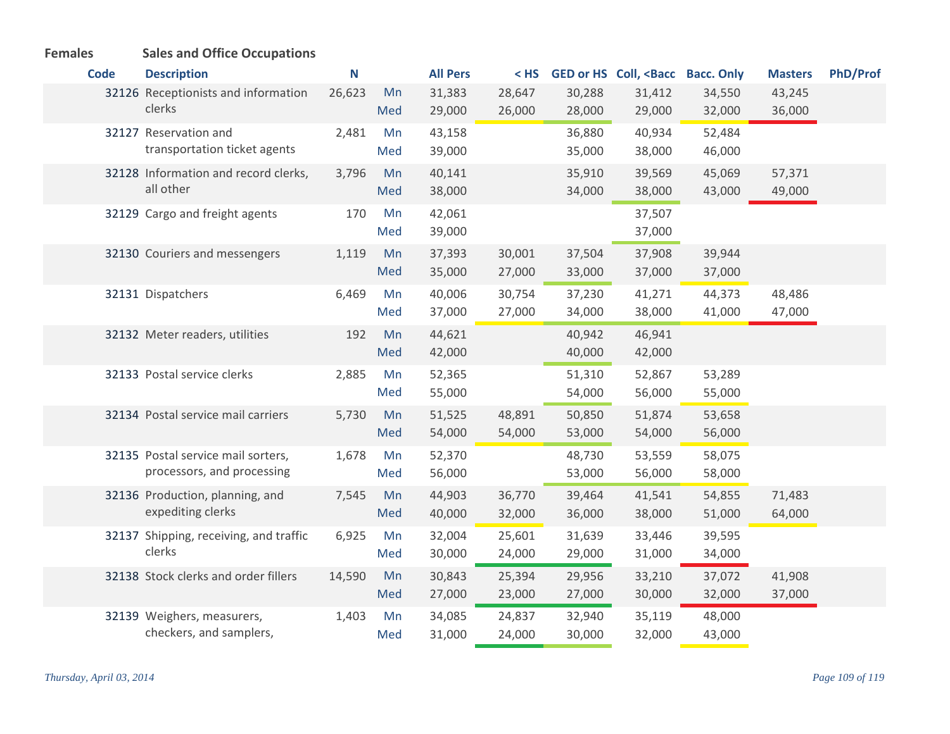| <b>Code</b> | <b>Description</b>                     | N      |     | <b>All Pers</b> | $<$ HS |        | GED or HS Coll, <bacc bacc.="" only<="" th=""><th></th><th><b>Masters</b></th><th><b>PhD/Prof</b></th></bacc> |        | <b>Masters</b> | <b>PhD/Prof</b> |
|-------------|----------------------------------------|--------|-----|-----------------|--------|--------|---------------------------------------------------------------------------------------------------------------|--------|----------------|-----------------|
|             | 32126 Receptionists and information    | 26,623 | Mn  | 31,383          | 28,647 | 30,288 | 31,412                                                                                                        | 34,550 | 43,245         |                 |
|             | clerks                                 |        | Med | 29,000          | 26,000 | 28,000 | 29,000                                                                                                        | 32,000 | 36,000         |                 |
|             | 32127 Reservation and                  | 2,481  | Mn  | 43,158          |        | 36,880 | 40,934                                                                                                        | 52,484 |                |                 |
|             | transportation ticket agents           |        | Med | 39,000          |        | 35,000 | 38,000                                                                                                        | 46,000 |                |                 |
|             | 32128 Information and record clerks,   | 3,796  | Mn  | 40,141          |        | 35,910 | 39,569                                                                                                        | 45,069 | 57,371         |                 |
|             | all other                              |        | Med | 38,000          |        | 34,000 | 38,000                                                                                                        | 43,000 | 49,000         |                 |
|             | 32129 Cargo and freight agents         | 170    | Mn  | 42,061          |        |        | 37,507                                                                                                        |        |                |                 |
|             |                                        |        | Med | 39,000          |        |        | 37,000                                                                                                        |        |                |                 |
|             | 32130 Couriers and messengers          | 1,119  | Mn  | 37,393          | 30,001 | 37,504 | 37,908                                                                                                        | 39,944 |                |                 |
|             |                                        |        | Med | 35,000          | 27,000 | 33,000 | 37,000                                                                                                        | 37,000 |                |                 |
|             | 32131 Dispatchers                      | 6,469  | Mn  | 40,006          | 30,754 | 37,230 | 41,271                                                                                                        | 44,373 | 48,486         |                 |
|             |                                        |        | Med | 37,000          | 27,000 | 34,000 | 38,000                                                                                                        | 41,000 | 47,000         |                 |
|             | 32132 Meter readers, utilities         | 192    | Mn  | 44,621          |        | 40,942 | 46,941                                                                                                        |        |                |                 |
|             |                                        |        | Med | 42,000          |        | 40,000 | 42,000                                                                                                        |        |                |                 |
|             | 32133 Postal service clerks            | 2,885  | Mn  | 52,365          |        | 51,310 | 52,867                                                                                                        | 53,289 |                |                 |
|             |                                        |        | Med | 55,000          |        | 54,000 | 56,000                                                                                                        | 55,000 |                |                 |
|             | 32134 Postal service mail carriers     | 5,730  | Mn  | 51,525          | 48,891 | 50,850 | 51,874                                                                                                        | 53,658 |                |                 |
|             |                                        |        | Med | 54,000          | 54,000 | 53,000 | 54,000                                                                                                        | 56,000 |                |                 |
|             | 32135 Postal service mail sorters,     | 1,678  | Mn  | 52,370          |        | 48,730 | 53,559                                                                                                        | 58,075 |                |                 |
|             | processors, and processing             |        | Med | 56,000          |        | 53,000 | 56,000                                                                                                        | 58,000 |                |                 |
|             | 32136 Production, planning, and        | 7,545  | Mn  | 44,903          | 36,770 | 39,464 | 41,541                                                                                                        | 54,855 | 71,483         |                 |
|             | expediting clerks                      |        | Med | 40,000          | 32,000 | 36,000 | 38,000                                                                                                        | 51,000 | 64,000         |                 |
|             | 32137 Shipping, receiving, and traffic | 6,925  | Mn  | 32,004          | 25,601 | 31,639 | 33,446                                                                                                        | 39,595 |                |                 |
|             | clerks                                 |        | Med | 30,000          | 24,000 | 29,000 | 31,000                                                                                                        | 34,000 |                |                 |
|             | 32138 Stock clerks and order fillers   | 14,590 | Mn  | 30,843          | 25,394 | 29,956 | 33,210                                                                                                        | 37,072 | 41,908         |                 |
|             |                                        |        | Med | 27,000          | 23,000 | 27,000 | 30,000                                                                                                        | 32,000 | 37,000         |                 |
|             | 32139 Weighers, measurers,             | 1,403  | Mn  | 34,085          | 24,837 | 32,940 | 35,119                                                                                                        | 48,000 |                |                 |
|             | checkers, and samplers,                |        | Med | 31,000          | 24,000 | 30,000 | 32,000                                                                                                        | 43,000 |                |                 |

## **Females Sales and Office Occupations**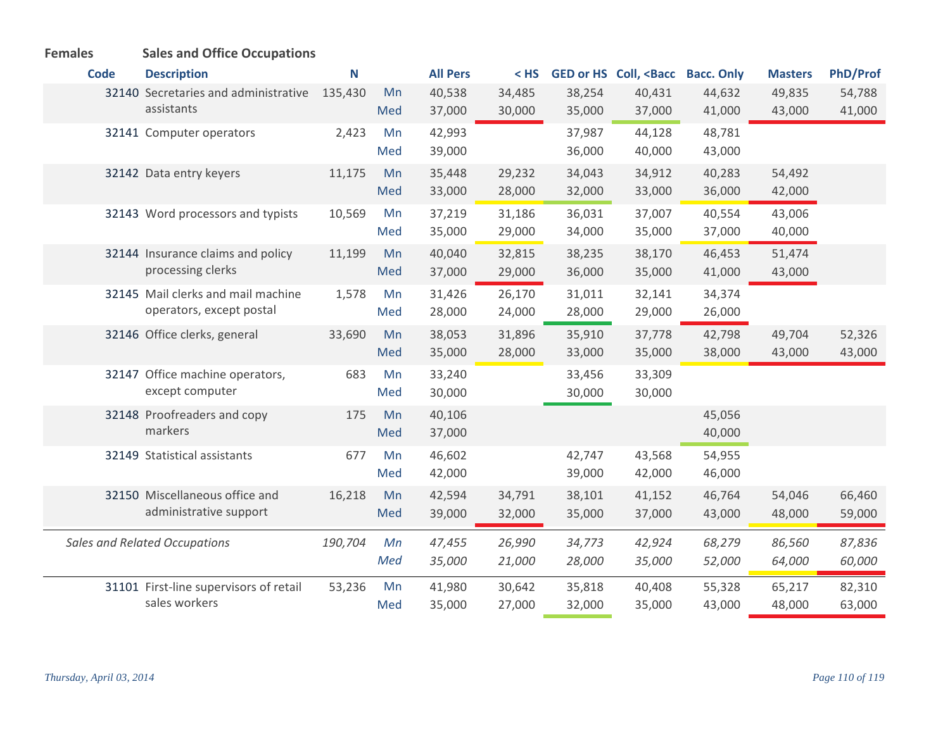| <b>Females</b> | <b>Sales and Office Occupations</b>                            |         |           |                  |                  |                  |                                                                                                               |                  |                  |                  |
|----------------|----------------------------------------------------------------|---------|-----------|------------------|------------------|------------------|---------------------------------------------------------------------------------------------------------------|------------------|------------------|------------------|
| <b>Code</b>    | <b>Description</b>                                             | N       |           | <b>All Pers</b>  | $<$ HS           |                  | GED or HS Coll, <bacc bacc.="" only<="" th=""><th></th><th><b>Masters</b></th><th><b>PhD/Prof</b></th></bacc> |                  | <b>Masters</b>   | <b>PhD/Prof</b>  |
|                | 32140 Secretaries and administrative<br>assistants             | 135,430 | Mn<br>Med | 40,538<br>37,000 | 34,485<br>30,000 | 38,254<br>35,000 | 40,431<br>37,000                                                                                              | 44,632<br>41,000 | 49,835<br>43,000 | 54,788<br>41,000 |
|                | 32141 Computer operators                                       | 2,423   | Mn<br>Med | 42,993<br>39,000 |                  | 37,987<br>36,000 | 44,128<br>40,000                                                                                              | 48,781<br>43,000 |                  |                  |
|                | 32142 Data entry keyers                                        | 11,175  | Mn<br>Med | 35,448<br>33,000 | 29,232<br>28,000 | 34,043<br>32,000 | 34,912<br>33,000                                                                                              | 40,283<br>36,000 | 54,492<br>42,000 |                  |
|                | 32143 Word processors and typists                              | 10,569  | Mn<br>Med | 37,219<br>35,000 | 31,186<br>29,000 | 36,031<br>34,000 | 37,007<br>35,000                                                                                              | 40,554<br>37,000 | 43,006<br>40,000 |                  |
|                | 32144 Insurance claims and policy<br>processing clerks         | 11,199  | Mn<br>Med | 40,040<br>37,000 | 32,815<br>29,000 | 38,235<br>36,000 | 38,170<br>35,000                                                                                              | 46,453<br>41,000 | 51,474<br>43,000 |                  |
|                | 32145 Mail clerks and mail machine<br>operators, except postal | 1,578   | Mn<br>Med | 31,426<br>28,000 | 26,170<br>24,000 | 31,011<br>28,000 | 32,141<br>29,000                                                                                              | 34,374<br>26,000 |                  |                  |
|                | 32146 Office clerks, general                                   | 33,690  | Mn<br>Med | 38,053<br>35,000 | 31,896<br>28,000 | 35,910<br>33,000 | 37,778<br>35,000                                                                                              | 42,798<br>38,000 | 49,704<br>43,000 | 52,326<br>43,000 |
|                | 32147 Office machine operators,<br>except computer             | 683     | Mn<br>Med | 33,240<br>30,000 |                  | 33,456<br>30,000 | 33,309<br>30,000                                                                                              |                  |                  |                  |
|                | 32148 Proofreaders and copy<br>markers                         | 175     | Mn<br>Med | 40,106<br>37,000 |                  |                  |                                                                                                               | 45,056<br>40,000 |                  |                  |
|                | 32149 Statistical assistants                                   | 677     | Mn<br>Med | 46,602<br>42,000 |                  | 42,747<br>39,000 | 43,568<br>42,000                                                                                              | 54,955<br>46,000 |                  |                  |
|                | 32150 Miscellaneous office and<br>administrative support       | 16,218  | Mn<br>Med | 42,594<br>39,000 | 34,791<br>32,000 | 38,101<br>35,000 | 41,152<br>37,000                                                                                              | 46,764<br>43,000 | 54,046<br>48,000 | 66,460<br>59,000 |
|                | <b>Sales and Related Occupations</b>                           | 190,704 | Mn<br>Med | 47,455<br>35,000 | 26,990<br>21,000 | 34,773<br>28,000 | 42,924<br>35,000                                                                                              | 68,279<br>52,000 | 86,560<br>64,000 | 87,836<br>60,000 |
|                | 31101 First-line supervisors of retail<br>sales workers        | 53,236  | Mn<br>Med | 41,980<br>35,000 | 30,642<br>27,000 | 35,818<br>32,000 | 40,408<br>35,000                                                                                              | 55,328<br>43,000 | 65,217<br>48,000 | 82,310<br>63,000 |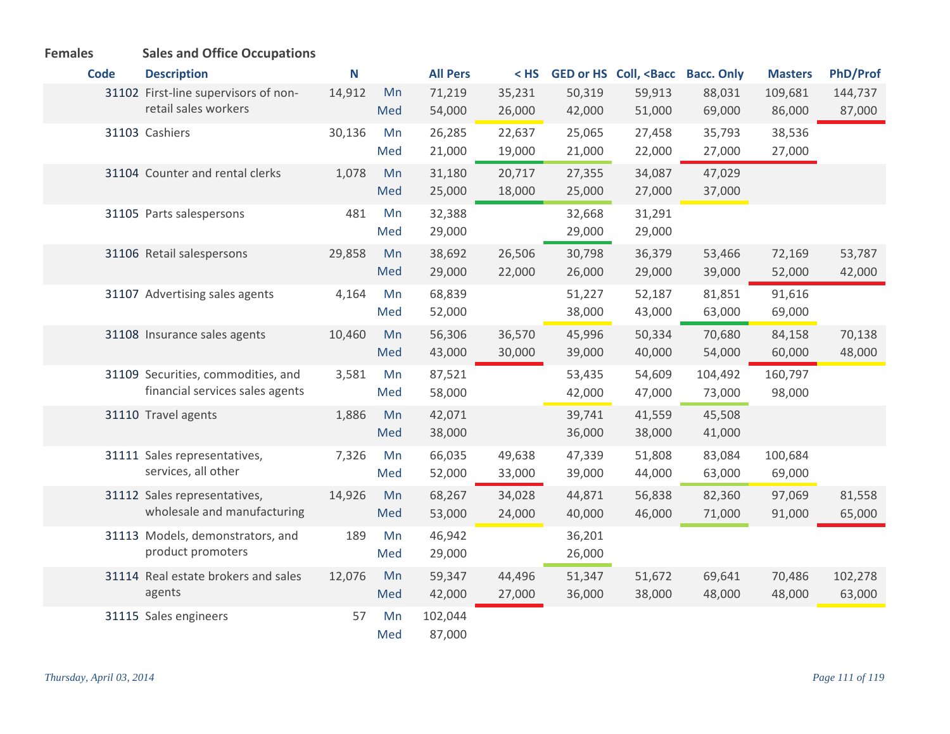| <b>Females</b> | <b>Sales and Office Occupations</b>  |        |     |                 |        |        |                                                                                                               |         |                |                 |
|----------------|--------------------------------------|--------|-----|-----------------|--------|--------|---------------------------------------------------------------------------------------------------------------|---------|----------------|-----------------|
| <b>Code</b>    | <b>Description</b>                   | N      |     | <b>All Pers</b> | $<$ HS |        | GED or HS Coll, <bacc bacc.="" only<="" th=""><th></th><th><b>Masters</b></th><th><b>PhD/Prof</b></th></bacc> |         | <b>Masters</b> | <b>PhD/Prof</b> |
|                | 31102 First-line supervisors of non- | 14,912 | Mn  | 71,219          | 35,231 | 50,319 | 59,913                                                                                                        | 88,031  | 109,681        | 144,737         |
|                | retail sales workers                 |        | Med | 54,000          | 26,000 | 42,000 | 51,000                                                                                                        | 69,000  | 86,000         | 87,000          |
|                | 31103 Cashiers                       | 30,136 | Mn  | 26,285          | 22,637 | 25,065 | 27,458                                                                                                        | 35,793  | 38,536         |                 |
|                |                                      |        | Med | 21,000          | 19,000 | 21,000 | 22,000                                                                                                        | 27,000  | 27,000         |                 |
|                | 31104 Counter and rental clerks      | 1,078  | Mn  | 31,180          | 20,717 | 27,355 | 34,087                                                                                                        | 47,029  |                |                 |
|                |                                      |        | Med | 25,000          | 18,000 | 25,000 | 27,000                                                                                                        | 37,000  |                |                 |
|                | 31105 Parts salespersons             | 481    | Mn  | 32,388          |        | 32,668 | 31,291                                                                                                        |         |                |                 |
|                |                                      |        | Med | 29,000          |        | 29,000 | 29,000                                                                                                        |         |                |                 |
|                | 31106 Retail salespersons            | 29,858 | Mn  | 38,692          | 26,506 | 30,798 | 36,379                                                                                                        | 53,466  | 72,169         | 53,787          |
|                |                                      |        | Med | 29,000          | 22,000 | 26,000 | 29,000                                                                                                        | 39,000  | 52,000         | 42,000          |
|                | 31107 Advertising sales agents       | 4,164  | Mn  | 68,839          |        | 51,227 | 52,187                                                                                                        | 81,851  | 91,616         |                 |
|                |                                      |        | Med | 52,000          |        | 38,000 | 43,000                                                                                                        | 63,000  | 69,000         |                 |
|                | 31108 Insurance sales agents         | 10,460 | Mn  | 56,306          | 36,570 | 45,996 | 50,334                                                                                                        | 70,680  | 84,158         | 70,138          |
|                |                                      |        | Med | 43,000          | 30,000 | 39,000 | 40,000                                                                                                        | 54,000  | 60,000         | 48,000          |
|                | 31109 Securities, commodities, and   | 3,581  | Mn  | 87,521          |        | 53,435 | 54,609                                                                                                        | 104,492 | 160,797        |                 |
|                | financial services sales agents      |        | Med | 58,000          |        | 42,000 | 47,000                                                                                                        | 73,000  | 98,000         |                 |
|                | 31110 Travel agents                  | 1,886  | Mn  | 42,071          |        | 39,741 | 41,559                                                                                                        | 45,508  |                |                 |
|                |                                      |        | Med | 38,000          |        | 36,000 | 38,000                                                                                                        | 41,000  |                |                 |
|                | 31111 Sales representatives,         | 7,326  | Mn  | 66,035          | 49,638 | 47,339 | 51,808                                                                                                        | 83,084  | 100,684        |                 |
|                | services, all other                  |        | Med | 52,000          | 33,000 | 39,000 | 44,000                                                                                                        | 63,000  | 69,000         |                 |
|                | 31112 Sales representatives,         | 14,926 | Mn  | 68,267          | 34,028 | 44,871 | 56,838                                                                                                        | 82,360  | 97,069         | 81,558          |
|                | wholesale and manufacturing          |        | Med | 53,000          | 24,000 | 40,000 | 46,000                                                                                                        | 71,000  | 91,000         | 65,000          |
|                | 31113 Models, demonstrators, and     | 189    | Mn  | 46,942          |        | 36,201 |                                                                                                               |         |                |                 |
|                | product promoters                    |        | Med | 29,000          |        | 26,000 |                                                                                                               |         |                |                 |
|                | 31114 Real estate brokers and sales  | 12,076 | Mn  | 59,347          | 44,496 | 51,347 | 51,672                                                                                                        | 69,641  | 70,486         | 102,278         |
|                | agents                               |        | Med | 42,000          | 27,000 | 36,000 | 38,000                                                                                                        | 48,000  | 48,000         | 63,000          |
|                | 31115 Sales engineers                | 57     | Mn  | 102,044         |        |        |                                                                                                               |         |                |                 |
|                |                                      |        | Med | 87,000          |        |        |                                                                                                               |         |                |                 |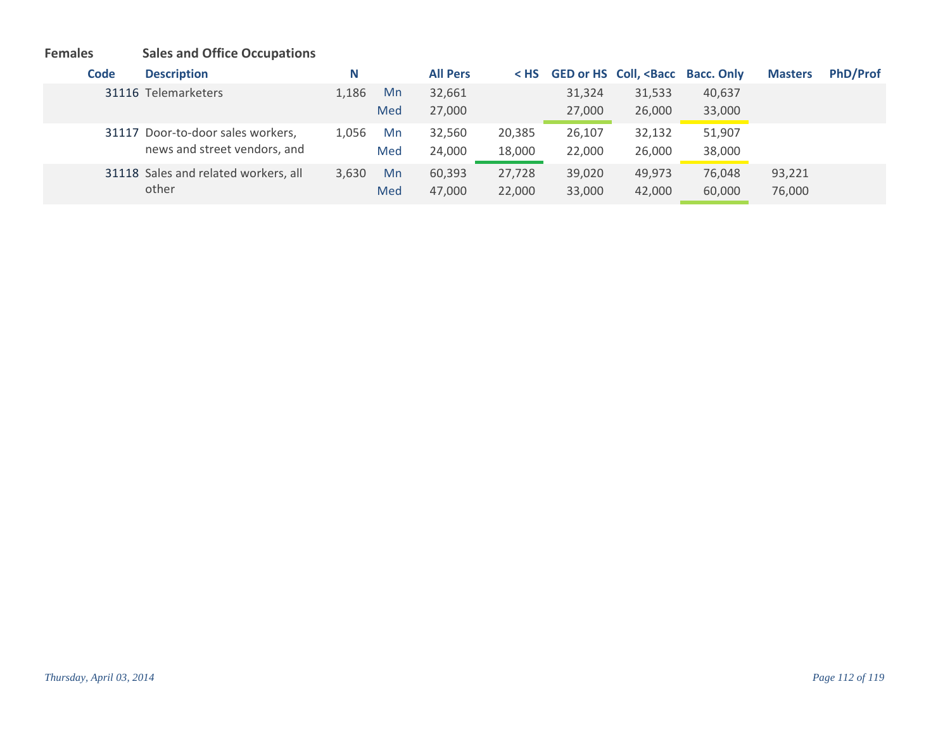## **Females Sales and Office Occupations**

| Code | <b>Description</b>                   | N     |     | <b>All Pers</b> | $<$ HS |        | <b>GED or HS Coll, <bacc b="" bacc.="" only<=""></bacc></b> |        | <b>Masters</b> | <b>PhD/Prof</b> |
|------|--------------------------------------|-------|-----|-----------------|--------|--------|-------------------------------------------------------------|--------|----------------|-----------------|
|      | 31116 Telemarketers                  | 1,186 | Mn  | 32,661          |        | 31,324 | 31,533                                                      | 40,637 |                |                 |
|      |                                      |       | Med | 27,000          |        | 27,000 | 26,000                                                      | 33,000 |                |                 |
|      | 31117 Door-to-door sales workers,    | 1.056 | Mn  | 32,560          | 20,385 | 26,107 | 32,132                                                      | 51,907 |                |                 |
|      | news and street vendors, and         |       | Med | 24,000          | 18,000 | 22,000 | 26,000                                                      | 38,000 |                |                 |
|      | 31118 Sales and related workers, all | 3,630 | Mn  | 60,393          | 27,728 | 39,020 | 49,973                                                      | 76,048 | 93,221         |                 |
|      | other                                |       | Med | 47,000          | 22,000 | 33,000 | 42,000                                                      | 60,000 | 76,000         |                 |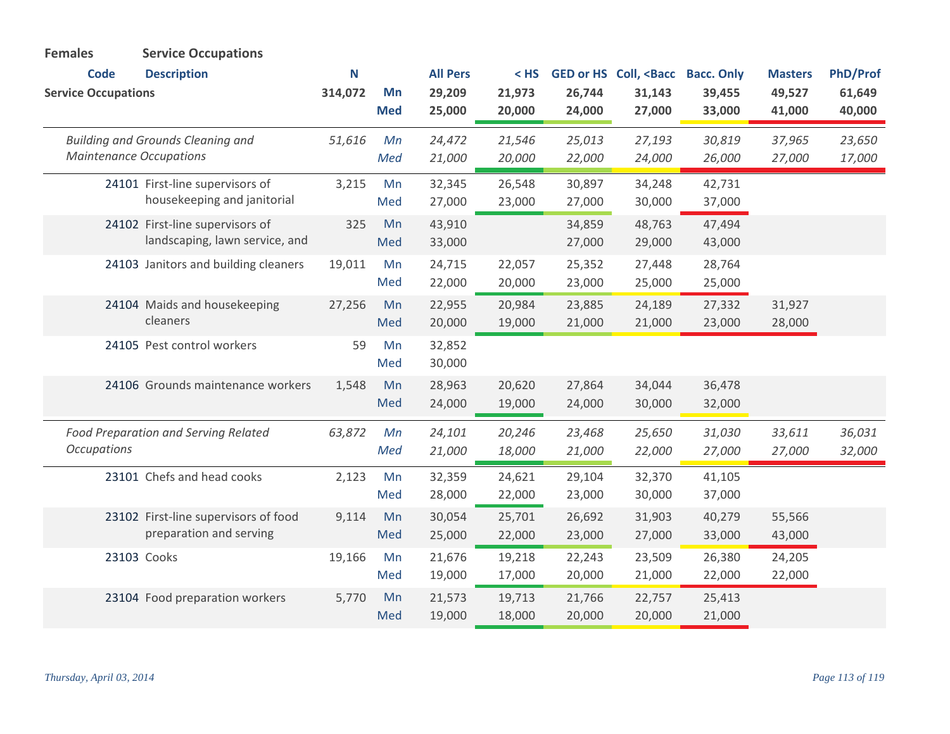| <b>Females</b>             | <b>Service Occupations</b>                                                 |         |                  |                  |                  |                  |                                                                                                               |                  |                  |                  |
|----------------------------|----------------------------------------------------------------------------|---------|------------------|------------------|------------------|------------------|---------------------------------------------------------------------------------------------------------------|------------------|------------------|------------------|
| <b>Code</b>                | <b>Description</b>                                                         | N       |                  | <b>All Pers</b>  | $<$ HS           |                  | GED or HS Coll, <bacc bacc.="" only<="" th=""><th></th><th><b>Masters</b></th><th><b>PhD/Prof</b></th></bacc> |                  | <b>Masters</b>   | <b>PhD/Prof</b>  |
| <b>Service Occupations</b> |                                                                            | 314,072 | Mn<br><b>Med</b> | 29,209<br>25,000 | 21,973<br>20,000 | 26,744<br>24,000 | 31,143<br>27,000                                                                                              | 39,455<br>33,000 | 49,527<br>41,000 | 61,649<br>40,000 |
|                            | <b>Building and Grounds Cleaning and</b><br><b>Maintenance Occupations</b> | 51,616  | Mn<br>Med        | 24,472<br>21,000 | 21,546<br>20,000 | 25,013<br>22,000 | 27,193<br>24,000                                                                                              | 30,819<br>26,000 | 37,965<br>27,000 | 23,650<br>17,000 |
|                            | 24101 First-line supervisors of<br>housekeeping and janitorial             | 3,215   | Mn<br>Med        | 32,345<br>27,000 | 26,548<br>23,000 | 30,897<br>27,000 | 34,248<br>30,000                                                                                              | 42,731<br>37,000 |                  |                  |
|                            | 24102 First-line supervisors of<br>landscaping, lawn service, and          | 325     | Mn<br>Med        | 43,910<br>33,000 |                  | 34,859<br>27,000 | 48,763<br>29,000                                                                                              | 47,494<br>43,000 |                  |                  |
|                            | 24103 Janitors and building cleaners                                       | 19,011  | Mn<br>Med        | 24,715<br>22,000 | 22,057<br>20,000 | 25,352<br>23,000 | 27,448<br>25,000                                                                                              | 28,764<br>25,000 |                  |                  |
|                            | 24104 Maids and housekeeping<br>cleaners                                   | 27,256  | Mn<br>Med        | 22,955<br>20,000 | 20,984<br>19,000 | 23,885<br>21,000 | 24,189<br>21,000                                                                                              | 27,332<br>23,000 | 31,927<br>28,000 |                  |
|                            | 24105 Pest control workers                                                 | 59      | Mn<br>Med        | 32,852<br>30,000 |                  |                  |                                                                                                               |                  |                  |                  |
|                            | 24106 Grounds maintenance workers                                          | 1,548   | Mn<br>Med        | 28,963<br>24,000 | 20,620<br>19,000 | 27,864<br>24,000 | 34,044<br>30,000                                                                                              | 36,478<br>32,000 |                  |                  |
| <b>Occupations</b>         | Food Preparation and Serving Related                                       | 63,872  | Mn<br>Med        | 24,101<br>21,000 | 20,246<br>18,000 | 23,468<br>21,000 | 25,650<br>22,000                                                                                              | 31,030<br>27,000 | 33,611<br>27,000 | 36,031<br>32,000 |
|                            | 23101 Chefs and head cooks                                                 | 2,123   | Mn<br>Med        | 32,359<br>28,000 | 24,621<br>22,000 | 29,104<br>23,000 | 32,370<br>30,000                                                                                              | 41,105<br>37,000 |                  |                  |
|                            | 23102 First-line supervisors of food<br>preparation and serving            | 9,114   | Mn<br>Med        | 30,054<br>25,000 | 25,701<br>22,000 | 26,692<br>23,000 | 31,903<br>27,000                                                                                              | 40,279<br>33,000 | 55,566<br>43,000 |                  |
|                            | 23103 Cooks                                                                | 19,166  | Mn<br>Med        | 21,676<br>19,000 | 19,218<br>17,000 | 22,243<br>20,000 | 23,509<br>21,000                                                                                              | 26,380<br>22,000 | 24,205<br>22,000 |                  |
|                            | 23104 Food preparation workers                                             | 5,770   | Mn<br>Med        | 21,573<br>19,000 | 19,713<br>18,000 | 21,766<br>20,000 | 22,757<br>20,000                                                                                              | 25,413<br>21,000 |                  |                  |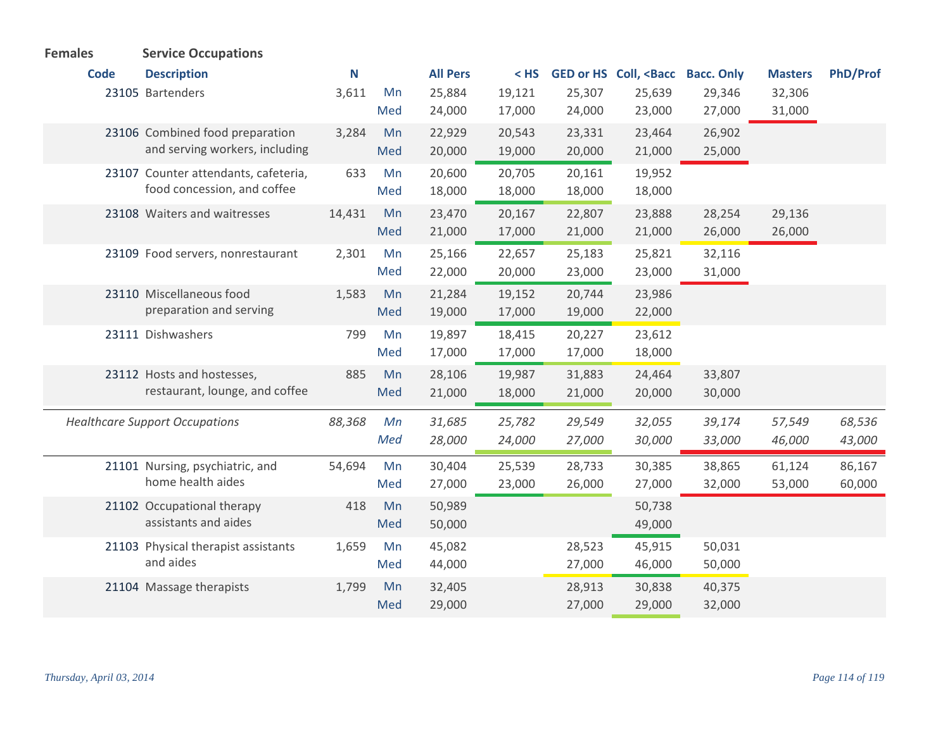| <b>Females</b> | <b>Service Occupations</b>            |        |     |                 |        |        |                                                                                                               |        |                |                 |
|----------------|---------------------------------------|--------|-----|-----------------|--------|--------|---------------------------------------------------------------------------------------------------------------|--------|----------------|-----------------|
| <b>Code</b>    | <b>Description</b>                    | N      |     | <b>All Pers</b> | $<$ HS |        | GED or HS Coll, <bacc bacc.="" only<="" th=""><th></th><th><b>Masters</b></th><th><b>PhD/Prof</b></th></bacc> |        | <b>Masters</b> | <b>PhD/Prof</b> |
|                | 23105 Bartenders                      | 3,611  | Mn  | 25,884          | 19,121 | 25,307 | 25,639                                                                                                        | 29,346 | 32,306         |                 |
|                |                                       |        | Med | 24,000          | 17,000 | 24,000 | 23,000                                                                                                        | 27,000 | 31,000         |                 |
|                | 23106 Combined food preparation       | 3,284  | Mn  | 22,929          | 20,543 | 23,331 | 23,464                                                                                                        | 26,902 |                |                 |
|                | and serving workers, including        |        | Med | 20,000          | 19,000 | 20,000 | 21,000                                                                                                        | 25,000 |                |                 |
|                | 23107 Counter attendants, cafeteria,  | 633    | Mn  | 20,600          | 20,705 | 20,161 | 19,952                                                                                                        |        |                |                 |
|                | food concession, and coffee           |        | Med | 18,000          | 18,000 | 18,000 | 18,000                                                                                                        |        |                |                 |
|                | 23108 Waiters and waitresses          | 14,431 | Mn  | 23,470          | 20,167 | 22,807 | 23,888                                                                                                        | 28,254 | 29,136         |                 |
|                |                                       |        | Med | 21,000          | 17,000 | 21,000 | 21,000                                                                                                        | 26,000 | 26,000         |                 |
|                | 23109 Food servers, nonrestaurant     | 2,301  | Mn  | 25,166          | 22,657 | 25,183 | 25,821                                                                                                        | 32,116 |                |                 |
|                |                                       |        | Med | 22,000          | 20,000 | 23,000 | 23,000                                                                                                        | 31,000 |                |                 |
|                | 23110 Miscellaneous food              | 1,583  | Mn  | 21,284          | 19,152 | 20,744 | 23,986                                                                                                        |        |                |                 |
|                | preparation and serving               |        | Med | 19,000          | 17,000 | 19,000 | 22,000                                                                                                        |        |                |                 |
|                | 23111 Dishwashers                     | 799    | Mn  | 19,897          | 18,415 | 20,227 | 23,612                                                                                                        |        |                |                 |
|                |                                       |        | Med | 17,000          | 17,000 | 17,000 | 18,000                                                                                                        |        |                |                 |
|                | 23112 Hosts and hostesses,            | 885    | Mn  | 28,106          | 19,987 | 31,883 | 24,464                                                                                                        | 33,807 |                |                 |
|                | restaurant, lounge, and coffee        |        | Med | 21,000          | 18,000 | 21,000 | 20,000                                                                                                        | 30,000 |                |                 |
|                | <b>Healthcare Support Occupations</b> | 88,368 | Mn  | 31,685          | 25,782 | 29,549 | 32,055                                                                                                        | 39,174 | 57,549         | 68,536          |
|                |                                       |        | Med | 28,000          | 24,000 | 27,000 | 30,000                                                                                                        | 33,000 | 46,000         | 43,000          |
|                | 21101 Nursing, psychiatric, and       | 54,694 | Mn  | 30,404          | 25,539 | 28,733 | 30,385                                                                                                        | 38,865 | 61,124         | 86,167          |
|                | home health aides                     |        | Med | 27,000          | 23,000 | 26,000 | 27,000                                                                                                        | 32,000 | 53,000         | 60,000          |
|                | 21102 Occupational therapy            | 418    | Mn  | 50,989          |        |        | 50,738                                                                                                        |        |                |                 |
|                | assistants and aides                  |        | Med | 50,000          |        |        | 49,000                                                                                                        |        |                |                 |
|                | 21103 Physical therapist assistants   | 1,659  | Mn  | 45,082          |        | 28,523 | 45,915                                                                                                        | 50,031 |                |                 |
|                | and aides                             |        | Med | 44,000          |        | 27,000 | 46,000                                                                                                        | 50,000 |                |                 |
|                | 21104 Massage therapists              | 1,799  | Mn  | 32,405          |        | 28,913 | 30,838                                                                                                        | 40,375 |                |                 |
|                |                                       |        | Med | 29,000          |        | 27,000 | 29,000                                                                                                        | 32,000 |                |                 |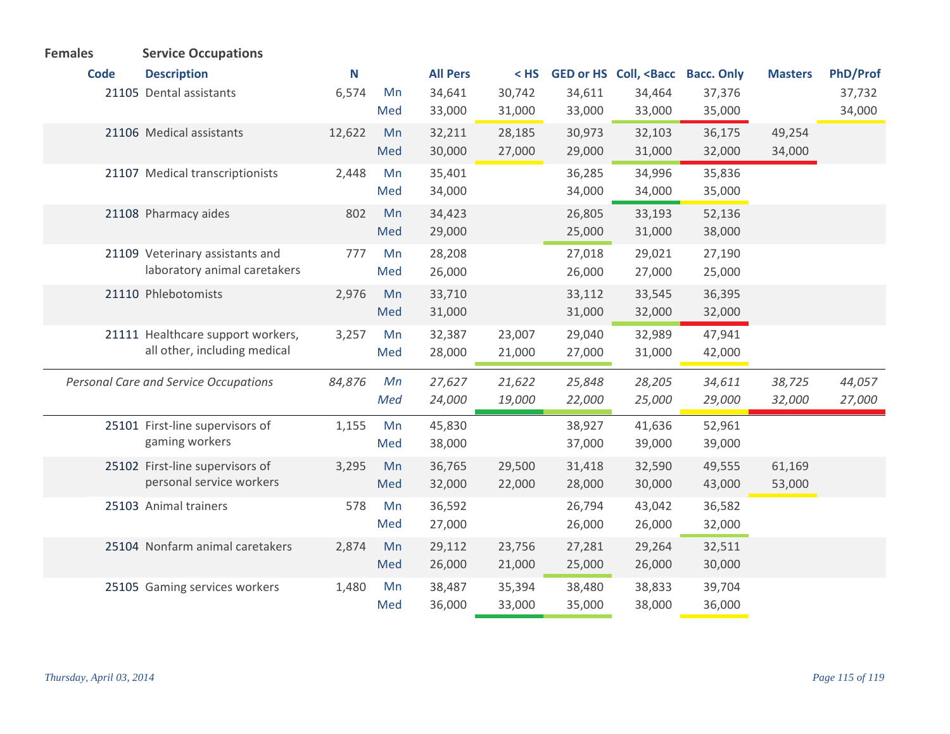| <b>Females</b> | <b>Service Occupations</b>                   |        |     |                 |        |        |                                                                                                        |        |                |          |
|----------------|----------------------------------------------|--------|-----|-----------------|--------|--------|--------------------------------------------------------------------------------------------------------|--------|----------------|----------|
| <b>Code</b>    | <b>Description</b>                           | N      |     | <b>All Pers</b> | $<$ HS |        | GED or HS Coll, <bacc bacc.="" only<="" th=""><th></th><th><b>Masters</b></th><th>PhD/Prof</th></bacc> |        | <b>Masters</b> | PhD/Prof |
|                | 21105 Dental assistants                      | 6,574  | Mn  | 34,641          | 30,742 | 34,611 | 34,464                                                                                                 | 37,376 |                | 37,732   |
|                |                                              |        | Med | 33,000          | 31,000 | 33,000 | 33,000                                                                                                 | 35,000 |                | 34,000   |
|                | 21106 Medical assistants                     | 12,622 | Mn  | 32,211          | 28,185 | 30,973 | 32,103                                                                                                 | 36,175 | 49,254         |          |
|                |                                              |        | Med | 30,000          | 27,000 | 29,000 | 31,000                                                                                                 | 32,000 | 34,000         |          |
|                | 21107 Medical transcriptionists              | 2,448  | Mn  | 35,401          |        | 36,285 | 34,996                                                                                                 | 35,836 |                |          |
|                |                                              |        | Med | 34,000          |        | 34,000 | 34,000                                                                                                 | 35,000 |                |          |
|                | 21108 Pharmacy aides                         | 802    | Mn  | 34,423          |        | 26,805 | 33,193                                                                                                 | 52,136 |                |          |
|                |                                              |        | Med | 29,000          |        | 25,000 | 31,000                                                                                                 | 38,000 |                |          |
|                | 21109 Veterinary assistants and              | 777    | Mn  | 28,208          |        | 27,018 | 29,021                                                                                                 | 27,190 |                |          |
|                | laboratory animal caretakers                 |        | Med | 26,000          |        | 26,000 | 27,000                                                                                                 | 25,000 |                |          |
|                | 21110 Phlebotomists                          | 2,976  | Mn  | 33,710          |        | 33,112 | 33,545                                                                                                 | 36,395 |                |          |
|                |                                              |        | Med | 31,000          |        | 31,000 | 32,000                                                                                                 | 32,000 |                |          |
|                | 21111 Healthcare support workers,            | 3,257  | Mn  | 32,387          | 23,007 | 29,040 | 32,989                                                                                                 | 47,941 |                |          |
|                | all other, including medical                 |        | Med | 28,000          | 21,000 | 27,000 | 31,000                                                                                                 | 42,000 |                |          |
|                | <b>Personal Care and Service Occupations</b> | 84,876 | Mn  | 27,627          | 21,622 | 25,848 | 28,205                                                                                                 | 34,611 | 38,725         | 44,057   |
|                |                                              |        | Med | 24,000          | 19,000 | 22,000 | 25,000                                                                                                 | 29,000 | 32,000         | 27,000   |
|                |                                              |        |     |                 |        |        |                                                                                                        |        |                |          |
|                | 25101 First-line supervisors of              | 1,155  | Mn  | 45,830          |        | 38,927 | 41,636                                                                                                 | 52,961 |                |          |
|                | gaming workers                               |        | Med | 38,000          |        | 37,000 | 39,000                                                                                                 | 39,000 |                |          |
|                | 25102 First-line supervisors of              | 3,295  | Mn  | 36,765          | 29,500 | 31,418 | 32,590                                                                                                 | 49,555 | 61,169         |          |
|                | personal service workers                     |        | Med | 32,000          | 22,000 | 28,000 | 30,000                                                                                                 | 43,000 | 53,000         |          |
|                | 25103 Animal trainers                        | 578    | Mn  | 36,592          |        | 26,794 | 43,042                                                                                                 | 36,582 |                |          |
|                |                                              |        | Med | 27,000          |        | 26,000 | 26,000                                                                                                 | 32,000 |                |          |
|                | 25104 Nonfarm animal caretakers              | 2,874  | Mn  | 29,112          | 23,756 | 27,281 | 29,264                                                                                                 | 32,511 |                |          |
|                |                                              |        | Med | 26,000          | 21,000 | 25,000 | 26,000                                                                                                 | 30,000 |                |          |
|                | 25105 Gaming services workers                | 1,480  | Mn  | 38,487          | 35,394 | 38,480 | 38,833                                                                                                 | 39,704 |                |          |
|                |                                              |        | Med | 36,000          | 33,000 | 35,000 | 38,000                                                                                                 | 36,000 |                |          |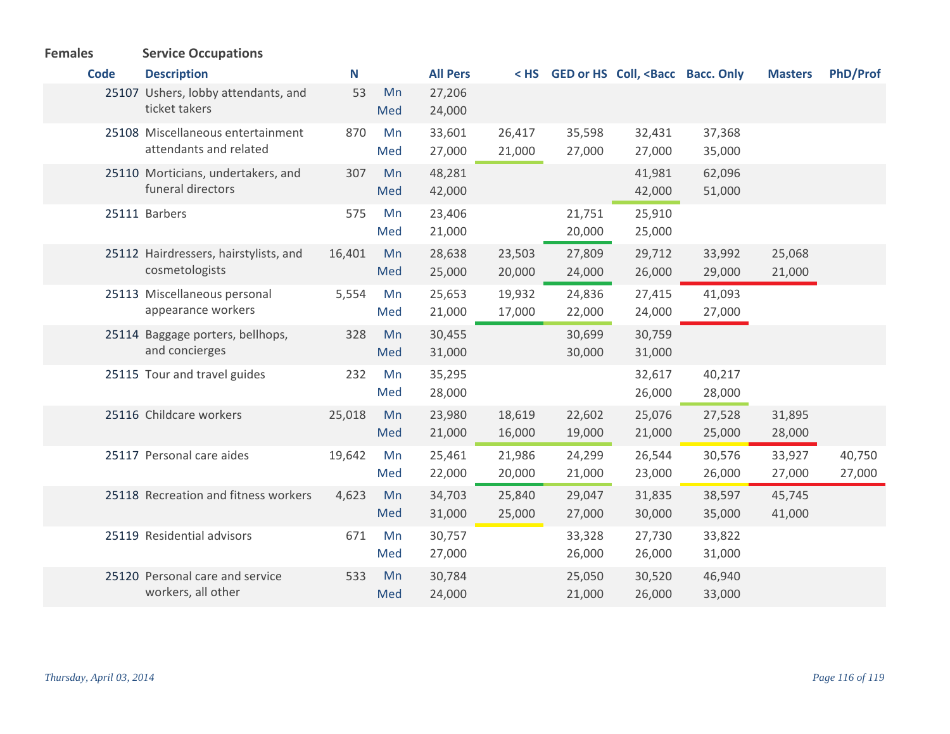| <b>Females</b> | <b>Service Occupations</b>                                  |        |           |                  |                  |                  |                                                                                                             |                  |                  |                  |
|----------------|-------------------------------------------------------------|--------|-----------|------------------|------------------|------------------|-------------------------------------------------------------------------------------------------------------|------------------|------------------|------------------|
| <b>Code</b>    | <b>Description</b>                                          | N      |           | <b>All Pers</b>  |                  |                  | < HS GED or HS Coll, <bacc bacc.="" only<="" th=""><th></th><th><b>Masters</b></th><th>PhD/Prof</th></bacc> |                  | <b>Masters</b>   | PhD/Prof         |
|                | 25107 Ushers, lobby attendants, and<br>ticket takers        | 53     | Mn<br>Med | 27,206<br>24,000 |                  |                  |                                                                                                             |                  |                  |                  |
|                | 25108 Miscellaneous entertainment<br>attendants and related | 870    | Mn<br>Med | 33,601<br>27,000 | 26,417<br>21,000 | 35,598<br>27,000 | 32,431<br>27,000                                                                                            | 37,368<br>35,000 |                  |                  |
|                | 25110 Morticians, undertakers, and<br>funeral directors     | 307    | Mn<br>Med | 48,281<br>42,000 |                  |                  | 41,981<br>42,000                                                                                            | 62,096<br>51,000 |                  |                  |
|                | 25111 Barbers                                               | 575    | Mn<br>Med | 23,406<br>21,000 |                  | 21,751<br>20,000 | 25,910<br>25,000                                                                                            |                  |                  |                  |
|                | 25112 Hairdressers, hairstylists, and<br>cosmetologists     | 16,401 | Mn<br>Med | 28,638<br>25,000 | 23,503<br>20,000 | 27,809<br>24,000 | 29,712<br>26,000                                                                                            | 33,992<br>29,000 | 25,068<br>21,000 |                  |
|                | 25113 Miscellaneous personal<br>appearance workers          | 5,554  | Mn<br>Med | 25,653<br>21,000 | 19,932<br>17,000 | 24,836<br>22,000 | 27,415<br>24,000                                                                                            | 41,093<br>27,000 |                  |                  |
|                | 25114 Baggage porters, bellhops,<br>and concierges          | 328    | Mn<br>Med | 30,455<br>31,000 |                  | 30,699<br>30,000 | 30,759<br>31,000                                                                                            |                  |                  |                  |
|                | 25115 Tour and travel guides                                | 232    | Mn<br>Med | 35,295<br>28,000 |                  |                  | 32,617<br>26,000                                                                                            | 40,217<br>28,000 |                  |                  |
|                | 25116 Childcare workers                                     | 25,018 | Mn<br>Med | 23,980<br>21,000 | 18,619<br>16,000 | 22,602<br>19,000 | 25,076<br>21,000                                                                                            | 27,528<br>25,000 | 31,895<br>28,000 |                  |
|                | 25117 Personal care aides                                   | 19,642 | Mn<br>Med | 25,461<br>22,000 | 21,986<br>20,000 | 24,299<br>21,000 | 26,544<br>23,000                                                                                            | 30,576<br>26,000 | 33,927<br>27,000 | 40,750<br>27,000 |
|                | 25118 Recreation and fitness workers                        | 4,623  | Mn<br>Med | 34,703<br>31,000 | 25,840<br>25,000 | 29,047<br>27,000 | 31,835<br>30,000                                                                                            | 38,597<br>35,000 | 45,745<br>41,000 |                  |
|                | 25119 Residential advisors                                  | 671    | Mn<br>Med | 30,757<br>27,000 |                  | 33,328<br>26,000 | 27,730<br>26,000                                                                                            | 33,822<br>31,000 |                  |                  |
|                | 25120 Personal care and service<br>workers, all other       | 533    | Mn<br>Med | 30,784<br>24,000 |                  | 25,050<br>21,000 | 30,520<br>26,000                                                                                            | 46,940<br>33,000 |                  |                  |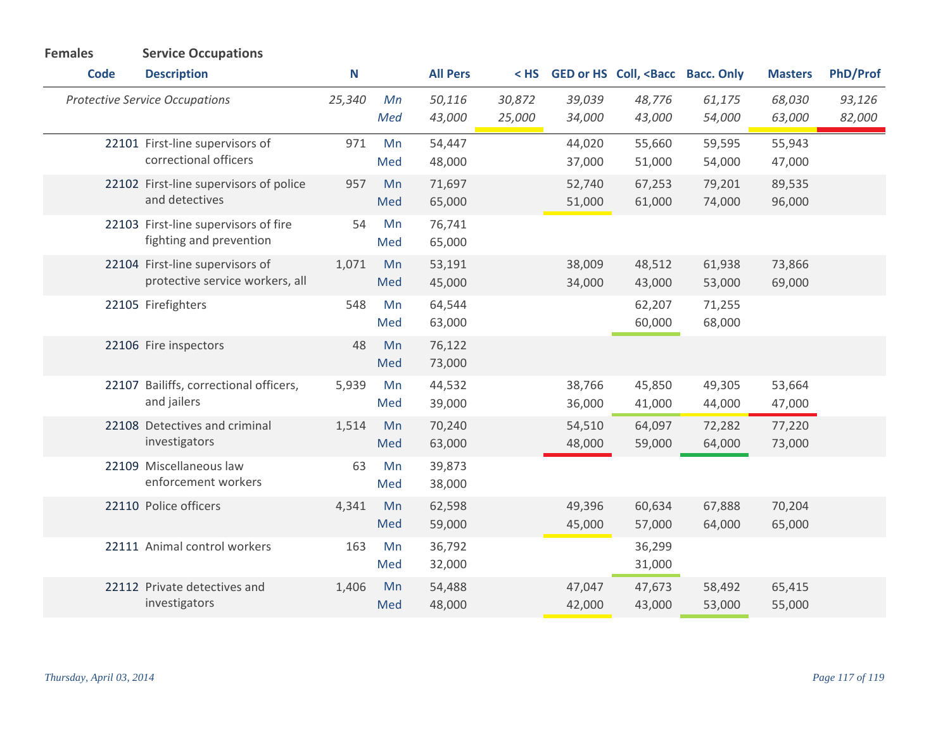| <b>Females</b> | <b>Service Occupations</b>                                         |             |           |                  |                  |                  |                                                                                                               |                  |                  |                  |
|----------------|--------------------------------------------------------------------|-------------|-----------|------------------|------------------|------------------|---------------------------------------------------------------------------------------------------------------|------------------|------------------|------------------|
| <b>Code</b>    | <b>Description</b>                                                 | $\mathbf N$ |           | <b>All Pers</b>  | $<$ HS           |                  | GED or HS Coll, <bacc bacc.="" only<="" th=""><th></th><th><b>Masters</b></th><th><b>PhD/Prof</b></th></bacc> |                  | <b>Masters</b>   | <b>PhD/Prof</b>  |
|                | <b>Protective Service Occupations</b>                              | 25,340      | Mn<br>Med | 50,116<br>43,000 | 30,872<br>25,000 | 39,039<br>34,000 | 48,776<br>43,000                                                                                              | 61,175<br>54,000 | 68,030<br>63,000 | 93,126<br>82,000 |
|                | 22101 First-line supervisors of<br>correctional officers           | 971         | Mn<br>Med | 54,447<br>48,000 |                  | 44,020<br>37,000 | 55,660<br>51,000                                                                                              | 59,595<br>54,000 | 55,943<br>47,000 |                  |
|                | 22102 First-line supervisors of police<br>and detectives           | 957         | Mn<br>Med | 71,697<br>65,000 |                  | 52,740<br>51,000 | 67,253<br>61,000                                                                                              | 79,201<br>74,000 | 89,535<br>96,000 |                  |
|                | 22103 First-line supervisors of fire<br>fighting and prevention    | 54          | Mn<br>Med | 76,741<br>65,000 |                  |                  |                                                                                                               |                  |                  |                  |
|                | 22104 First-line supervisors of<br>protective service workers, all | 1,071       | Mn<br>Med | 53,191<br>45,000 |                  | 38,009<br>34,000 | 48,512<br>43,000                                                                                              | 61,938<br>53,000 | 73,866<br>69,000 |                  |
|                | 22105 Firefighters                                                 | 548         | Mn<br>Med | 64,544<br>63,000 |                  |                  | 62,207<br>60,000                                                                                              | 71,255<br>68,000 |                  |                  |
|                | 22106 Fire inspectors                                              | 48          | Mn<br>Med | 76,122<br>73,000 |                  |                  |                                                                                                               |                  |                  |                  |
|                | 22107 Bailiffs, correctional officers,<br>and jailers              | 5,939       | Mn<br>Med | 44,532<br>39,000 |                  | 38,766<br>36,000 | 45,850<br>41,000                                                                                              | 49,305<br>44,000 | 53,664<br>47,000 |                  |
|                | 22108 Detectives and criminal<br>investigators                     | 1,514       | Mn<br>Med | 70,240<br>63,000 |                  | 54,510<br>48,000 | 64,097<br>59,000                                                                                              | 72,282<br>64,000 | 77,220<br>73,000 |                  |
|                | 22109 Miscellaneous law<br>enforcement workers                     | 63          | Mn<br>Med | 39,873<br>38,000 |                  |                  |                                                                                                               |                  |                  |                  |
|                | 22110 Police officers                                              | 4,341       | Mn<br>Med | 62,598<br>59,000 |                  | 49,396<br>45,000 | 60,634<br>57,000                                                                                              | 67,888<br>64,000 | 70,204<br>65,000 |                  |
|                | 22111 Animal control workers                                       | 163         | Mn<br>Med | 36,792<br>32,000 |                  |                  | 36,299<br>31,000                                                                                              |                  |                  |                  |
|                | 22112 Private detectives and<br>investigators                      | 1,406       | Mn<br>Med | 54,488<br>48,000 |                  | 47,047<br>42,000 | 47,673<br>43,000                                                                                              | 58,492<br>53,000 | 65,415<br>55,000 |                  |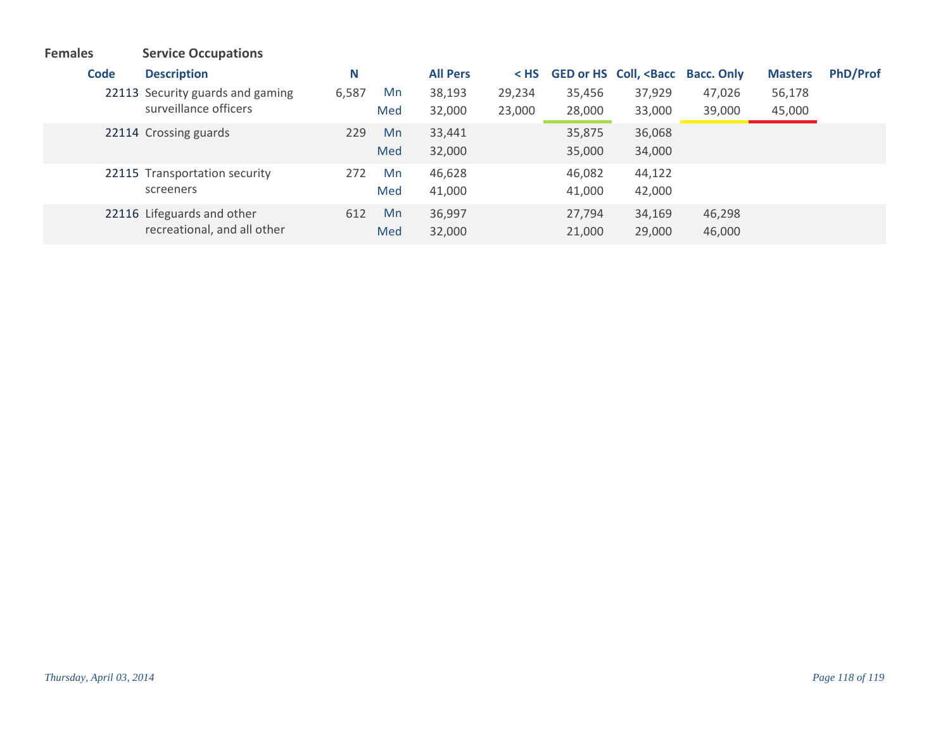**Code Description N All Pers < HS GED or HS Coll, <Bacc Bacc. Only Masters PhD/Prof Females Service Occupations** 22113 Security guards and gaming  $6,587$  Mn surveillance officers 6,587 38,193 29,234 35,456 37,929 47,026 56,178 32,000 23,000 28,000 33,000 39,000 45,000 Med Crossing guards 229 33,441 35,875 36,068 22114 Mn 32,000 35,000 34,000 Med 22115 Transportation security **272** Mn screeners 272 Mn 46,628 46,082 44,122 41,000 41,000 42,000 Med 22116 Lifeguards and other 612 Mn recreational, and all other 612 36,997 27,794 34,169 46,298 32,000 21,000 29,000 46,000 Med